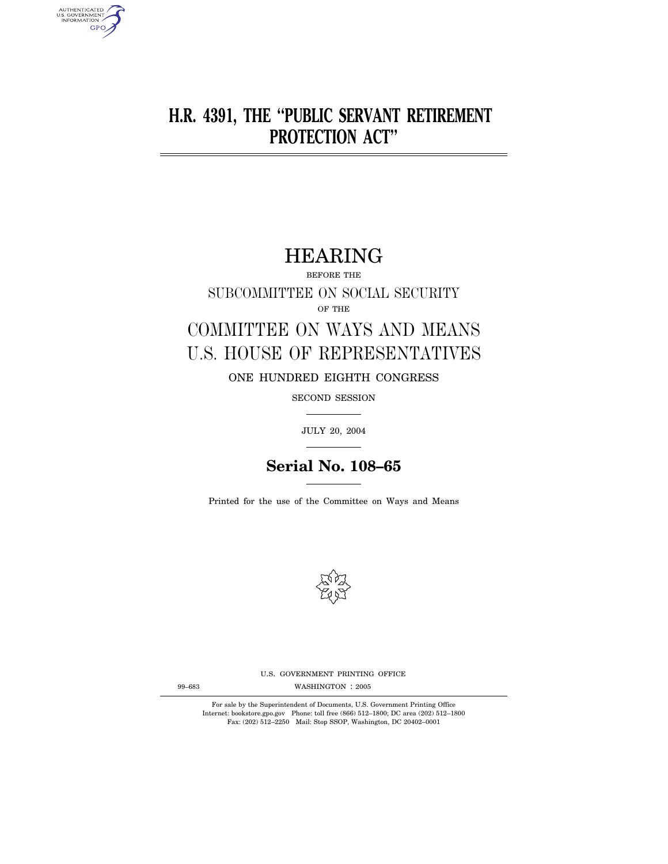# **H.R. 4391, THE ''PUBLIC SERVANT RETIREMENT PROTECTION ACT''**

# HEARING

BEFORE THE

SUBCOMMITTEE ON SOCIAL SECURITY OF THE

# COMMITTEE ON WAYS AND MEANS U.S. HOUSE OF REPRESENTATIVES

ONE HUNDRED EIGHTH CONGRESS

SECOND SESSION

JULY 20, 2004

# **Serial No. 108–65**

Printed for the use of the Committee on Ways and Means



U.S. GOVERNMENT PRINTING OFFICE

WASHINGTON : 99–683 2005

For sale by the Superintendent of Documents, U.S. Government Printing Office Internet: bookstore.gpo.gov Phone: toll free (866) 512–1800; DC area (202) 512–1800 Fax: (202) 512–2250 Mail: Stop SSOP, Washington, DC 20402–0001

AUTHENTICATED<br>U.S. GOVERNMENT<br>INFORMATION **GPO**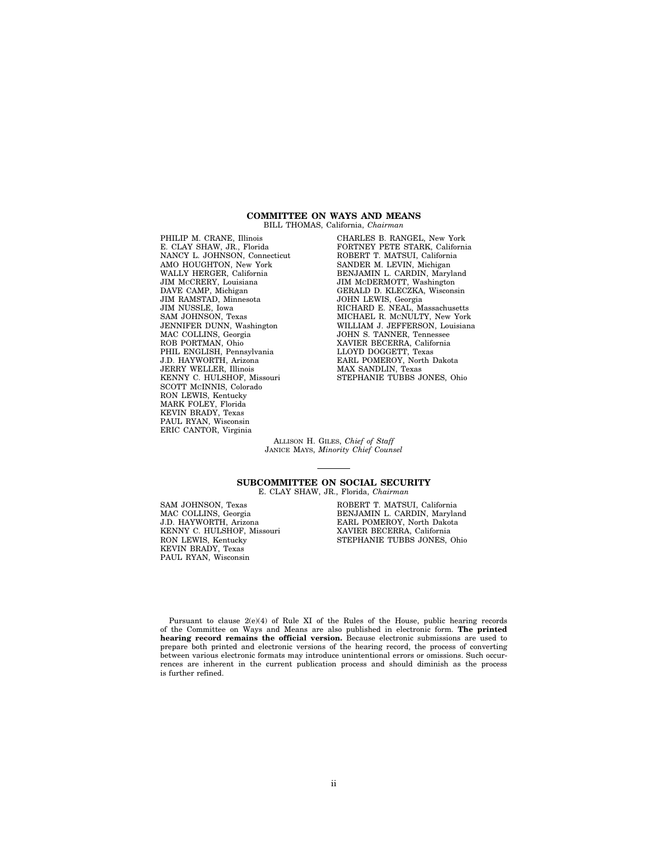## **COMMITTEE ON WAYS AND MEANS**  BILL THOMAS, California, *Chairman*

PHILIP M. CRANE, Illinois E. CLAY SHAW, JR., Florida NANCY L. JOHNSON, Connecticut AMO HOUGHTON, New York WALLY HERGER, California JIM MCCRERY, Louisiana DAVE CAMP, Michigan JIM RAMSTAD, Minnesota JIM NUSSLE, Iowa SAM JOHNSON, Texas JENNIFER DUNN, Washington MAC COLLINS, Georgia ROB PORTMAN, Ohio PHIL ENGLISH, Pennsylvania J.D. HAYWORTH, Arizona JERRY WELLER, Illinois KENNY C. HULSHOF, Missouri SCOTT MCINNIS, Colorado RON LEWIS, Kentucky MARK FOLEY, Florida KEVIN BRADY, Texas PAUL RYAN, Wisconsin ERIC CANTOR, Virginia

CHARLES B. RANGEL, New York FORTNEY PETE STARK, California ROBERT T. MATSUI, California SANDER M. LEVIN, Michigan BENJAMIN L. CARDIN, Maryland JIM MCDERMOTT, Washington GERALD D. KLECZKA, Wisconsin JOHN LEWIS, Georgia RICHARD E. NEAL, Massachusetts MICHAEL R. MCNULTY, New York WILLIAM J. JEFFERSON, Louisiana JOHN S. TANNER, Tennessee XAVIER BECERRA, California LLOYD DOGGETT, Texas EARL POMEROY, North Dakota MAX SANDLIN, Texas STEPHANIE TUBBS JONES, Ohio

ALLISON H. GILES, *Chief of Staff*  JANICE MAYS, *Minority Chief Counsel* 

# **SUBCOMMITTEE ON SOCIAL SECURITY**

E. CLAY SHAW, JR., Florida, *Chairman* 

SAM JOHNSON, Texas MAC COLLINS, Georgia J.D. HAYWORTH, Arizona KENNY C. HULSHOF, Missouri RON LEWIS, Kentucky KEVIN BRADY, Texas PAUL RYAN, Wisconsin

ROBERT T. MATSUI, California BENJAMIN L. CARDIN, Maryland EARL POMEROY, North Dakota XAVIER BECERRA, California STEPHANIE TUBBS JONES, Ohio

Pursuant to clause 2(e)(4) of Rule XI of the Rules of the House, public hearing records of the Committee on Ways and Means are also published in electronic form. **The printed hearing record remains the official version.** Because electronic submissions are used to prepare both printed and electronic versions of the hearing record, the process of converting between various electronic formats may introduce unintentional errors or omissions. Such occurrences are inherent in the current publication process and should diminish as the process is further refined.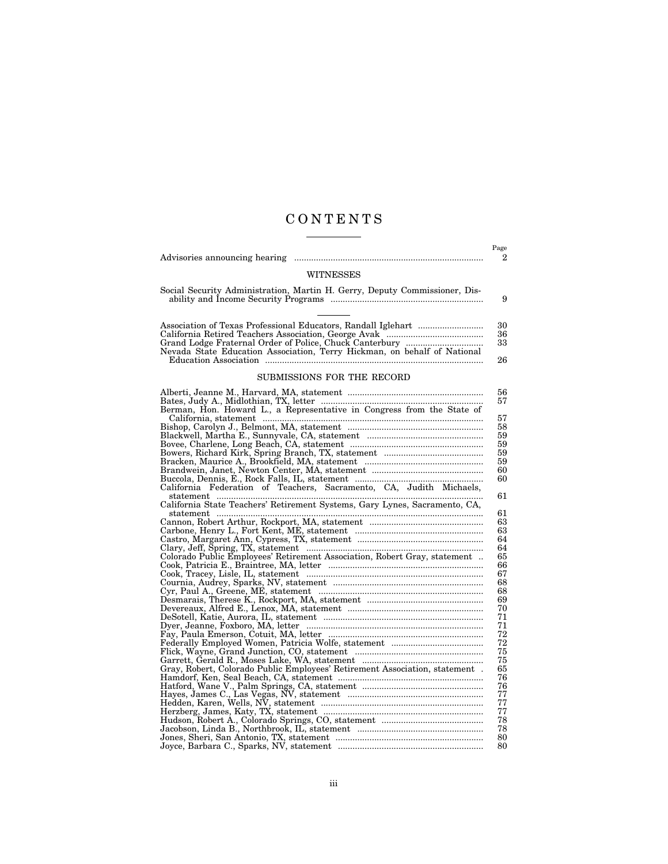# C O N T E N T S

|                                                                              | Page     |
|------------------------------------------------------------------------------|----------|
|                                                                              | 2        |
|                                                                              |          |
| <b>WITNESSES</b>                                                             |          |
| Social Security Administration, Martin H. Gerry, Deputy Commissioner, Dis-   | 9        |
|                                                                              |          |
|                                                                              | 30       |
|                                                                              | 36       |
|                                                                              | 33       |
|                                                                              | 26       |
| SUBMISSIONS FOR THE RECORD                                                   |          |
|                                                                              |          |
|                                                                              | 56       |
|                                                                              | 57       |
| Berman, Hon. Howard L., a Representative in Congress from the State of       |          |
|                                                                              | 57<br>58 |
|                                                                              | 59       |
|                                                                              | 59       |
|                                                                              | 59       |
|                                                                              | 59       |
|                                                                              | 60       |
|                                                                              | 60       |
| California Federation of Teachers, Sacramento, CA, Judith Michaels,          |          |
|                                                                              | 61       |
| California State Teachers' Retirement Systems, Gary Lynes, Sacramento, CA,   | 61       |
| statement                                                                    | 63       |
|                                                                              | 63       |
|                                                                              | 64       |
|                                                                              | 64       |
| Colorado Public Employees' Retirement Association, Robert Gray, statement    | 65       |
|                                                                              | 66       |
|                                                                              | 67       |
|                                                                              | 68       |
|                                                                              | 68       |
|                                                                              | 69       |
|                                                                              | 70       |
|                                                                              | 71       |
|                                                                              | 71       |
|                                                                              | 72       |
|                                                                              | 72       |
|                                                                              | 75       |
|                                                                              | 75       |
| Gray, Robert, Colorado Public Employees' Retirement Association, statement . | 65       |
|                                                                              | 76       |
|                                                                              | 76<br>77 |
|                                                                              | 77       |
|                                                                              | 77       |
|                                                                              | 78       |
|                                                                              | 78       |
|                                                                              | 80       |
|                                                                              | 80       |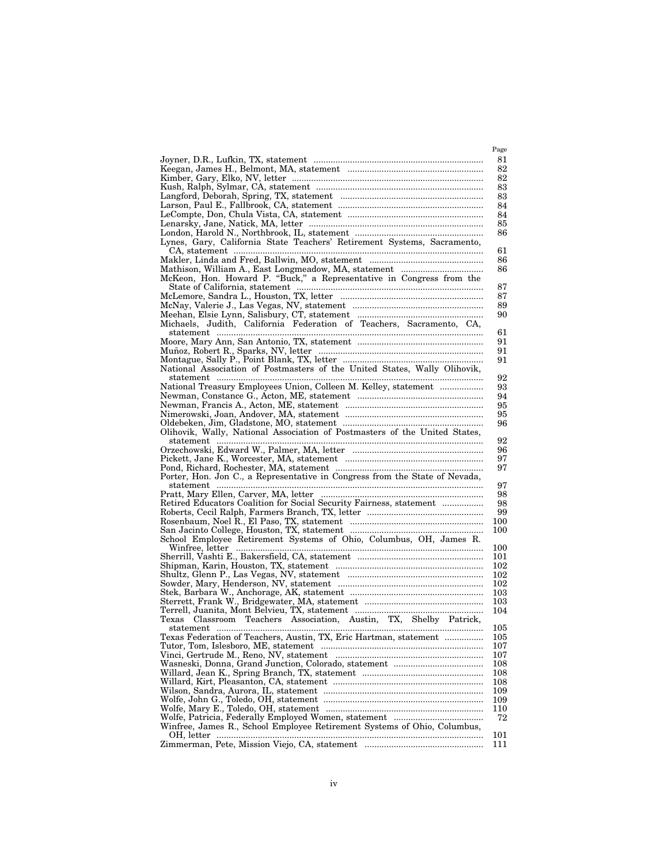|                                                                             | Page       |
|-----------------------------------------------------------------------------|------------|
|                                                                             | 81         |
|                                                                             | 82         |
|                                                                             | 82         |
|                                                                             | 83         |
|                                                                             | 83         |
|                                                                             | 84         |
|                                                                             | 84         |
|                                                                             | 85         |
|                                                                             | 86         |
| Lynes, Gary, California State Teachers' Retirement Systems, Sacramento,     |            |
|                                                                             | 61         |
|                                                                             | 86         |
|                                                                             | 86         |
| McKeon, Hon. Howard P. "Buck," a Representative in Congress from the        |            |
|                                                                             | 87         |
|                                                                             | 87         |
|                                                                             | 89         |
|                                                                             | 90         |
|                                                                             |            |
|                                                                             | 61         |
|                                                                             | 91         |
|                                                                             | 91<br>91   |
| National Association of Postmasters of the United States, Wally Olihovik,   |            |
|                                                                             | 92         |
| National Treasury Employees Union, Colleen M. Kelley, statement             | 93         |
|                                                                             | 94         |
|                                                                             | 95         |
|                                                                             | 95         |
|                                                                             | 96         |
| Olihovik, Wally, National Association of Postmasters of the United States,  |            |
|                                                                             | 92         |
|                                                                             | 96         |
|                                                                             | 97         |
|                                                                             | 97         |
| Porter, Hon. Jon C., a Representative in Congress from the State of Nevada, |            |
|                                                                             | 97         |
| Retired Educators Coalition for Social Security Fairness, statement         | 98<br>98   |
|                                                                             | 99         |
|                                                                             | 100        |
|                                                                             | 100        |
| School Employee Retirement Systems of Ohio, Columbus, OH, James R.          |            |
|                                                                             | 100        |
|                                                                             | 101        |
|                                                                             | 102        |
|                                                                             | 102        |
|                                                                             | 102        |
|                                                                             | 103        |
|                                                                             | 103        |
|                                                                             | 104        |
| Texas Classroom Teachers Association, Austin, TX, Shelby Patrick,           |            |
|                                                                             | 105        |
| Texas Federation of Teachers, Austin, TX, Eric Hartman, statement           | $105\,$    |
|                                                                             | 107        |
|                                                                             | 107<br>108 |
|                                                                             | 108        |
|                                                                             | 108        |
|                                                                             | 109        |
|                                                                             | 109        |
|                                                                             | 110        |
|                                                                             | 72         |
| Winfree, James R., School Employee Retirement Systems of Ohio, Columbus,    |            |
|                                                                             | 101        |
|                                                                             | 111        |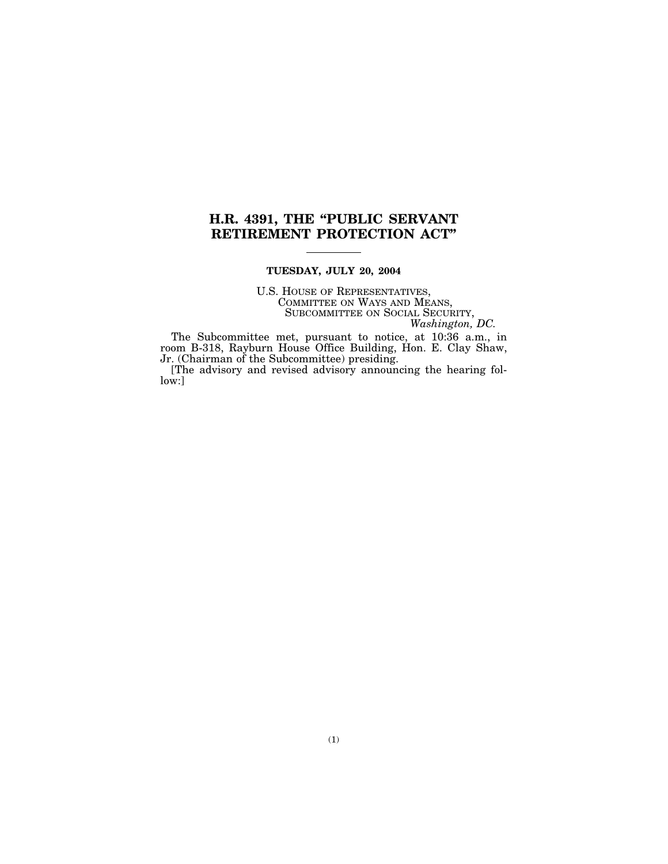# **H.R. 4391, THE ''PUBLIC SERVANT RETIREMENT PROTECTION ACT''**

# **TUESDAY, JULY 20, 2004**

U.S. HOUSE OF REPRESENTATIVES, COMMITTEE ON WAYS AND MEANS, SUBCOMMITTEE ON SOCIAL SECURITY, *Washington, DC.* 

The Subcommittee met, pursuant to notice, at 10:36 a.m., in room B-318, Rayburn House Office Building, Hon. E. Clay Shaw, Jr. (Chairman of the Subcommittee) presiding.

[The advisory and revised advisory announcing the hearing follow:]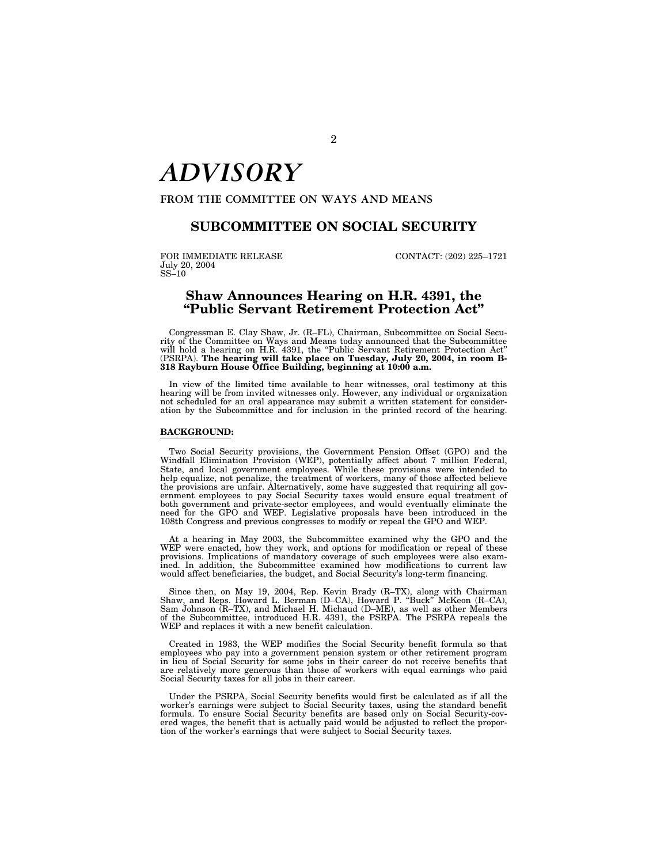# *ADVISORY*

**FROM THE COMMITTEE ON WAYS AND MEANS** 

# **SUBCOMMITTEE ON SOCIAL SECURITY**

FOR IMMEDIATE RELEASE CONTACT: (202) 225-1721 July 20, 2004 SS–10

# **Shaw Announces Hearing on H.R. 4391, the ''Public Servant Retirement Protection Act''**

Congressman E. Clay Shaw, Jr. (R–FL), Chairman, Subcommittee on Social Security of the Committee on Ways and Means today announced that the Subcommittee will hold a hearing on H.R. 4391, the ''Public Servant Retirement Protection Act'' (PSRPA). **The hearing will take place on Tuesday, July 20, 2004, in room B-318 Rayburn House Office Building, beginning at 10:00 a.m.** 

In view of the limited time available to hear witnesses, oral testimony at this hearing will be from invited witnesses only. However, any individual or organization not scheduled for an oral appearance may submit a written statement for consideration by the Subcommittee and for inclusion in the printed record of the hearing.

### **BACKGROUND:**

Two Social Security provisions, the Government Pension Offset (GPO) and the Windfall Elimination Provision (WEP), potentially affect about 7 million Federal, State, and local government employees. While these provisions were intended to help equalize, not penalize, the treatment of workers, many of those affected believe the provisions are unfair. Alternatively, some have suggested that requiring all government employees to pay Social Security taxes would ensure equal treatment of both government and private-sector employees, and would eventually eliminate the need for the GPO and WEP. Legislative proposals have been introduced in the 108th Congress and previous congresses to modify or repeal the GPO and WEP.

At a hearing in May 2003, the Subcommittee examined why the GPO and the WEP were enacted, how they work, and options for modification or repeal of these provisions. Implications of mandatory coverage of such employees were also examined. In addition, the Subcommittee examined how modifications to current law would affect beneficiaries, the budget, and Social Security's long-term financing.

Since then, on May 19, 2004, Rep. Kevin Brady (R–TX), along with Chairman Shaw, and Reps. Howard L. Berman (D–CA), Howard P. ''Buck'' McKeon (R–CA), Sam Johnson (R–TX), and Michael H. Michaud (D–ME), as well as other Members of the Subcommittee, introduced H.R. 4391, the PSRPA. The PSRPA repeals the WEP and replaces it with a new benefit calculation.

Created in 1983, the WEP modifies the Social Security benefit formula so that employees who pay into a government pension system or other retirement program in lieu of Social Security for some jobs in their career do not receive benefits that are relatively more generous than those of workers with equal earnings who paid Social Security taxes for all jobs in their career.

Under the PSRPA, Social Security benefits would first be calculated as if all the worker's earnings were subject to Social Security taxes, using the standard benefit formula. To ensure Social Security benefits are based only on Social Security-covered wages, the benefit that is actually paid would be adjusted to reflect the proportion of the worker's earnings that were subject to Social Security taxes.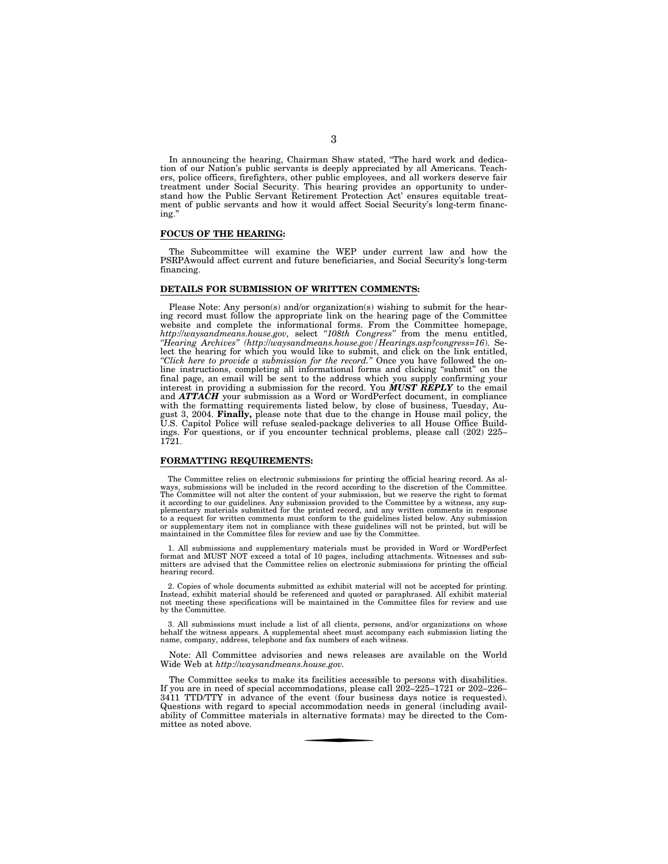In announcing the hearing, Chairman Shaw stated, ''The hard work and dedication of our Nation's public servants is deeply appreciated by all Americans. Teachers, police officers, firefighters, other public employees, and all workers deserve fair treatment under Social Security. This hearing provides an opportunity to understand how the Public Servant Retirement Protection Act' ensures equitable treatment of public servants and how it would affect Social Security's long-term financing.''

# **FOCUS OF THE HEARING:**

The Subcommittee will examine the WEP under current law and how the PSRPAwould affect current and future beneficiaries, and Social Security's long-term financing.

# **DETAILS FOR SUBMISSION OF WRITTEN COMMENTS:**

Please Note: Any person(s) and/or organization(s) wishing to submit for the hearing record must follow the appropriate link on the hearing page of the Committee website and complete the informational forms. From the Committee homepage, *http:*//*waysandmeans.house.gov,* select *''108th Congress''* from the menu entitled, *''Hearing Archives'' (http:*//*waysandmeans.house.gov/Hearings.asp?congress=16*). Select the hearing for which you would like to submit, and click on the link entitled, *''Click here to provide a submission for the record.''* Once you have followed the online instructions, completing all informational forms and clicking ''submit'' on the final page, an email will be sent to the address which you supply confirming your interest in providing a submission for the record. You *MUST REPLY* to the email and *ATTACH* your submission as a Word or WordPerfect document, in compliance with the formatting requirements listed below, by close of business, Tuesday, August 3, 2004. **Finally,** please note that due to the change in House mail policy, the U.S. Capitol Police will refuse sealed-package deliveries to all House Office Buildings. For questions, or if you encounter technical problems, please call (202) 225– 1721.

# **FORMATTING REQUIREMENTS:**

The Committee relies on electronic submissions for printing the official hearing record. As al-ways, submissions will be included in the record according to the discretion of the Committee. The Committee will not alter the content of your submission, but we reserve the right to format it according to our guidelines. Any submission provided to the Committee by a witness, any sup-plementary materials submitted for the printed record, and any written comments in response to a request for written comments must conform to the guidelines listed below. Any submission or supplementary item not in compliance with these guidelines will not be printed, but will be maintained in the Committee files for review and use by the Committee.

1. All submissions and supplementary materials must be provided in Word or WordPerfect format and MUST NOT exceed a total of 10 pages, including attachments. Witnesses and submitters are advised that the Committee relies on electronic submissions for printing the official hearing record.

2. Copies of whole documents submitted as exhibit material will not be accepted for printing. Instead, exhibit material should be referenced and quoted or paraphrased. All exhibit material not meeting these specifications will be maintained in the Committee files for review and use by the Committee.

3. All submissions must include a list of all clients, persons, and/or organizations on whose behalf the witness appears. A supplemental sheet must accompany each submission listing the name, company, address, telephone and fax numbers of each witness.

Note: All Committee advisories and news releases are available on the World Wide Web at *http:*//*waysandmeans.house.gov.* 

The Committee seeks to make its facilities accessible to persons with disabilities. If you are in need of special accommodations, please call  $202-225-1721$  or  $202-226-$ 3411 TTD/TTY in advance of the event (four business days notice is requested). Questions with regard to special accommodation needs in general (including availability of Committee materials in alternative formats) may be directed to the Committee as noted above.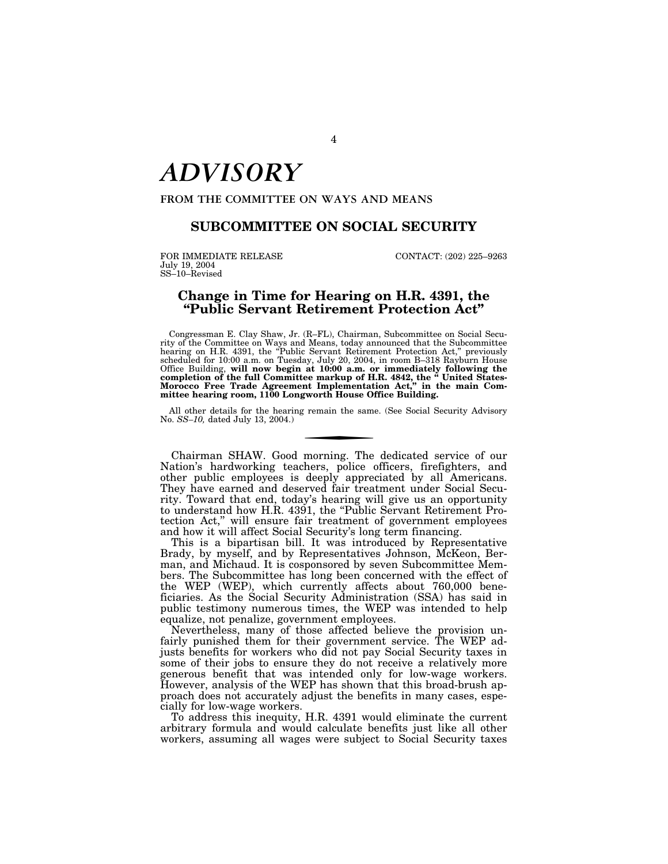# *ADVISORY*

**FROM THE COMMITTEE ON WAYS AND MEANS** 

# **SUBCOMMITTEE ON SOCIAL SECURITY**

FOR IMMEDIATE RELEASE CONTACT: (202) 225-9263 July 19, 2004 SS–10–Revised

# **Change in Time for Hearing on H.R. 4391, the ''Public Servant Retirement Protection Act''**

Congressman E. Clay Shaw, Jr. (R–FL), Chairman, Subcommittee on Social Security of the Committee on Ways and Means, today announced that the Subcommittee hearing on H.R. 4391, the ''Public Servant Retirement Protection Act,'' previously scheduled for 10:00 a.m. on Tuesday, July 20, 2004, in room B–318 Rayburn House Office Building, will now begin at 10:00 a.m. or immediately following the<br>completion of the full Committee markup of H.R. 4842, the "United States-<br>Morocco Free Trade Agreement Implementation Act," in the main Com-<br>mittee

All other details for the hearing remain the same. (See Social Security Advisory No. *SS–10,* dated July 13, 2004.)

Chairman SHAW. Good morning. The dedicated service of our Nation's hardworking teachers, police officers, firefighters, and other public employees is deeply appreciated by all Americans. They have earned and deserved fair treatment under Social Security. Toward that end, today's hearing will give us an opportunity to understand how H.R. 4391, the "Public Servant Retirement Protection Act,'' will ensure fair treatment of government employees and how it will affect Social Security's long term financing.

This is a bipartisan bill. It was introduced by Representative Brady, by myself, and by Representatives Johnson, McKeon, Berman, and Michaud. It is cosponsored by seven Subcommittee Members. The Subcommittee has long been concerned with the effect of the WEP (WEP), which currently affects about 760,000 beneficiaries. As the Social Security Administration (SSA) has said in public testimony numerous times, the WEP was intended to help equalize, not penalize, government employees.

Nevertheless, many of those affected believe the provision unfairly punished them for their government service. The WEP adjusts benefits for workers who did not pay Social Security taxes in some of their jobs to ensure they do not receive a relatively more generous benefit that was intended only for low-wage workers. However, analysis of the WEP has shown that this broad-brush approach does not accurately adjust the benefits in many cases, especially for low-wage workers.

To address this inequity, H.R. 4391 would eliminate the current arbitrary formula and would calculate benefits just like all other workers, assuming all wages were subject to Social Security taxes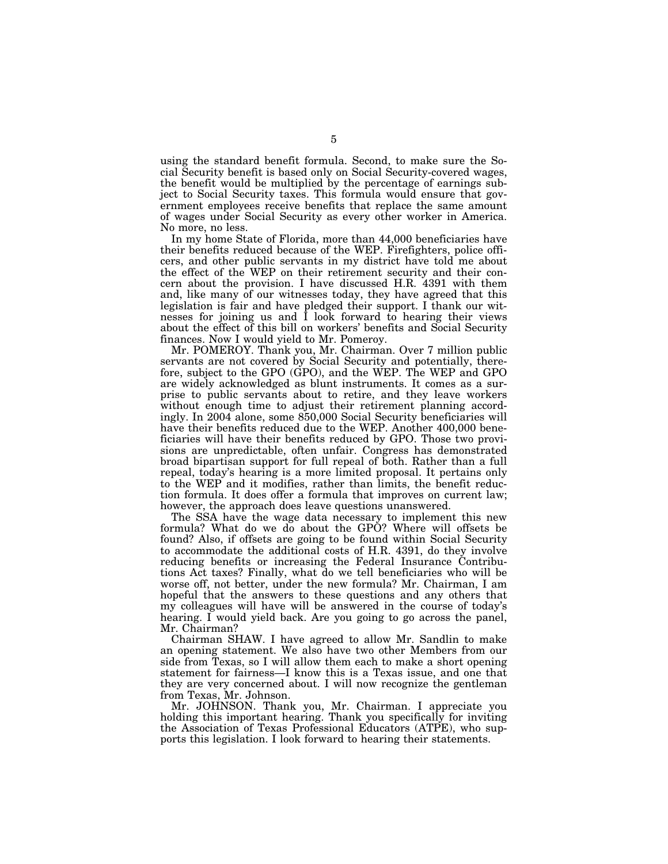using the standard benefit formula. Second, to make sure the Social Security benefit is based only on Social Security-covered wages, the benefit would be multiplied by the percentage of earnings subject to Social Security taxes. This formula would ensure that government employees receive benefits that replace the same amount of wages under Social Security as every other worker in America. No more, no less.

In my home State of Florida, more than 44,000 beneficiaries have their benefits reduced because of the WEP. Firefighters, police officers, and other public servants in my district have told me about the effect of the WEP on their retirement security and their concern about the provision. I have discussed H.R. 4391 with them and, like many of our witnesses today, they have agreed that this legislation is fair and have pledged their support. I thank our witnesses for joining us and I look forward to hearing their views about the effect of this bill on workers' benefits and Social Security finances. Now I would yield to Mr. Pomeroy.

Mr. POMEROY. Thank you, Mr. Chairman. Over 7 million public servants are not covered by Social Security and potentially, therefore, subject to the GPO (GPO), and the WEP. The WEP and GPO are widely acknowledged as blunt instruments. It comes as a surprise to public servants about to retire, and they leave workers without enough time to adjust their retirement planning accordingly. In 2004 alone, some 850,000 Social Security beneficiaries will have their benefits reduced due to the WEP. Another 400,000 beneficiaries will have their benefits reduced by GPO. Those two provisions are unpredictable, often unfair. Congress has demonstrated broad bipartisan support for full repeal of both. Rather than a full repeal, today's hearing is a more limited proposal. It pertains only to the WEP and it modifies, rather than limits, the benefit reduction formula. It does offer a formula that improves on current law; however, the approach does leave questions unanswered.

The SSA have the wage data necessary to implement this new formula? What do we do about the GPO? Where will offsets be found? Also, if offsets are going to be found within Social Security to accommodate the additional costs of H.R. 4391, do they involve reducing benefits or increasing the Federal Insurance Contributions Act taxes? Finally, what do we tell beneficiaries who will be worse off, not better, under the new formula? Mr. Chairman, I am hopeful that the answers to these questions and any others that my colleagues will have will be answered in the course of today's hearing. I would yield back. Are you going to go across the panel, Mr. Chairman?

Chairman SHAW. I have agreed to allow Mr. Sandlin to make an opening statement. We also have two other Members from our side from Texas, so I will allow them each to make a short opening statement for fairness—I know this is a Texas issue, and one that they are very concerned about. I will now recognize the gentleman from Texas, Mr. Johnson.

Mr. JOHNSON. Thank you, Mr. Chairman. I appreciate you holding this important hearing. Thank you specifically for inviting the Association of Texas Professional Educators (ATPE), who supports this legislation. I look forward to hearing their statements.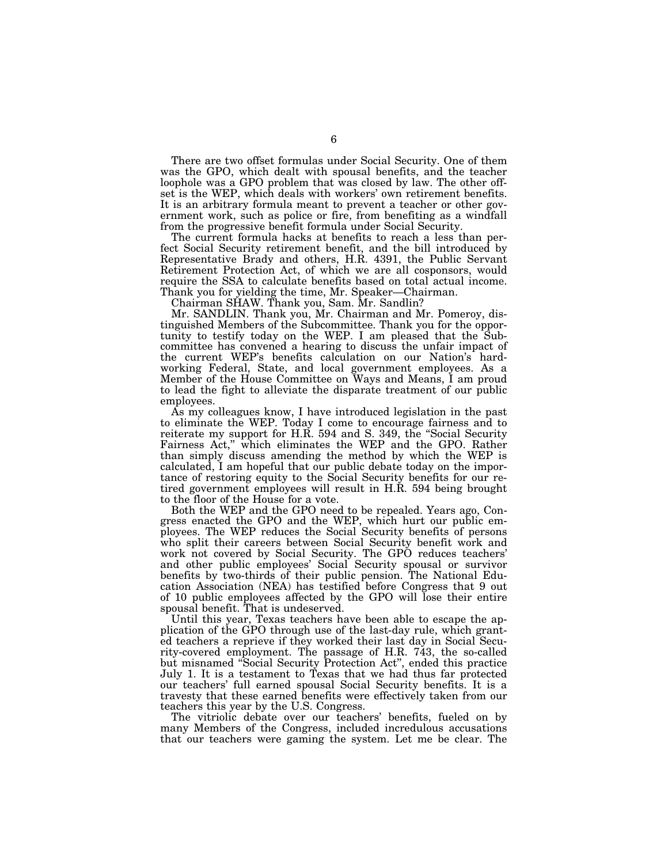There are two offset formulas under Social Security. One of them was the GPO, which dealt with spousal benefits, and the teacher loophole was a GPO problem that was closed by law. The other offset is the WEP, which deals with workers' own retirement benefits. It is an arbitrary formula meant to prevent a teacher or other government work, such as police or fire, from benefiting as a windfall from the progressive benefit formula under Social Security.

The current formula hacks at benefits to reach a less than perfect Social Security retirement benefit, and the bill introduced by Representative Brady and others, H.R. 4391, the Public Servant Retirement Protection Act, of which we are all cosponsors, would require the SSA to calculate benefits based on total actual income. Thank you for yielding the time, Mr. Speaker—Chairman.

Chairman SHAW. Thank you, Sam. Mr. Sandlin?

Mr. SANDLIN. Thank you, Mr. Chairman and Mr. Pomeroy, distinguished Members of the Subcommittee. Thank you for the opportunity to testify today on the WEP. I am pleased that the Subcommittee has convened a hearing to discuss the unfair impact of the current WEP's benefits calculation on our Nation's hardworking Federal, State, and local government employees. As a Member of the House Committee on Ways and Means, I am proud to lead the fight to alleviate the disparate treatment of our public employees.

As my colleagues know, I have introduced legislation in the past to eliminate the WEP. Today I come to encourage fairness and to reiterate my support for H.R. 594 and S. 349, the "Social Security" Fairness Act," which eliminates the WEP and the GPO. Rather than simply discuss amending the method by which the WEP is calculated, I am hopeful that our public debate today on the importance of restoring equity to the Social Security benefits for our retired government employees will result in H.R. 594 being brought to the floor of the House for a vote.

Both the WEP and the GPO need to be repealed. Years ago, Congress enacted the GPO and the WEP, which hurt our public employees. The WEP reduces the Social Security benefits of persons who split their careers between Social Security benefit work and work not covered by Social Security. The GPO reduces teachers' and other public employees' Social Security spousal or survivor benefits by two-thirds of their public pension. The National Education Association (NEA) has testified before Congress that 9 out of 10 public employees affected by the GPO will lose their entire spousal benefit. That is undeserved.

Until this year, Texas teachers have been able to escape the application of the GPO through use of the last-day rule, which granted teachers a reprieve if they worked their last day in Social Security-covered employment. The passage of H.R. 743, the so-called but misnamed ''Social Security Protection Act'', ended this practice July 1. It is a testament to Texas that we had thus far protected our teachers' full earned spousal Social Security benefits. It is a travesty that these earned benefits were effectively taken from our teachers this year by the U.S. Congress.

The vitriolic debate over our teachers' benefits, fueled on by many Members of the Congress, included incredulous accusations that our teachers were gaming the system. Let me be clear. The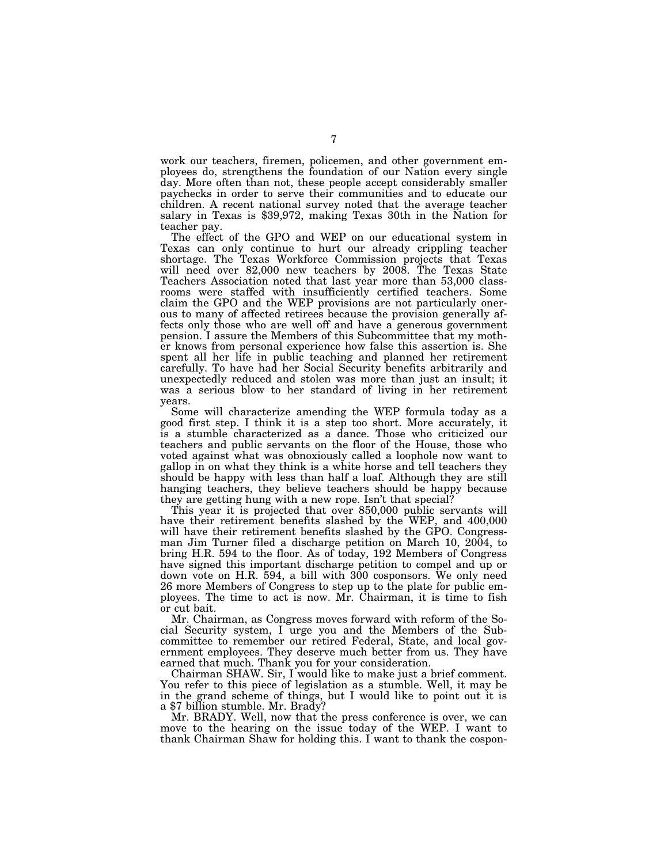work our teachers, firemen, policemen, and other government employees do, strengthens the foundation of our Nation every single day. More often than not, these people accept considerably smaller paychecks in order to serve their communities and to educate our children. A recent national survey noted that the average teacher salary in Texas is \$39,972, making Texas 30th in the Nation for teacher pay.

The effect of the GPO and WEP on our educational system in Texas can only continue to hurt our already crippling teacher shortage. The Texas Workforce Commission projects that Texas will need over 82,000 new teachers by 2008. The Texas State Teachers Association noted that last year more than 53,000 classrooms were staffed with insufficiently certified teachers. Some claim the GPO and the WEP provisions are not particularly onerous to many of affected retirees because the provision generally affects only those who are well off and have a generous government pension. I assure the Members of this Subcommittee that my mother knows from personal experience how false this assertion is. She spent all her life in public teaching and planned her retirement carefully. To have had her Social Security benefits arbitrarily and unexpectedly reduced and stolen was more than just an insult; it was a serious blow to her standard of living in her retirement years.

Some will characterize amending the WEP formula today as a good first step. I think it is a step too short. More accurately, it is a stumble characterized as a dance. Those who criticized our teachers and public servants on the floor of the House, those who voted against what was obnoxiously called a loophole now want to gallop in on what they think is a white horse and tell teachers they should be happy with less than half a loaf. Although they are still hanging teachers, they believe teachers should be happy because they are getting hung with a new rope. Isn't that special?

This year it is projected that over 850,000 public servants will have their retirement benefits slashed by the WEP, and 400,000 will have their retirement benefits slashed by the GPO. Congressman Jim Turner filed a discharge petition on March 10, 2004, to bring H.R. 594 to the floor. As of today, 192 Members of Congress have signed this important discharge petition to compel and up or down vote on H.R. 594, a bill with 300 cosponsors. We only need 26 more Members of Congress to step up to the plate for public employees. The time to act is now. Mr. Chairman, it is time to fish or cut bait.

Mr. Chairman, as Congress moves forward with reform of the Social Security system, I urge you and the Members of the Subcommittee to remember our retired Federal, State, and local government employees. They deserve much better from us. They have earned that much. Thank you for your consideration.

Chairman SHAW. Sir, I would like to make just a brief comment. You refer to this piece of legislation as a stumble. Well, it may be in the grand scheme of things, but I would like to point out it is a \$7 billion stumble. Mr. Brady?

Mr. BRADY. Well, now that the press conference is over, we can move to the hearing on the issue today of the WEP. I want to thank Chairman Shaw for holding this. I want to thank the cospon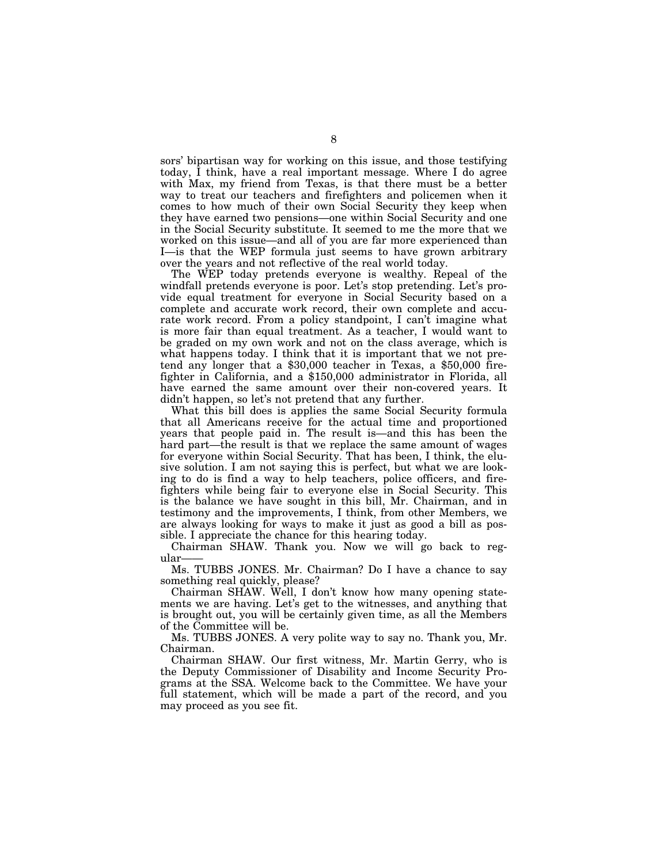sors' bipartisan way for working on this issue, and those testifying today, I think, have a real important message. Where I do agree with Max, my friend from Texas, is that there must be a better way to treat our teachers and firefighters and policemen when it comes to how much of their own Social Security they keep when they have earned two pensions—one within Social Security and one in the Social Security substitute. It seemed to me the more that we worked on this issue—and all of you are far more experienced than I—is that the WEP formula just seems to have grown arbitrary over the years and not reflective of the real world today.

The WEP today pretends everyone is wealthy. Repeal of the windfall pretends everyone is poor. Let's stop pretending. Let's provide equal treatment for everyone in Social Security based on a complete and accurate work record, their own complete and accurate work record. From a policy standpoint, I can't imagine what is more fair than equal treatment. As a teacher, I would want to be graded on my own work and not on the class average, which is what happens today. I think that it is important that we not pretend any longer that a \$30,000 teacher in Texas, a \$50,000 firefighter in California, and a \$150,000 administrator in Florida, all have earned the same amount over their non-covered years. It didn't happen, so let's not pretend that any further.

What this bill does is applies the same Social Security formula that all Americans receive for the actual time and proportioned years that people paid in. The result is—and this has been the hard part—the result is that we replace the same amount of wages for everyone within Social Security. That has been, I think, the elusive solution. I am not saying this is perfect, but what we are looking to do is find a way to help teachers, police officers, and firefighters while being fair to everyone else in Social Security. This is the balance we have sought in this bill, Mr. Chairman, and in testimony and the improvements, I think, from other Members, we are always looking for ways to make it just as good a bill as possible. I appreciate the chance for this hearing today.

Chairman SHAW. Thank you. Now we will go back to regular

Ms. TUBBS JONES. Mr. Chairman? Do I have a chance to say something real quickly, please?

Chairman SHAW. Well, I don't know how many opening statements we are having. Let's get to the witnesses, and anything that is brought out, you will be certainly given time, as all the Members of the Committee will be.

Ms. TUBBS JONES. A very polite way to say no. Thank you, Mr. Chairman.

Chairman SHAW. Our first witness, Mr. Martin Gerry, who is the Deputy Commissioner of Disability and Income Security Programs at the SSA. Welcome back to the Committee. We have your full statement, which will be made a part of the record, and you may proceed as you see fit.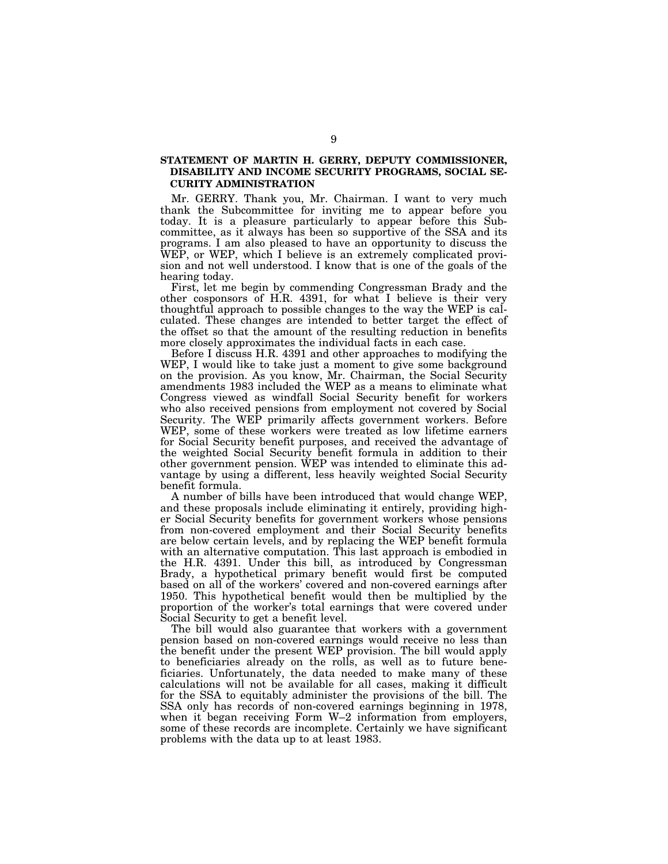# **STATEMENT OF MARTIN H. GERRY, DEPUTY COMMISSIONER, DISABILITY AND INCOME SECURITY PROGRAMS, SOCIAL SE-CURITY ADMINISTRATION**

Mr. GERRY. Thank you, Mr. Chairman. I want to very much thank the Subcommittee for inviting me to appear before you today. It is a pleasure particularly to appear before this Subcommittee, as it always has been so supportive of the SSA and its programs. I am also pleased to have an opportunity to discuss the WEP, or WEP, which I believe is an extremely complicated provision and not well understood. I know that is one of the goals of the hearing today.

First, let me begin by commending Congressman Brady and the other cosponsors of H.R. 4391, for what I believe is their very thoughtful approach to possible changes to the way the WEP is calculated. These changes are intended to better target the effect of the offset so that the amount of the resulting reduction in benefits more closely approximates the individual facts in each case.

Before I discuss H.R. 4391 and other approaches to modifying the WEP, I would like to take just a moment to give some background on the provision. As you know, Mr. Chairman, the Social Security amendments 1983 included the WEP as a means to eliminate what Congress viewed as windfall Social Security benefit for workers who also received pensions from employment not covered by Social Security. The WEP primarily affects government workers. Before WEP, some of these workers were treated as low lifetime earners for Social Security benefit purposes, and received the advantage of the weighted Social Security benefit formula in addition to their other government pension. WEP was intended to eliminate this advantage by using a different, less heavily weighted Social Security benefit formula.

A number of bills have been introduced that would change WEP, and these proposals include eliminating it entirely, providing higher Social Security benefits for government workers whose pensions from non-covered employment and their Social Security benefits are below certain levels, and by replacing the WEP benefit formula with an alternative computation. This last approach is embodied in the H.R. 4391. Under this bill, as introduced by Congressman Brady, a hypothetical primary benefit would first be computed based on all of the workers' covered and non-covered earnings after 1950. This hypothetical benefit would then be multiplied by the proportion of the worker's total earnings that were covered under Social Security to get a benefit level.

The bill would also guarantee that workers with a government pension based on non-covered earnings would receive no less than the benefit under the present WEP provision. The bill would apply to beneficiaries already on the rolls, as well as to future beneficiaries. Unfortunately, the data needed to make many of these calculations will not be available for all cases, making it difficult for the SSA to equitably administer the provisions of the bill. The SSA only has records of non-covered earnings beginning in 1978, when it began receiving Form W–2 information from employers, some of these records are incomplete. Certainly we have significant problems with the data up to at least 1983.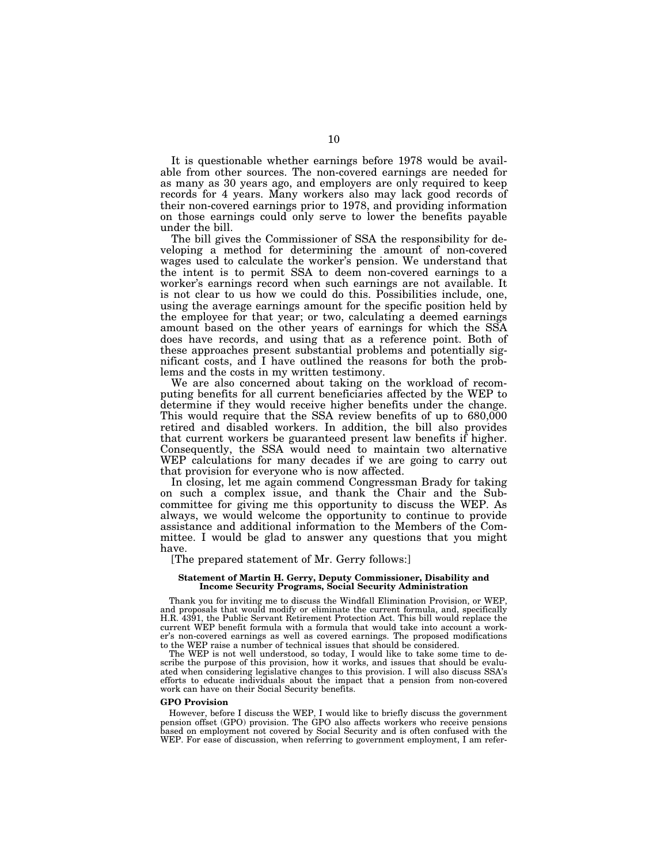It is questionable whether earnings before 1978 would be available from other sources. The non-covered earnings are needed for as many as 30 years ago, and employers are only required to keep records for 4 years. Many workers also may lack good records of their non-covered earnings prior to 1978, and providing information on those earnings could only serve to lower the benefits payable under the bill.

The bill gives the Commissioner of SSA the responsibility for developing a method for determining the amount of non-covered wages used to calculate the worker's pension. We understand that the intent is to permit SSA to deem non-covered earnings to a worker's earnings record when such earnings are not available. It is not clear to us how we could do this. Possibilities include, one, using the average earnings amount for the specific position held by the employee for that year; or two, calculating a deemed earnings amount based on the other years of earnings for which the SSA does have records, and using that as a reference point. Both of these approaches present substantial problems and potentially significant costs, and I have outlined the reasons for both the problems and the costs in my written testimony.

We are also concerned about taking on the workload of recomputing benefits for all current beneficiaries affected by the WEP to determine if they would receive higher benefits under the change. This would require that the SSA review benefits of up to 680,000 retired and disabled workers. In addition, the bill also provides that current workers be guaranteed present law benefits if higher. Consequently, the SSA would need to maintain two alternative WEP calculations for many decades if we are going to carry out that provision for everyone who is now affected.

In closing, let me again commend Congressman Brady for taking on such a complex issue, and thank the Chair and the Subcommittee for giving me this opportunity to discuss the WEP. As always, we would welcome the opportunity to continue to provide assistance and additional information to the Members of the Committee. I would be glad to answer any questions that you might have.

[The prepared statement of Mr. Gerry follows:]

#### **Statement of Martin H. Gerry, Deputy Commissioner, Disability and Income Security Programs, Social Security Administration**

Thank you for inviting me to discuss the Windfall Elimination Provision, or WEP, and proposals that would modify or eliminate the current formula, and, specifically H.R. 4391, the Public Servant Retirement Protection Act. This bill would replace the current WEP benefit formula with a formula that would take into account a worker's non-covered earnings as well as covered earnings. The proposed modifications to the WEP raise a number of technical issues that should be considered.

The WEP is not well understood, so today, I would like to take some time to describe the purpose of this provision, how it works, and issues that should be evaluated when considering legislative changes to this provision. I will also discuss SSA's efforts to educate individuals about the impact that a pension from non-covered work can have on their Social Security benefits.

# **GPO Provision**

However, before I discuss the WEP, I would like to briefly discuss the government pension offset (GPO) provision. The GPO also affects workers who receive pensions based on employment not covered by Social Security and is often confused with the WEP. For ease of discussion, when referring to government employment, I am refer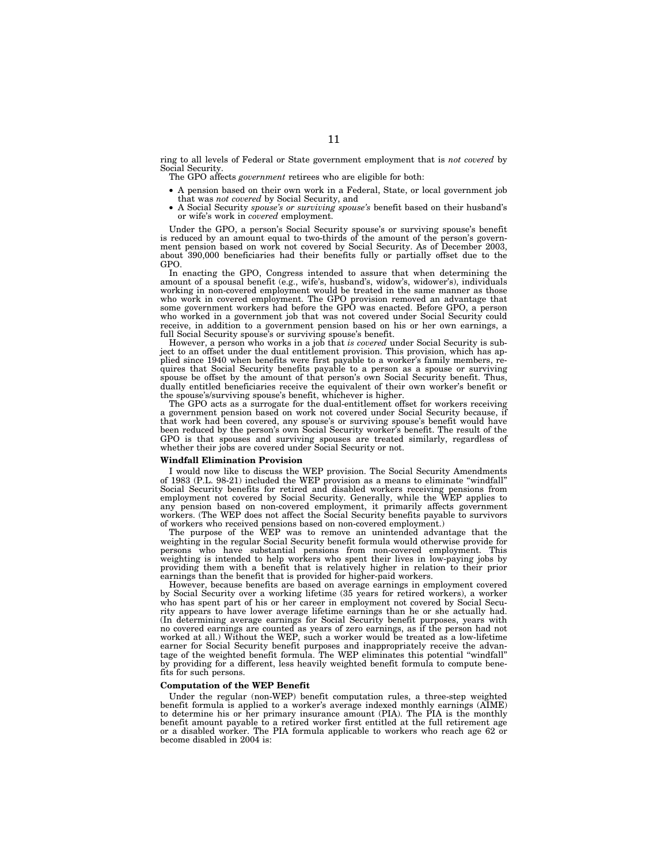ring to all levels of Federal or State government employment that is *not covered* by Social Security.

The GPO affects *government* retirees who are eligible for both:

- A pension based on their own work in a Federal, State, or local government job that was *not covered* by Social Security, and
- A Social Security *spouse's or surviving spouse's* benefit based on their husband's or wife's work in *covered* employment.

Under the GPO, a person's Social Security spouse's or surviving spouse's benefit is reduced by an amount equal to two-thirds of the amount of the person's government pension based on work not covered by Social Security. As of December 2003, about 390,000 beneficiaries had their benefits fully or partially offset due to the GPO.

In enacting the GPO, Congress intended to assure that when determining the amount of a spousal benefit (e.g., wife's, husband's, widow's, widower's), individuals working in non-covered employment would be treated in the same manner as those who work in covered employment. The GPO provision removed an advantage that some government workers had before the GPO was enacted. Before GPO, a person who worked in a government job that was not covered under Social Security could receive, in addition to a government pension based on his or her own earnings, a full Social Security spouse's or surviving spouse's benefit.

However, a person who works in a job that *is covered* under Social Security is subject to an offset under the dual entitlement provision. This provision, which has applied since 1940 when benefits were first payable to a worker's family members, requires that Social Security benefits payable to a person as a spouse or surviving spouse be offset by the amount of that person's own Social Security benefit. Thus, dually entitled beneficiaries receive the equivalent of their own worker's benefit or the spouse's/surviving spouse's benefit, whichever is higher.

The GPO acts as a surrogate for the dual-entitlement offset for workers receiving a government pension based on work not covered under Social Security because, if that work had been covered, any spouse's or surviving spouse's benefit would have been reduced by the person's own Social Security worker's benefit. The result of the GPO is that spouses and surviving spouses are treated similarly, regardless of whether their jobs are covered under Social Security or not.

### **Windfall Elimination Provision**

I would now like to discuss the WEP provision. The Social Security Amendments of 1983 (P.L. 98-21) included the WEP provision as a means to eliminate ''windfall'' Social Security benefits for retired and disabled workers receiving pensions from employment not covered by Social Security. Generally, while the WEP applies to any pension based on non-covered employment, it primarily affects government workers. (The WEP does not affect the Social Security benefits payable to survivors of workers who received pensions based on non-covered employment.)

The purpose of the WEP was to remove an unintended advantage that the weighting in the regular Social Security benefit formula would otherwise provide for persons who have substantial pensions from non-covered employment. This weighting is intended to help workers who spent their lives in low-paying jobs by providing them with a benefit that is relatively higher in relation to their prior earnings than the benefit that is provided for higher-paid workers.

However, because benefits are based on average earnings in employment covered by Social Security over a working lifetime (35 years for retired workers), a worker who has spent part of his or her career in employment not covered by Social Security appears to have lower average lifetime earnings than he or she actually had. (In determining average earnings for Social Security benefit purposes, years with no covered earnings are counted as years of zero earnings, as if the person had not worked at all.) Without the WEP, such a worker would be treated as a low-lifetime earner for Social Security benefit purposes and inappropriately receive the advantage of the weighted benefit formula. The WEP eliminates this potential ''windfall'' by providing for a different, less heavily weighted benefit formula to compute benefits for such persons.

## **Computation of the WEP Benefit**

Under the regular (non-WEP) benefit computation rules, a three-step weighted benefit formula is applied to a worker's average indexed monthly earnings (AIME) to determine his or her primary insurance amount (PIA). The PIA is the monthly benefit amount payable to a retired worker first entitled at the full retirement age or a disabled worker. The PIA formula applicable to workers who reach age 62 or become disabled in 2004 is: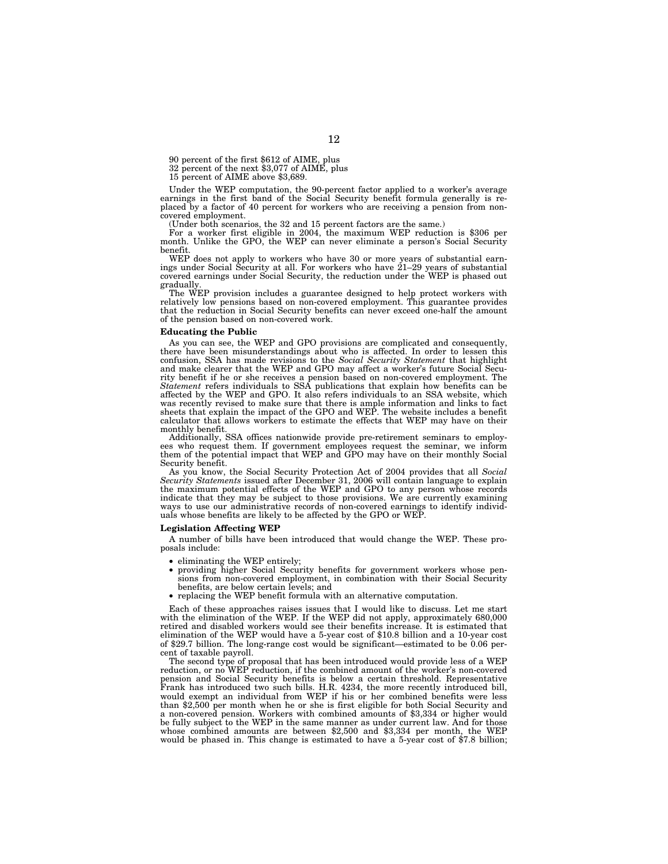90 percent of the first \$612 of AIME, plus

32 percent of the next \$3,077 of AIME, plus

15 percent of AIME above \$3,689.

Under the WEP computation, the 90-percent factor applied to a worker's average earnings in the first band of the Social Security benefit formula generally is replaced by a factor of 40 percent for workers who are receiving a pension from noncovered employment.

(Under both scenarios, the 32 and 15 percent factors are the same.) For a worker first eligible in 2004, the maximum WEP reduction is \$306 per month. Unlike the GPO, the WEP can never eliminate a person's Social Security benefit.

WEP does not apply to workers who have 30 or more years of substantial earn-ings under Social Security at all. For workers who have 21–29 years of substantial covered earnings under Social Security, the reduction under the WEP is phased out gradually.

The WEP provision includes a guarantee designed to help protect workers with relatively low pensions based on non-covered employment. This guarantee provides that the reduction in Social Security benefits can never exceed one-half the amount of the pension based on non-covered work.

#### **Educating the Public**

As you can see, the WEP and GPO provisions are complicated and consequently, there have been misunderstandings about who is affected. In order to lessen this confusion, SSA has made revisions to the *Social Security Statement* that highlight and make clearer that the WEP and GPO may affect a worker's future Social Security benefit if he or she receives a pension based on non-covered employment. The *Statement* refers individuals to SSA publications that explain how benefits can be affected by the WEP and GPO. It also refers individuals to an SSA website, which was recently revised to make sure that there is ample information and links to fact sheets that explain the impact of the GPO and WEP. The website includes a benefit calculator that allows workers to estimate the effects that WEP may have on their monthly benefit.

Additionally, SSA offices nationwide provide pre-retirement seminars to employ-ees who request them. If government employees request the seminar, we inform them of the potential impact that WEP and GPO may have on their monthly Social Security benefit.

As you know, the Social Security Protection Act of 2004 provides that all *Social Security Statements* issued after December 31, 2006 will contain language to explain the maximum potential effects of the WEP and GPO to any person whose records indicate that they may be subject to those provisions. We are currently examining ways to use our administrative records of non-covered earnings to identify individuals whose benefits are likely to be affected by the GPO or WEP.

## **Legislation Affecting WEP**

A number of bills have been introduced that would change the WEP. These proposals include:

- eliminating the WEP entirely;
- providing higher Social Security benefits for government workers whose pensions from non-covered employment, in combination with their Social Security benefits, are below certain levels; and
- replacing the WEP benefit formula with an alternative computation.

Each of these approaches raises issues that I would like to discuss. Let me start with the elimination of the WEP. If the WEP did not apply, approximately 680,000 retired and disabled workers would see their benefits increase. It is estimated that elimination of the WEP would have a 5-year cost of \$10.8 billion and a 10-year cost of \$29.7 billion. The long-range cost would be significant—estimated to be 0.06 percent of taxable payroll.

The second type of proposal that has been introduced would provide less of a WEP reduction, or no WEP reduction, if the combined amount of the worker's non-covered pension and Social Security benefits is below a certain threshold. Representative pension and Social Security benefits is before a concentrum interpretently introduced bill,  $H.R. 4234$ , the more recently introduced bill, would exempt an individual from WEP if his or her combined benefits were less than \$2,500 per month when he or she is first eligible for both Social Security and a non-covered pension. Workers with combined amounts of \$3,334 or higher would be fully subject to the WEP in the same manner as under current law. And for those whose combined amounts are between \$2,500 and \$3,334 per month, the WEP would be phased in. This change is estimated to have a 5-year cost of \$7.8 billion;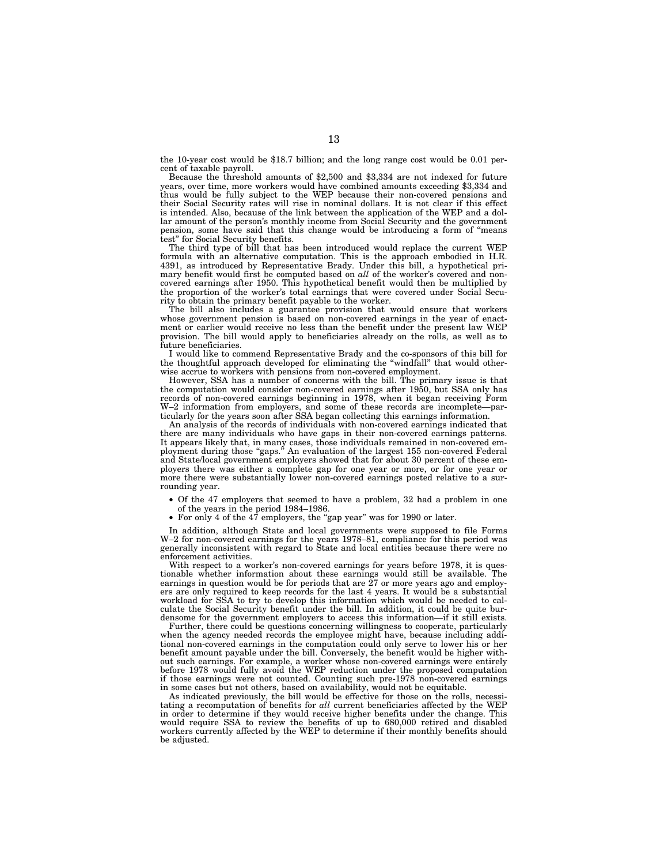the 10-year cost would be \$18.7 billion; and the long range cost would be 0.01 percent of taxable payroll.

Because the threshold amounts of \$2,500 and \$3,334 are not indexed for future years, over time, more workers would have combined amounts exceeding \$3,334 and thus would be fully subject to the WEP because their non-covered pensions and their Social Security rates will rise in nominal dollars. It is not clear if this effect is intended. Also, because of the link between the application of the WEP and a dollar amount of the person's monthly income from Social Security and the government pension, some have said that this change would be introducing a form of ''means test'' for Social Security benefits.

The third type of bill that has been introduced would replace the current WEP formula with an alternative computation. This is the approach embodied in H.R. 4391, as introduced by Representative Brady. Under this bill, a hypothetical primary benefit would first be computed based on *all* of the worker's covered and noncovered earnings after 1950. This hypothetical benefit would then be multiplied by the proportion of the worker's total earnings that were covered under Social Security to obtain the primary benefit payable to the worker.

The bill also includes a guarantee provision that would ensure that workers whose government pension is based on non-covered earnings in the year of enactment or earlier would receive no less than the benefit under the present law WEP provision. The bill would apply to beneficiaries already on the rolls, as well as to future beneficiaries.

I would like to commend Representative Brady and the co-sponsors of this bill for the thoughtful approach developed for eliminating the ''windfall'' that would otherwise accrue to workers with pensions from non-covered employment.

However, SSA has a number of concerns with the bill. The primary issue is that the computation would consider non-covered earnings after 1950, but SSA only has records of non-covered earnings beginning in 1978, when it began receiving Form W-2 information from employers, and some of these records are incomplete—particularly for the years soon after SSA began collecting this earnings information.

An analysis of the records of individuals with non-covered earnings indicated that there are many individuals who have gaps in their non-covered earnings patterns. It appears likely that, in many cases, those individuals remained in non-covered employment during those "gaps." An evaluation of the largest 155 non-covered Federal and State/local government employers showed that for about 30 percent of these employers there was either a complete gap for one year or more, or for one year or more there were substantially lower non-covered earnings posted relative to a surrounding year.

- Of the 47 employers that seemed to have a problem, 32 had a problem in one of the years in the period 1984–1986.
- For only 4 of the 47 employers, the "gap year" was for 1990 or later.

In addition, although State and local governments were supposed to file Forms W–2 for non-covered earnings for the years 1978–81, compliance for this period was generally inconsistent with regard to State and local entities because there were no enforcement activities.

With respect to a worker's non-covered earnings for years before 1978, it is questionable whether information about these earnings would still be available. The earnings in question would be for periods that are  $\tilde{27}$  or more years ago and employers are only required to keep records for the last 4 years. It would be a substantial workload for SSA to try to develop this information which would be needed to calculate the Social Security benefit under the bill. In addition, it could be quite burdensome for the government employers to access this information—if it still exists.

Further, there could be questions concerning willingness to cooperate, particularly when the agency needed records the employee might have, because including additional non-covered earnings in the computation could only serve to lower his or her benefit amount payable under the bill. Conversely, the benefit would be higher without such earnings. For example, a worker whose non-covered earnings were entirely before 1978 would fully avoid the WEP reduction under the proposed computation if those earnings were not counted. Counting such pre-1978 non-covered earnings in some cases but not others, based on availability, would not be equitable.

As indicated previously, the bill would be effective for those on the rolls, necessitating a recomputation of benefits for *all* current beneficiaries affected by the WEP in order to determine if they would receive higher benefits under the change. This would require SSA to review the benefits of up to 680,000 retired and disabled workers currently affected by the WEP to determine if their monthly benefits should be adjusted.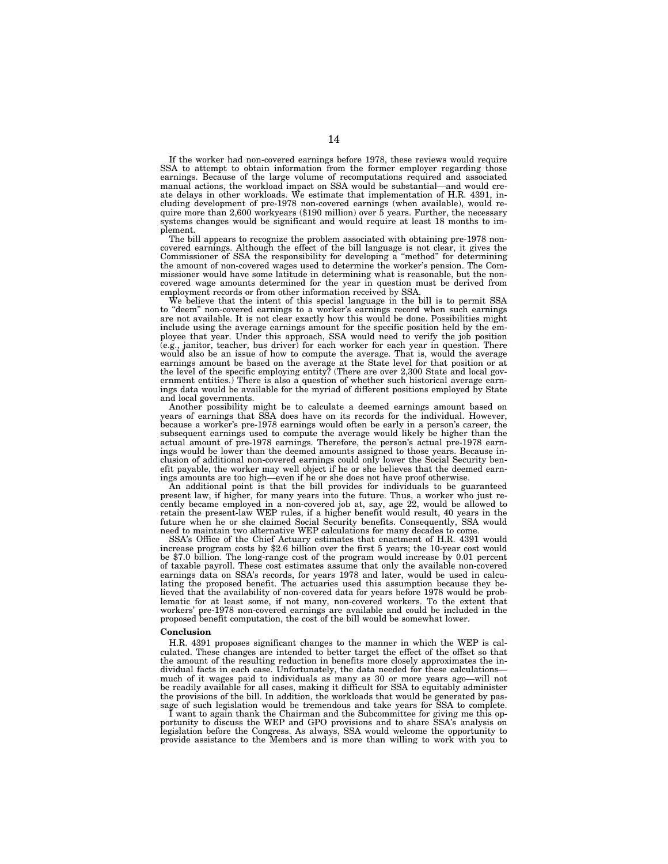If the worker had non-covered earnings before 1978, these reviews would require SSA to attempt to obtain information from the former employer regarding those earnings. Because of the large volume of recomputations required and associated manual actions, the workload impact on SSA would be substantial—and would create delays in other workloads. We estimate that implementation of H.R. 4391, including development of pre-1978 non-covered earnings (when available), would require more than 2,600 workyears (\$190 million) over 5 years. Further, the necessary systems changes would be significant and would require at least 18 months to implement.

The bill appears to recognize the problem associated with obtaining pre-1978 noncovered earnings. Although the effect of the bill language is not clear, it gives the Commissioner of SSA the responsibility for developing a ''method'' for determining the amount of non-covered wages used to determine the worker's pension. The Commissioner would have some latitude in determining what is reasonable, but the noncovered wage amounts determined for the year in question must be derived from employment records or from other information received by SSA.

We believe that the intent of this special language in the bill is to permit SSA to ''deem'' non-covered earnings to a worker's earnings record when such earnings are not available. It is not clear exactly how this would be done. Possibilities might include using the average earnings amount for the specific position held by the employee that year. Under this approach, SSA would need to verify the job position (e.g., janitor, teacher, bus driver) for each worker for each year in question. There would also be an issue of how to compute the average. That is, would the average earnings amount be based on the average at the State level for that position or at the level of the specific employing entity? (There are over 2,300 State and local government entities.) There is also a question of whether such historical average earnings data would be available for the myriad of different positions employed by State and local governments.

Another possibility might be to calculate a deemed earnings amount based on years of earnings that SSA does have on its records for the individual. However, because a worker's pre-1978 earnings would often be early in a person's career, the subsequent earnings used to compute the average would likely be higher than the actual amount of pre-1978 earnings. Therefore, the person's actual pre-1978 earnings would be lower than the deemed amounts assigned to those years. Because inclusion of additional non-covered earnings could only lower the Social Security benefit payable, the worker may well object if he or she believes that the deemed earnings amounts are too high—even if he or she does not have proof otherwise.

An additional point is that the bill provides for individuals to be guaranteed present law, if higher, for many years into the future. Thus, a worker who just recently became employed in a non-covered job at, say, age 22, would be allowed to retain the present-law WEP rules, if a higher benefit would result, 40 years in the future when he or she claimed Social Security benefits. Consequently, SSA would need to maintain two alternative WEP calculations for many decades to come.

SSA's Office of the Chief Actuary estimates that enactment of H.R. 4391 would increase program costs by \$2.6 billion over the first 5 years; the 10-year cost would be \$7.0 billion. The long-range cost of the program would increase by 0.01 percent of taxable payroll. These cost estimates assume that only the available non-covered earnings data on SSA's records, for years 1978 and later, would be used in calculating the proposed benefit. The actuaries used this assumption because they believed that the availability of non-covered data for years before 1978 would be problematic for at least some, if not many, non-covered workers. To the extent that workers' pre-1978 non-covered earnings are available and could be included in the proposed benefit computation, the cost of the bill would be somewhat lower.

#### **Conclusion**

H.R. 4391 proposes significant changes to the manner in which the WEP is calculated. These changes are intended to better target the effect of the offset so that the amount of the resulting reduction in benefits more closely approximates the individual facts in each case. Unfortunately, the data needed for these calculations much of it wages paid to individuals as many as 30 or more years ago—will not be readily available for all cases, making it difficult for SSA to equitably administer the provisions of the bill. In addition, the workloads that would be generated by passage of such legislation would be tremendous and take years for SSA to complete.

I want to again thank the Chairman and the Subcommittee for giving me this opportunity to discuss the WEP and GPO provisions and to share SSA's analysis on legislation before the Congress. As always, SSA would welcome the opportunity to provide assistance to the Members and is more than willing to work with you to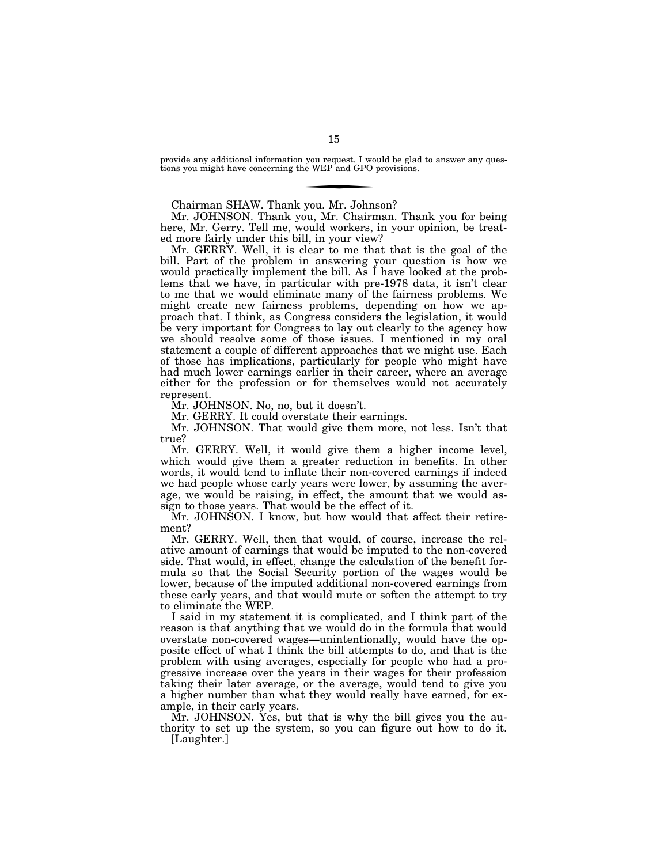provide any additional information you request. I would be glad to answer any questions you might have concerning the WEP and GPO provisions.

Chairman SHAW. Thank you. Mr. Johnson?

Mr. JOHNSON. Thank you, Mr. Chairman. Thank you for being here, Mr. Gerry. Tell me, would workers, in your opinion, be treated more fairly under this bill, in your view?

Mr. GERRY. Well, it is clear to me that that is the goal of the bill. Part of the problem in answering your question is how we would practically implement the bill. As I have looked at the problems that we have, in particular with pre-1978 data, it isn't clear to me that we would eliminate many of the fairness problems. We might create new fairness problems, depending on how we approach that. I think, as Congress considers the legislation, it would be very important for Congress to lay out clearly to the agency how we should resolve some of those issues. I mentioned in my oral statement a couple of different approaches that we might use. Each of those has implications, particularly for people who might have had much lower earnings earlier in their career, where an average either for the profession or for themselves would not accurately represent.

Mr. JOHNSON. No, no, but it doesn't.

Mr. GERRY. It could overstate their earnings.

Mr. JOHNSON. That would give them more, not less. Isn't that true?

Mr. GERRY. Well, it would give them a higher income level, which would give them a greater reduction in benefits. In other words, it would tend to inflate their non-covered earnings if indeed we had people whose early years were lower, by assuming the average, we would be raising, in effect, the amount that we would assign to those years. That would be the effect of it.

Mr. JOHNSON. I know, but how would that affect their retirement?

Mr. GERRY. Well, then that would, of course, increase the relative amount of earnings that would be imputed to the non-covered side. That would, in effect, change the calculation of the benefit formula so that the Social Security portion of the wages would be lower, because of the imputed additional non-covered earnings from these early years, and that would mute or soften the attempt to try to eliminate the WEP.

I said in my statement it is complicated, and I think part of the reason is that anything that we would do in the formula that would overstate non-covered wages—unintentionally, would have the opposite effect of what I think the bill attempts to do, and that is the problem with using averages, especially for people who had a progressive increase over the years in their wages for their profession taking their later average, or the average, would tend to give you a higher number than what they would really have earned, for example, in their early years.

Mr. JOHNSON. Yes, but that is why the bill gives you the authority to set up the system, so you can figure out how to do it. [Laughter.]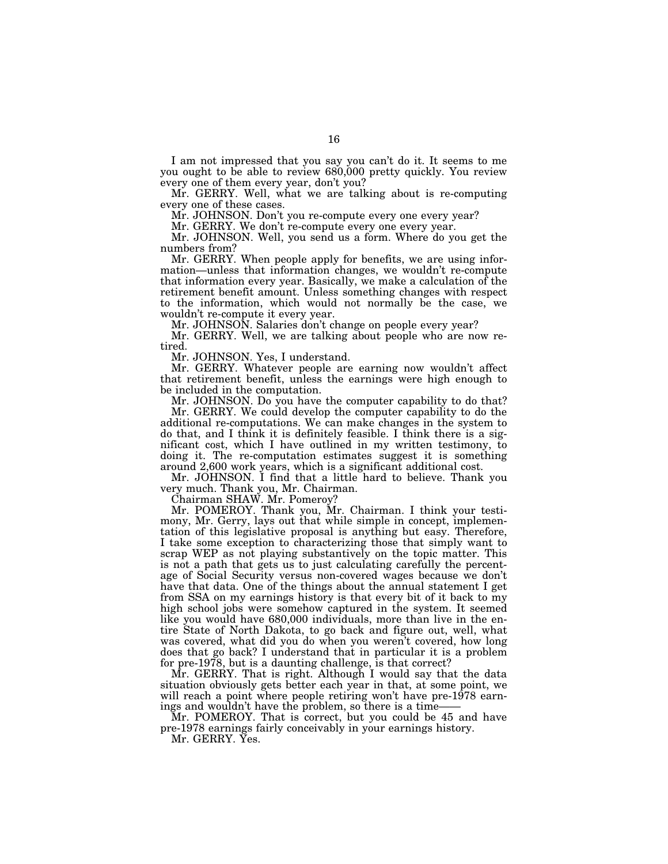I am not impressed that you say you can't do it. It seems to me you ought to be able to review 680,000 pretty quickly. You review every one of them every year, don't you?

Mr. GERRY. Well, what we are talking about is re-computing every one of these cases.

Mr. JOHNSON. Don't you re-compute every one every year?

Mr. GERRY. We don't re-compute every one every year.

Mr. JOHNSON. Well, you send us a form. Where do you get the numbers from?

Mr. GERRY. When people apply for benefits, we are using information—unless that information changes, we wouldn't re-compute that information every year. Basically, we make a calculation of the retirement benefit amount. Unless something changes with respect to the information, which would not normally be the case, we wouldn't re-compute it every year.

Mr. JOHNSON. Salaries don't change on people every year?

Mr. GERRY. Well, we are talking about people who are now retired.

Mr. JOHNSON. Yes, I understand.

Mr. GERRY. Whatever people are earning now wouldn't affect that retirement benefit, unless the earnings were high enough to be included in the computation.

Mr. JOHNSON. Do you have the computer capability to do that? Mr. GERRY. We could develop the computer capability to do the

additional re-computations. We can make changes in the system to do that, and I think it is definitely feasible. I think there is a significant cost, which I have outlined in my written testimony, to doing it. The re-computation estimates suggest it is something around 2,600 work years, which is a significant additional cost.

Mr. JOHNSON. I find that a little hard to believe. Thank you very much. Thank you, Mr. Chairman.

Chairman SHAW. Mr. Pomeroy?

Mr. POMEROY. Thank you, Mr. Chairman. I think your testimony, Mr. Gerry, lays out that while simple in concept, implementation of this legislative proposal is anything but easy. Therefore, I take some exception to characterizing those that simply want to scrap WEP as not playing substantively on the topic matter. This is not a path that gets us to just calculating carefully the percentage of Social Security versus non-covered wages because we don't have that data. One of the things about the annual statement I get from SSA on my earnings history is that every bit of it back to my high school jobs were somehow captured in the system. It seemed like you would have 680,000 individuals, more than live in the entire State of North Dakota, to go back and figure out, well, what was covered, what did you do when you weren't covered, how long does that go back? I understand that in particular it is a problem for pre-1978, but is a daunting challenge, is that correct?

Mr. GERRY. That is right. Although I would say that the data situation obviously gets better each year in that, at some point, we will reach a point where people retiring won't have pre-1978 earnings and wouldn't have the problem, so there is a time-

Mr. POMEROY. That is correct, but you could be 45 and have pre-1978 earnings fairly conceivably in your earnings history.

Mr. GERRY. Yes.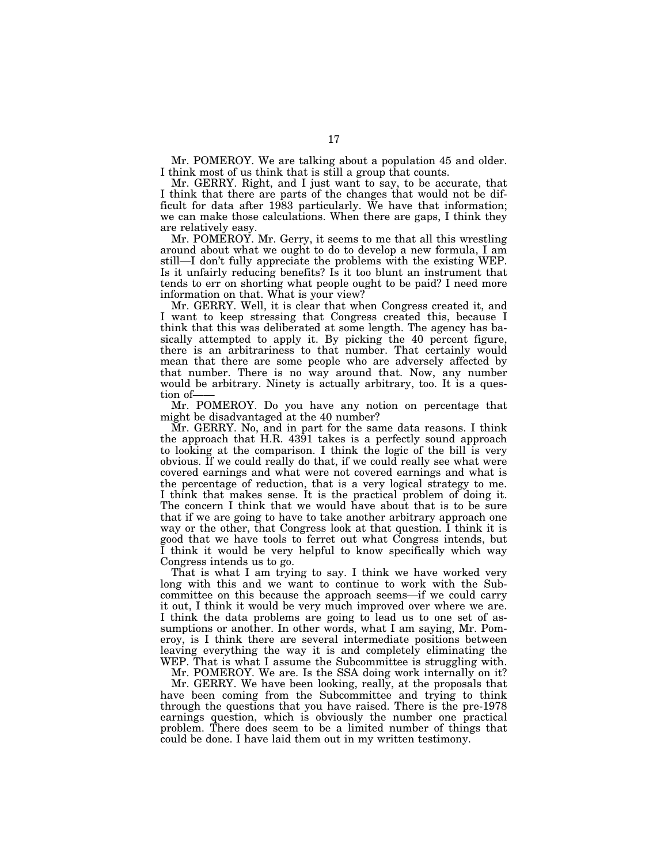Mr. POMEROY. We are talking about a population 45 and older. I think most of us think that is still a group that counts.

Mr. GERRY. Right, and I just want to say, to be accurate, that I think that there are parts of the changes that would not be difficult for data after 1983 particularly. We have that information; we can make those calculations. When there are gaps, I think they are relatively easy.

Mr. POMEROY. Mr. Gerry, it seems to me that all this wrestling around about what we ought to do to develop a new formula, I am still—I don't fully appreciate the problems with the existing WEP. Is it unfairly reducing benefits? Is it too blunt an instrument that tends to err on shorting what people ought to be paid? I need more information on that. What is your view?

Mr. GERRY. Well, it is clear that when Congress created it, and I want to keep stressing that Congress created this, because I think that this was deliberated at some length. The agency has basically attempted to apply it. By picking the 40 percent figure, there is an arbitrariness to that number. That certainly would mean that there are some people who are adversely affected by that number. There is no way around that. Now, any number would be arbitrary. Ninety is actually arbitrary, too. It is a question of-

Mr. POMEROY. Do you have any notion on percentage that might be disadvantaged at the 40 number?

Mr. GERRY. No, and in part for the same data reasons. I think the approach that H.R. 4391 takes is a perfectly sound approach to looking at the comparison. I think the logic of the bill is very obvious. If we could really do that, if we could really see what were covered earnings and what were not covered earnings and what is the percentage of reduction, that is a very logical strategy to me. I think that makes sense. It is the practical problem of doing it. The concern I think that we would have about that is to be sure that if we are going to have to take another arbitrary approach one way or the other, that Congress look at that question. I think it is good that we have tools to ferret out what Congress intends, but I think it would be very helpful to know specifically which way Congress intends us to go.

That is what I am trying to say. I think we have worked very long with this and we want to continue to work with the Subcommittee on this because the approach seems—if we could carry it out, I think it would be very much improved over where we are. I think the data problems are going to lead us to one set of assumptions or another. In other words, what I am saying, Mr. Pomeroy, is I think there are several intermediate positions between leaving everything the way it is and completely eliminating the WEP. That is what I assume the Subcommittee is struggling with.

Mr. POMEROY. We are. Is the SSA doing work internally on it?

Mr. GERRY. We have been looking, really, at the proposals that have been coming from the Subcommittee and trying to think through the questions that you have raised. There is the pre-1978 earnings question, which is obviously the number one practical problem. There does seem to be a limited number of things that could be done. I have laid them out in my written testimony.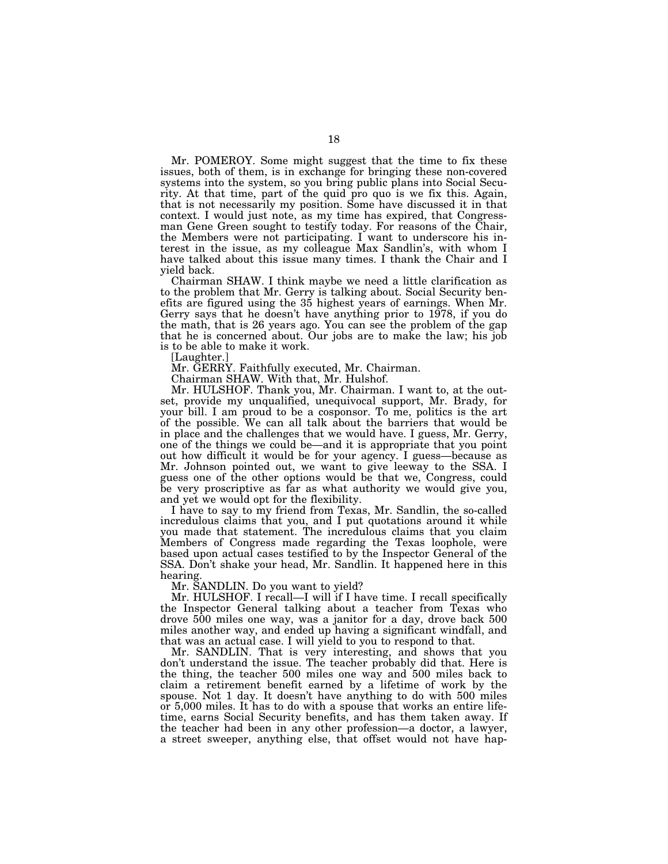Mr. POMEROY. Some might suggest that the time to fix these issues, both of them, is in exchange for bringing these non-covered systems into the system, so you bring public plans into Social Security. At that time, part of the quid pro quo is we fix this. Again, that is not necessarily my position. Some have discussed it in that context. I would just note, as my time has expired, that Congressman Gene Green sought to testify today. For reasons of the Chair, the Members were not participating. I want to underscore his interest in the issue, as my colleague Max Sandlin's, with whom I have talked about this issue many times. I thank the Chair and I yield back.

Chairman SHAW. I think maybe we need a little clarification as to the problem that Mr. Gerry is talking about. Social Security benefits are figured using the 35 highest years of earnings. When Mr. Gerry says that he doesn't have anything prior to 1978, if you do the math, that is 26 years ago. You can see the problem of the gap that he is concerned about. Our jobs are to make the law; his job is to be able to make it work.

[Laughter.]

Mr. GERRY. Faithfully executed, Mr. Chairman.

Chairman SHAW. With that, Mr. Hulshof.

Mr. HULSHOF. Thank you, Mr. Chairman. I want to, at the outset, provide my unqualified, unequivocal support, Mr. Brady, for your bill. I am proud to be a cosponsor. To me, politics is the art of the possible. We can all talk about the barriers that would be in place and the challenges that we would have. I guess, Mr. Gerry, one of the things we could be—and it is appropriate that you point out how difficult it would be for your agency. I guess—because as Mr. Johnson pointed out, we want to give leeway to the SSA. I guess one of the other options would be that we, Congress, could be very proscriptive as far as what authority we would give you, and yet we would opt for the flexibility.

I have to say to my friend from Texas, Mr. Sandlin, the so-called incredulous claims that you, and I put quotations around it while you made that statement. The incredulous claims that you claim Members of Congress made regarding the Texas loophole, were based upon actual cases testified to by the Inspector General of the SSA. Don't shake your head, Mr. Sandlin. It happened here in this hearing.

Mr. SANDLIN. Do you want to yield?

Mr. HULSHOF. I recall—I will if I have time. I recall specifically the Inspector General talking about a teacher from Texas who drove 500 miles one way, was a janitor for a day, drove back 500 miles another way, and ended up having a significant windfall, and that was an actual case. I will yield to you to respond to that.

Mr. SANDLIN. That is very interesting, and shows that you don't understand the issue. The teacher probably did that. Here is the thing, the teacher 500 miles one way and 500 miles back to claim a retirement benefit earned by a lifetime of work by the spouse. Not 1 day. It doesn't have anything to do with 500 miles or 5,000 miles. It has to do with a spouse that works an entire lifetime, earns Social Security benefits, and has them taken away. If the teacher had been in any other profession—a doctor, a lawyer, a street sweeper, anything else, that offset would not have hap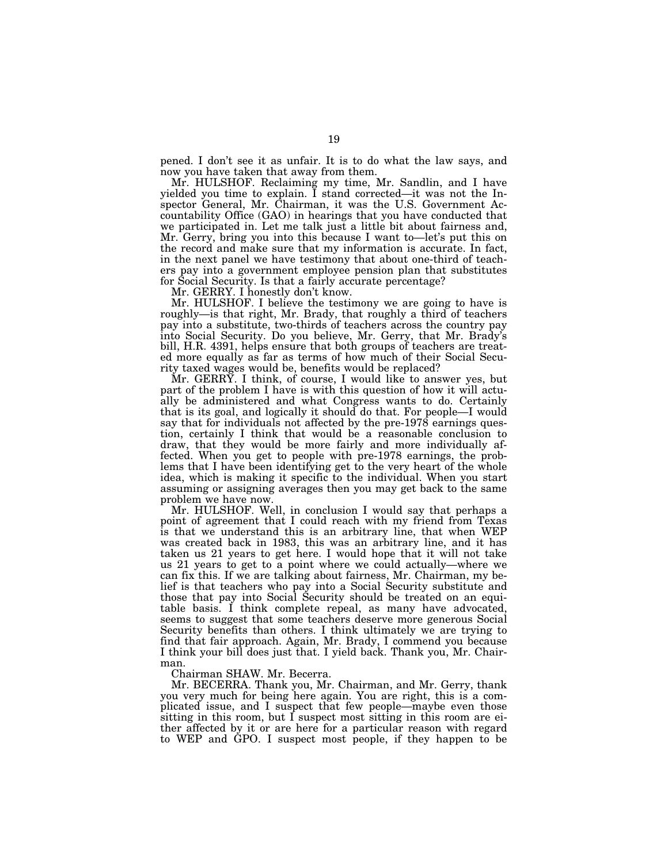pened. I don't see it as unfair. It is to do what the law says, and now you have taken that away from them.

Mr. HULSHOF. Reclaiming my time, Mr. Sandlin, and I have yielded you time to explain. I stand corrected—it was not the Inspector General, Mr. Chairman, it was the U.S. Government Accountability Office (GAO) in hearings that you have conducted that we participated in. Let me talk just a little bit about fairness and, Mr. Gerry, bring you into this because I want to—let's put this on the record and make sure that my information is accurate. In fact, in the next panel we have testimony that about one-third of teachers pay into a government employee pension plan that substitutes for Social Security. Is that a fairly accurate percentage?

Mr. GERRY. I honestly don't know.

Mr. HULSHOF. I believe the testimony we are going to have is roughly—is that right, Mr. Brady, that roughly a third of teachers pay into a substitute, two-thirds of teachers across the country pay into Social Security. Do you believe, Mr. Gerry, that Mr. Brady's bill, H.R. 4391, helps ensure that both groups of teachers are treated more equally as far as terms of how much of their Social Security taxed wages would be, benefits would be replaced?

Mr. GERRY. I think, of course, I would like to answer yes, but part of the problem I have is with this question of how it will actually be administered and what Congress wants to do. Certainly that is its goal, and logically it should do that. For people—I would say that for individuals not affected by the pre-1978 earnings question, certainly I think that would be a reasonable conclusion to draw, that they would be more fairly and more individually affected. When you get to people with pre-1978 earnings, the problems that I have been identifying get to the very heart of the whole idea, which is making it specific to the individual. When you start assuming or assigning averages then you may get back to the same problem we have now.

Mr. HULSHOF. Well, in conclusion I would say that perhaps a point of agreement that I could reach with my friend from Texas is that we understand this is an arbitrary line, that when WEP was created back in 1983, this was an arbitrary line, and it has taken us 21 years to get here. I would hope that it will not take us 21 years to get to a point where we could actually—where we can fix this. If we are talking about fairness, Mr. Chairman, my belief is that teachers who pay into a Social Security substitute and those that pay into Social Security should be treated on an equitable basis. I think complete repeal, as many have advocated, seems to suggest that some teachers deserve more generous Social Security benefits than others. I think ultimately we are trying to find that fair approach. Again, Mr. Brady, I commend you because I think your bill does just that. I yield back. Thank you, Mr. Chairman.

Chairman SHAW. Mr. Becerra.

Mr. BECERRA. Thank you, Mr. Chairman, and Mr. Gerry, thank you very much for being here again. You are right, this is a complicated issue, and I suspect that few people—maybe even those sitting in this room, but  $\overline{I}$  suspect most sitting in this room are either affected by it or are here for a particular reason with regard to WEP and GPO. I suspect most people, if they happen to be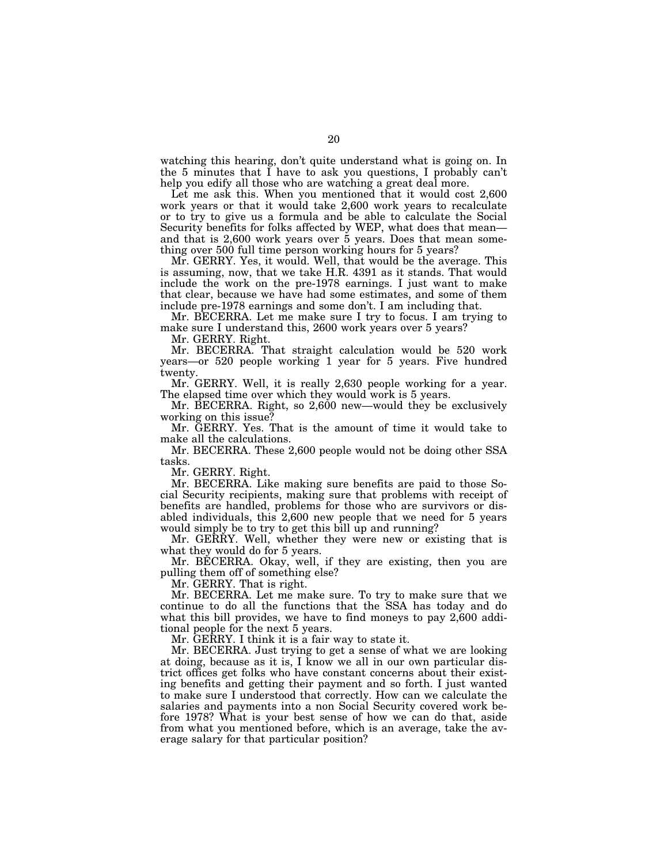watching this hearing, don't quite understand what is going on. In the 5 minutes that I have to ask you questions, I probably can't help you edify all those who are watching a great deal more.

Let me ask this. When you mentioned that it would cost 2,600 work years or that it would take 2,600 work years to recalculate or to try to give us a formula and be able to calculate the Social Security benefits for folks affected by WEP, what does that mean and that is  $2,600$  work years over  $5$  years. Does that mean something over 500 full time person working hours for 5 years?

Mr. GERRY. Yes, it would. Well, that would be the average. This is assuming, now, that we take H.R. 4391 as it stands. That would include the work on the pre-1978 earnings. I just want to make that clear, because we have had some estimates, and some of them include pre-1978 earnings and some don't. I am including that.

Mr. BECERRA. Let me make sure I try to focus. I am trying to make sure I understand this, 2600 work years over 5 years?

Mr. GERRY. Right.

Mr. BECERRA. That straight calculation would be 520 work years—or 520 people working 1 year for 5 years. Five hundred twenty.

Mr. GERRY. Well, it is really 2,630 people working for a year. The elapsed time over which they would work is 5 years.

Mr. BECERRA. Right, so 2,600 new—would they be exclusively working on this issue?

Mr. GERRY. Yes. That is the amount of time it would take to make all the calculations.

Mr. BECERRA. These 2,600 people would not be doing other SSA tasks.

Mr. GERRY. Right.

Mr. BECERRA. Like making sure benefits are paid to those Social Security recipients, making sure that problems with receipt of benefits are handled, problems for those who are survivors or disabled individuals, this 2,600 new people that we need for 5 years would simply be to try to get this bill up and running?

Mr. GERRY. Well, whether they were new or existing that is what they would do for 5 years.

Mr. BECERRA. Okay, well, if they are existing, then you are pulling them off of something else?

Mr. GERRY. That is right.

Mr. BECERRA. Let me make sure. To try to make sure that we continue to do all the functions that the SSA has today and do what this bill provides, we have to find moneys to pay 2,600 additional people for the next 5 years.

Mr. GERRY. I think it is a fair way to state it.

Mr. BECERRA. Just trying to get a sense of what we are looking at doing, because as it is, I know we all in our own particular district offices get folks who have constant concerns about their existing benefits and getting their payment and so forth. I just wanted to make sure I understood that correctly. How can we calculate the salaries and payments into a non Social Security covered work before 1978? What is your best sense of how we can do that, aside from what you mentioned before, which is an average, take the average salary for that particular position?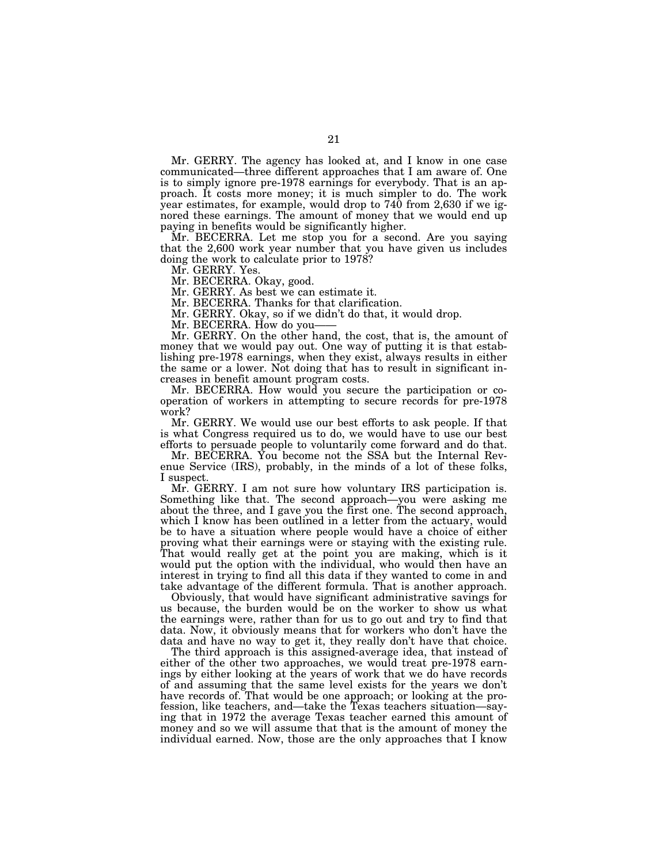Mr. GERRY. The agency has looked at, and I know in one case communicated—three different approaches that I am aware of. One is to simply ignore pre-1978 earnings for everybody. That is an approach. It costs more money; it is much simpler to do. The work year estimates, for example, would drop to 740 from 2,630 if we ignored these earnings. The amount of money that we would end up paying in benefits would be significantly higher.

Mr. BECERRA. Let me stop you for a second. Are you saying that the 2,600 work year number that you have given us includes doing the work to calculate prior to 1978?

Mr. GERRY. Yes.

Mr. BECERRA. Okay, good.

Mr. GERRY. As best we can estimate it.

Mr. BECERRA. Thanks for that clarification.

Mr. GERRY. Okay, so if we didn't do that, it would drop.

Mr. BECERRA. How do you-

Mr. GERRY. On the other hand, the cost, that is, the amount of money that we would pay out. One way of putting it is that establishing pre-1978 earnings, when they exist, always results in either the same or a lower. Not doing that has to result in significant increases in benefit amount program costs.

Mr. BECERRA. How would you secure the participation or cooperation of workers in attempting to secure records for pre-1978 work?

Mr. GERRY. We would use our best efforts to ask people. If that is what Congress required us to do, we would have to use our best efforts to persuade people to voluntarily come forward and do that.

Mr. BECERRA. You become not the SSA but the Internal Revenue Service (IRS), probably, in the minds of a lot of these folks, I suspect.

Mr. GERRY. I am not sure how voluntary IRS participation is. Something like that. The second approach—you were asking me about the three, and I gave you the first one. The second approach, which I know has been outlined in a letter from the actuary, would be to have a situation where people would have a choice of either proving what their earnings were or staying with the existing rule. That would really get at the point you are making, which is it would put the option with the individual, who would then have an interest in trying to find all this data if they wanted to come in and take advantage of the different formula. That is another approach.

Obviously, that would have significant administrative savings for us because, the burden would be on the worker to show us what the earnings were, rather than for us to go out and try to find that data. Now, it obviously means that for workers who don't have the data and have no way to get it, they really don't have that choice.

The third approach is this assigned-average idea, that instead of either of the other two approaches, we would treat pre-1978 earnings by either looking at the years of work that we do have records of and assuming that the same level exists for the years we don't have records of. That would be one approach; or looking at the profession, like teachers, and—take the Texas teachers situation—saying that in 1972 the average Texas teacher earned this amount of money and so we will assume that that is the amount of money the individual earned. Now, those are the only approaches that I know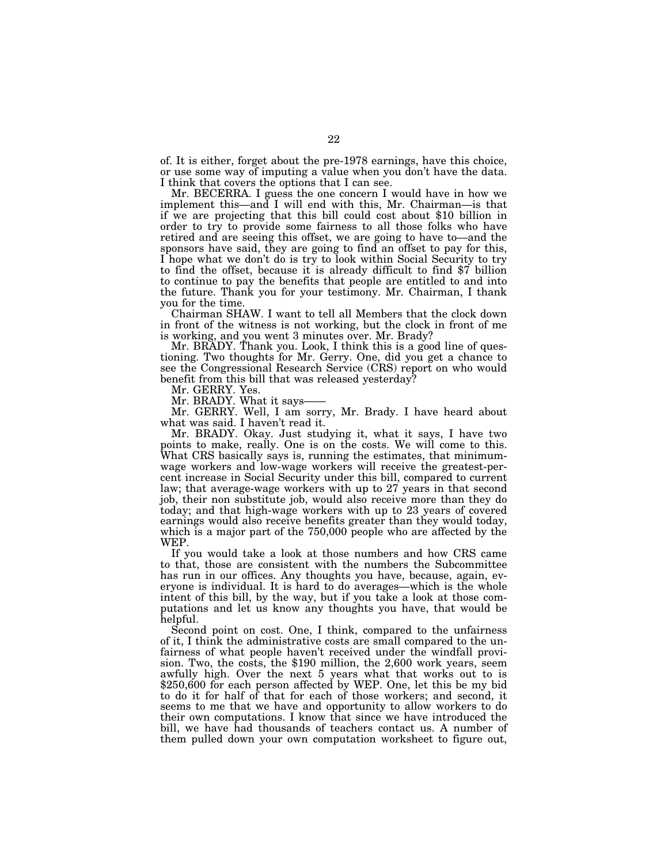of. It is either, forget about the pre-1978 earnings, have this choice, or use some way of imputing a value when you don't have the data. I think that covers the options that I can see.

Mr. BECERRA. I guess the one concern I would have in how we implement this—and I will end with this, Mr. Chairman—is that if we are projecting that this bill could cost about \$10 billion in order to try to provide some fairness to all those folks who have retired and are seeing this offset, we are going to have to—and the sponsors have said, they are going to find an offset to pay for this, I hope what we don't do is try to look within Social Security to try to find the offset, because it is already difficult to find \$7 billion to continue to pay the benefits that people are entitled to and into the future. Thank you for your testimony. Mr. Chairman, I thank you for the time.

Chairman SHAW. I want to tell all Members that the clock down in front of the witness is not working, but the clock in front of me is working, and you went 3 minutes over. Mr. Brady?

Mr. BRADY. Thank you. Look, I think this is a good line of questioning. Two thoughts for Mr. Gerry. One, did you get a chance to see the Congressional Research Service (CRS) report on who would benefit from this bill that was released yesterday?

Mr. GERRY. Yes.

Mr. BRADY. What it says-

Mr. GERRY. Well, I am sorry, Mr. Brady. I have heard about what was said. I haven't read it.

Mr. BRADY. Okay. Just studying it, what it says, I have two points to make, really. One is on the costs. We will come to this. What CRS basically says is, running the estimates, that minimumwage workers and low-wage workers will receive the greatest-percent increase in Social Security under this bill, compared to current law; that average-wage workers with up to 27 years in that second job, their non substitute job, would also receive more than they do today; and that high-wage workers with up to 23 years of covered earnings would also receive benefits greater than they would today, which is a major part of the 750,000 people who are affected by the WEP.

If you would take a look at those numbers and how CRS came to that, those are consistent with the numbers the Subcommittee has run in our offices. Any thoughts you have, because, again, everyone is individual. It is hard to do averages—which is the whole intent of this bill, by the way, but if you take a look at those computations and let us know any thoughts you have, that would be helpful.

Second point on cost. One, I think, compared to the unfairness of it, I think the administrative costs are small compared to the unfairness of what people haven't received under the windfall provision. Two, the costs, the \$190 million, the 2,600 work years, seem awfully high. Over the next 5 years what that works out to is \$250,600 for each person affected by WEP. One, let this be my bid to do it for half of that for each of those workers; and second, it seems to me that we have and opportunity to allow workers to do their own computations. I know that since we have introduced the bill, we have had thousands of teachers contact us. A number of them pulled down your own computation worksheet to figure out,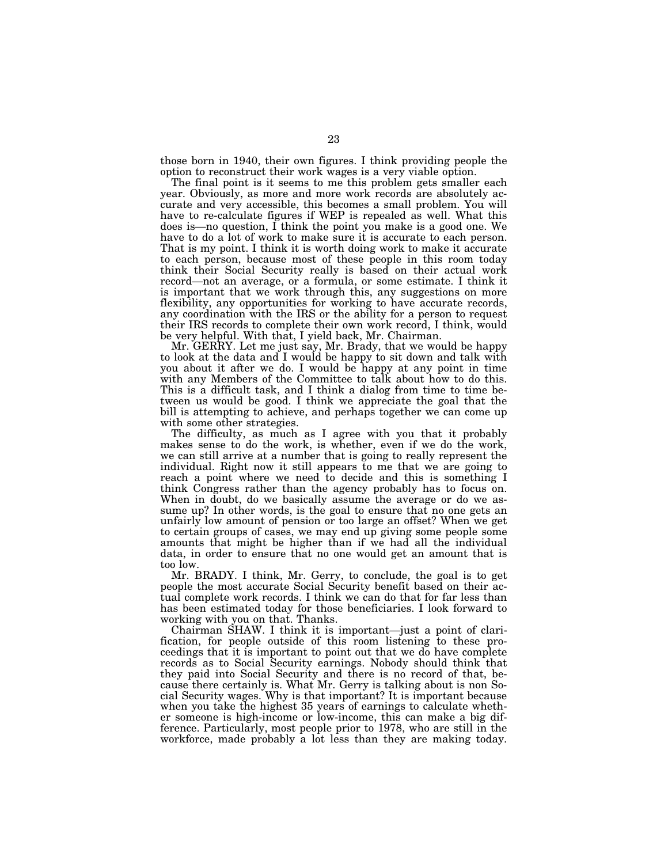those born in 1940, their own figures. I think providing people the option to reconstruct their work wages is a very viable option.

The final point is it seems to me this problem gets smaller each year. Obviously, as more and more work records are absolutely accurate and very accessible, this becomes a small problem. You will have to re-calculate figures if WEP is repealed as well. What this does is—no question, I think the point you make is a good one. We have to do a lot of work to make sure it is accurate to each person. That is my point. I think it is worth doing work to make it accurate to each person, because most of these people in this room today think their Social Security really is based on their actual work record—not an average, or a formula, or some estimate. I think it is important that we work through this, any suggestions on more flexibility, any opportunities for working to have accurate records, any coordination with the IRS or the ability for a person to request their IRS records to complete their own work record, I think, would be very helpful. With that, I yield back, Mr. Chairman.

Mr. GERRY. Let me just say, Mr. Brady, that we would be happy to look at the data and I would be happy to sit down and talk with you about it after we do. I would be happy at any point in time with any Members of the Committee to talk about how to do this. This is a difficult task, and I think a dialog from time to time between us would be good. I think we appreciate the goal that the bill is attempting to achieve, and perhaps together we can come up with some other strategies.

The difficulty, as much as I agree with you that it probably makes sense to do the work, is whether, even if we do the work, we can still arrive at a number that is going to really represent the individual. Right now it still appears to me that we are going to reach a point where we need to decide and this is something I think Congress rather than the agency probably has to focus on. When in doubt, do we basically assume the average or do we assume up? In other words, is the goal to ensure that no one gets an unfairly low amount of pension or too large an offset? When we get to certain groups of cases, we may end up giving some people some amounts that might be higher than if we had all the individual data, in order to ensure that no one would get an amount that is too low.

Mr. BRADY. I think, Mr. Gerry, to conclude, the goal is to get people the most accurate Social Security benefit based on their actual complete work records. I think we can do that for far less than has been estimated today for those beneficiaries. I look forward to working with you on that. Thanks.

Chairman SHAW. I think it is important—just a point of clarification, for people outside of this room listening to these proceedings that it is important to point out that we do have complete records as to Social Security earnings. Nobody should think that they paid into Social Security and there is no record of that, because there certainly is. What Mr. Gerry is talking about is non Social Security wages. Why is that important? It is important because when you take the highest 35 years of earnings to calculate whether someone is high-income or low-income, this can make a big difference. Particularly, most people prior to 1978, who are still in the workforce, made probably a lot less than they are making today.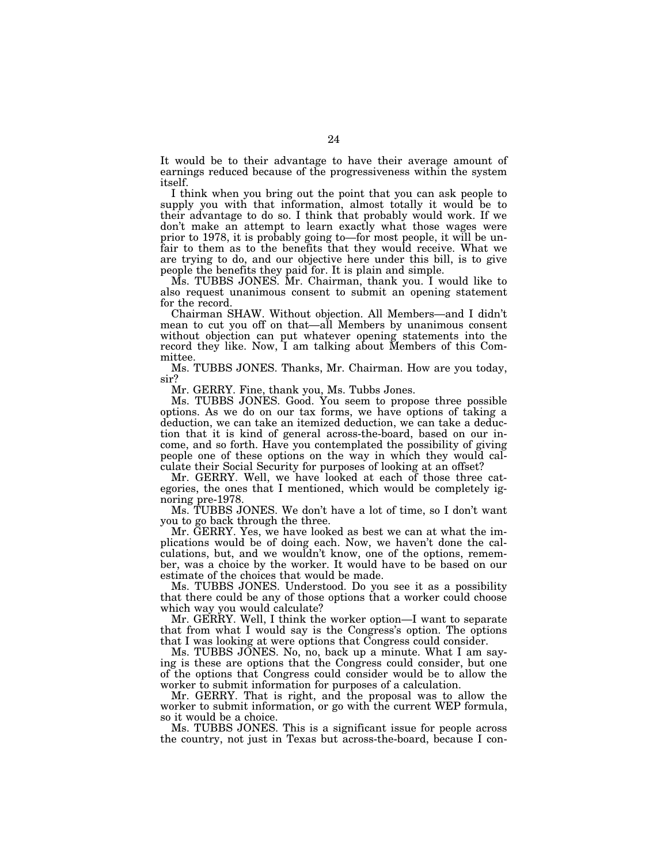It would be to their advantage to have their average amount of earnings reduced because of the progressiveness within the system itself.

I think when you bring out the point that you can ask people to supply you with that information, almost totally it would be to their advantage to do so. I think that probably would work. If we don't make an attempt to learn exactly what those wages were prior to 1978, it is probably going to—for most people, it will be unfair to them as to the benefits that they would receive. What we are trying to do, and our objective here under this bill, is to give people the benefits they paid for. It is plain and simple.

Ms. TUBBS JONES. Mr. Chairman, thank you. I would like to also request unanimous consent to submit an opening statement for the record.

Chairman SHAW. Without objection. All Members—and I didn't mean to cut you off on that—all Members by unanimous consent without objection can put whatever opening statements into the record they like. Now, I am talking about Members of this Committee.

Ms. TUBBS JONES. Thanks, Mr. Chairman. How are you today, sir?

Mr. GERRY. Fine, thank you, Ms. Tubbs Jones.

Ms. TUBBS JONES. Good. You seem to propose three possible options. As we do on our tax forms, we have options of taking a deduction, we can take an itemized deduction, we can take a deduction that it is kind of general across-the-board, based on our income, and so forth. Have you contemplated the possibility of giving people one of these options on the way in which they would calculate their Social Security for purposes of looking at an offset?

Mr. GERRY. Well, we have looked at each of those three categories, the ones that I mentioned, which would be completely ignoring pre-1978.

Ms. TUBBS JONES. We don't have a lot of time, so I don't want you to go back through the three.

Mr. GERRY. Yes, we have looked as best we can at what the implications would be of doing each. Now, we haven't done the calculations, but, and we wouldn't know, one of the options, remember, was a choice by the worker. It would have to be based on our estimate of the choices that would be made.

Ms. TUBBS JONES. Understood. Do you see it as a possibility that there could be any of those options that a worker could choose which way you would calculate?

Mr. GERRY. Well, I think the worker option—I want to separate that from what I would say is the Congress's option. The options that I was looking at were options that Congress could consider.

Ms. TUBBS JONES. No, no, back up a minute. What I am saying is these are options that the Congress could consider, but one of the options that Congress could consider would be to allow the worker to submit information for purposes of a calculation.

Mr. GERRY. That is right, and the proposal was to allow the worker to submit information, or go with the current WEP formula, so it would be a choice.

Ms. TUBBS JONES. This is a significant issue for people across the country, not just in Texas but across-the-board, because I con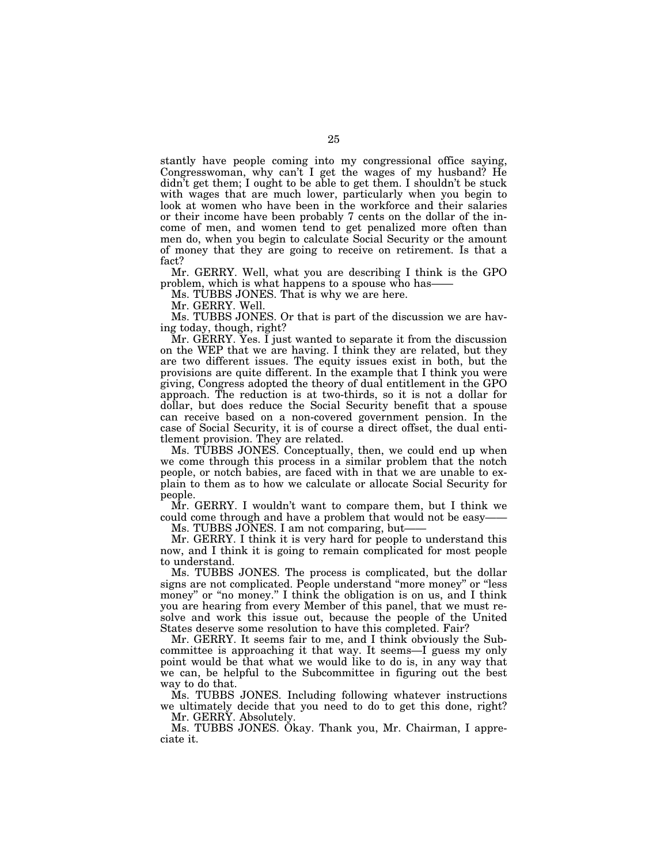stantly have people coming into my congressional office saying, Congresswoman, why can't I get the wages of my husband? He didn't get them; I ought to be able to get them. I shouldn't be stuck with wages that are much lower, particularly when you begin to look at women who have been in the workforce and their salaries or their income have been probably 7 cents on the dollar of the income of men, and women tend to get penalized more often than men do, when you begin to calculate Social Security or the amount of money that they are going to receive on retirement. Is that a fact?

Mr. GERRY. Well, what you are describing I think is the GPO problem, which is what happens to a spouse who has——

Ms. TUBBS JONES. That is why we are here.

Mr. GERRY. Well.

Ms. TUBBS JONES. Or that is part of the discussion we are having today, though, right?

Mr. GERRY. Yes. I just wanted to separate it from the discussion on the WEP that we are having. I think they are related, but they are two different issues. The equity issues exist in both, but the provisions are quite different. In the example that I think you were giving, Congress adopted the theory of dual entitlement in the GPO approach. The reduction is at two-thirds, so it is not a dollar for dollar, but does reduce the Social Security benefit that a spouse can receive based on a non-covered government pension. In the case of Social Security, it is of course a direct offset, the dual entitlement provision. They are related.

Ms. TUBBS JONES. Conceptually, then, we could end up when we come through this process in a similar problem that the notch people, or notch babies, are faced with in that we are unable to explain to them as to how we calculate or allocate Social Security for people.

Mr. GERRY. I wouldn't want to compare them, but I think we could come through and have a problem that would not be easy-

Ms. TUBBS JONES. I am not comparing, but-

Mr. GERRY. I think it is very hard for people to understand this now, and I think it is going to remain complicated for most people to understand.

Ms. TUBBS JONES. The process is complicated, but the dollar signs are not complicated. People understand ''more money'' or ''less money" or "no money." I think the obligation is on us, and I think you are hearing from every Member of this panel, that we must resolve and work this issue out, because the people of the United States deserve some resolution to have this completed. Fair?

Mr. GERRY. It seems fair to me, and I think obviously the Subcommittee is approaching it that way. It seems—I guess my only point would be that what we would like to do is, in any way that we can, be helpful to the Subcommittee in figuring out the best way to do that.

Ms. TUBBS JONES. Including following whatever instructions we ultimately decide that you need to do to get this done, right? Mr. GERRY. Absolutely.

Ms. TUBBS JONES. Okay. Thank you, Mr. Chairman, I appreciate it.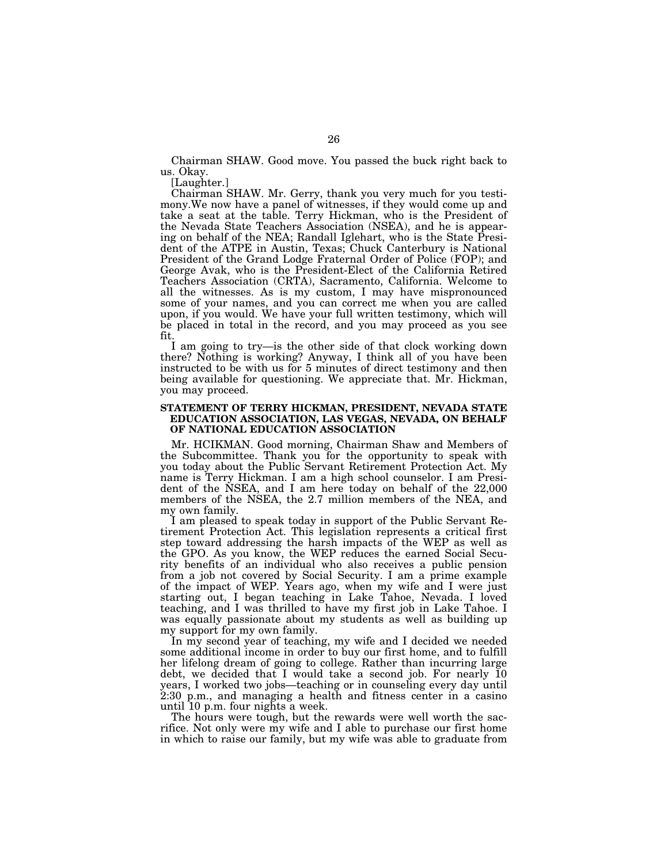Chairman SHAW. Good move. You passed the buck right back to us. Okay.

[Laughter.]

Chairman SHAW. Mr. Gerry, thank you very much for you testimony.We now have a panel of witnesses, if they would come up and take a seat at the table. Terry Hickman, who is the President of the Nevada State Teachers Association (NSEA), and he is appearing on behalf of the NEA; Randall Iglehart, who is the State President of the ATPE in Austin, Texas; Chuck Canterbury is National President of the Grand Lodge Fraternal Order of Police (FOP); and George Avak, who is the President-Elect of the California Retired Teachers Association (CRTA), Sacramento, California. Welcome to all the witnesses. As is my custom, I may have mispronounced some of your names, and you can correct me when you are called upon, if you would. We have your full written testimony, which will be placed in total in the record, and you may proceed as you see fit.

I am going to try—is the other side of that clock working down there? Nothing is working? Anyway, I think all of you have been instructed to be with us for 5 minutes of direct testimony and then being available for questioning. We appreciate that. Mr. Hickman, you may proceed.

# **STATEMENT OF TERRY HICKMAN, PRESIDENT, NEVADA STATE EDUCATION ASSOCIATION, LAS VEGAS, NEVADA, ON BEHALF OF NATIONAL EDUCATION ASSOCIATION**

Mr. HCIKMAN. Good morning, Chairman Shaw and Members of the Subcommittee. Thank you for the opportunity to speak with you today about the Public Servant Retirement Protection Act. My name is Terry Hickman. I am a high school counselor. I am President of the NSEA, and I am here today on behalf of the 22,000 members of the NSEA, the 2.7 million members of the NEA, and my own family.

I am pleased to speak today in support of the Public Servant Retirement Protection Act. This legislation represents a critical first step toward addressing the harsh impacts of the WEP as well as the GPO. As you know, the WEP reduces the earned Social Security benefits of an individual who also receives a public pension from a job not covered by Social Security. I am a prime example of the impact of WEP. Years ago, when my wife and I were just starting out, I began teaching in Lake Tahoe, Nevada. I loved teaching, and I was thrilled to have my first job in Lake Tahoe. I was equally passionate about my students as well as building up my support for my own family.

In my second year of teaching, my wife and I decided we needed some additional income in order to buy our first home, and to fulfill her lifelong dream of going to college. Rather than incurring large debt, we decided that I would take a second job. For nearly 10 years, I worked two jobs—teaching or in counseling every day until 2:30 p.m., and managing a health and fitness center in a casino until 10 p.m. four nights a week.

The hours were tough, but the rewards were well worth the sacrifice. Not only were my wife and I able to purchase our first home in which to raise our family, but my wife was able to graduate from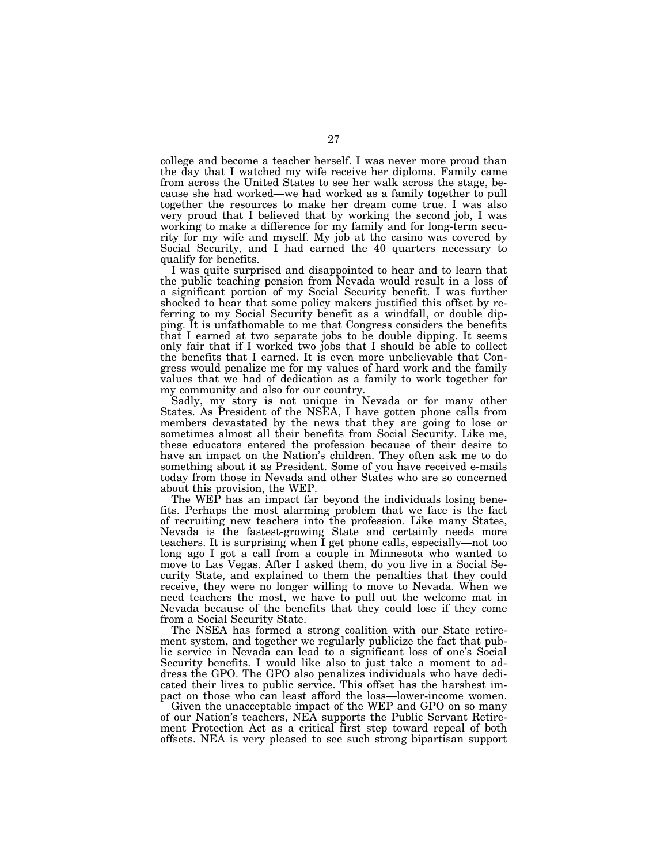college and become a teacher herself. I was never more proud than the day that I watched my wife receive her diploma. Family came from across the United States to see her walk across the stage, because she had worked—we had worked as a family together to pull together the resources to make her dream come true. I was also very proud that I believed that by working the second job, I was working to make a difference for my family and for long-term security for my wife and myself. My job at the casino was covered by Social Security, and I had earned the 40 quarters necessary to qualify for benefits.

I was quite surprised and disappointed to hear and to learn that the public teaching pension from Nevada would result in a loss of a significant portion of my Social Security benefit. I was further shocked to hear that some policy makers justified this offset by referring to my Social Security benefit as a windfall, or double dipping. It is unfathomable to me that Congress considers the benefits that I earned at two separate jobs to be double dipping. It seems only fair that if I worked two jobs that I should be able to collect the benefits that I earned. It is even more unbelievable that Congress would penalize me for my values of hard work and the family values that we had of dedication as a family to work together for my community and also for our country.

Sadly, my story is not unique in Nevada or for many other States. As President of the NSEA, I have gotten phone calls from members devastated by the news that they are going to lose or sometimes almost all their benefits from Social Security. Like me, these educators entered the profession because of their desire to have an impact on the Nation's children. They often ask me to do something about it as President. Some of you have received e-mails today from those in Nevada and other States who are so concerned about this provision, the WEP.

The WEP has an impact far beyond the individuals losing benefits. Perhaps the most alarming problem that we face is the fact of recruiting new teachers into the profession. Like many States, Nevada is the fastest-growing State and certainly needs more teachers. It is surprising when I get phone calls, especially—not too long ago I got a call from a couple in Minnesota who wanted to move to Las Vegas. After I asked them, do you live in a Social Security State, and explained to them the penalties that they could receive, they were no longer willing to move to Nevada. When we need teachers the most, we have to pull out the welcome mat in Nevada because of the benefits that they could lose if they come from a Social Security State.

The NSEA has formed a strong coalition with our State retirement system, and together we regularly publicize the fact that public service in Nevada can lead to a significant loss of one's Social Security benefits. I would like also to just take a moment to address the GPO. The GPO also penalizes individuals who have dedicated their lives to public service. This offset has the harshest impact on those who can least afford the loss—lower-income women.

Given the unacceptable impact of the WEP and GPO on so many of our Nation's teachers, NEA supports the Public Servant Retirement Protection Act as a critical first step toward repeal of both offsets. NEA is very pleased to see such strong bipartisan support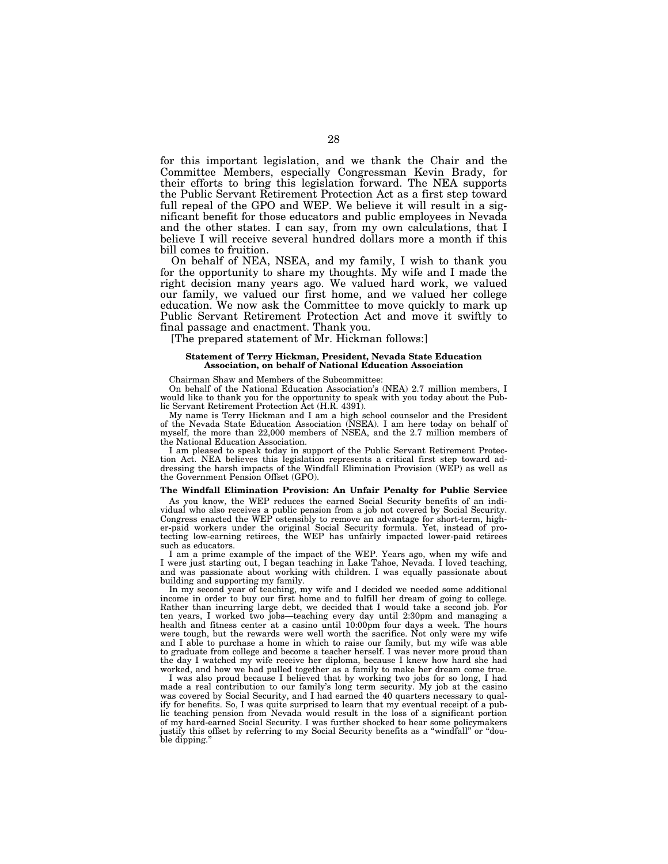for this important legislation, and we thank the Chair and the Committee Members, especially Congressman Kevin Brady, for their efforts to bring this legislation forward. The NEA supports the Public Servant Retirement Protection Act as a first step toward full repeal of the GPO and WEP. We believe it will result in a significant benefit for those educators and public employees in Nevada and the other states. I can say, from my own calculations, that I believe I will receive several hundred dollars more a month if this bill comes to fruition.

On behalf of NEA, NSEA, and my family, I wish to thank you for the opportunity to share my thoughts. My wife and I made the right decision many years ago. We valued hard work, we valued our family, we valued our first home, and we valued her college education. We now ask the Committee to move quickly to mark up Public Servant Retirement Protection Act and move it swiftly to final passage and enactment. Thank you.

[The prepared statement of Mr. Hickman follows:]

#### **Statement of Terry Hickman, President, Nevada State Education Association, on behalf of National Education Association**

Chairman Shaw and Members of the Subcommittee:

On behalf of the National Education Association's (NEA) 2.7 million members, I would like to thank you for the opportunity to speak with you today about the Public Servant Retirement Protection Act (H.R. 4391).

My name is Terry Hickman and I am a high school counselor and the President of the Nevada State Education Association (NSEA). I am here today on behalf of myself, the more than 22,000 members of NSEA, and the 2.7 million members of the National Education Association.

I am pleased to speak today in support of the Public Servant Retirement Protection Act. NEA believes this legislation represents a critical first step toward addressing the harsh impacts of the Windfall Elimination Provision (WEP) as well as the Government Pension Offset (GPO).

## **The Windfall Elimination Provision: An Unfair Penalty for Public Service**

As you know, the WEP reduces the earned Social Security benefits of an individual who also receives a public pension from a job not covered by Social Security. Congress enacted the WEP ostensibly to remove an advantage for short-term, higher-paid workers under the original Social Security formula. Yet, instead of protecting low-earning retirees, the WEP has unfairly impacted lower-paid retirees such as educators.

I am a prime example of the impact of the WEP. Years ago, when my wife and I were just starting out, I began teaching in Lake Tahoe, Nevada. I loved teaching, and was passionate about working with children. I was equally passionate about building and supporting my family.

In my second year of teaching, my wife and I decided we needed some additional income in order to buy our first home and to fulfill her dream of going to college. Rather than incurring large debt, we decided that I would take a second job. For ten years, I worked two jobs—teaching every day until 2:30pm and managing a health and fitness center at a casino until 10:00pm four days a week. The hours were tough, but the rewards were well worth the sacrifice. Not only were my wife and I able to purchase a home in which to raise our family, but my wife was able to graduate from college and become a teacher herself. I was never more proud than the day I watched my wife receive her diploma, because I knew how hard she had worked, and how we had pulled together as a family to make her dream come true.

I was also proud because I believed that by working two jobs for so long, I had made a real contribution to our family's long term security. My job at the casino was covered by Social Security, and I had earned the 40 quarters necessary to qualify for benefits. So, I was quite surprised to learn that my eventual receipt of a public teaching pension from Nevada would result in the loss of a significant portion of my hard-earned Social Security. I was further shocked to hear some policymakers justify this offset by referring to my Social Security benefits as a "windfall" or "double dipping.''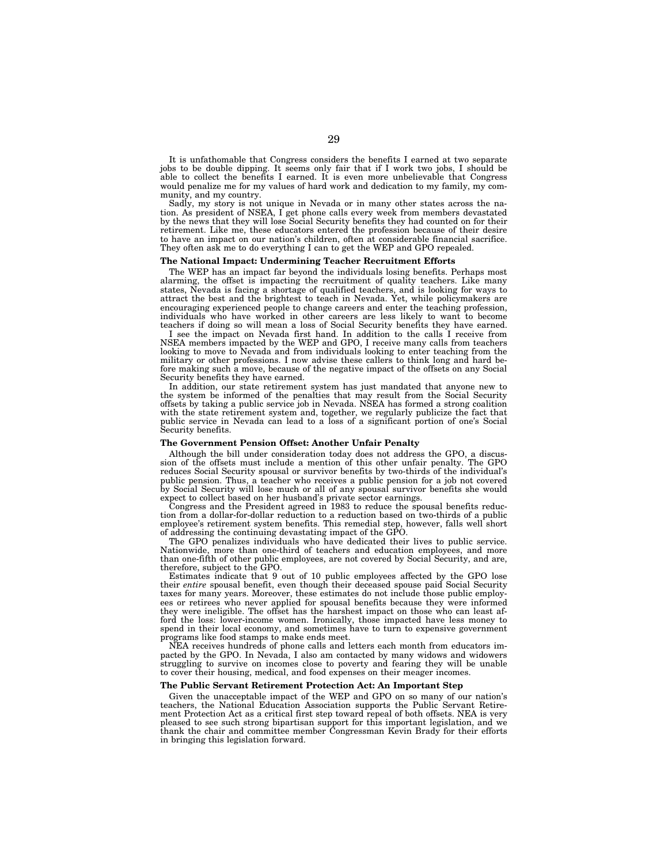It is unfathomable that Congress considers the benefits I earned at two separate jobs to be double dipping. It seems only fair that if I work two jobs, I should be able to collect the benefits I earned. It is even more unbelievable that Congress would penalize me for my values of hard work and dedication to my family, my community, and my country.

Sadly, my story is not unique in Nevada or in many other states across the nation. As president of NSEA, I get phone calls every week from members devastated by the news that they will lose Social Security benefits they had counted on for their retirement. Like me, these educators entered the profession because of their desire to have an impact on our nation's children, often at considerable financial sacrifice. They often ask me to do everything I can to get the WEP and GPO repealed.

#### **The National Impact: Undermining Teacher Recruitment Efforts**

The WEP has an impact far beyond the individuals losing benefits. Perhaps most alarming, the offset is impacting the recruitment of quality teachers. Like many states, Nevada is facing a shortage of qualified teachers, and is looking for ways to attract the best and the brightest to teach in Nevada. Yet, while policymakers are encouraging experienced people to change careers and enter the teaching profession, individuals who have worked in other careers are less likely to want to become teachers if doing so will mean a loss of Social Security benefits they have earned.

I see the impact on Nevada first hand. In addition to the calls I receive from NSEA members impacted by the WEP and GPO, I receive many calls from teachers looking to move to Nevada and from individuals looking to enter teaching from the military or other professions. I now advise these callers to think long and hard before making such a move, because of the negative impact of the offsets on any Social Security benefits they have earned.

In addition, our state retirement system has just mandated that anyone new to the system be informed of the penalties that may result from the Social Security offsets by taking a public service job in Nevada. NSEA has formed a strong coalition with the state retirement system and, together, we regularly publicize the fact that public service in Nevada can lead to a loss of a significant portion of one's Social Security benefits.

## **The Government Pension Offset: Another Unfair Penalty**

Although the bill under consideration today does not address the GPO, a discussion of the offsets must include a mention of this other unfair penalty. The GPO reduces Social Security spousal or survivor benefits by two-thirds of the individual's public pension. Thus, a teacher who receives a public pension for a job not covered by Social Security will lose much or all of any spousal survivor benefits she would expect to collect based on her husband's private sector earnings.

Congress and the President agreed in 1983 to reduce the spousal benefits reduction from a dollar-for-dollar reduction to a reduction based on two-thirds of a public employee's retirement system benefits. This remedial step, however, falls well short of addressing the continuing devastating impact of the GPO.

The GPO penalizes individuals who have dedicated their lives to public service. Nationwide, more than one-third of teachers and education employees, and more than one-fifth of other public employees, are not covered by Social Security, and are, therefore, subject to the GPO.

Estimates indicate that 9 out of 10 public employees affected by the GPO lose their *entire* spousal benefit, even though their deceased spouse paid Social Security taxes for many years. Moreover, these estimates do not include those public employees or retirees who never applied for spousal benefits because they were informed they were ineligible. The offset has the harshest impact on those who can least afford the loss: lower-income women. Ironically, those impacted have less money to spend in their local economy, and sometimes have to turn to expensive government programs like food stamps to make ends meet.

NEA receives hundreds of phone calls and letters each month from educators impacted by the GPO. In Nevada, I also am contacted by many widows and widowers struggling to survive on incomes close to poverty and fearing they will be unable to cover their housing, medical, and food expenses on their meager incomes.

#### **The Public Servant Retirement Protection Act: An Important Step**

Given the unacceptable impact of the WEP and GPO on so many of our nation's teachers, the National Education Association supports the Public Servant Retirement Protection Act as a critical first step toward repeal of both offsets. NEA is very pleased to see such strong bipartisan support for this important legislation, and we thank the chair and committee member Congressman Kevin Brady for their efforts in bringing this legislation forward.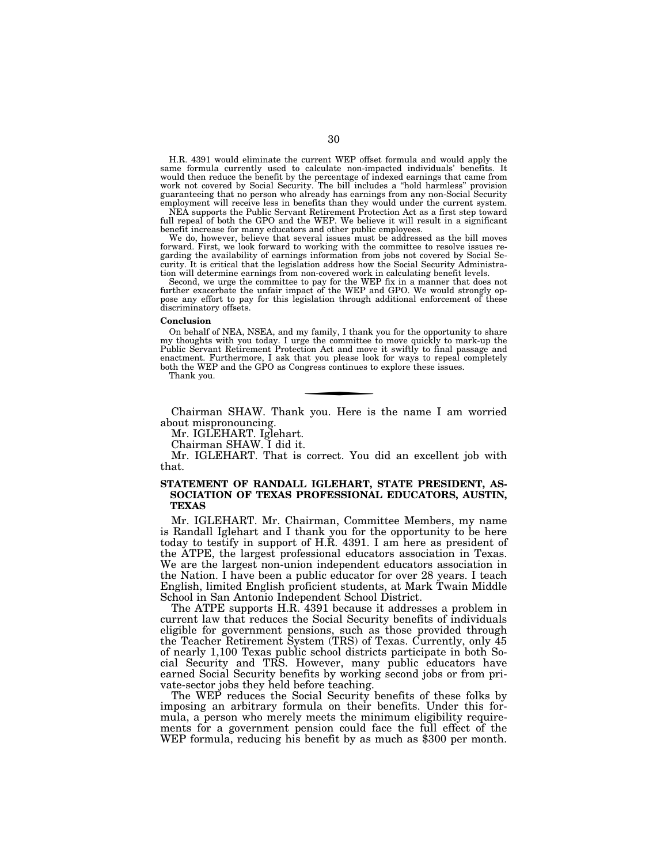H.R. 4391 would eliminate the current WEP offset formula and would apply the same formula currently used to calculate non-impacted individuals' benefits. It would then reduce the benefit by the percentage of indexed earnings that came from work not covered by Social Security. The bill includes a ''hold harmless'' provision guaranteeing that no person who already has earnings from any non-Social Security employment will receive less in benefits than they would under the current system.

NEA supports the Public Servant Retirement Protection Act as a first step toward full repeal of both the GPO and the WEP. We believe it will result in a significant benefit increase for many educators and other public employees.

We do, however, believe that several issues must be addressed as the bill moves forward. First, we look forward to working with the committee to resolve issues regarding the availability of earnings information from jobs not covered by Social Security. It is critical that the legislation address how the Social Security Administration will determine earnings from non-covered work in calculating benefit levels.

Second, we urge the committee to pay for the WEP fix in a manner that does not further exacerbate the unfair impact of the WEP and GPO. We would strongly oppose any effort to pay for this legislation through additional enforcement of these discriminatory offsets.

#### **Conclusion**

On behalf of NEA, NSEA, and my family, I thank you for the opportunity to share my thoughts with you today. I urge the committee to move quickly to mark-up the Public Servant Retirement Protection Act and move it swiftly to final passage and enactment. Furthermore, I ask that you please look for ways to repeal completely both the WEP and the GPO as Congress continues to explore these issues.

Thank you.

Chairman SHAW. Thank you. Here is the name I am worried about mispronouncing.

Mr. IGLEHART. Iglehart.

Chairman SHAW. I did it.

Mr. IGLEHART. That is correct. You did an excellent job with that.

# **STATEMENT OF RANDALL IGLEHART, STATE PRESIDENT, AS-SOCIATION OF TEXAS PROFESSIONAL EDUCATORS, AUSTIN, TEXAS**

Mr. IGLEHART. Mr. Chairman, Committee Members, my name is Randall Iglehart and I thank you for the opportunity to be here today to testify in support of H.R. 4391. I am here as president of the ATPE, the largest professional educators association in Texas. We are the largest non-union independent educators association in the Nation. I have been a public educator for over 28 years. I teach English, limited English proficient students, at Mark Twain Middle School in San Antonio Independent School District.

The ATPE supports H.R. 4391 because it addresses a problem in current law that reduces the Social Security benefits of individuals eligible for government pensions, such as those provided through the Teacher Retirement System (TRS) of Texas. Currently, only 45 of nearly 1,100 Texas public school districts participate in both Social Security and TRS. However, many public educators have earned Social Security benefits by working second jobs or from private-sector jobs they held before teaching.

The WEP reduces the Social Security benefits of these folks by imposing an arbitrary formula on their benefits. Under this formula, a person who merely meets the minimum eligibility requirements for a government pension could face the full effect of the WEP formula, reducing his benefit by as much as \$300 per month.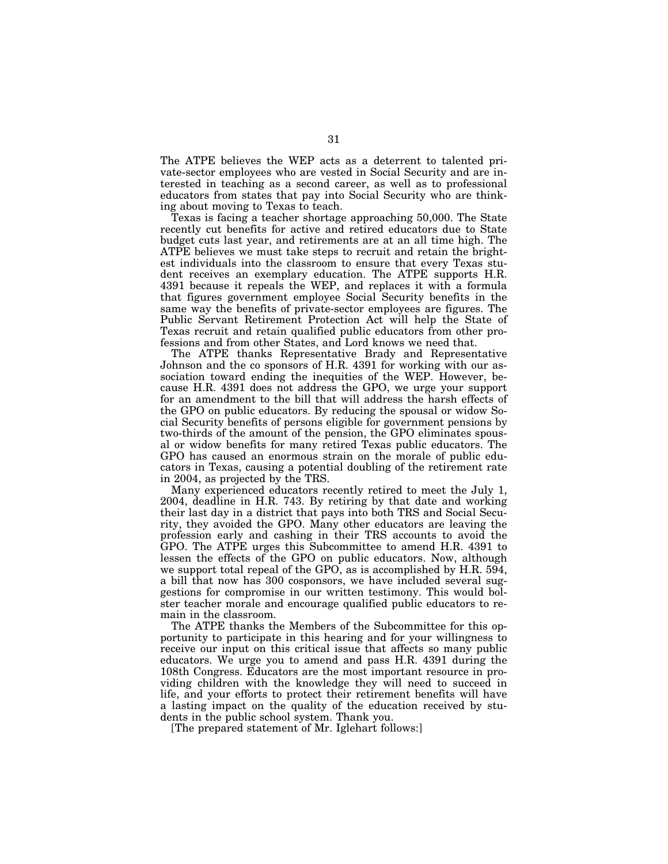The ATPE believes the WEP acts as a deterrent to talented private-sector employees who are vested in Social Security and are interested in teaching as a second career, as well as to professional educators from states that pay into Social Security who are thinking about moving to Texas to teach.

Texas is facing a teacher shortage approaching 50,000. The State recently cut benefits for active and retired educators due to State budget cuts last year, and retirements are at an all time high. The ATPE believes we must take steps to recruit and retain the brightest individuals into the classroom to ensure that every Texas student receives an exemplary education. The ATPE supports H.R. 4391 because it repeals the WEP, and replaces it with a formula that figures government employee Social Security benefits in the same way the benefits of private-sector employees are figures. The Public Servant Retirement Protection Act will help the State of Texas recruit and retain qualified public educators from other professions and from other States, and Lord knows we need that.

The ATPE thanks Representative Brady and Representative Johnson and the co sponsors of H.R. 4391 for working with our association toward ending the inequities of the WEP. However, because H.R. 4391 does not address the GPO, we urge your support for an amendment to the bill that will address the harsh effects of the GPO on public educators. By reducing the spousal or widow Social Security benefits of persons eligible for government pensions by two-thirds of the amount of the pension, the GPO eliminates spousal or widow benefits for many retired Texas public educators. The GPO has caused an enormous strain on the morale of public educators in Texas, causing a potential doubling of the retirement rate in 2004, as projected by the TRS.

Many experienced educators recently retired to meet the July 1, 2004, deadline in H.R. 743. By retiring by that date and working their last day in a district that pays into both TRS and Social Security, they avoided the GPO. Many other educators are leaving the profession early and cashing in their TRS accounts to avoid the GPO. The ATPE urges this Subcommittee to amend H.R. 4391 to lessen the effects of the GPO on public educators. Now, although we support total repeal of the GPO, as is accomplished by H.R. 594, a bill that now has 300 cosponsors, we have included several suggestions for compromise in our written testimony. This would bolster teacher morale and encourage qualified public educators to remain in the classroom.

The ATPE thanks the Members of the Subcommittee for this opportunity to participate in this hearing and for your willingness to receive our input on this critical issue that affects so many public educators. We urge you to amend and pass H.R. 4391 during the 108th Congress. Educators are the most important resource in providing children with the knowledge they will need to succeed in life, and your efforts to protect their retirement benefits will have a lasting impact on the quality of the education received by students in the public school system. Thank you.

[The prepared statement of Mr. Iglehart follows:]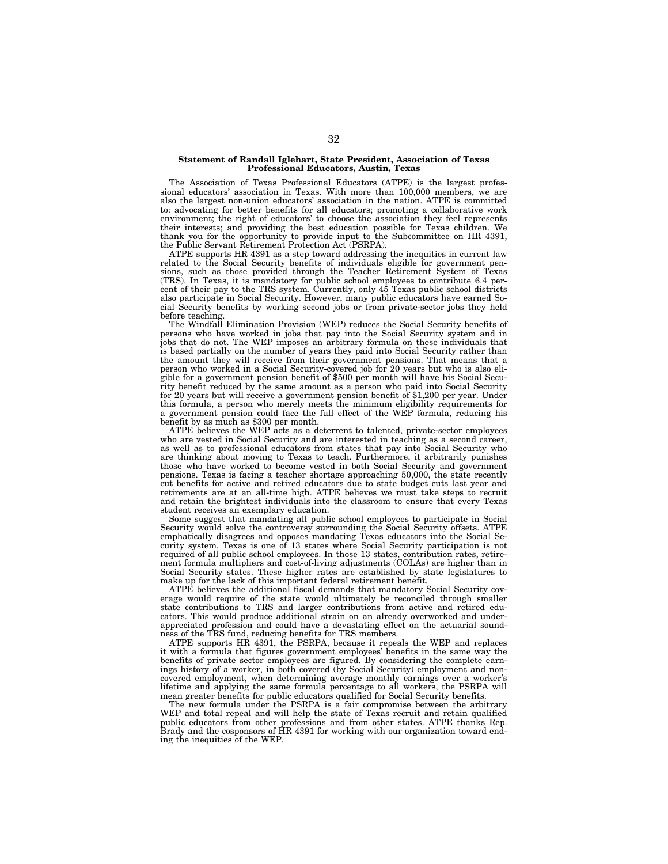#### **Statement of Randall Iglehart, State President, Association of Texas Professional Educators, Austin, Texas**

The Association of Texas Professional Educators (ATPE) is the largest professional educators' association in Texas. With more than 100,000 members, we are also the largest non-union educators' association in the nation. ATPE is committed to: advocating for better benefits for all educators; promoting a collaborative work environment; the right of educators' to choose the association they feel represents their interests; and providing the best education possible for Texas children. We thank you for the opportunity to provide input to the Subcommittee on HR 4391, the Public Servant Retirement Protection Act (PSRPA).

ATPE supports HR 4391 as a step toward addressing the inequities in current law related to the Social Security benefits of individuals eligible for government pensions, such as those provided through the Teacher Retirement System of Texas (TRS). In Texas, it is mandatory for public school employees to contribute 6.4 percent of their pay to the TRS system. Currently, only 45 Texas public school districts also participate in Social Security. However, many public educators have earned Social Security benefits by working second jobs or from private-sector jobs they held before teaching

The Windfall Elimination Provision (WEP) reduces the Social Security benefits of persons who have worked in jobs that pay into the Social Security system and in jobs that do not. The WEP imposes an arbitrary formula on these individuals that is based partially on the number of years they paid into Social Security rather than the amount they will receive from their government pensions. That means that a person who worked in a Social Security-covered job for 20 years but who is also eligible for a government pension benefit of \$500 per month will have his Social Security benefit reduced by the same amount as a person who paid into Social Security for 20 years but will receive a government pension benefit of \$1,200 per year. Under this formula, a person who merely meets the minimum eligibility requirements for a government pension could face the full effect of the WEP formula, reducing his benefit by as much as \$300 per month.

ATPE believes the WEP acts as a deterrent to talented, private-sector employees who are vested in Social Security and are interested in teaching as a second career, as well as to professional educators from states that pay into Social Security who are thinking about moving to Texas to teach. Furthermore, it arbitrarily punishes those who have worked to become vested in both Social Security and government pensions. Texas is facing a teacher shortage approaching 50,000, the state recently cut benefits for active and retired educators due to state budget cuts last year and retirements are at an all-time high. ATPE believes we must take steps to recruit and retain the brightest individuals into the classroom to ensure that every Texas student receives an exemplary education.

Some suggest that mandating all public school employees to participate in Social Security would solve the controversy surrounding the Social Security offsets. ATPE emphatically disagrees and opposes mandating Texas educators into the Social Security system. Texas is one of 13 states where Social Security participation is not required of all public school employees. In those 13 states, contribution rates, retirement formula multipliers and cost-of-living adjustments (COLAs) are higher than in Social Security states. These higher rates are established by state legislatures to make up for the lack of this important federal retirement benefit.

ATPE believes the additional fiscal demands that mandatory Social Security coverage would require of the state would ultimately be reconciled through smaller state contributions to TRS and larger contributions from active and retired educators. This would produce additional strain on an already overworked and underappreciated profession and could have a devastating effect on the actuarial soundness of the TRS fund, reducing benefits for TRS members.

ATPE supports HR 4391, the PSRPA, because it repeals the WEP and replaces it with a formula that figures government employees' benefits in the same way the benefits of private sector employees are figured. By considering the complete earnings history of a worker, in both covered (by Social Security) employment and noncovered employment, when determining average monthly earnings over a worker's lifetime and applying the same formula percentage to all workers, the PSRPA will mean greater benefits for public educators qualified for Social Security benefits.

The new formula under the PSRPA is a fair compromise between the arbitrary WEP and total repeal and will help the state of Texas recruit and retain qualified public educators from other professions and from other states. ATPE thanks Rep. Brady and the cosponsors of HR 4391 for working with our organization toward ending the inequities of the WEP.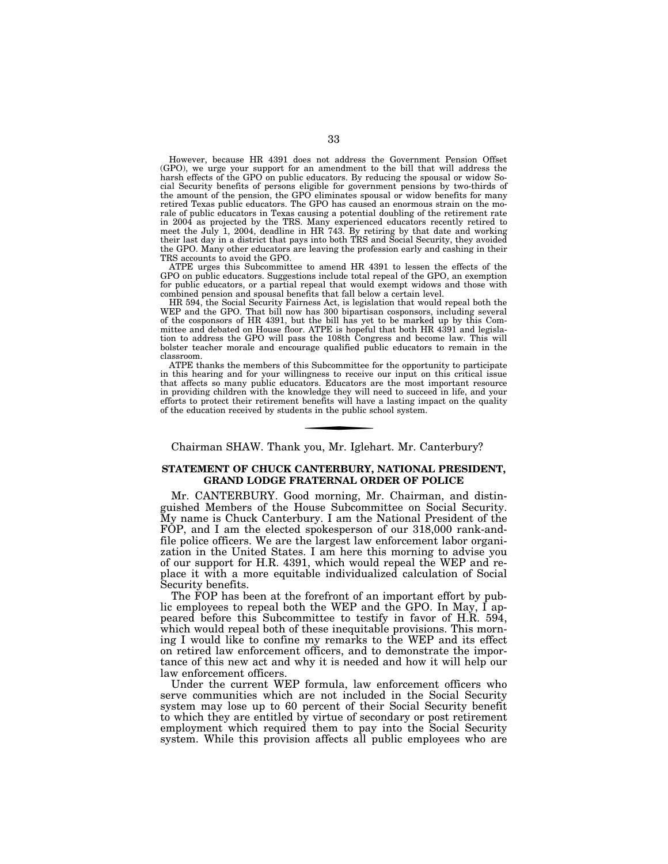However, because HR 4391 does not address the Government Pension Offset (GPO), we urge your support for an amendment to the bill that will address the harsh effects of the GPO on public educators. By reducing the spousal or widow Social Security benefits of persons eligible for government pensions by two-thirds of the amount of the pension, the GPO eliminates spousal or widow benefits for many retired Texas public educators. The GPO has caused an enormous strain on the morale of public educators in Texas causing a potential doubling of the retirement rate in 2004 as projected by the TRS. Many experienced educators recently retired to meet the July 1, 2004, deadline in HR 743. By retiring by that date and working their last day in a district that pays into both TRS and Social Security, they avoided the GPO. Many other educators are leaving the profession early and cashing in their TRS accounts to avoid the GPO.

ATPE urges this Subcommittee to amend HR 4391 to lessen the effects of the GPO on public educators. Suggestions include total repeal of the GPO, an exemption for public educators, or a partial repeal that would exempt widows and those with combined pension and spousal benefits that fall below a certain level.

HR 594, the Social Security Fairness Act, is legislation that would repeal both the WEP and the GPO. That bill now has 300 bipartisan cosponsors, including several of the cosponsors of HR 4391, but the bill has yet to be marked up by this Committee and debated on House floor. ATPE is hopeful that both HR 4391 and legislation to address the GPO will pass the 108th Congress and become law. This will bolster teacher morale and encourage qualified public educators to remain in the classroom.

ATPE thanks the members of this Subcommittee for the opportunity to participate in this hearing and for your willingness to receive our input on this critical issue that affects so many public educators. Educators are the most important resource in providing children with the knowledge they will need to succeed in life, and your efforts to protect their retirement benefits will have a lasting impact on the quality of the education received by students in the public school system.

# Chairman SHAW. Thank you, Mr. Iglehart. Mr. Canterbury?

# **STATEMENT OF CHUCK CANTERBURY, NATIONAL PRESIDENT, GRAND LODGE FRATERNAL ORDER OF POLICE**

Mr. CANTERBURY. Good morning, Mr. Chairman, and distinguished Members of the House Subcommittee on Social Security. My name is Chuck Canterbury. I am the National President of the FOP, and I am the elected spokesperson of our 318,000 rank-andfile police officers. We are the largest law enforcement labor organization in the United States. I am here this morning to advise you of our support for H.R. 4391, which would repeal the WEP and replace it with a more equitable individualized calculation of Social Security benefits.

The FOP has been at the forefront of an important effort by public employees to repeal both the WEP and the GPO. In May, I appeared before this Subcommittee to testify in favor of H.R. 594, which would repeal both of these inequitable provisions. This morning I would like to confine my remarks to the WEP and its effect on retired law enforcement officers, and to demonstrate the importance of this new act and why it is needed and how it will help our law enforcement officers.

Under the current WEP formula, law enforcement officers who serve communities which are not included in the Social Security system may lose up to 60 percent of their Social Security benefit to which they are entitled by virtue of secondary or post retirement employment which required them to pay into the Social Security system. While this provision affects all public employees who are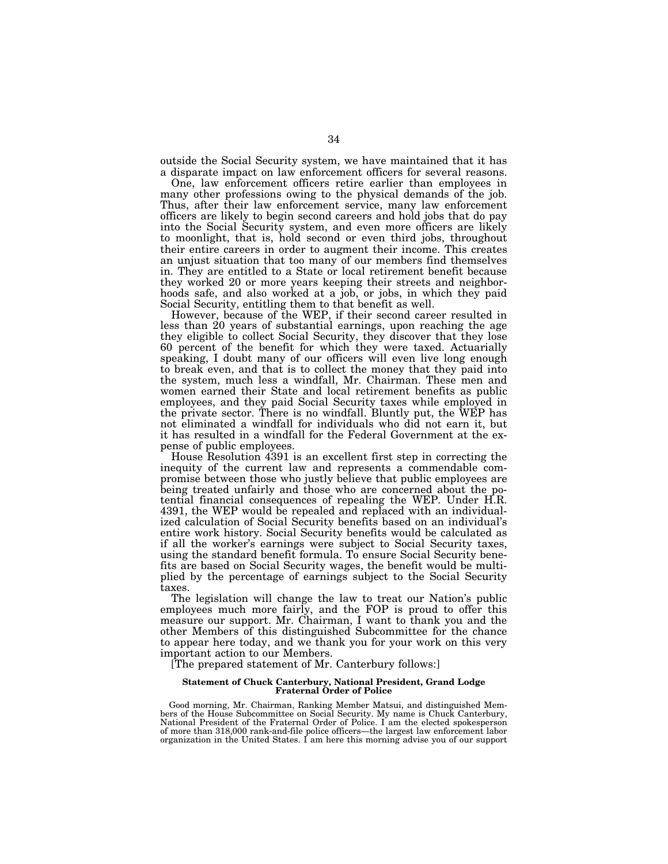outside the Social Security system, we have maintained that it has a disparate impact on law enforcement officers for several reasons.

One, law enforcement officers retire earlier than employees in many other professions owing to the physical demands of the job. Thus, after their law enforcement service, many law enforcement officers are likely to begin second careers and hold jobs that do pay into the Social Security system, and even more officers are likely to moonlight, that is, hold second or even third jobs, throughout their entire careers in order to augment their income. This creates an unjust situation that too many of our members find themselves in. They are entitled to a State or local retirement benefit because they worked 20 or more years keeping their streets and neighborhoods safe, and also worked at a job, or jobs, in which they paid Social Security, entitling them to that benefit as well.

However, because of the WEP, if their second career resulted in less than 20 years of substantial earnings, upon reaching the age they eligible to collect Social Security, they discover that they lose 60 percent of the benefit for which they were taxed. Actuarially speaking, I doubt many of our officers will even live long enough to break even, and that is to collect the money that they paid into the system, much less a windfall, Mr. Chairman. These men and women earned their State and local retirement benefits as public employees, and they paid Social Security taxes while employed in the private sector. There is no windfall. Bluntly put, the WEP has not eliminated a windfall for individuals who did not earn it, but it has resulted in a windfall for the Federal Government at the expense of public employees.

House Resolution 4391 is an excellent first step in correcting the inequity of the current law and represents a commendable compromise between those who justly believe that public employees are being treated unfairly and those who are concerned about the potential financial consequences of repealing the WEP. Under H.R. 4391, the WEP would be repealed and replaced with an individualized calculation of Social Security benefits based on an individual's entire work history. Social Security benefits would be calculated as if all the worker's earnings were subject to Social Security taxes, using the standard benefit formula. To ensure Social Security benefits are based on Social Security wages, the benefit would be multiplied by the percentage of earnings subject to the Social Security taxes.

The legislation will change the law to treat our Nation's public employees much more fairly, and the FOP is proud to offer this measure our support. Mr. Chairman, I want to thank you and the other Members of this distinguished Subcommittee for the chance to appear here today, and we thank you for your work on this very important action to our Members.

[The prepared statement of Mr. Canterbury follows:]

# **Statement of Chuck Canterbury, National President, Grand Lodge Fraternal Order of Police**

Good morning, Mr. Chairman, Ranking Member Matsui, and distinguished Members of the House Subcommittee on Social Security. My name is Chuck Canterbury, National President of the Fraternal Order of Police. I am the elected spokesperson of more than 318,000 rank-and-file police officers—the largest law enforcement labor organization in the United States.  $\vec{l}$  am here this morning advise you of our support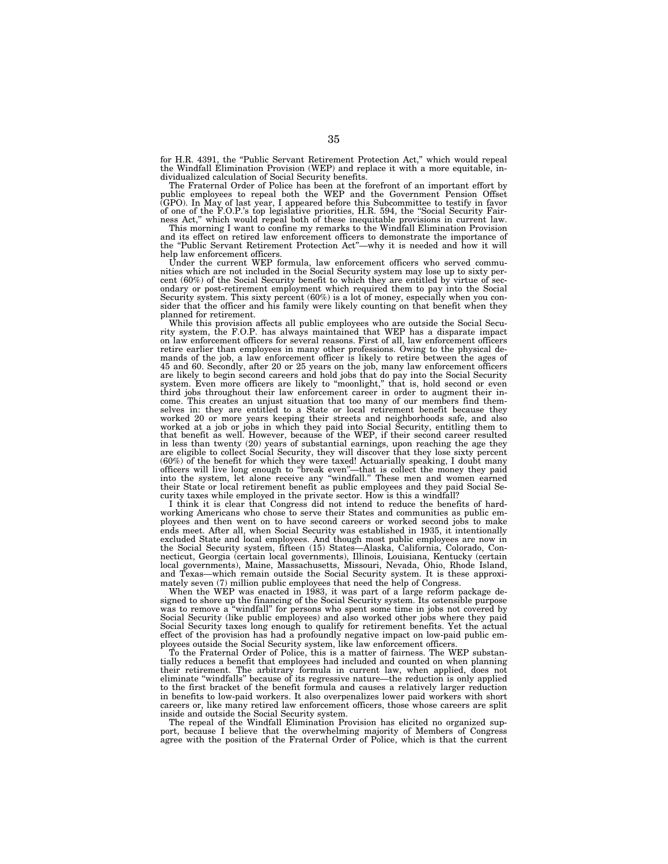for H.R. 4391, the "Public Servant Retirement Protection Act," which would repeal the Windfall Elimination Provision (WEP) and replace it with a more equitable, individualized calculation of Social Security benefits.

The Fraternal Order of Police has been at the forefront of an important effort by<br>public employees to repeal both the WEP and the Government Pension Offset<br>(GPO). In May of last year, I appeared before this Subcommittee to

and its effect on retired law enforcement officers to demonstrate the importance of the ''Public Servant Retirement Protection Act''—why it is needed and how it will

help law enforcement officers. Under the current WEP formula, law enforcement officers who served communities which are not included in the Social Security system may lose up to sixty per-cent (60%) of the Social Security benefit to which they are entitled by virtue of secondary or post-retirement employment which required them to pay into the Social Security system. This sixty percent (60%) is a lot of money, especially when you consider that the officer and his family were likely counting on that benefit when they planned for retirement.

While this provision affects all public employees who are outside the Social Secu-rity system, the F.O.P. has always maintained that WEP has a disparate impact on law enforcement officers for several reasons. First of all, law enforcement officers retire earlier than employees in many other professions. Owing to the physical demands of the job, a law enforcement officer is likely to retire between the ages of 45 and 60. Secondly, after 20 or 25 years on the job, many law enforcement officers are likely to begin second careers and hold jobs that do pay into the Social Security<br>system. Even more officers are likely to "moonlight," that is, hold second or even<br>third jobs throughout their law enforcement career in come. This creates an unjust situation that too many of our members find themselves in: they are entitled to a State or local retirement benefit because they<br>worked 20 or more years keeping their streets and neighborhoods safe, and also<br>worked at a job or jobs in which they paid into Social Securit in less than twenty (20) years of substantial earnings, upon reaching the age they are eligible to collect Social Security, they will discover that they lose sixty percent (60%) of the benefit for which they were taxed! Actuarially speaking, I doubt many officers will live long enough to "break even"—that is collect the money they paid into the system, let alone receive any "windfall." These curity taxes while employed in the private sector. How is this a windfall?

I think it is clear that Congress did not intend to reduce the benefits of hardworking Americans who chose to serve their States and communities as public employees and then went on to have second careers or worked second jobs to make ends meet. After all, when Social Security was established in 1935, it intentionally excluded State and local employees. And though most public employees are now in the Social Security system, fifteen (15) States—Alaska, California, Colorado, Connecticut, Georgia (certain local governments), Illinois, Louisiana, Kentucky (certain local governments), Maine, Massachusetts, Missouri, Nevada, Ohio, Rhode Island, and Texas—which remain outside the Social Security system. It is these approximately seven (7) million public employees that need the help of Congress.

When the WEP was enacted in 1983, it was part of a large reform package designed to shore up the financing of the Social Security system. Its ostensible purpose was to remove a ''windfall'' for persons who spent some time in jobs not covered by Social Security (like public employees) and also worked other jobs where they paid Social Security taxes long enough to qualify for retirement benefits. Yet the actual effect of the provision has had a profoundly negative impact on low-paid public employees outside the Social Security system, like law enforcement officer

To the Fraternal Order of Police, this is a matter of fairness. The WEP substantially reduces a benefit that employees had included and counted on when planning their retirement. The arbitrary formula in current law, when applied, does not eliminate ''windfalls'' because of its regressive nature—the reduction is only applied to the first bracket of the benefit formula and causes a relatively larger reduction in benefits to low-paid workers. It also overpenalizes lower paid workers with short careers or, like many retired law enforcement officers, those whose careers are split inside and outside the Social Security system.

The repeal of the Windfall Elimination Provision has elicited no organized support, because I believe that the overwhelming majority of Members of Congress agree with the position of the Fraternal Order of Police, which is that the current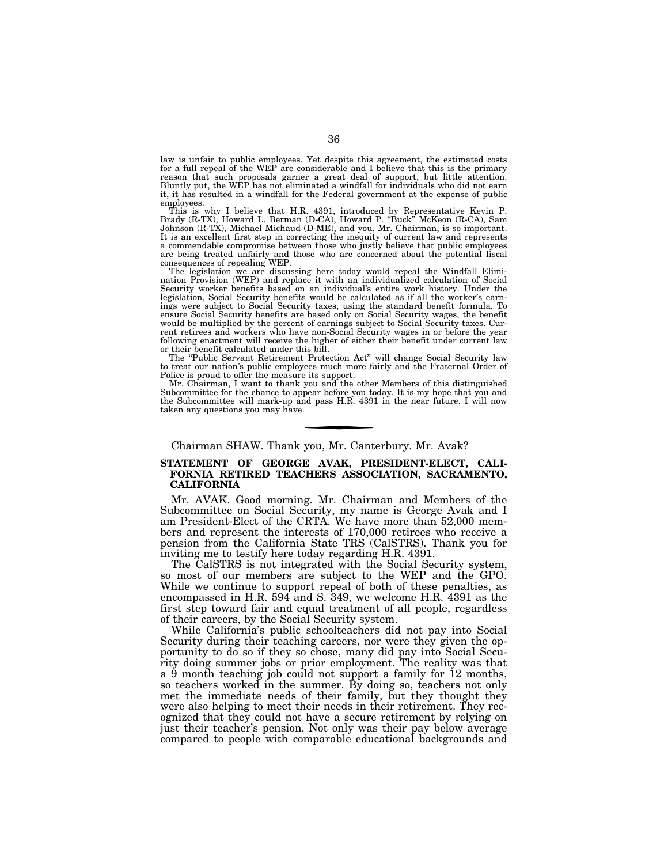law is unfair to public employees. Yet despite this agreement, the estimated costs for a full repeal of the WEP are considerable and I believe that this is the primary reason that such proposals garner a great deal of support, but little attention. Bluntly put, the WEP has not eliminated a windfall for individuals who did not earn it, it has resulted in a windfall for the Federal government at the expense of public employees.

This is why I believe that H.R. 4391, introduced by Representative Kevin P.<br>Brady (R-TX), Howard L. Berman (D-CA), Howard P. "Buck" McKeon (R-CA), Sam<br>Johnson (R-TX), Michael Michaud (D-ME), and you, Mr. Chairman, is so im It is an excellent first step in correcting the inequity of current law and represents a commendable compromise between those who justly believe that public employees are being treated unfairly and those who are concerned about the potential fiscal consequences of repealing WEP.

The legislation we are discussing here today would repeal the Windfall Elimi-nation Provision (WEP) and replace it with an individualized calculation of Social Security worker benefits based on an individual's entire work history. Under the legislation, Social Security benefits would be calculated as if all the worker's earnings were subject to Social Security taxes, using the standard benefit formula. To ensure Social Security benefits are based only on Social Security wages, the benefit would be multiplied by the percent of earnings subject to Social Security taxes. Cur-rent retirees and workers who have non-Social Security wages in or before the year following enactment will receive the higher of either their benefit under current law or their benefit calculated under this bill.

The ''Public Servant Retirement Protection Act'' will change Social Security law to treat our nation's public employees much more fairly and the Fraternal Order of Police is proud to offer the measure its support.

Mr. Chairman, I want to thank you and the other Members of this distinguished Subcommittee for the chance to appear before you today. It is my hope that you and the Subcommittee will mark-up and pass H.R. 4391 in the near future. I will now taken any questions you may have.

# Chairman SHAW. Thank you, Mr. Canterbury. Mr. Avak?

# **STATEMENT OF GEORGE AVAK, PRESIDENT-ELECT, CALI-FORNIA RETIRED TEACHERS ASSOCIATION, SACRAMENTO, CALIFORNIA**

Mr. AVAK. Good morning. Mr. Chairman and Members of the Subcommittee on Social Security, my name is George Avak and I am President-Elect of the CRTA. We have more than 52,000 members and represent the interests of 170,000 retirees who receive a pension from the California State TRS (CalSTRS). Thank you for inviting me to testify here today regarding H.R. 4391.

The CalSTRS is not integrated with the Social Security system, so most of our members are subject to the WEP and the GPO. While we continue to support repeal of both of these penalties, as encompassed in H.R. 594 and S. 349, we welcome H.R. 4391 as the first step toward fair and equal treatment of all people, regardless of their careers, by the Social Security system.

While California's public schoolteachers did not pay into Social Security during their teaching careers, nor were they given the opportunity to do so if they so chose, many did pay into Social Security doing summer jobs or prior employment. The reality was that a 9 month teaching job could not support a family for 12 months, so teachers worked in the summer. By doing so, teachers not only met the immediate needs of their family, but they thought they were also helping to meet their needs in their retirement. They recognized that they could not have a secure retirement by relying on just their teacher's pension. Not only was their pay below average compared to people with comparable educational backgrounds and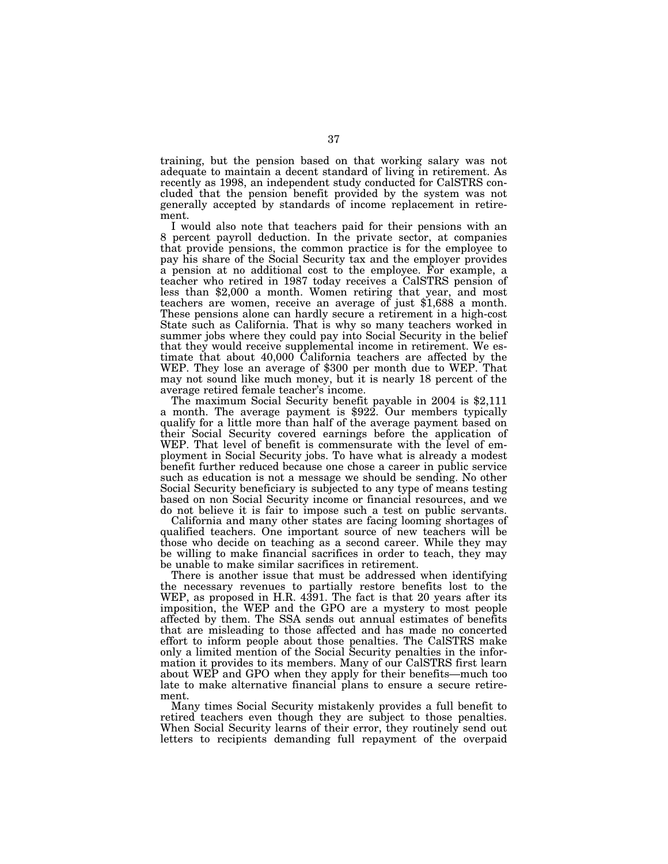training, but the pension based on that working salary was not adequate to maintain a decent standard of living in retirement. As recently as 1998, an independent study conducted for CalSTRS concluded that the pension benefit provided by the system was not generally accepted by standards of income replacement in retirement.

I would also note that teachers paid for their pensions with an 8 percent payroll deduction. In the private sector, at companies that provide pensions, the common practice is for the employee to pay his share of the Social Security tax and the employer provides a pension at no additional cost to the employee. For example, a teacher who retired in 1987 today receives a CalSTRS pension of less than \$2,000 a month. Women retiring that year, and most teachers are women, receive an average of just \$1,688 a month. These pensions alone can hardly secure a retirement in a high-cost State such as California. That is why so many teachers worked in summer jobs where they could pay into Social Security in the belief that they would receive supplemental income in retirement. We estimate that about 40,000 California teachers are affected by the WEP. They lose an average of \$300 per month due to WEP. That may not sound like much money, but it is nearly 18 percent of the

The maximum Social Security benefit payable in 2004 is \$2,111 a month. The average payment is \$922. Our members typically qualify for a little more than half of the average payment based on their Social Security covered earnings before the application of WEP. That level of benefit is commensurate with the level of employment in Social Security jobs. To have what is already a modest benefit further reduced because one chose a career in public service such as education is not a message we should be sending. No other Social Security beneficiary is subjected to any type of means testing based on non Social Security income or financial resources, and we do not believe it is fair to impose such a test on public servants.

California and many other states are facing looming shortages of qualified teachers. One important source of new teachers will be those who decide on teaching as a second career. While they may be willing to make financial sacrifices in order to teach, they may be unable to make similar sacrifices in retirement.

There is another issue that must be addressed when identifying the necessary revenues to partially restore benefits lost to the WEP, as proposed in H.R. 4391. The fact is that 20 years after its imposition, the WEP and the GPO are a mystery to most people affected by them. The SSA sends out annual estimates of benefits that are misleading to those affected and has made no concerted effort to inform people about those penalties. The CalSTRS make only a limited mention of the Social Security penalties in the information it provides to its members. Many of our CalSTRS first learn about WEP and GPO when they apply for their benefits—much too late to make alternative financial plans to ensure a secure retirement.

Many times Social Security mistakenly provides a full benefit to retired teachers even though they are subject to those penalties. When Social Security learns of their error, they routinely send out letters to recipients demanding full repayment of the overpaid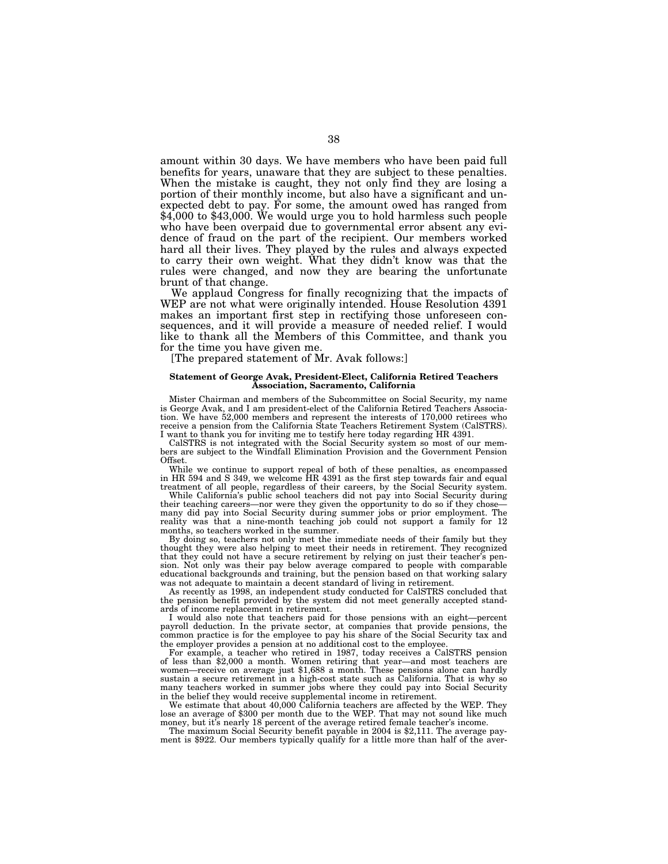amount within 30 days. We have members who have been paid full benefits for years, unaware that they are subject to these penalties. When the mistake is caught, they not only find they are losing a portion of their monthly income, but also have a significant and unexpected debt to pay. For some, the amount owed has ranged from \$4,000 to \$43,000. We would urge you to hold harmless such people who have been overpaid due to governmental error absent any evidence of fraud on the part of the recipient. Our members worked hard all their lives. They played by the rules and always expected to carry their own weight. What they didn't know was that the rules were changed, and now they are bearing the unfortunate brunt of that change.

We applaud Congress for finally recognizing that the impacts of WEP are not what were originally intended. House Resolution 4391 makes an important first step in rectifying those unforeseen consequences, and it will provide a measure of needed relief. I would like to thank all the Members of this Committee, and thank you for the time you have given me.

[The prepared statement of Mr. Avak follows:]

## **Statement of George Avak, President-Elect, California Retired Teachers Association, Sacramento, California**

Mister Chairman and members of the Subcommittee on Social Security, my name is George Avak, and I am president-elect of the California Retired Teachers Association. We have 52,000 members and represent the interests of 170,000 retirees who receive a pension from the California State Teachers Retirement System (CalSTRS). I want to thank you for inviting me to testify here today regarding HR 4391.

CalSTRS is not integrated with the Social Security system so most of our members are subject to the Windfall Elimination Provision and the Government Pension Offset.

While we continue to support repeal of both of these penalties, as encompassed in HR 594 and S 349, we welcome HR 4391 as the first step towards fair and equal treatment of all people, regardless of their careers, by the Social Security system.

While California's public school teachers did not pay into Social Security during their teaching careers—nor were they given the opportunity to do so if they chose many did pay into Social Security during summer jobs or prior employment. The reality was that a nine-month teaching job could not support a family for 12 months, so teachers worked in the summer.

By doing so, teachers not only met the immediate needs of their family but they thought they were also helping to meet their needs in retirement. They recognized that they could not have a secure retirement by relying on just their teacher's pension. Not only was their pay below average compared to people with comparable educational backgrounds and training, but the pension based on that working salary was not adequate to maintain a decent standard of living in retirement.

As recently as 1998, an independent study conducted for CalSTRS concluded that the pension benefit provided by the system did not meet generally accepted standards of income replacement in retirement.

I would also note that teachers paid for those pensions with an eight—percent payroll deduction. In the private sector, at companies that provide pensions, the common practice is for the employee to pay his share of the Social Security tax and the employer provides a pension at no additional cost to the employee.

For example, a teacher who retired in 1987, today receives a CalSTRS pension of less than \$2,000 a month. Women retiring that year—and most teachers are women—receive on average just \$1,688 a month. These pensions alone can hardly sustain a secure retirement in a high-cost state such as California. That is why so many teachers worked in summer jobs where they could pay into Social Security in the belief they would receive supplemental income in retirement.

We estimate that about 40,000 California teachers are affected by the WEP. They lose an average of \$300 per month due to the WEP. That may not sound like much money, but it's nearly 18 percent of the average retired female teacher's income. The maximum Social Security benefit payable in 2004 is \$2,111. The average pay-

ment is \$922. Our members typically qualify for a little more than half of the aver-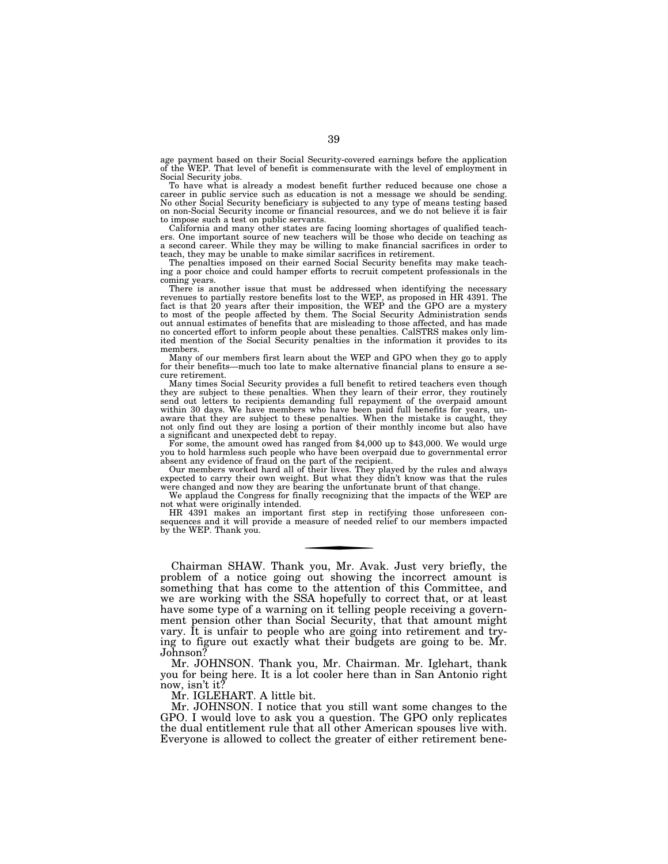age payment based on their Social Security-covered earnings before the application of the WEP. That level of benefit is commensurate with the level of employment in Social Security jobs.

To have what is already a modest benefit further reduced because one chose a career in public service such as education is not a message we should be sending. No other Social Security beneficiary is subjected to any type of means testing based on non-Social Security income or financial resources, and we do not believe it is fair to impose such a test on public servants.

California and many other states are facing looming shortages of qualified teach-ers. One important source of new teachers will be those who decide on teaching as a second career. While they may be willing to make financial sacrifices in order to teach, they may be unable to make similar sacrifices in retirement.

The penalties imposed on their earned Social Security benefits may make teaching a poor choice and could hamper efforts to recruit competent professionals in the coming years.

There is another issue that must be addressed when identifying the necessary<br>revenues to partially restore benefits lost to the WEP, as proposed in HR 4391. The<br>fact is that 20 years after their imposition, the WEP and the out annual estimates of benefits that are misleading to those affected, and has made no concerted effort to inform people about these penalties. CalSTRS makes only limited mention of the Social Security penalties in the information it provides to its members.

Many of our members first learn about the WEP and GPO when they go to apply for their benefits—much too late to make alternative financial plans to ensure a secure retirement.

Many times Social Security provides a full benefit to retired teachers even though they are subject to these penalties. When they learn of their error, they routinely send out letters to recipients demanding full repayment of the overpaid amount within 30 days. We have members who have been paid full benefits for years, unaware that they are subject to these penalties. When the mistake is caught, they not only find out they are losing a portion of their monthly income but also have a significant and unexpected debt to repay.

For some, the amount owed has ranged from \$4,000 up to \$43,000. We would urge you to hold harmless such people who have been overpaid due to governmental error

absent any evidence of fraud on the part of the recipient. Our members worked hard all of their lives. They played by the rules and always expected to carry their own weight. But what they didn't know was that the rules were changed and now they are bearing the unfortunate brunt of that change

We applaud the Congress for finally recognizing that the impacts of the WEP are not what were originally intended.

HR 4391 makes an important first step in rectifying those unforeseen con-sequences and it will provide a measure of needed relief to our members impacted by the WEP. Thank you.

Chairman SHAW. Thank you, Mr. Avak. Just very briefly, the problem of a notice going out showing the incorrect amount is something that has come to the attention of this Committee, and we are working with the SSA hopefully to correct that, or at least have some type of a warning on it telling people receiving a government pension other than Social Security, that that amount might vary. It is unfair to people who are going into retirement and trying to figure out exactly what their budgets are going to be. Mr. Johnson?

Mr. JOHNSON. Thank you, Mr. Chairman. Mr. Iglehart, thank you for being here. It is a lot cooler here than in San Antonio right now, isn't it?

Mr. IGLEHART. A little bit.

Mr. JOHNSON. I notice that you still want some changes to the GPO. I would love to ask you a question. The GPO only replicates the dual entitlement rule that all other American spouses live with. Everyone is allowed to collect the greater of either retirement bene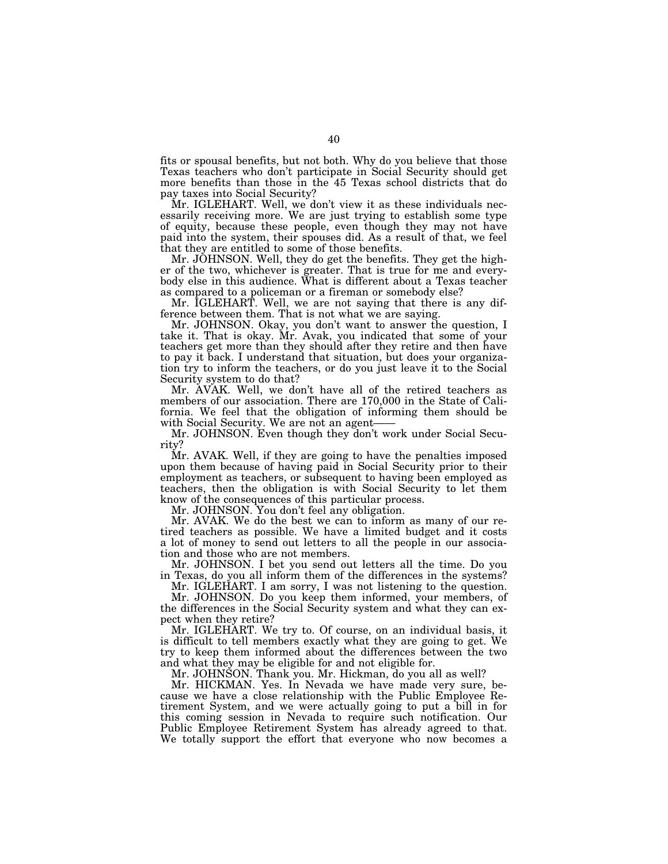fits or spousal benefits, but not both. Why do you believe that those Texas teachers who don't participate in Social Security should get more benefits than those in the 45 Texas school districts that do pay taxes into Social Security?

Mr. IGLEHART. Well, we don't view it as these individuals necessarily receiving more. We are just trying to establish some type of equity, because these people, even though they may not have paid into the system, their spouses did. As a result of that, we feel that they are entitled to some of those benefits.

Mr. JOHNSON. Well, they do get the benefits. They get the higher of the two, whichever is greater. That is true for me and everybody else in this audience. What is different about a Texas teacher as compared to a policeman or a fireman or somebody else?

Mr. IGLEHART. Well, we are not saying that there is any difference between them. That is not what we are saying.

Mr. JOHNSON. Okay, you don't want to answer the question, I take it. That is okay. Mr. Avak, you indicated that some of your teachers get more than they should after they retire and then have to pay it back. I understand that situation, but does your organization try to inform the teachers, or do you just leave it to the Social Security system to do that?

Mr. AVAK. Well, we don't have all of the retired teachers as members of our association. There are 170,000 in the State of California. We feel that the obligation of informing them should be with Social Security. We are not an agent-

Mr. JOHNSON. Even though they don't work under Social Security?

Mr. AVAK. Well, if they are going to have the penalties imposed upon them because of having paid in Social Security prior to their employment as teachers, or subsequent to having been employed as teachers, then the obligation is with Social Security to let them know of the consequences of this particular process.

Mr. JOHNSON. You don't feel any obligation.

Mr. AVAK. We do the best we can to inform as many of our retired teachers as possible. We have a limited budget and it costs a lot of money to send out letters to all the people in our association and those who are not members.

Mr. JOHNSON. I bet you send out letters all the time. Do you in Texas, do you all inform them of the differences in the systems?

Mr. IGLEHART. I am sorry, I was not listening to the question. Mr. JOHNSON. Do you keep them informed, your members, of the differences in the Social Security system and what they can ex-

pect when they retire?

Mr. IGLEHART. We try to. Of course, on an individual basis, it is difficult to tell members exactly what they are going to get. We try to keep them informed about the differences between the two and what they may be eligible for and not eligible for.

Mr. JOHNSON. Thank you. Mr. Hickman, do you all as well?

Mr. HICKMAN. Yes. In Nevada we have made very sure, because we have a close relationship with the Public Employee Retirement System, and we were actually going to put a bill in for this coming session in Nevada to require such notification. Our Public Employee Retirement System has already agreed to that. We totally support the effort that everyone who now becomes a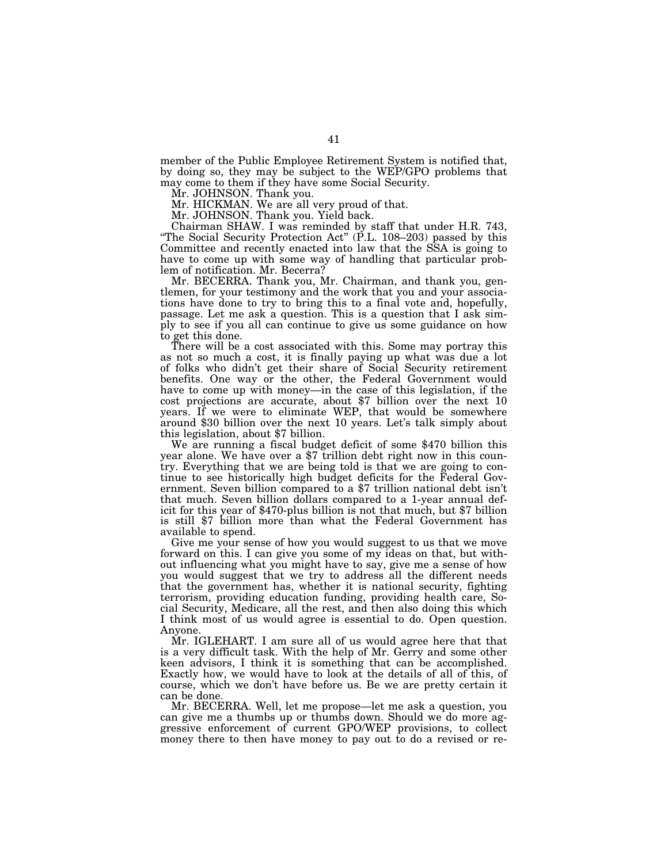member of the Public Employee Retirement System is notified that, by doing so, they may be subject to the WEP/GPO problems that may come to them if they have some Social Security.

Mr. JOHNSON. Thank you.

Mr. HICKMAN. We are all very proud of that.

Mr. JOHNSON. Thank you. Yield back.

Chairman SHAW. I was reminded by staff that under H.R. 743, "The Social Security Protection Act" (P.L. 108–203) passed by this Committee and recently enacted into law that the SSA is going to have to come up with some way of handling that particular problem of notification. Mr. Becerra?

Mr. BECERRA. Thank you, Mr. Chairman, and thank you, gentlemen, for your testimony and the work that you and your associations have done to try to bring this to a final vote and, hopefully, passage. Let me ask a question. This is a question that I ask simply to see if you all can continue to give us some guidance on how to get this done.

There will be a cost associated with this. Some may portray this as not so much a cost, it is finally paying up what was due a lot of folks who didn't get their share of Social Security retirement benefits. One way or the other, the Federal Government would have to come up with money—in the case of this legislation, if the cost projections are accurate, about \$7 billion over the next 10 years. If we were to eliminate WEP, that would be somewhere around \$30 billion over the next 10 years. Let's talk simply about

this legislation, about \$7 billion. We are running a fiscal budget deficit of some \$470 billion this year alone. We have over a \$7 trillion debt right now in this country. Everything that we are being told is that we are going to continue to see historically high budget deficits for the Federal Government. Seven billion compared to a \$7 trillion national debt isn't that much. Seven billion dollars compared to a 1-year annual deficit for this year of \$470-plus billion is not that much, but \$7 billion is still \$7 billion more than what the Federal Government has available to spend.

Give me your sense of how you would suggest to us that we move forward on this. I can give you some of my ideas on that, but without influencing what you might have to say, give me a sense of how you would suggest that we try to address all the different needs that the government has, whether it is national security, fighting terrorism, providing education funding, providing health care, Social Security, Medicare, all the rest, and then also doing this which I think most of us would agree is essential to do. Open question. Anyone.

Mr. IGLEHART. I am sure all of us would agree here that that is a very difficult task. With the help of Mr. Gerry and some other keen advisors, I think it is something that can be accomplished. Exactly how, we would have to look at the details of all of this, of course, which we don't have before us. Be we are pretty certain it can be done.

Mr. BECERRA. Well, let me propose—let me ask a question, you can give me a thumbs up or thumbs down. Should we do more aggressive enforcement of current GPO/WEP provisions, to collect money there to then have money to pay out to do a revised or re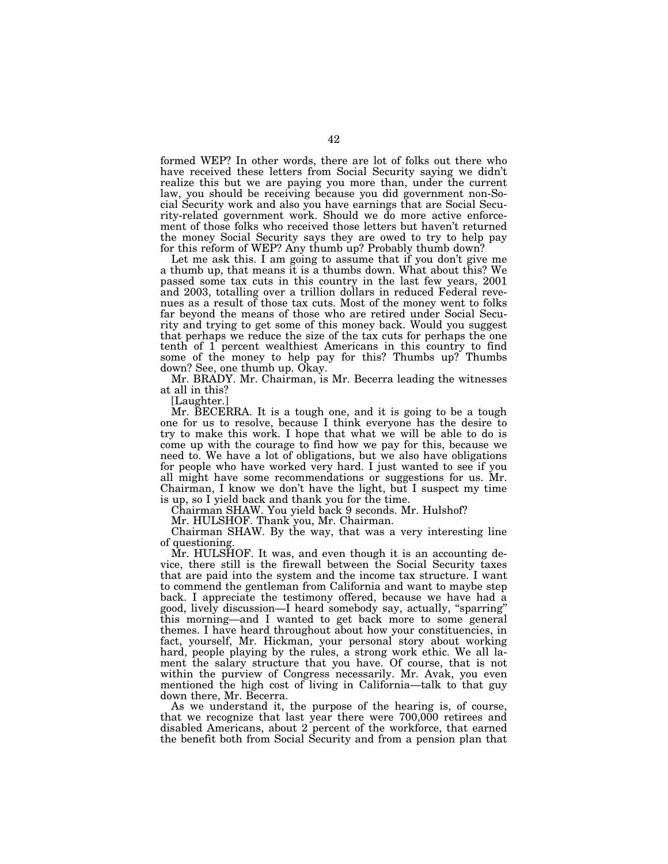formed WEP? In other words, there are lot of folks out there who have received these letters from Social Security saying we didn't realize this but we are paying you more than, under the current law, you should be receiving because you did government non-Social Security work and also you have earnings that are Social Security-related government work. Should we do more active enforcement of those folks who received those letters but haven't returned the money Social Security says they are owed to try to help pay for this reform of WEP? Any thumb up? Probably thumb down?

Let me ask this. I am going to assume that if you don't give me a thumb up, that means it is a thumbs down. What about this? We passed some tax cuts in this country in the last few years, 2001 and 2003, totalling over a trillion dollars in reduced Federal revenues as a result of those tax cuts. Most of the money went to folks far beyond the means of those who are retired under Social Security and trying to get some of this money back. Would you suggest that perhaps we reduce the size of the tax cuts for perhaps the one tenth of 1 percent wealthiest Americans in this country to find some of the money to help pay for this? Thumbs up? Thumbs down? See, one thumb up. Okay.

Mr. BRADY. Mr. Chairman, is Mr. Becerra leading the witnesses at all in this?

[Laughter.]

Mr. BECERRA. It is a tough one, and it is going to be a tough one for us to resolve, because I think everyone has the desire to try to make this work. I hope that what we will be able to do is come up with the courage to find how we pay for this, because we need to. We have a lot of obligations, but we also have obligations for people who have worked very hard. I just wanted to see if you all might have some recommendations or suggestions for us. Mr. Chairman, I know we don't have the light, but I suspect my time is up, so I yield back and thank you for the time.

Chairman SHAW. You yield back 9 seconds. Mr. Hulshof?

Mr. HULSHOF. Thank you, Mr. Chairman.

Chairman SHAW. By the way, that was a very interesting line of questioning.

Mr. HULSHOF. It was, and even though it is an accounting device, there still is the firewall between the Social Security taxes that are paid into the system and the income tax structure. I want to commend the gentleman from California and want to maybe step back. I appreciate the testimony offered, because we have had a good, lively discussion—I heard somebody say, actually, ''sparring'' this morning—and I wanted to get back more to some general themes. I have heard throughout about how your constituencies, in fact, yourself, Mr. Hickman, your personal story about working hard, people playing by the rules, a strong work ethic. We all lament the salary structure that you have. Of course, that is not within the purview of Congress necessarily. Mr. Avak, you even mentioned the high cost of living in California—talk to that guy down there, Mr. Becerra.

As we understand it, the purpose of the hearing is, of course, that we recognize that last year there were 700,000 retirees and disabled Americans, about 2 percent of the workforce, that earned the benefit both from Social Security and from a pension plan that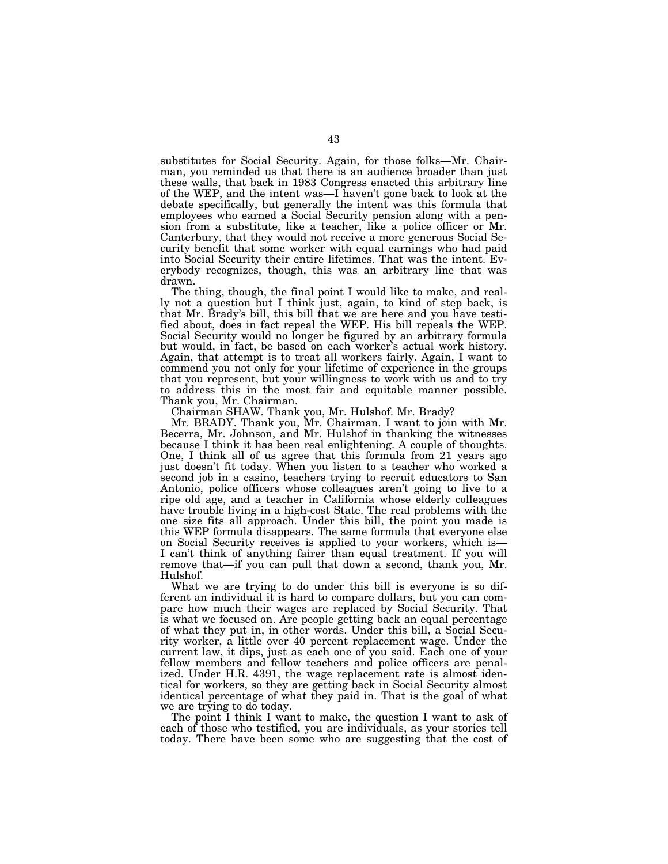substitutes for Social Security. Again, for those folks—Mr. Chairman, you reminded us that there is an audience broader than just these walls, that back in 1983 Congress enacted this arbitrary line of the WEP, and the intent was—I haven't gone back to look at the debate specifically, but generally the intent was this formula that employees who earned a Social Security pension along with a pension from a substitute, like a teacher, like a police officer or Mr. Canterbury, that they would not receive a more generous Social Security benefit that some worker with equal earnings who had paid into Social Security their entire lifetimes. That was the intent. Everybody recognizes, though, this was an arbitrary line that was drawn.

The thing, though, the final point I would like to make, and really not a question but I think just, again, to kind of step back, is that Mr. Brady's bill, this bill that we are here and you have testified about, does in fact repeal the WEP. His bill repeals the WEP. Social Security would no longer be figured by an arbitrary formula but would, in fact, be based on each worker's actual work history. Again, that attempt is to treat all workers fairly. Again, I want to commend you not only for your lifetime of experience in the groups that you represent, but your willingness to work with us and to try to address this in the most fair and equitable manner possible. Thank you, Mr. Chairman.

Chairman SHAW. Thank you, Mr. Hulshof. Mr. Brady?

Mr. BRADY. Thank you, Mr. Chairman. I want to join with Mr. Becerra, Mr. Johnson, and Mr. Hulshof in thanking the witnesses because I think it has been real enlightening. A couple of thoughts. One, I think all of us agree that this formula from 21 years ago just doesn't fit today. When you listen to a teacher who worked a second job in a casino, teachers trying to recruit educators to San Antonio, police officers whose colleagues aren't going to live to a ripe old age, and a teacher in California whose elderly colleagues have trouble living in a high-cost State. The real problems with the one size fits all approach. Under this bill, the point you made is this WEP formula disappears. The same formula that everyone else on Social Security receives is applied to your workers, which is— I can't think of anything fairer than equal treatment. If you will remove that—if you can pull that down a second, thank you, Mr. Hulshof.

What we are trying to do under this bill is everyone is so different an individual it is hard to compare dollars, but you can compare how much their wages are replaced by Social Security. That is what we focused on. Are people getting back an equal percentage of what they put in, in other words. Under this bill, a Social Security worker, a little over 40 percent replacement wage. Under the current law, it dips, just as each one of you said. Each one of your fellow members and fellow teachers and police officers are penalized. Under H.R. 4391, the wage replacement rate is almost identical for workers, so they are getting back in Social Security almost identical percentage of what they paid in. That is the goal of what we are trying to do today.

The point I think I want to make, the question I want to ask of each of those who testified, you are individuals, as your stories tell today. There have been some who are suggesting that the cost of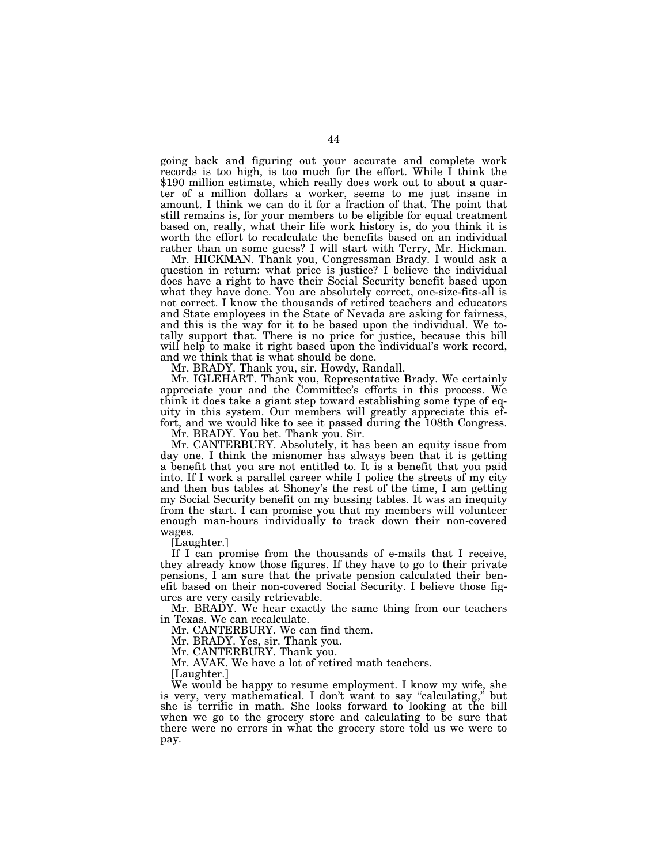going back and figuring out your accurate and complete work records is too high, is too much for the effort. While I think the \$190 million estimate, which really does work out to about a quarter of a million dollars a worker, seems to me just insane in amount. I think we can do it for a fraction of that. The point that still remains is, for your members to be eligible for equal treatment based on, really, what their life work history is, do you think it is worth the effort to recalculate the benefits based on an individual rather than on some guess? I will start with Terry, Mr. Hickman.

Mr. HICKMAN. Thank you, Congressman Brady. I would ask a question in return: what price is justice? I believe the individual does have a right to have their Social Security benefit based upon what they have done. You are absolutely correct, one-size-fits-all is not correct. I know the thousands of retired teachers and educators and State employees in the State of Nevada are asking for fairness, and this is the way for it to be based upon the individual. We totally support that. There is no price for justice, because this bill will help to make it right based upon the individual's work record, and we think that is what should be done.

Mr. BRADY. Thank you, sir. Howdy, Randall.

Mr. IGLEHART. Thank you, Representative Brady. We certainly appreciate your and the Committee's efforts in this process. We think it does take a giant step toward establishing some type of equity in this system. Our members will greatly appreciate this effort, and we would like to see it passed during the 108th Congress.

Mr. BRADY. You bet. Thank you. Sir.

Mr. CANTERBURY. Absolutely, it has been an equity issue from day one. I think the misnomer has always been that it is getting a benefit that you are not entitled to. It is a benefit that you paid into. If I work a parallel career while I police the streets of my city and then bus tables at Shoney's the rest of the time, I am getting my Social Security benefit on my bussing tables. It was an inequity from the start. I can promise you that my members will volunteer enough man-hours individually to track down their non-covered wages.

[Laughter.]

If I can promise from the thousands of e-mails that I receive, they already know those figures. If they have to go to their private pensions, I am sure that the private pension calculated their benefit based on their non-covered Social Security. I believe those figures are very easily retrievable.

Mr. BRADY. We hear exactly the same thing from our teachers in Texas. We can recalculate.

Mr. CANTERBURY. We can find them.

Mr. BRADY. Yes, sir. Thank you.

Mr. CANTERBURY. Thank you.

Mr. AVAK. We have a lot of retired math teachers.

[Laughter.]

We would be happy to resume employment. I know my wife, she is very, very mathematical. I don't want to say "calculating," but she is terrific in math. She looks forward to looking at the bill when we go to the grocery store and calculating to be sure that there were no errors in what the grocery store told us we were to pay.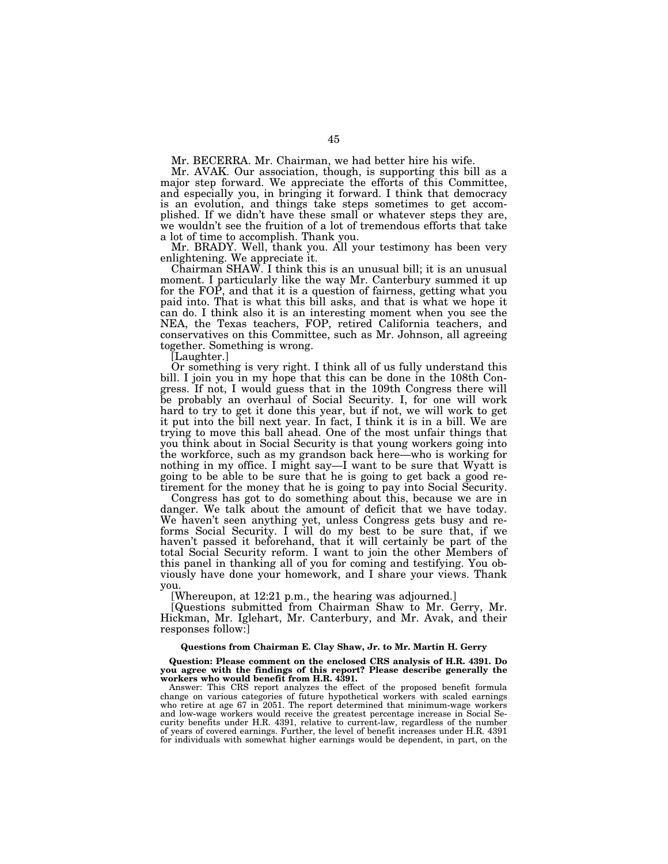Mr. BECERRA. Mr. Chairman, we had better hire his wife.

Mr. AVAK. Our association, though, is supporting this bill as a major step forward. We appreciate the efforts of this Committee, and especially you, in bringing it forward. I think that democracy is an evolution, and things take steps sometimes to get accomplished. If we didn't have these small or whatever steps they are, we wouldn't see the fruition of a lot of tremendous efforts that take a lot of time to accomplish. Thank you.

Mr. BRADY. Well, thank you. All your testimony has been very enlightening. We appreciate it.

Chairman SHAW. I think this is an unusual bill; it is an unusual moment. I particularly like the way Mr. Canterbury summed it up for the FOP, and that it is a question of fairness, getting what you paid into. That is what this bill asks, and that is what we hope it can do. I think also it is an interesting moment when you see the NEA, the Texas teachers, FOP, retired California teachers, and conservatives on this Committee, such as Mr. Johnson, all agreeing together. Something is wrong.

[Laughter.]

Or something is very right. I think all of us fully understand this bill. I join you in my hope that this can be done in the 108th Congress. If not, I would guess that in the 109th Congress there will be probably an overhaul of Social Security. I, for one will work hard to try to get it done this year, but if not, we will work to get it put into the bill next year. In fact, I think it is in a bill. We are trying to move this ball ahead. One of the most unfair things that you think about in Social Security is that young workers going into the workforce, such as my grandson back here—who is working for nothing in my office. I might say—I want to be sure that Wyatt is going to be able to be sure that he is going to get back a good retirement for the money that he is going to pay into Social Security.

Congress has got to do something about this, because we are in danger. We talk about the amount of deficit that we have today. We haven't seen anything yet, unless Congress gets busy and reforms Social Security. I will do my best to be sure that, if we haven't passed it beforehand, that it will certainly be part of the total Social Security reform. I want to join the other Members of this panel in thanking all of you for coming and testifying. You obviously have done your homework, and I share your views. Thank you.

[Whereupon, at 12:21 p.m., the hearing was adjourned.]

[Questions submitted from Chairman Shaw to Mr. Gerry, Mr. Hickman, Mr. Iglehart, Mr. Canterbury, and Mr. Avak, and their responses follow:]

# **Questions from Chairman E. Clay Shaw, Jr. to Mr. Martin H. Gerry**

**Question: Please comment on the enclosed CRS analysis of H.R. 4391. Do you agree with the findings of this report? Please describe generally the workers who would benefit from H.R. 4391.** 

Answer: This CRS report analyzes the effect of the proposed benefit formula change on various categories of future hypothetical workers with scaled earnings who retire at age 67 in 2051. The report determined that minimum-wage workers and low-wage workers would receive the greatest percentage increase in Social Security benefits under H.R. 4391, relative to current-law, regardless of the number of years of covered earnings. Further, the level of benefit increases under H.R. 4391 for individuals with somewhat higher earnings would be dependent, in part, on the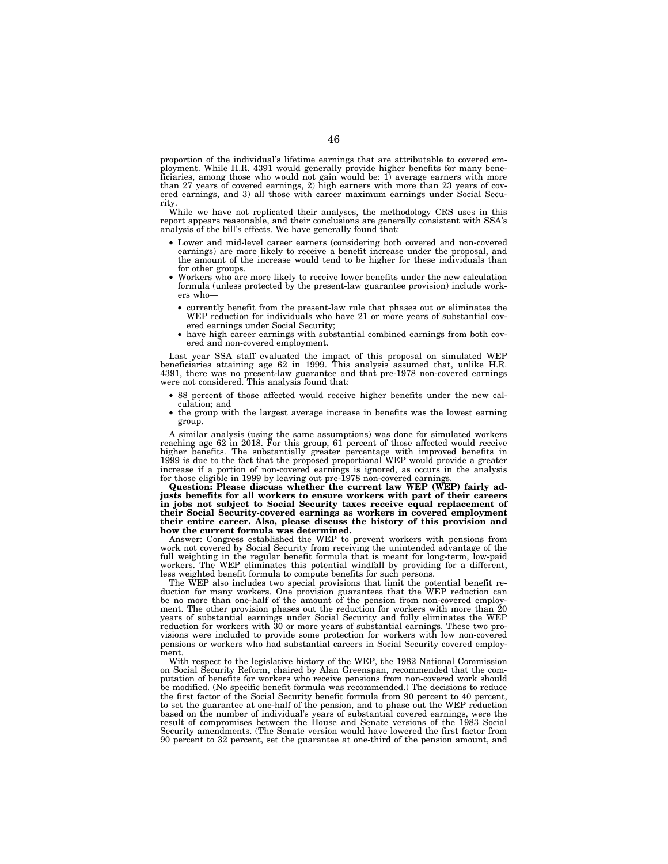proportion of the individual's lifetime earnings that are attributable to covered employment. While H.R. 4391 would generally provide higher benefits for many beneficiaries, among those who would not gain would be: 1) average earners with more than 27 years of covered earnings, 2) high earners with more than 23 years of covered earnings, and 3) all those with career maximum earnings under Social Security.

While we have not replicated their analyses, the methodology CRS uses in this report appears reasonable, and their conclusions are generally consistent with SSA's analysis of the bill's effects. We have generally found that:

- Lower and mid-level career earners (considering both covered and non-covered earnings) are more likely to receive a benefit increase under the proposal, and the amount of the increase would tend to be higher for these individuals than for other groups.
- Workers who are more likely to receive lower benefits under the new calculation formula (unless protected by the present-law guarantee provision) include workers who—
	- currently benefit from the present-law rule that phases out or eliminates the WEP reduction for individuals who have 21 or more years of substantial covered earnings under Social Security;
	- have high career earnings with substantial combined earnings from both covered and non-covered employment.

Last year SSA staff evaluated the impact of this proposal on simulated WEP beneficiaries attaining age 62 in 1999. This analysis assumed that, unlike H.R. 4391, there was no present-law guarantee and that pre-1978 non-covered earnings were not considered. This analysis found that:

- 88 percent of those affected would receive higher benefits under the new calculation; and
- the group with the largest average increase in benefits was the lowest earning group.

A similar analysis (using the same assumptions) was done for simulated workers reaching age 62 in 2018. For this group, 61 percent of those affected would receive higher benefits. The substantially greater percentage with improved benefits in 1999 is due to the fact that the proposed proportional WEP would provide a greater increase if a portion of non-covered earnings is ignored, as occurs in the analysis for those eligible in 1999 by leaving out pre-1978 non-covered earnings.

**Question: Please discuss whether the current law WEP (WEP) fairly adjusts benefits for all workers to ensure workers with part of their careers in jobs not subject to Social Security taxes receive equal replacement of their Social Security-covered earnings as workers in covered employment their entire career. Also, please discuss the history of this provision and how the current formula was determined.** 

Answer: Congress established the WEP to prevent workers with pensions from work not covered by Social Security from receiving the unintended advantage of the full weighting in the regular benefit formula that is meant for long-term, low-paid workers. The WEP eliminates this potential windfall by providing for a different, less weighted benefit formula to compute benefits for such persons.

The WEP also includes two special provisions that limit the potential benefit reduction for many workers. One provision guarantees that the WEP reduction can be no more than one-half of the amount of the pension from non-covered employment. The other provision phases out the reduction for workers with more than 20 years of substantial earnings under Social Security and fully eliminates the WEP reduction for workers with 30 or more years of substantial earnings. These two provisions were included to provide some protection for workers with low non-covered pensions or workers who had substantial careers in Social Security covered employment.

With respect to the legislative history of the WEP, the 1982 National Commission on Social Security Reform, chaired by Alan Greenspan, recommended that the computation of benefits for workers who receive pensions from non-covered work should be modified. (No specific benefit formula was recommended.) The decisions to reduce the first factor of the Social Security benefit formula from 90 percent to 40 percent, to set the guarantee at one-half of the pension, and to phase out the WEP reduction based on the number of individual's years of substantial covered earnings, were the result of compromises between the House and Senate versions of the 1983 Social Security amendments. (The Senate version would have lowered the first factor from 90 percent to 32 percent, set the guarantee at one-third of the pension amount, and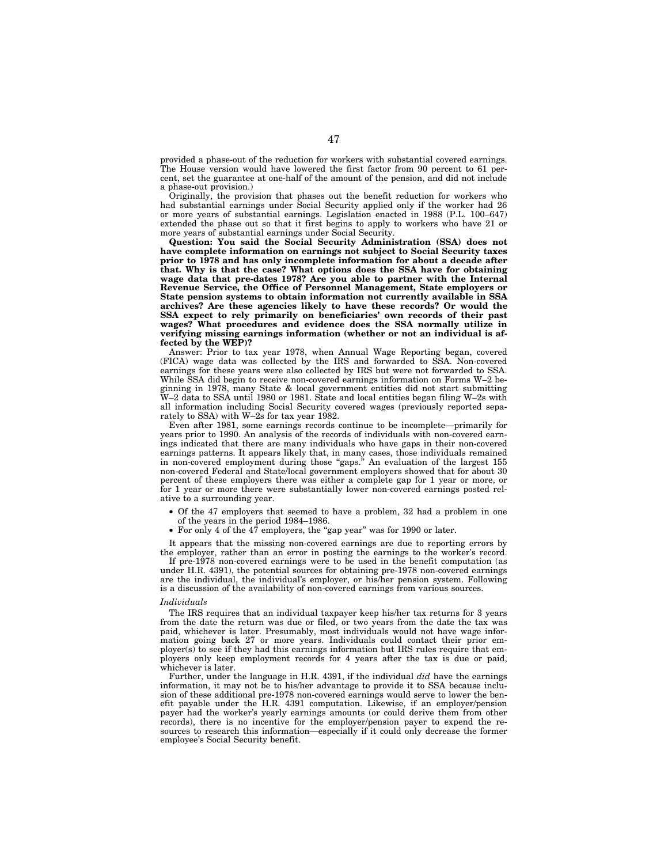provided a phase-out of the reduction for workers with substantial covered earnings. The House version would have lowered the first factor from 90 percent to 61 percent, set the guarantee at one-half of the amount of the pension, and did not include a phase-out provision.)

Originally, the provision that phases out the benefit reduction for workers who had substantial earnings under Social Security applied only if the worker had 26 or more years of substantial earnings. Legislation enacted in 1988 (P.L. 100–647) extended the phase out so that it first begins to apply to workers who have 21 or more years of substantial earnings under Social Security.

**Question: You said the Social Security Administration (SSA) does not have complete information on earnings not subject to Social Security taxes prior to 1978 and has only incomplete information for about a decade after that. Why is that the case? What options does the SSA have for obtaining wage data that pre-dates 1978? Are you able to partner with the Internal Revenue Service, the Office of Personnel Management, State employers or State pension systems to obtain information not currently available in SSA archives? Are these agencies likely to have these records? Or would the SSA expect to rely primarily on beneficiaries' own records of their past wages? What procedures and evidence does the SSA normally utilize in verifying missing earnings information (whether or not an individual is affected by the WEP)?** 

Answer: Prior to tax year 1978, when Annual Wage Reporting began, covered (FICA) wage data was collected by the IRS and forwarded to SSA. Non-covered earnings for these years were also collected by IRS but were not forwarded to SSA. While SSA did begin to receive non-covered earnings information on Forms W–2 beginning in 1978, many State & local government entities did not start submitting W–2 data to SSA until 1980 or 1981. State and local entities began filing W–2s with all information including Social Security covered wages (previously reported separately to SSA) with W–2s for tax year 1982.

Even after 1981, some earnings records continue to be incomplete—primarily for years prior to 1990. An analysis of the records of individuals with non-covered earnings indicated that there are many individuals who have gaps in their non-covered earnings patterns. It appears likely that, in many cases, those individuals remained in non-covered employment during those "gaps." An evaluation of the largest 155 non-covered Federal and State/local government employers showed that for about 30 percent of these employers there was either a complete gap for 1 year or more, or for 1 year or more there were substantially lower non-covered earnings posted relative to a surrounding year.

- Of the 47 employers that seemed to have a problem, 32 had a problem in one of the years in the period 1984–1986.
- For only 4 of the  $47$  employers, the "gap year" was for 1990 or later.

It appears that the missing non-covered earnings are due to reporting errors by the employer, rather than an error in posting the earnings to the worker's record.

If pre-1978 non-covered earnings were to be used in the benefit computation (as under H.R. 4391), the potential sources for obtaining pre-1978 non-covered earnings are the individual, the individual's employer, or his/her pension system. Following is a discussion of the availability of non-covered earnings from various sources.

## *Individuals*

The IRS requires that an individual taxpayer keep his/her tax returns for 3 years from the date the return was due or filed, or two years from the date the tax was paid, whichever is later. Presumably, most individuals would not have wage information going back 27 or more years. Individuals could contact their prior employer(s) to see if they had this earnings information but IRS rules require that employers only keep employment records for 4 years after the tax is due or paid, whichever is later.

Further, under the language in H.R. 4391, if the individual *did* have the earnings information, it may not be to his/her advantage to provide it to SSA because inclusion of these additional pre-1978 non-covered earnings would serve to lower the benefit payable under the H.R. 4391 computation. Likewise, if an employer/pension payer had the worker's yearly earnings amounts (or could derive them from other records), there is no incentive for the employer/pension payer to expend the resources to research this information—especially if it could only decrease the former employee's Social Security benefit.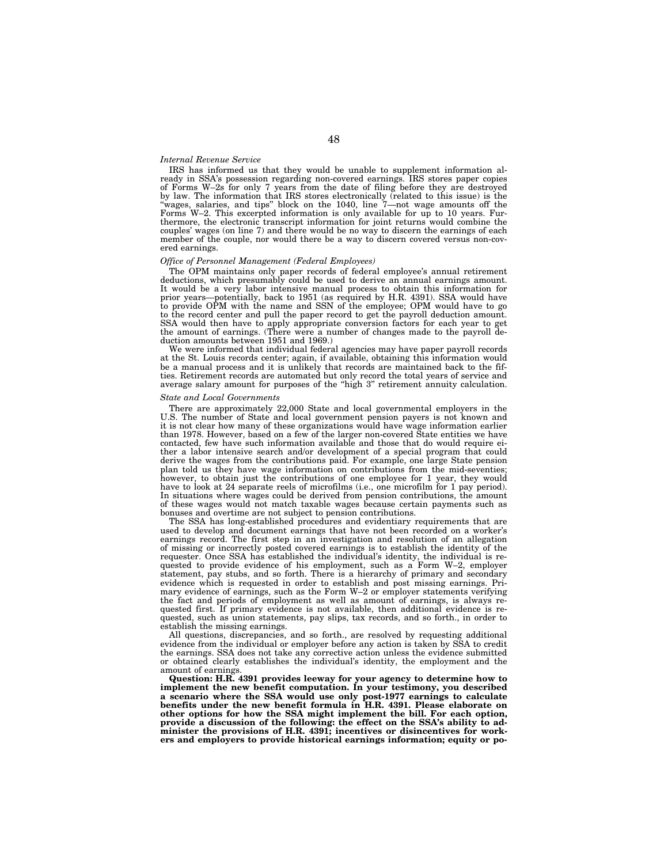#### *Internal Revenue Service*

IRS has informed us that they would be unable to supplement information already in SSA's possession regarding non-covered earnings. IRS stores paper copies<br>of Forms W–2s for only 7 years from the date of filing before they are destroyed<br>by law. The information that IRS stores electronically (rel Forms W–2. This excerpted information is only available for up to 10 years. Fur-thermore, the electronic transcript information for joint returns would combine the couples' wages (on line 7) and there would be no way to discern the earnings of each member of the couple, nor would there be a way to discern covered versus non-covered earnings.

#### *Office of Personnel Management (Federal Employees)*

The OPM maintains only paper records of federal employee's annual retirement deductions, which presumably could be used to derive an annual earnings amount. It would be a very labor intensive manual process to obtain this information for prior years—potentially, back to 1951 (as required by H.R. 4391). SSA would have to provide OPM with the name and SSN of the employee; OPM would have to go to the record center and pull the paper record to get the payroll deduction amount. SSA would then have to apply appropriate conversion factors for each year to get the amount of earnings. (There were a number of changes made to the payroll deduction amounts between 1951 and 1969.)

We were informed that individual federal agencies may have paper payroll records at the St. Louis records center; again, if available, obtaining this information would be a manual process and it is unlikely that records are maintained back to the fifties. Retirement records are automated but only record the total years of service and average salary amount for purposes of the ''high 3'' retirement annuity calculation.

### *State and Local Governments*

There are approximately 22,000 State and local governmental employers in the U.S. The number of State and local government pension payers is not known and it is not clear how many of these organizations would have wage information earlier than 1978. However, based on a few of the larger non-covered State entities we have contacted, few have such information available and those that do would require either a labor intensive search and/or development of a special program that could derive the wages from the contributions paid. For example, one large State pension plan told us they have wage information on contributions from the mid-seventies; however, to obtain just the contributions of one employee for 1 year, they would have to look at 24 separate reels of microfilms (i.e., one microfilm for 1 pay period). In situations where wages could be derived from pension contributions, the amount of these wages would not match taxable wages because certain payments such as bonuses and overtime are not subject to pension contributions.

The SSA has long-established procedures and evidentiary requirements that are used to develop and document earnings that have not been recorded on a worker's earnings record. The first step in an investigation and resolution of an allegation of missing or incorrectly posted covered earnings is to establish the identity of the requester. Once SSA has established the individual's identity, the individual is requested to provide evidence of his employment, such as a Form W–2, employer statement, pay stubs, and so forth. There is a hierarchy of primary and secondary evidence which is requested in order to establish and post missing earnings. Primary evidence of earnings, such as the Form W–2 or employer statements verifying the fact and periods of employment as well as amount of earnings, is always requested first. If primary evidence is not available, then additional evidence is requested, such as union statements, pay slips, tax records, and so forth., in order to establish the missing earnings.

All questions, discrepancies, and so forth., are resolved by requesting additional evidence from the individual or employer before any action is taken by SSA to credit the earnings. SSA does not take any corrective action unless the evidence submitted or obtained clearly establishes the individual's identity, the employment and the amount of earnings.

**Question: H.R. 4391 provides leeway for your agency to determine how to implement the new benefit computation. In your testimony, you described a scenario where the SSA would use only post-1977 earnings to calculate benefits under the new benefit formula in H.R. 4391. Please elaborate on other options for how the SSA might implement the bill. For each option, provide a discussion of the following: the effect on the SSA's ability to ad-minister the provisions of H.R. 4391; incentives or disincentives for workers and employers to provide historical earnings information; equity or po-**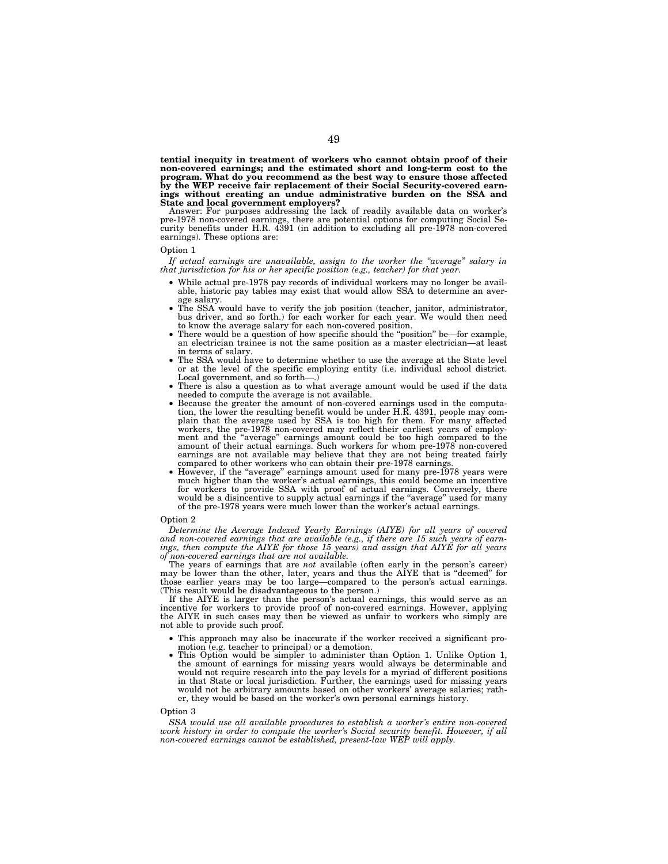**tential inequity in treatment of workers who cannot obtain proof of their non-covered earnings; and the estimated short and long-term cost to the program. What do you recommend as the best way to ensure those affected by the WEP receive fair replacement of their Social Security-covered earnings without creating an undue administrative burden on the SSA and State and local government employers?** 

Answer: For purposes addressing the lack of readily available data on worker's pre-1978 non-covered earnings, there are potential options for computing Social Se-curity benefits under H.R. 4391 (in addition to excluding all pre-1978 non-covered earnings). These options are:

### Option 1

*If actual earnings are unavailable, assign to the worker the ''average'' salary in that jurisdiction for his or her specific position (e.g., teacher) for that year.* 

- While actual pre-1978 pay records of individual workers may no longer be avail-able, historic pay tables may exist that would allow SSA to determine an aver-
- age salary. The SSA would have to verify the job position (teacher, janitor, administrator, bus driver, and so forth.) for each worker for each year. We would then need to know the average salary for each non-covered position.<br>• There would be a question of how specific should the "position" be—for example,
- an electrician trainee is not the same position as a master electrician—at least
- The SSA would have to determine whether to use the average at the State level or at the level of the specific employing entity (i.e. individual school district.
- There is also a question as to what average amount would be used if the data needed to compute the average is not available.
- Because the greater the amount of non-covered earnings used in the computation, the lower the resulting benefit would be under H.R. 4391, people may complain that the average used by SSA is too high for them. For many affected workers, the pre-1978 non-covered may reflect their earliest years of employment and the ''average'' earnings amount could be too high compared to the amount of their actual earnings. Such workers for whom pre-1978 non-covered earnings are not available may believe that they are not being treated fairly compared to other workers who can obtain their pre-1978 earnings.
- compared to other workers who can obtain their pre-1978 earnings. However, if the ''average'' earnings amount used for many pre-1978 years were much higher than the worker's actual earnings, this could become an incentive for workers to provide SSA with proof of actual earnings. Conversely, there would be a disincentive to supply actual earnings if the "average" used for many of the pre-1978 years were much lower than the worker's actual earnings.

#### Option 2

Determine the Average Indexed Yearly Earnings (AIYE) for all years of covered<br>and non-covered earnings that are available (e.g., if there are 15 such years of earn-<br>ings, then compute the AIYE for those 15 years) and assig

The years of earnings that are *not* available (often early in the person's career) may be lower than the other, later, years and thus the AIYE that is "deemed" for those earlier years may be too large—compared to the person's actual earnings. (This result would be disadvantageous to the person.)

If the AIYE is larger than the person's actual earnings, this would serve as an incentive for workers to provide proof of non-covered earnings. However, applying the AIYE in such cases may then be viewed as unfair to workers who simply are not able to provide such proof.

- This approach may also be inaccurate if the worker received a significant pro-<br>motion (e.g. teacher to principal) or a demotion.
- This Option would be simpler to administer than Option 1. Unlike Option 1 the amount of earnings for missing years would always be determinable and would not require research into the pay levels for a myriad of different positions in that State or local jurisdiction. Further, the earnings used for missing years would not be arbitrary amounts based on other workers' average salaries; rather, they would be based on the worker's own personal earnings history.

#### Option 3

*SSA would use all available procedures to establish a worker's entire non-covered work history in order to compute the worker's Social security benefit. However, if all non-covered earnings cannot be established, present-law WEP will apply.*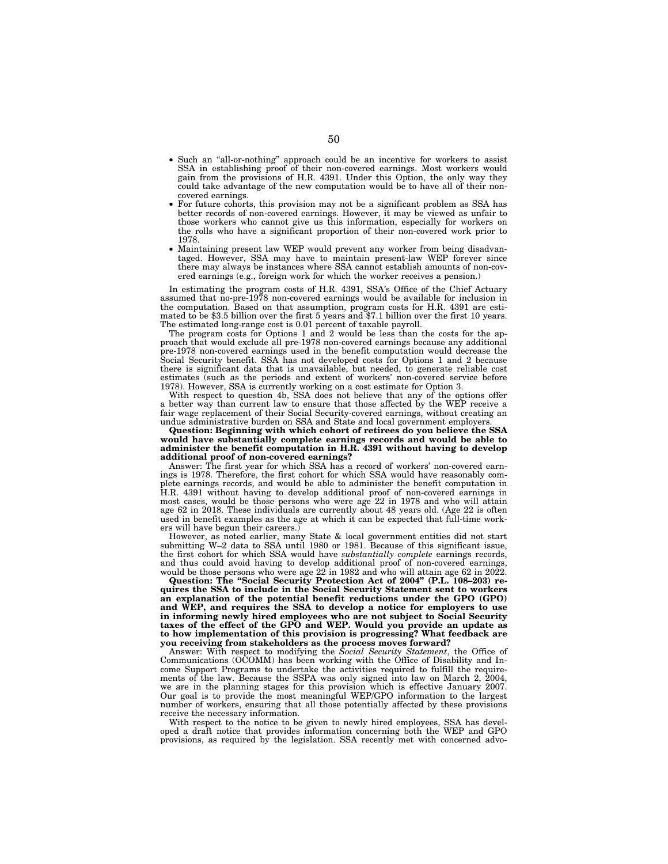- Such an ''all-or-nothing'' approach could be an incentive for workers to assist SSA in establishing proof of their non-covered earnings. Most workers would gain from the provisions of H.R. 4391. Under this Option, the only way they could take advantage of the new computation would be to have all of their noncovered earnings.
- For future cohorts, this provision may not be a significant problem as SSA has better records of non-covered earnings. However, it may be viewed as unfair to those workers who cannot give us this information, especially for workers on the rolls who have a significant proportion of their non-covered work prior to 1978.
- Maintaining present law WEP would prevent any worker from being disadvantaged. However, SSA may have to maintain present-law WEP forever since there may always be instances where SSA cannot establish amounts of non-covered earnings (e.g., foreign work for which the worker receives a pension.)

In estimating the program costs of H.R. 4391, SSA's Office of the Chief Actuary assumed that no-pre-1978 non-covered earnings would be available for inclusion in the computation. Based on that assumption, program costs for H.R. 4391 are estimated to be \$3.5 billion over the first 5 years and \$7.1 billion over the first 10 years. The estimated long-range cost is 0.01 percent of taxable payroll.

The program costs for Options 1 and 2 would be less than the costs for the approach that would exclude all pre-1978 non-covered earnings because any additional pre-1978 non-covered earnings used in the benefit computation would decrease the Social Security benefit. SSA has not developed costs for Options 1 and 2 because there is significant data that is unavailable, but needed, to generate reliable cost estimates (such as the periods and extent of workers' non-covered service before 1978). However, SSA is currently working on a cost estimate for Option 3.

With respect to question 4b, SSA does not believe that any of the options offer a better way than current law to ensure that those affected by the WEP receive a fair wage replacement of their Social Security-covered earnings, without creating an undue administrative burden on SSA and State and local government employers.

**Question: Beginning with which cohort of retirees do you believe the SSA would have substantially complete earnings records and would be able to administer the benefit computation in H.R. 4391 without having to develop additional proof of non-covered earnings?** 

Answer: The first year for which SSA has a record of workers' non-covered earnings is 1978. Therefore, the first cohort for which SSA would have reasonably complete earnings records, and would be able to administer the benefit computation in H.R. 4391 without having to develop additional proof of non-covered earnings in most cases, would be those persons who were age 22 in 1978 and who will attain age 62 in 2018. These individuals are currently about 48 years old. (Age 22 is often used in benefit examples as the age at which it can be expected that full-time workers will have begun their careers.)

However, as noted earlier, many State & local government entities did not start submitting W–2 data to SSA until 1980 or 1981. Because of this significant issue, the first cohort for which SSA would have *substantially complete* earnings records, and thus could avoid having to develop additional proof of non-covered earnings, would be those persons who were age 22 in 1982 and who will attain age 62 in 2022.

**Question: The ''Social Security Protection Act of 2004'' (P.L. 108–203) requires the SSA to include in the Social Security Statement sent to workers an explanation of the potential benefit reductions under the GPO (GPO) and WEP, and requires the SSA to develop a notice for employers to use in informing newly hired employees who are not subject to Social Security taxes of the effect of the GPO and WEP. Would you provide an update as to how implementation of this provision is progressing? What feedback are you receiving from stakeholders as the process moves forward?** 

Answer: With respect to modifying the *Social Security Statement*, the Office of Communications (OCOMM) has been working with the Office of Disability and Income Support Programs to undertake the activities required to fulfill the requirements of the law. Because the SSPA was only signed into law on March 2, 2004, we are in the planning stages for this provision which is effective January 2007. Our goal is to provide the most meaningful WEP/GPO information to the largest number of workers, ensuring that all those potentially affected by these provisions receive the necessary information.

With respect to the notice to be given to newly hired employees, SSA has developed a draft notice that provides information concerning both the WEP and GPO provisions, as required by the legislation. SSA recently met with concerned advo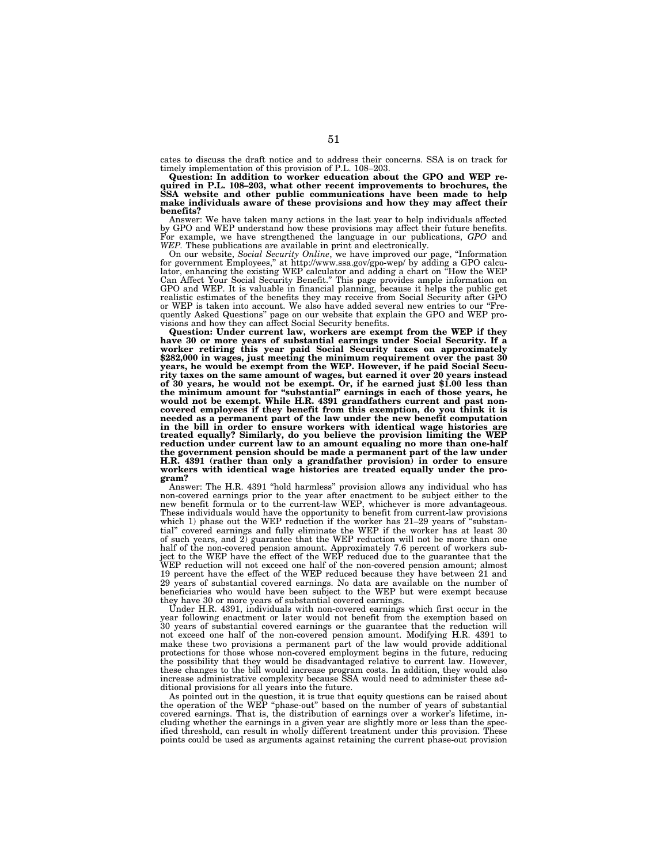cates to discuss the draft notice and to address their concerns. SSA is on track for timely implementation of this provision of P.L. 108–203.

**Question: In addition to worker education about the GPO and WEP required in P.L. 108–203, what other recent improvements to brochures, the SSA website and other public communications have been made to help make individuals aware of these provisions and how they may affect their benefits?** 

Answer: We have taken many actions in the last year to help individuals affected by GPO and WEP understand how these provisions may affect their future benefits. For example, we have strengthened the language in our publications, *GPO* and *WEP.* These publications are available in print and electronically.

On our website, *Social Security Online*, we have improved our page, "Information for government Employees," at http://www.ssa.gov/gpo-wep/ by adding a GPO calculator, enhancing the existing WEP calculator and adding a chart on ''How the WEP Can Affect Your Social Security Benefit.'' This page provides ample information on GPO and WEP. It is valuable in financial planning, because it helps the public get realistic estimates of the benefits they may receive from Social Security after GPO or WEP is taken into account. We also have added several new entries to our ''Fre-quently Asked Questions'' page on our website that explain the GPO and WEP pro-

visions and how they can affect Social Security benefits. **Question: Under current law, workers are exempt from the WEP if they have 30 or more years of substantial earnings under Social Security. If a worker retiring this year paid Social Security taxes on approximately \$282,000 in wages, just meeting the minimum requirement over the past 30 years, he would be exempt from the WEP. However, if he paid Social Secu**rity taxes on the same amount of wages, but earned it over 20 years instead<br>of 30 years, he would not be exempt. Or, if he earned just \$1.00 less than<br>the minimum amount for "substantial" earnings in each of those years, h **covered employees if they benefit from this exemption, do you think it is needed as a permanent part of the law under the new benefit computation in the bill in order to ensure workers with identical wage histories are treated equally? Similarly, do you believe the provision limiting the WEP reduction under current law to an amount equaling no more than one-half the government pension should be made a permanent part of the law under H.R. 4391 (rather than only a grandfather provision) in order to ensure workers with identical wage histories are treated equally under the program?** 

Answer: The H.R. 4391 ''hold harmless'' provision allows any individual who has non-covered earnings prior to the year after enactment to be subject either to the new benefit formula or to the current-law WEP, whichever is more advantageous. These individuals would have the opportunity to benefit from current-law provisions which 1) phase out the WEP reduction if the worker has 21–29 years of "substantial'' covered earnings and fully eliminate the WEP if the worker has at least 30 of such years, and 2) guarantee that the WEP reduction will not be more than one half of the non-covered pension amount. Approximately 7.6 percent of workers subject to the WEP have the effect of the WEP reduced due to the guarantee that the WEP reduction will not exceed one half of the non-covered pension amount; almost 19 percent have the effect of the WEP reduced because they have between 21 and 29 years of substantial covered earnings. No data are available on the number of beneficiaries who would have been subject to the WEP but were exempt because they have 30 or more years of substantial covered earnings.

Under H.R. 4391, individuals with non-covered earnings which first occur in the year following enactment or later would not benefit from the exemption based on year following enactment or tater would not be use the guarantee that the reduction will<br>30 years of substantial covered earnings or the guarantee that the reduction will not exceed one half of the non-covered pension amount. Modifying H.R. 4391 to make these two provisions a permanent part of the law would provide additional protections for those whose non-covered employment begins in the future, reducing the possibility that they would be disadvantaged relative to current law. However, these changes to the bill would increase program costs. In addition, they would also increase administrative complexity because SSA would need to administer these additional provisions for all years into the future.

As pointed out in the question, it is true that equity questions can be raised about the operation of the WEP ''phase-out'' based on the number of years of substantial covered earnings. That is, the distribution of earnings over a worker's lifetime, including whether the earnings in a given year are slightly more or less than the spec-ified threshold, can result in wholly different treatment under this provision. These points could be used as arguments against retaining the current phase-out provision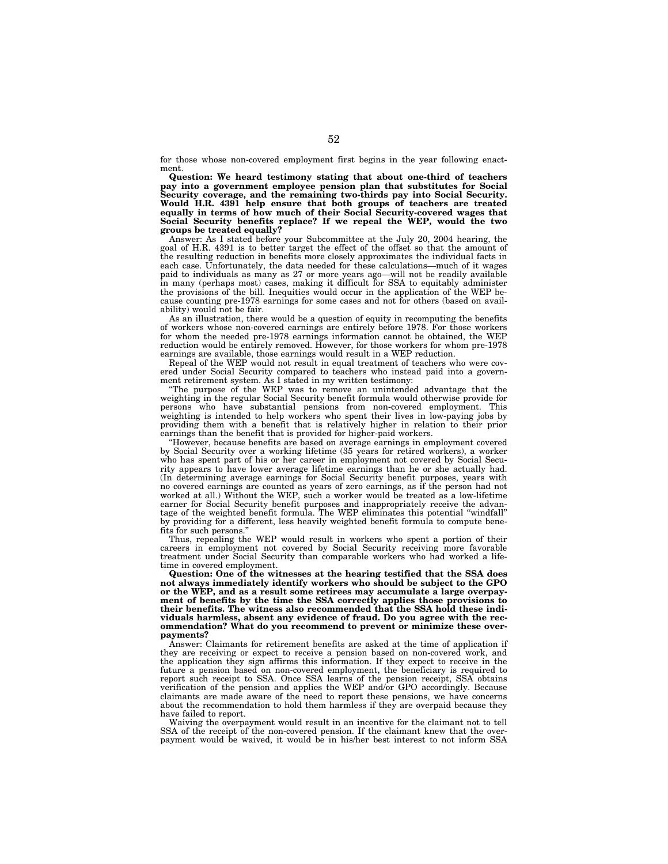for those whose non-covered employment first begins in the year following enactment.

**Question: We heard testimony stating that about one-third of teachers pay into a government employee pension plan that substitutes for Social Security coverage, and the remaining two-thirds pay into Social Security. Would H.R. 4391 help ensure that both groups of teachers are treated equally in terms of how much of their Social Security-covered wages that Social Security benefits replace? If we repeal the WEP, would the two groups be treated equally?** 

Answer: As I stated before your Subcommittee at the July 20, 2004 hearing, the goal of H.R. 4391 is to better target the effect of the offset so that the amount of the resulting reduction in benefits more closely approximates the individual facts in each case. Unfortunately, the data needed for these calculations—much of it wages paid to individuals as many as 27 or more years ago—will not be readily available in many (perhaps most) cases, making it difficult for SSA to equitably administer the provisions of the bill. Inequities would occur in the application of the WEP because counting pre-1978 earnings for some cases and not for others (based on availability) would not be fair.

As an illustration, there would be a question of equity in recomputing the benefits of workers whose non-covered earnings are entirely before 1978. For those workers for whom the needed pre-1978 earnings information cannot be obtained, the WEP reduction would be entirely removed. However, for those workers for whom pre-1978 earnings are available, those earnings would result in a WEP reduction.

Repeal of the WEP would not result in equal treatment of teachers who were covered under Social Security compared to teachers who instead paid into a government retirement system. As I stated in my written testimony:

''The purpose of the WEP was to remove an unintended advantage that the weighting in the regular Social Security benefit formula would otherwise provide for persons who have substantial pensions from non-covered employment. This weighting is intended to help workers who spent their lives in low-paying jobs by providing them with a benefit that is relatively higher in relation to their prior earnings than the benefit that is provided for higher-paid workers.

''However, because benefits are based on average earnings in employment covered by Social Security over a working lifetime (35 years for retired workers), a worker who has spent part of his or her career in employment not covered by Social Security appears to have lower average lifetime earnings than he or she actually had. (In determining average earnings for Social Security benefit purposes, years with no covered earnings are counted as years of zero earnings, as if the person had not worked at all.) Without the WEP, such a worker would be treated as a low-lifetime earner for Social Security benefit purposes and inappropriately receive the advantage of the weighted benefit formula. The WEP eliminates this potential ''windfall'' by providing for a different, less heavily weighted benefit formula to compute benefits for such persons.''

Thus, repealing the WEP would result in workers who spent a portion of their careers in employment not covered by Social Security receiving more favorable treatment under Social Security than comparable workers who had worked a lifetime in covered employment.

**Question: One of the witnesses at the hearing testified that the SSA does not always immediately identify workers who should be subject to the GPO or the WEP, and as a result some retirees may accumulate a large overpayment of benefits by the time the SSA correctly applies those provisions to their benefits. The witness also recommended that the SSA hold these individuals harmless, absent any evidence of fraud. Do you agree with the recommendation? What do you recommend to prevent or minimize these overpayments?** 

Answer: Claimants for retirement benefits are asked at the time of application if they are receiving or expect to receive a pension based on non-covered work, and the application they sign affirms this information. If they expect to receive in the future a pension based on non-covered employment, the beneficiary is required to report such receipt to SSA. Once SSA learns of the pension receipt, SSA obtains verification of the pension and applies the WEP and/or GPO accordingly. Because claimants are made aware of the need to report these pensions, we have concerns about the recommendation to hold them harmless if they are overpaid because they have failed to report.

Waiving the overpayment would result in an incentive for the claimant not to tell SSA of the receipt of the non-covered pension. If the claimant knew that the overpayment would be waived, it would be in his/her best interest to not inform SSA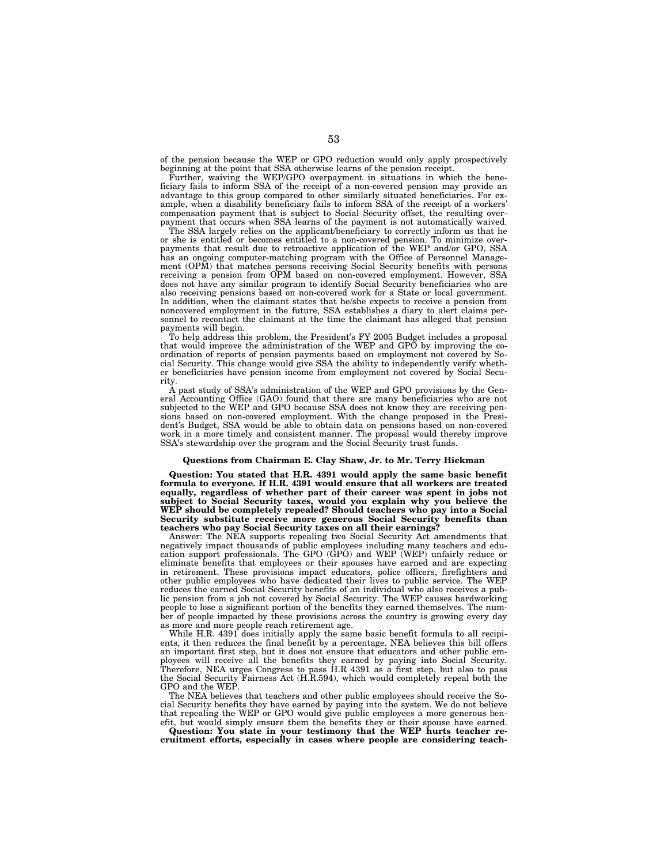of the pension because the WEP or GPO reduction would only apply prospectively beginning at the point that SSA otherwise learns of the pension receipt.

Further, waiving the WEP/GPO overpayment in situations in which the beneficiary fails to inform SSA of the receipt of a non-covered pension may provide an advantage to this group compared to other similarly situated beneficiaries. For example, when a disability beneficiary fails to inform SSA of the receipt of a workers' compensation payment that is subject to Social Security offset, the resulting overpayment that occurs when SSA learns of the payment is not automatically waived.

The SSA largely relies on the applicant/beneficiary to correctly inform us that he or she is entitled or becomes entitled to a non-covered pension. To minimize overpayments that result due to retroactive application of the WEP and/or GPO, SSA has an ongoing computer-matching program with the Office of Personnel Management (OPM) that matches persons receiving Social Security benefits with persons receiving a pension from OPM based on non-covered employment. However, SSA does not have any similar program to identify Social Security beneficiaries who are also receiving pensions based on non-covered work for a State or local government. In addition, when the claimant states that he/she expects to receive a pension from noncovered employment in the future, SSA establishes a diary to alert claims personnel to recontact the claimant at the time the claimant has alleged that pension payments will begin.

To help address this problem, the President's FY 2005 Budget includes a proposal that would improve the administration of the WEP and GPO by improving the coordination of reports of pension payments based on employment not covered by Social Security. This change would give SSA the ability to independently verify whether beneficiaries have pension income from employment not covered by Social Security.

A past study of SSA's administration of the WEP and GPO provisions by the General Accounting Office (GAO) found that there are many beneficiaries who are not subjected to the WEP and GPO because SSA does not know they are receiving pensions based on non-covered employment. With the change proposed in the President's Budget, SSA would be able to obtain data on pensions based on non-covered work in a more timely and consistent manner. The proposal would thereby improve SSA's stewardship over the program and the Social Security trust funds.

### **Questions from Chairman E. Clay Shaw, Jr. to Mr. Terry Hickman**

**Question: You stated that H.R. 4391 would apply the same basic benefit formula to everyone. If H.R. 4391 would ensure that all workers are treated equally, regardless of whether part of their career was spent in jobs not subject to Social Security taxes, would you explain why you believe the WEP should be completely repealed? Should teachers who pay into a Social Security substitute receive more generous Social Security benefits than teachers who pay Social Security taxes on all their earnings?** 

Answer: The NEA supports repealing two Social Security Act amendments that negatively impact thousands of public employees including many teachers and education support professionals. The GPO (GPO) and WEP (WEP) unfairly reduce or eliminate benefits that employees or their spouses have earned and are expecting in retirement. These provisions impact educators, police officers, firefighters and other public employees who have dedicated their lives to public service. The WEP reduces the earned Social Security benefits of an individual who also receives a public pension from a job not covered by Social Security. The WEP causes hardworking people to lose a significant portion of the benefits they earned themselves. The number of people impacted by these provisions across the country is growing every day as more and more people reach retirement age.

While H.R. 4391 does initially apply the same basic benefit formula to all recipients, it then reduces the final benefit by a percentage. NEA believes this bill offers an important first step, but it does not ensure that educators and other public employees will receive all the benefits they earned by paying into Social Security. Therefore, NEA urges Congress to pass H.R 4391 as a first step, but also to pass the Social Security Fairness Act (H.R.594), which would completely repeal both the GPO and the WEP.

The NEA believes that teachers and other public employees should receive the Social Security benefits they have earned by paying into the system. We do not believe that repealing the WEP or GPO would give public employees a more generous benefit, but would simply ensure them the benefits they or their spouse have earned.

**Question: You state in your testimony that the WEP hurts teacher recruitment efforts, especially in cases where people are considering teach-**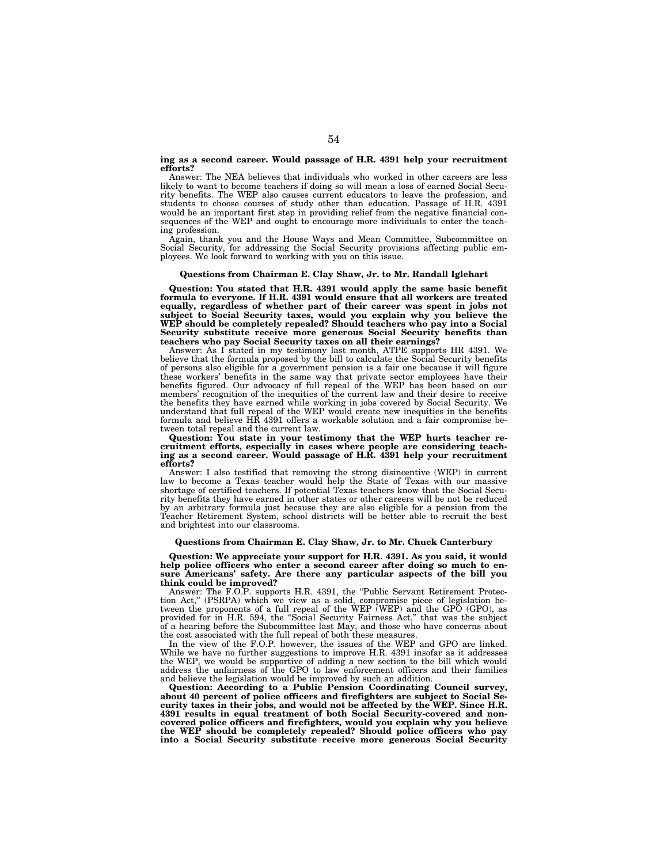## **ing as a second career. Would passage of H.R. 4391 help your recruitment efforts?**

Answer: The NEA believes that individuals who worked in other careers are less likely to want to become teachers if doing so will mean a loss of earned Social Security benefits. The WEP also causes current educators to leave the profession, and students to choose courses of study other than education. Passage of H.R. 4391 would be an important first step in providing relief from the negative financial consequences of the WEP and ought to encourage more individuals to enter the teaching profession.

Again, thank you and the House Ways and Mean Committee, Subcommittee on Social Security, for addressing the Social Security provisions affecting public employees. We look forward to working with you on this issue.

# **Questions from Chairman E. Clay Shaw, Jr. to Mr. Randall Iglehart**

**Question: You stated that H.R. 4391 would apply the same basic benefit formula to everyone. If H.R. 4391 would ensure that all workers are treated equally, regardless of whether part of their career was spent in jobs not subject to Social Security taxes, would you explain why you believe the WEP should be completely repealed? Should teachers who pay into a Social Security substitute receive more generous Social Security benefits than teachers who pay Social Security taxes on all their earnings?** 

Answer: As I stated in my testimony last month, ATPE supports HR 4391. We believe that the formula proposed by the bill to calculate the Social Security benefits of persons also eligible for a government pension is a fair one because it will figure these workers' benefits in the same way that private sector employees have their benefits figured. Our advocacy of full repeal of the WEP has been based on our members' recognition of the inequities of the current law and their desire to receive the benefits they have earned while working in jobs covered by Social Security. We understand that full repeal of the WEP would create new inequities in the benefits formula and believe HR 4391 offers a workable solution and a fair compromise between total repeal and the current law.

**Question: You state in your testimony that the WEP hurts teacher recruitment efforts, especially in cases where people are considering teaching as a second career. Would passage of H.R. 4391 help your recruitment efforts?** 

Answer: I also testified that removing the strong disincentive (WEP) in current law to become a Texas teacher would help the State of Texas with our massive shortage of certified teachers. If potential Texas teachers know that the Social Security benefits they have earned in other states or other careers will be not be reduced by an arbitrary formula just because they are also eligible for a pension from the Teacher Retirement System, school districts will be better able to recruit the best and brightest into our classrooms.

#### **Questions from Chairman E. Clay Shaw, Jr. to Mr. Chuck Canterbury**

**Question: We appreciate your support for H.R. 4391. As you said, it would help police officers who enter a second career after doing so much to ensure Americans' safety. Are there any particular aspects of the bill you think could be improved?** 

Answer: The F.O.P. supports H.R. 4391, the "Public Servant Retirement Protection Act,'' (PSRPA) which we view as a solid, compromise piece of legislation between the proponents of a full repeal of the WEP (WEP) and the GPO (GPO), as provided for in H.R. 594, the "Social Security Fairness Act," that was the subject of a hearing before the Subcommittee last May, and those who have concerns about the cost associated with the full repeal of both these measures.

In the view of the F.O.P. however, the issues of the WEP and GPO are linked. While we have no further suggestions to improve H.R. 4391 insofar as it addresses the WEP, we would be supportive of adding a new section to the bill which would address the unfairness of the GPO to law enforcement officers and their families and believe the legislation would be improved by such an addition.

**Question: According to a Public Pension Coordinating Council survey,**  about 40 percent of police officers and firefighters are subject to Social S **curity taxes in their jobs, and would not be affected by the WEP. Since H.R. 4391 results in equal treatment of both Social Security-covered and noncovered police officers and firefighters, would you explain why you believe the WEP should be completely repealed? Should police officers who pay into a Social Security substitute receive more generous Social Security**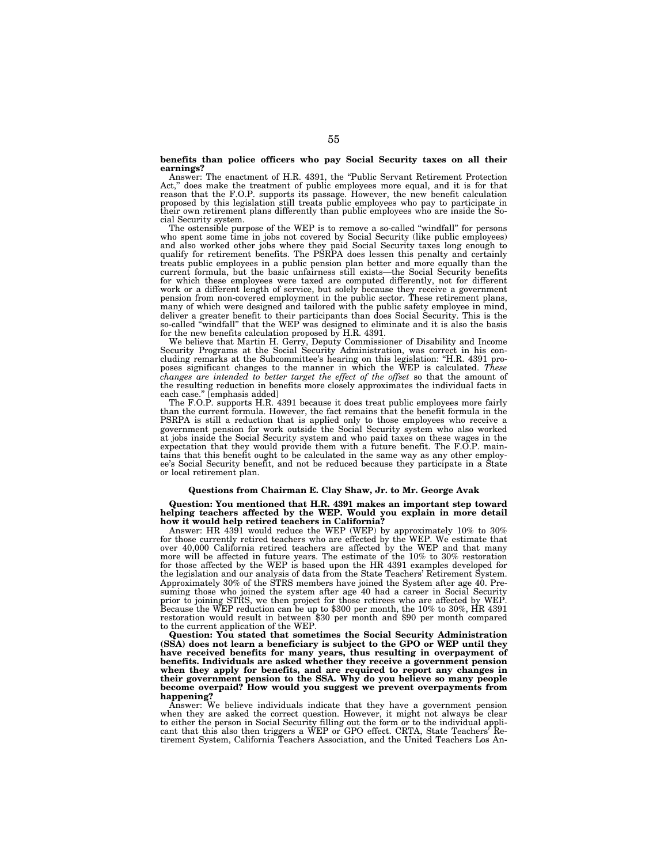## **benefits than police officers who pay Social Security taxes on all their earnings?**

Answer: The enactment of H.R. 4391, the "Public Servant Retirement Protection Act,'' does make the treatment of public employees more equal, and it is for that reason that the F.O.P. supports its passage. However, the new benefit calculation proposed by this legislation still treats public employees who pay to participate in their own retirement plans differently than public employees who are inside the Social Security system.

The ostensible purpose of the WEP is to remove a so-called "windfall" for persons who spent some time in jobs not covered by Social Security (like public employees) and also worked other jobs where they paid Social Securit qualify for retirement benefits. The PSRPA does lessen this penalty and certainly treats public employees in a public pension plan better and more equally than the current formula, but the basic unfairness still exists—the Social Security benefits for which these employees were taxed are computed differently, not for different work or a different length of service, but solely because they receive a government pension from non-covered employment in the public sector. These retirement plans, many of which were designed and tailored with the public safety employee in mind, deliver a greater benefit to their participants than does Social Security. This is the so-called ''windfall'' that the WEP was designed to eliminate and it is also the basis for the new benefits calculation proposed by H.R. 4391.

We believe that Martin H. Gerry, Deputy Commissioner of Disability and Income Security Programs at the Social Security Administration, was correct in his concluding remarks at the Subcommittee's hearing on this legislation: ''H.R. 4391 proposes significant changes to the manner in which the WEP is calculated. *These changes are intended to better target the effect of the offset* so that the amount of the resulting reduction in benefits more closely approximates the individual facts in each case.'' [emphasis added]

The F.O.P. supports H.R. 4391 because it does treat public employees more fairly than the current formula. However, the fact remains that the benefit formula in the PSRPA is still a reduction that is applied only to those employees who receive a government pension for work outside the Social Security system who also worked at jobs inside the Social Security system and who paid taxes on these wages in the expectation that they would provide them with a future benefit. The F.O.P. maintains that this benefit ought to be calculated in the same way as any other employee's Social Security benefit, and not be reduced because they participate in a State or local retirement plan.

# **Questions from Chairman E. Clay Shaw, Jr. to Mr. George Avak**

**Question: You mentioned that H.R. 4391 makes an important step toward helping teachers affected by the WEP. Would you explain in more detail how it would help retired teachers in California?** 

Answer: HR 4391 would reduce the WEP (WEP) by approximately 10% to 30% for those currently retired teachers who are effected by the WEP. We estimate that over 40,000 California retired teachers are affected by the WEP and that many more will be affected in future years. The estimate of the 10% to 30% restoration for those affected by the WEP is based upon the HR 4391 examples developed for the legislation and our analysis of data from the State Teachers' Retirement System. Approximately 30% of the STRS members have joined the System after age 40. Presuming those who joined the system after age 40 had a career in Social Security prior to joining STRS, we then project for those retirees who are affected by WEP. Because the WEP reduction can be up to \$300 per month, the 10% to 30%, HR 4391 restoration would result in between \$30 per month and \$90 per month compared to the current application of the WEP.

**Question: You stated that sometimes the Social Security Administration (SSA) does not learn a beneficiary is subject to the GPO or WEP until they have received benefits for many years, thus resulting in overpayment of benefits. Individuals are asked whether they receive a government pension when they apply for benefits, and are required to report any changes in their government pension to the SSA. Why do you believe so many people become overpaid? How would you suggest we prevent overpayments from happening?** 

Answer: We believe individuals indicate that they have a government pension when they are asked the correct question. However, it might not always be clear to either the person in Social Security filling out the form or to the individual appli-cant that this also then triggers a WEP or GPO effect. CRTA, State Teachers' Retirement System, California Teachers Association, and the United Teachers Los An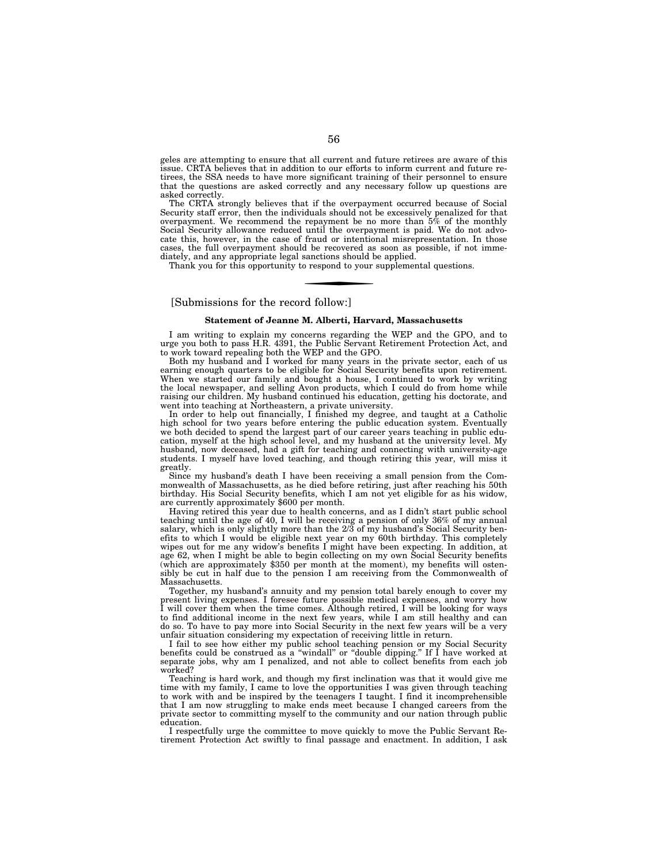geles are attempting to ensure that all current and future retirees are aware of this issue. CRTA believes that in addition to our efforts to inform current and future retirees, the SSA needs to have more significant training of their personnel to ensure that the questions are asked correctly and any necessary follow up questions are asked correctly.

The CRTA strongly believes that if the overpayment occurred because of Social Security staff error, then the individuals should not be excessively penalized for that overpayment. We recommend the repayment be no more than  $5\%$  of the monthly Social Security allowance reduced until the overpayment is paid. We do not advocate this, however, in the case of fraud or intentional misrepresentation. In those cases, the full overpayment should be recovered as soon as possible, if not immediately, and any appropriate legal sanctions should be applied.

Thank you for this opportunity to respond to your supplemental questions.

# [Submissions for the record follow:]

## **Statement of Jeanne M. Alberti, Harvard, Massachusetts**

I am writing to explain my concerns regarding the WEP and the GPO, and to urge you both to pass H.R. 4391, the Public Servant Retirement Protection Act, and to work toward repealing both the WEP and the GPO.

Both my husband and I worked for many years in the private sector, each of us earning enough quarters to be eligible for Social Security benefits upon retirement. When we started our family and bought a house, I continued to work by writing the local newspaper, and selling Avon products, which I could do from home while raising our children. My husband continued his education, getting his doctorate, and went into teaching at Northeastern, a private university.

In order to help out financially, I finished my degree, and taught at a Catholic high school for two years before entering the public education system. Eventually we both decided to spend the largest part of our career years teaching in public education, myself at the high school level, and my husband at the university level. My husband, now deceased, had a gift for teaching and connecting with university-age students. I myself have loved teaching, and though retiring this year, will miss it greatly.

Since my husband's death I have been receiving a small pension from the Commonwealth of Massachusetts, as he died before retiring, just after reaching his 50th birthday. His Social Security benefits, which I am not yet eligible for as his widow, are currently approximately \$600 per month.

Having retired this year due to health concerns, and as I didn't start public school teaching until the age of 40, I will be receiving a pension of only 36% of my annual salary, which is only slightly more than the 2/3 of my husband's Social Security benefits to which I would be eligible next year on my 60th birthday. This completely wipes out for me any widow's benefits I might have been expecting. In addition, at age 62, when I might be able to begin collecting on my own Social Security benefits (which are approximately \$350 per month at the moment), my benefits will ostensibly be cut in half due to the pension I am receiving from the Commonwealth of Massachusetts.

Together, my husband's annuity and my pension total barely enough to cover my present living expenses. I foresee future possible medical expenses, and worry how I will cover them when the time comes. Although retired, I will be looking for ways to find additional income in the next few years, while I am still healthy and can do so. To have to pay more into Social Security in the next few years will be a very unfair situation considering my expectation of receiving little in return.

I fail to see how either my public school teaching pension or my Social Security benefits could be construed as a ''windall'' or ''double dipping.'' If I have worked at separate jobs, why am I penalized, and not able to collect benefits from each job worked?

Teaching is hard work, and though my first inclination was that it would give me time with my family, I came to love the opportunities I was given through teaching to work with and be inspired by the teenagers I taught. I find it incomprehensible that I am now struggling to make ends meet because I changed careers from the private sector to committing myself to the community and our nation through public education.

I respectfully urge the committee to move quickly to move the Public Servant Retirement Protection Act swiftly to final passage and enactment. In addition, I ask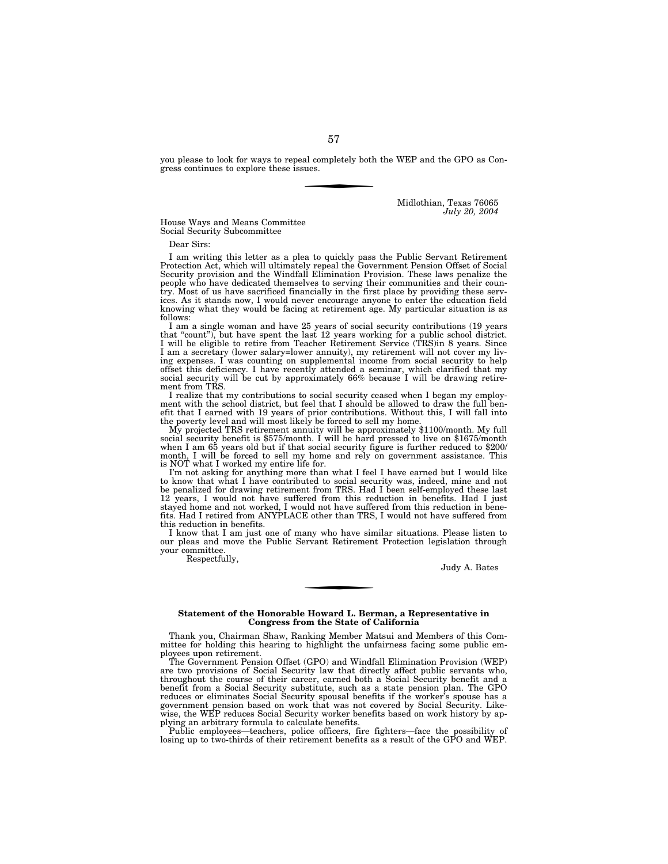you please to look for ways to repeal completely both the WEP and the GPO as Congress continues to explore these issues.

> Midlothian, Texas 76065 *July 20, 2004*

House Ways and Means Committee Social Security Subcommittee

Dear Sirs:

I am writing this letter as a plea to quickly pass the Public Servant Retirement Protection Act, which will ultimately repeal the Government Pension Offset of Social Security provision and the Windfall Elimination Provision. These laws penalize the people who have dedicated themselves to serving their communities and their coun-try. Most of us have sacrificed financially in the first place by providing these services. As it stands now, I would never encourage anyone to enter the education field knowing what they would be facing at retirement age. My particular situation is as follows:

I am a single woman and have 25 years of social security contributions (19 years that ''count''), but have spent the last 12 years working for a public school district. I will be eligible to retire from Teacher Retirement Service (TRS)in 8 years. Since I am a secretary (lower salary=lower annuity), my retirement will not cover my living expenses. I was counting on supplemental income from social security to help offset this deficiency. I have recently attended a seminar, ment from TRS.

I realize that my contributions to social security ceased when I began my employ-ment with the school district, but feel that I should be allowed to draw the full benefit that I earned with 19 years of prior contributions. Without this, I will fall into the poverty level and will most likely be forced to sell my home.

the poverty level and will most likely be forced to sell my home.<br>My projected TRS retirement annuity will be approximately \$1100/month. My full<br>social security benefit is \$575/month. I will be hard pressed to live on \$167 is NOT what I worked my entire life for.

I'm not asking for anything more than what I feel I have earned but I would like to know that what I have contributed to social security was, indeed, mine and not be penalized for drawing retirement from TRS. Had I been self-employed these last 12 years, I would not have suffered from this reduction in benefits. Had I just stayed home and not worked, I would not have suffered from this reduction in bene-fits. Had I retired from ANYPLACE other than TRS, I would not have suffered from this reduction in benefits.

I know that I am just one of many who have similar situations. Please listen to our pleas and move the Public Servant Retirement Protection legislation through your committee.

Respectfully,

Judy A. Bates

## **Statement of the Honorable Howard L. Berman, a Representative in Congress from the State of California**

Thank you, Chairman Shaw, Ranking Member Matsui and Members of this Committee for holding this hearing to highlight the unfairness facing some public employees upon retirement.

The Government Pension Offset (GPO) and Windfall Elimination Provision (WEP) are two provisions of Social Security law that directly affect public servants who, throughout the course of their career, earned both a Social Security benefit and a benefit from a Social Security substitute, such as a state pension plan. The GPO reduces or eliminates Social Security spousal benefits if the worker's spouse has a government pension based on work that was not covered by Social Security. Likewise, the WEP reduces Social Security worker benefits based on work history by applying an arbitrary formula to calculate benefits.

Public employees—teachers, police officers, fire fighters—face the possibility of losing up to two-thirds of their retirement benefits as a result of the GPO and WEP.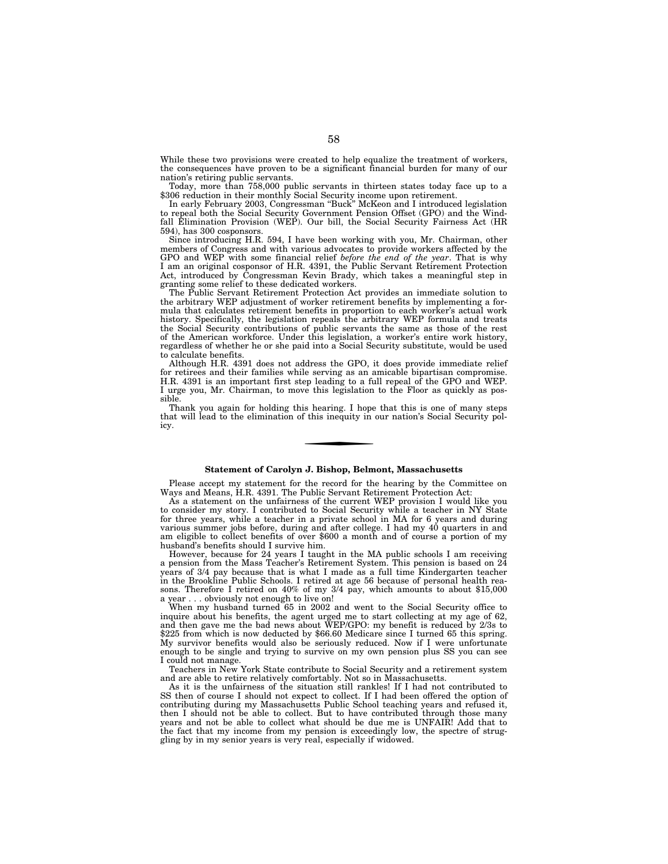While these two provisions were created to help equalize the treatment of workers, the consequences have proven to be a significant financial burden for many of our nation's retiring public servants.

Today, more than 758,000 public servants in thirteen states today face up to a \$306 reduction in their monthly Social Security income upon retirement.

In early February 2003, Congressman ''Buck'' McKeon and I introduced legislation to repeal both the Social Security Government Pension Offset (GPO) and the Windfall Elimination Provision (WEP). Our bill, the Social Security Fairness Act (HR 594), has 300 cosponsors.

Since introducing H.R. 594, I have been working with you, Mr. Chairman, other members of Congress and with various advocates to provide workers affected by the GPO and WEP with some financial relief *before the end of the year*. That is why I am an original cosponsor of H.R. 4391, the Public Servant Retirement Protection Act, introduced by Congressman Kevin Brady, which takes a meaningful step in granting some relief to these dedicated workers.

The Public Servant Retirement Protection Act provides an immediate solution to the arbitrary WEP adjustment of worker retirement benefits by implementing a formula that calculates retirement benefits in proportion to each worker's actual work history. Specifically, the legislation repeals the arbitrary WEP formula and treats the Social Security contributions of public servants the same as those of the rest of the American workforce. Under this legislation, a worker's entire work history, regardless of whether he or she paid into a Social Security substitute, would be used to calculate benefits.

Although H.R. 4391 does not address the GPO, it does provide immediate relief for retirees and their families while serving as an amicable bipartisan compromise. H.R. 4391 is an important first step leading to a full repeal of the GPO and WEP. I urge you, Mr. Chairman, to move this legislation to the Floor as quickly as possible.

Thank you again for holding this hearing. I hope that this is one of many steps that will lead to the elimination of this inequity in our nation's Social Security policy.

# **Statement of Carolyn J. Bishop, Belmont, Massachusetts**

Please accept my statement for the record for the hearing by the Committee on Ways and Means, H.R. 4391. The Public Servant Retirement Protection Act:

As a statement on the unfairness of the current WEP provision I would like you to consider my story. I contributed to Social Security while a teacher in NY State for three years, while a teacher in a private school in MA for 6 years and during various summer jobs before, during and after college. I had my 40 quarters in and am eligible to collect benefits of over \$600 a month and of course a portion of my husband's benefits should I survive him.

However, because for 24 years I taught in the MA public schools I am receiving a pension from the Mass Teacher's Retirement System. This pension is based on 24 years of 3/4 pay because that is what I made as a full time Kindergarten teacher in the Brookline Public Schools. I retired at age 56 because of personal health reasons. Therefore I retired on 40% of my 3/4 pay, which amounts to about \$15,000 a year . . . obviously not enough to live on!

When my husband turned 65 in 2002 and went to the Social Security office to inquire about his benefits, the agent urged me to start collecting at my age of 62, and then gave me the bad news about WEP/GPO: my benefit is reduced by 2/3s to \$225 from which is now deducted by \$66.60 Medicare since I turned 65 this spring. My survivor benefits would also be seriously reduced. Now if I were unfortunate enough to be single and trying to survive on my own pension plus SS you can see I could not manage.

Teachers in New York State contribute to Social Security and a retirement system and are able to retire relatively comfortably. Not so in Massachusetts.

As it is the unfairness of the situation still rankles! If I had not contributed to SS then of course I should not expect to collect. If I had been offered the option of contributing during my Massachusetts Public School teaching years and refused it, then I should not be able to collect. But to have contributed through those many years and not be able to collect what should be due me is UNFAIR! Add that to the fact that my income from my pension is exceedingly low, the spectre of struggling by in my senior years is very real, especially if widowed.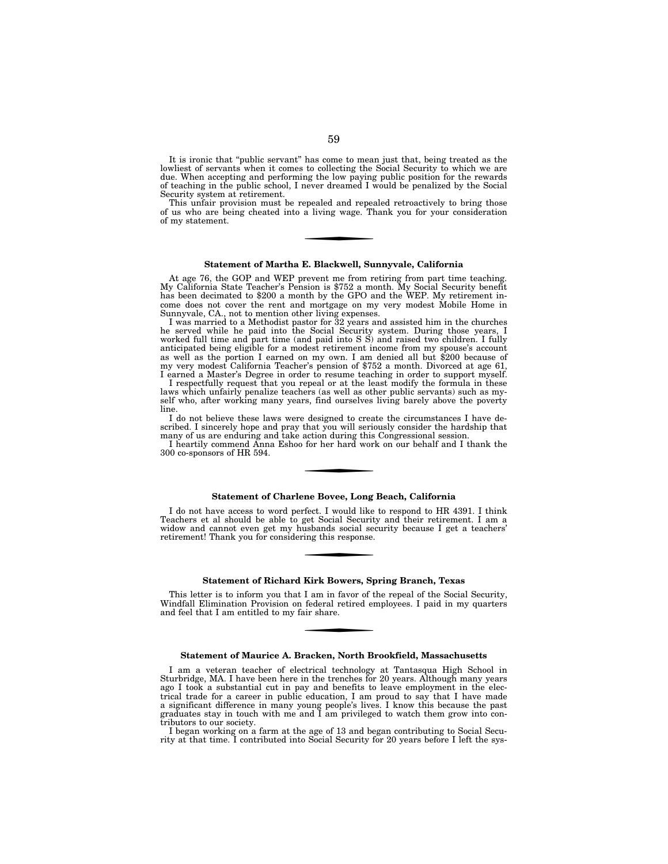It is ironic that "public servant" has come to mean just that, being treated as the lowliest of servants when it comes to collecting the Social Security to which we are due. When accepting and performing the low paying public position for the rewards of teaching in the public school, I never dreamed I would be penalized by the Social Security system at retirement.

This unfair provision must be repealed and repealed retroactively to bring those of us who are being cheated into a living wage. Thank you for your consideration of my statement.

# **Statement of Martha E. Blackwell, Sunnyvale, California**

At age 76, the GOP and WEP prevent me from retiring from part time teaching. My California State Teacher's Pension is \$752 a month. My Social Security benefit has been decimated to \$200 a month by the GPO and the WEP. My retirement income does not cover the rent and mortgage on my very modest Mobile Home in Sunnyvale, CA., not to mention other living expenses.

I was married to a Methodist pastor for 32 years and assisted him in the churches he served while he paid into the Social Security system. During those years, I worked full time and part time (and paid into S S) and raised two children. I fully anticipated being eligible for a modest retirement income from my spouse's account as well as the portion I earned on my own. I am denied all but \$200 because of my very modest California Teacher's pension of \$752 a month. Divorced at age 61, I earned a Master's Degree in order to resume teaching in order to support myself.

I respectfully request that you repeal or at the least modify the formula in these laws which unfairly penalize teachers (as well as other public servants) such as myself who, after working many years, find ourselves living barely above the poverty line.

I do not believe these laws were designed to create the circumstances I have described. I sincerely hope and pray that you will seriously consider the hardship that many of us are enduring and take action during this Congressional session.

I heartily commend Anna Eshoo for her hard work on our behalf and I thank the 300 co-sponsors of HR 594.

#### **Statement of Charlene Bovee, Long Beach, California**

I do not have access to word perfect. I would like to respond to HR 4391. I think Teachers et al should be able to get Social Security and their retirement. I am a widow and cannot even get my husbands social security because I get a teachers' retirement! Thank you for considering this response.

#### **Statement of Richard Kirk Bowers, Spring Branch, Texas**

This letter is to inform you that I am in favor of the repeal of the Social Security, Windfall Elimination Provision on federal retired employees. I paid in my quarters and feel that I am entitled to my fair share.

#### **Statement of Maurice A. Bracken, North Brookfield, Massachusetts**

I am a veteran teacher of electrical technology at Tantasqua High School in Sturbridge, MA. I have been here in the trenches for 20 years. Although many years ago I took a substantial cut in pay and benefits to leave employment in the electrical trade for a career in public education, I am proud to say that I have made a significant difference in many young people's lives. I know this because the past graduates stay in touch with me and I am privileged to watch them grow into contributors to our society.

I began working on a farm at the age of 13 and began contributing to Social Security at that time. I contributed into Social Security for 20 years before I left the sys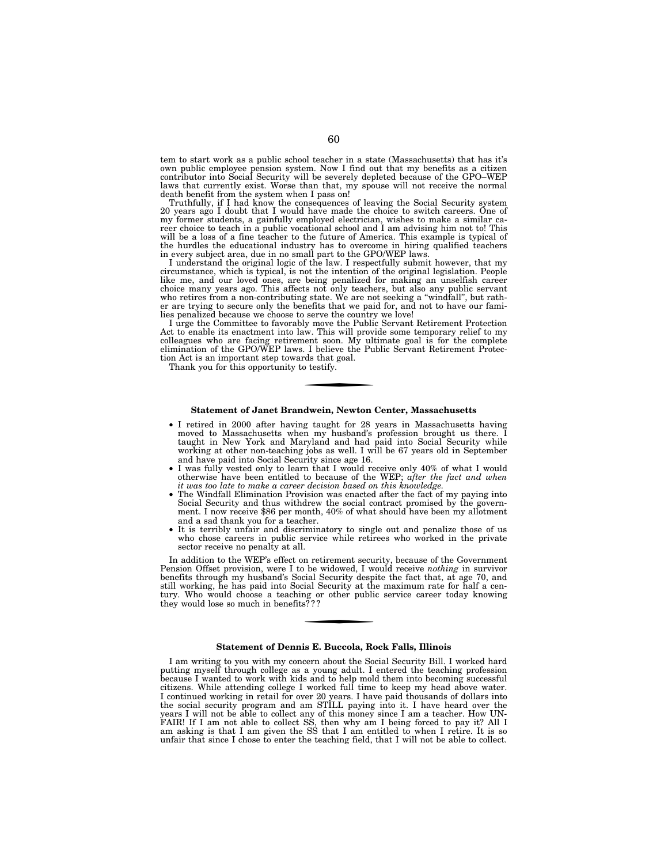tem to start work as a public school teacher in a state (Massachusetts) that has it's own public employee pension system. Now I find out that my benefits as a citizen contributor into Social Security will be severely depleted because of the GPO–WEP laws that currently exist. Worse than that, my spouse will not receive the normal death benefit from the system when I pass on!

Truthfully, if I had know the consequences of leaving the Social Security system 20 years ago I doubt that I would have made the choice to switch careers. One of my former students, a gainfully employed electrician, wishes to make a similar ca-reer choice to teach in a public vocational school and I am advising him not to! This will be a loss of a fine teacher to the future of America. This example is typical of the hurdles the educational industry has to overcome in hiring qualified teachers in every subject area, due in no small part to the GPO/WEP laws.

I understand the original logic of the law. I respectfully submit however, that my circumstance, which is typical, is not the intention of the original legislation. People like me, and our loved ones, are being penalized for making an unselfish career choice many years ago. This affects not only teachers, but also any public servant who retires from a non-contributing state. We are not seeking a ''windfall'', but rather are trying to secure only the benefits that we paid for, and not to have our fami-lies penalized because we choose to serve the country we love!

I urge the Committee to favorably move the Public Servant Retirement Protection Act to enable its enactment into law. This will provide some temporary relief to my colleagues who are facing retirement soon. My ultimate goal is for the complete elimination of the GPO/WEP laws. I believe the Public Servant Retirement Protection Act is an important step towards that goal.

Thank you for this opportunity to testify.

#### **Statement of Janet Brandwein, Newton Center, Massachusetts**

- I retired in 2000 after having taught for 28 years in Massachusetts having moved to Massachusetts when my husband's profession brought us there. I taught in New York and Maryland and had paid into Social Security while working at other non-teaching jobs as well. I will be 67 years old in September and have paid into Social Security since age 16.
- I was fully vested only to learn that I would receive only 40% of what I would otherwise have been entitled to because of the WEP; *after the fact and when it was too late to make a career decision based on this knowledge.*
- The Windfall Elimination Provision was enacted after the fact of my paying into Social Security and thus withdrew the social contract promised by the government. I now receive \$86 per month, 40% of what should have been my allotment and a sad thank you for a teacher.
- It is terribly unfair and discriminatory to single out and penalize those of us who chose careers in public service while retirees who worked in the private sector receive no penalty at all.

In addition to the WEP's effect on retirement security, because of the Government Pension Offset provision, were I to be widowed, I would receive *nothing* in survivor benefits through my husband's Social Security despite the fact that, at age 70, and still working, he has paid into Social Security at the maximum rate for half a century. Who would choose a teaching or other public service career today knowing they would lose so much in benefits? ? ?

# **Statement of Dennis E. Buccola, Rock Falls, Illinois**

I am writing to you with my concern about the Social Security Bill. I worked hard putting myself through college as a young adult. I entered the teaching profession because I wanted to work with kids and to help mold them into becoming successful citizens. While attending college I worked full time to keep my head above water. I continued working in retail for over 20 years. I have paid thousands of dollars into the social security program and am STILL paying into it. I have heard over the years I will not be able to collect any of this money since I am a teacher. How UN-FAIR! If I am not able to collect SS, then why am I being forced to pay it? All I am asking is that I am given the SS that I am entitled to when I retire. It is so unfair that since I chose to enter the teaching field, that I will not be able to collect.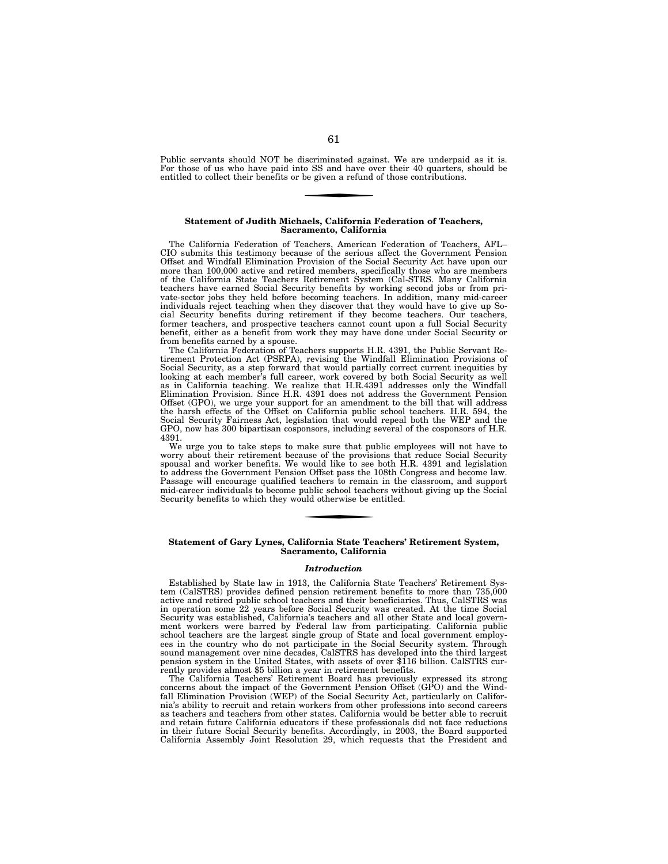Public servants should NOT be discriminated against. We are underpaid as it is. For those of us who have paid into SS and have over their 40 quarters, should be entitled to collect their benefits or be given a refund of those contributions.

#### **Statement of Judith Michaels, California Federation of Teachers, Sacramento, California**

The California Federation of Teachers, American Federation of Teachers, AFL– CIO submits this testimony because of the serious affect the Government Pension Offset and Windfall Elimination Provision of the Social Security Act have upon our more than 100,000 active and retired members, specifically those who are members of the California State Teachers Retirement System (Cal-STRS. Many California teachers have earned Social Security benefits by working second jobs or from private-sector jobs they held before becoming teachers. In addition, many mid-career individuals reject teaching when they discover that they would have to give up Social Security benefits during retirement if they become teachers. Our teachers, former teachers, and prospective teachers cannot count upon a full Social Security benefit, either as a benefit from work they may have done under Social Security or from benefits earned by a spouse.

The California Federation of Teachers supports H.R. 4391, the Public Servant Retirement Protection Act (PSRPA), revising the Windfall Elimination Provisions of Social Security, as a step forward that would partially correct current inequities by looking at each member's full career, work covered by both Social Security as well as in California teaching. We realize that H.R.4391 addresses only the Windfall Elimination Provision. Since H.R. 4391 does not address the Government Pension Offset (GPO), we urge your support for an amendment to the bill that will address the harsh effects of the Offset on California public school teachers. H.R. 594, the Social Security Fairness Act, legislation that would repeal both the WEP and the GPO, now has 300 bipartisan cosponsors, including several of the cosponsors of H.R. 4391.

We urge you to take steps to make sure that public employees will not have to worry about their retirement because of the provisions that reduce Social Security spousal and worker benefits. We would like to see both H.R. 4391 and legislation to address the Government Pension Offset pass the 108th Congress and become law. Passage will encourage qualified teachers to remain in the classroom, and support mid-career individuals to become public school teachers without giving up the Social Security benefits to which they would otherwise be entitled.

#### **Statement of Gary Lynes, California State Teachers' Retirement System, Sacramento, California**

### *Introduction*

Established by State law in 1913, the California State Teachers' Retirement System (CalSTRS) provides defined pension retirement benefits to more than 735,000 active and retired public school teachers and their beneficiaries. Thus, CalSTRS was in operation some 22 years before Social Security was created. At the time Social Security was established, California's teachers and all other State and local government workers were barred by Federal law from participating. California public school teachers are the largest single group of State and local government employees in the country who do not participate in the Social Security system. Through sound management over nine decades, CalSTRS has developed into the third largest pension system in the United States, with assets of over \$116 billion. CalSTRS currently provides almost \$5 billion a year in retirement benefits.

The California Teachers' Retirement Board has previously expressed its strong concerns about the impact of the Government Pension Offset (GPO) and the Windfall Elimination Provision (WEP) of the Social Security Act, particularly on California's ability to recruit and retain workers from other professions into second careers as teachers and teachers from other states. California would be better able to recruit and retain future California educators if these professionals did not face reductions in their future Social Security benefits. Accordingly, in 2003, the Board supported California Assembly Joint Resolution 29, which requests that the President and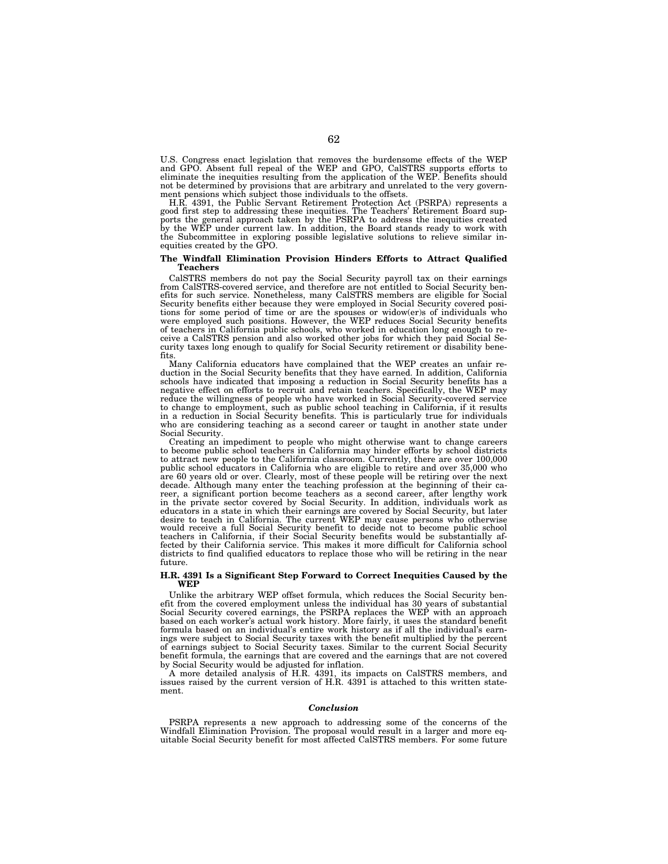U.S. Congress enact legislation that removes the burdensome effects of the WEP and GPO. Absent full repeal of the WEP and GPO, CalSTRS supports efforts to eliminate the inequities resulting from the application of the WEP. Benefits should not be determined by provisions that are arbitrary and unrelated to the very government pensions which subject those individuals to the offsets.

H.R. 4391, the Public Servant Retirement Protection Act (PSRPA) represents a good first step to addressing these inequities. The Teachers' Retirement Board supports the general approach taken by the PSRPA to address the inequities created by the WEP under current law. In addition, the Board stands ready to work with the Subcommittee in exploring possible legislative solutions to relieve similar inequities created by the GPO.

### **The Windfall Elimination Provision Hinders Efforts to Attract Qualified Teachers**

CalSTRS members do not pay the Social Security payroll tax on their earnings from CalSTRS-covered service, and therefore are not entitled to Social Security benefits for such service. Nonetheless, many CalSTRS members are eligible for Social Security benefits either because they were employed in Social Security covered positions for some period of time or are the spouses or widow(er)s of individuals who were employed such positions. However, the WEP reduces Social Security benefits of teachers in California public schools, who worked in education long enough to receive a CalSTRS pension and also worked other jobs for which they paid Social Security taxes long enough to qualify for Social Security retirement or disability benefits.

Many California educators have complained that the WEP creates an unfair reduction in the Social Security benefits that they have earned. In addition, California schools have indicated that imposing a reduction in Social Security benefits has a negative effect on efforts to recruit and retain teachers. Specifically, the WEP may reduce the willingness of people who have worked in Social Security-covered service to change to employment, such as public school teaching in California, if it results in a reduction in Social Security benefits. This is particularly true for individuals who are considering teaching as a second career or taught in another state under Social Security.

Creating an impediment to people who might otherwise want to change careers<br>to become public school teachers in California may hinder efforts by school districts<br>to attract new people to the California classroom. Currently are 60 years old or over. Clearly, most of these people will be retiring over the next decade. Although many enter the teaching profession at the beginning of their career, a significant portion become teachers as a second career, after lengthy work in the private sector covered by Social Security. In addition, individuals work as educators in a state in which their earnings are covered by Social Security, but later desire to teach in California. The current WEP may cause persons who otherwise would receive a full Social Security benefit to decide not to become public school teachers in California, if their Social Security benefits would be substantially af-fected by their California service. This makes it more difficult for California school districts to find qualified educators to replace those who will be retiring in the near future.

#### **H.R. 4391 Is a Significant Step Forward to Correct Inequities Caused by the WEP**

Unlike the arbitrary WEP offset formula, which reduces the Social Security benefit from the covered employment unless the individual has 30 years of substantial Social Security covered earnings, the PSRPA replaces the WEP with an approach based on each worker's actual work history. More fairly, it uses the standard benefit formula based on an individual's entire work history as if all the individual's earnings were subject to Social Security taxes with the benefit multiplied by the percent of earnings subject to Social Security taxes. Similar to the current Social Security benefit formula, the earnings that are covered and the earnings that are not covered by Social Security would be adjusted for inflation.

A more detailed analysis of H.R. 4391, its impacts on CalSTRS members, and issues raised by the current version of H.R. 4391 is attached to this written statement.

#### *Conclusion*

PSRPA represents a new approach to addressing some of the concerns of the Windfall Elimination Provision. The proposal would result in a larger and more equitable Social Security benefit for most affected CalSTRS members. For some future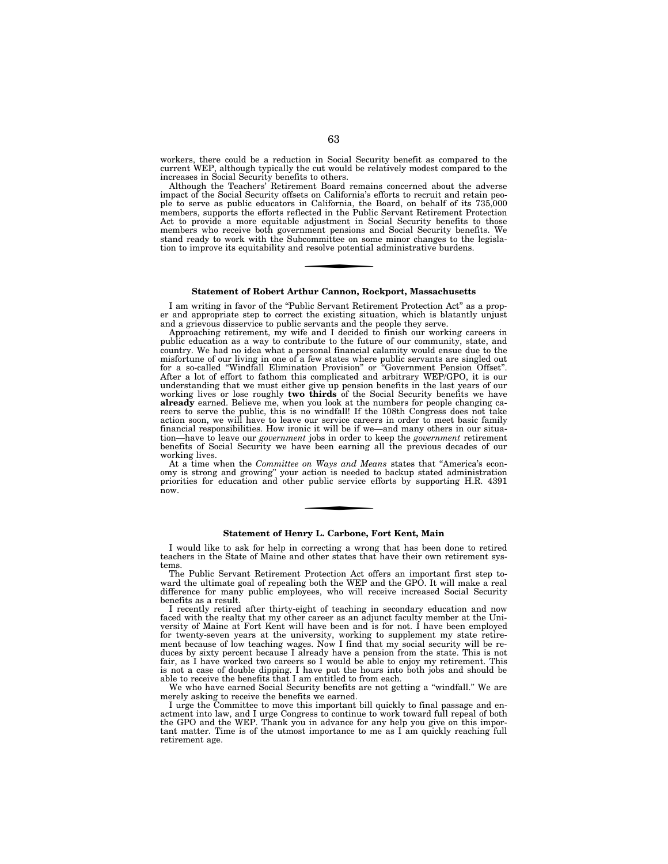workers, there could be a reduction in Social Security benefit as compared to the current WEP, although typically the cut would be relatively modest compared to the increases in Social Security benefits to others.

Although the Teachers' Retirement Board remains concerned about the adverse impact of the Social Security offsets on California's efforts to recruit and retain people to serve as public educators in California, the Board, on behalf of its 735,000 members, supports the efforts reflected in the Public Servant Retirement Protection Act to provide a more equitable adjustment in Social Security benefits to those members who receive both government pensions and Social Security benefits. We stand ready to work with the Subcommittee on some minor changes to the legislation to improve its equitability and resolve potential administrative burdens.

#### **Statement of Robert Arthur Cannon, Rockport, Massachusetts**

I am writing in favor of the "Public Servant Retirement Protection Act" as a proper and appropriate step to correct the existing situation, which is blatantly unjust and a grievous disservice to public servants and the people they serve.

Approaching retirement, my wife and I decided to finish our working careers in public education as a way to contribute to the future of our community, state, and country. We had no idea what a personal financial calamity would ensue due to the misfortune of our living in one of a few states where public servants are singled out for a so-called ''Windfall Elimination Provision'' or ''Government Pension Offset''. After a lot of effort to fathom this complicated and arbitrary WEP/GPO, it is our understanding that we must either give up pension benefits in the last years of our working lives or lose roughly **two thirds** of the Social Security benefits we have already earned. Believe me, when you look at the numbers for people changing careers to serve the public, this is no windfall! If the 108th Congress does not take action soon, we will have to leave our service careers in order to meet basic family financial responsibilities. How ironic it will be if we—and many others in our situation—have to leave our *government* jobs in order to keep the *government* retirement benefits of Social Security we have been earning all the previous decades of our working lives.

At a time when the *Committee on Ways and Means* states that ''America's economy is strong and growing'' your action is needed to backup stated administration priorities for education and other public service efforts by supporting H.R. 4391 now.

#### **Statement of Henry L. Carbone, Fort Kent, Main**

I would like to ask for help in correcting a wrong that has been done to retired teachers in the State of Maine and other states that have their own retirement systems.

The Public Servant Retirement Protection Act offers an important first step toward the ultimate goal of repealing both the WEP and the GPO. It will make a real difference for many public employees, who will receive increased Social Security benefits as a result.

I recently retired after thirty-eight of teaching in secondary education and now faced with the realty that my other career as an adjunct faculty member at the University of Maine at Fort Kent will have been and is for not. I have been employed for twenty-seven years at the university, working to supplement my state retirement because of low teaching wages. Now I find that my social security will be reduces by sixty percent because I already have a pension from the state. This is not fair, as I have worked two careers so I would be able to enjoy my retirement. This is not a case of double dipping. I have put the hours into both jobs and should be able to receive the benefits that I am entitled to from each.

We who have earned Social Security benefits are not getting a ''windfall.'' We are merely asking to receive the benefits we earned.

I urge the Committee to move this important bill quickly to final passage and enactment into law, and I urge Congress to continue to work toward full repeal of both the GPO and the WEP. Thank you in advance for any help you give on this important matter. Time is of the utmost importance to me as  $\overline{I}$  am quickly reaching full retirement age.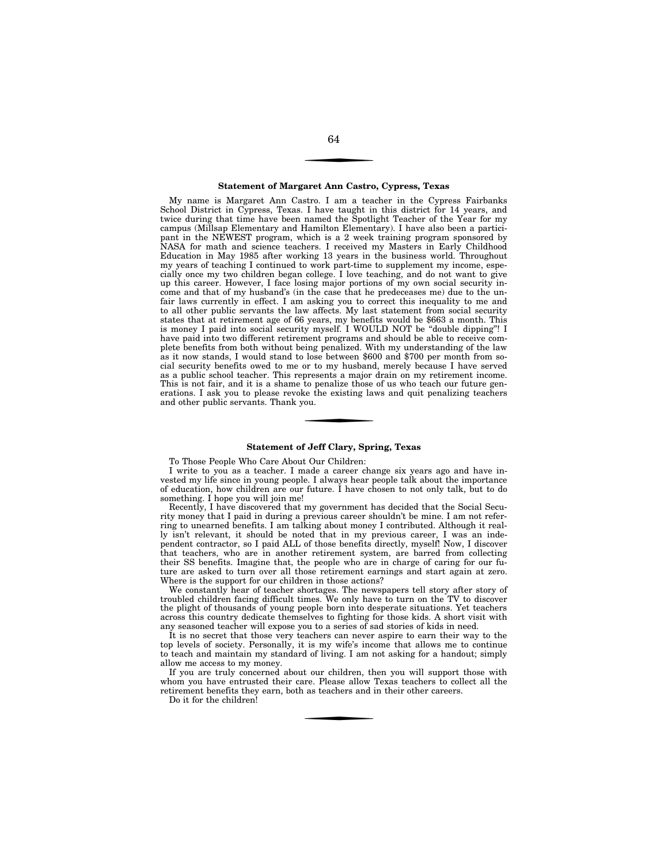#### **Statement of Margaret Ann Castro, Cypress, Texas**

My name is Margaret Ann Castro. I am a teacher in the Cypress Fairbanks School District in Cypress, Texas. I have taught in this district for 14 years, and twice during that time have been named the Spotlight Teacher of the Year for my campus (Millsap Elementary and Hamilton Elementary). I have also been a participant in the NEWEST program, which is a 2 week training program sponsored by NASA for math and science teachers. I received my Masters in Early Childhood Education in May 1985 after working 13 years in the business world. Throughout my years of teaching I continued to work part-time to supplement my income, especially once my two children began college. I love teaching, and do not want to give up this career. However, I face losing major portions of my own social security income and that of my husband's (in the case that he predeceases me) due to the unfair laws currently in effect. I am asking you to correct this inequality to me and to all other public servants the law affects. My last statement from social security states that at retirement age of 66 years, my benefits would be \$663 a month. This is money I paid into social security myself. I WOULD NOT be ''double dipping''! I have paid into two different retirement programs and should be able to receive complete benefits from both without being penalized. With my understanding of the law as it now stands, I would stand to lose between \$600 and \$700 per month from social security benefits owed to me or to my husband, merely because I have served as a public school teacher. This represents a major drain on my retirement income. This is not fair, and it is a shame to penalize those of us who teach our future generations. I ask you to please revoke the existing laws and quit penalizing teachers and other public servants. Thank you.

### **Statement of Jeff Clary, Spring, Texas**

To Those People Who Care About Our Children:

I write to you as a teacher. I made a career change six years ago and have invested my life since in young people. I always hear people talk about the importance of education, how children are our future. I have chosen to not only talk, but to do something. I hope you will join me!

Recently, I have discovered that my government has decided that the Social Security money that I paid in during a previous career shouldn't be mine. I am not referring to unearned benefits. I am talking about money I contributed. Although it really isn't relevant, it should be noted that in my previous career, I was an independent contractor, so I paid ALL of those benefits directly, myself! Now, I discover that teachers, who are in another retirement system, are barred from collecting their SS benefits. Imagine that, the people who are in charge of caring for our future are asked to turn over all those retirement earnings and start again at zero. Where is the support for our children in those actions?

We constantly hear of teacher shortages. The newspapers tell story after story of troubled children facing difficult times. We only have to turn on the TV to discover the plight of thousands of young people born into desperate situations. Yet teachers across this country dedicate themselves to fighting for those kids. A short visit with any seasoned teacher will expose you to a series of sad stories of kids in need.

It is no secret that those very teachers can never aspire to earn their way to the top levels of society. Personally, it is my wife's income that allows me to continue to teach and maintain my standard of living. I am not asking for a handout; simply allow me access to my money.

If you are truly concerned about our children, then you will support those with whom you have entrusted their care. Please allow Texas teachers to collect all the retirement benefits they earn, both as teachers and in their other careers.

Do it for the children!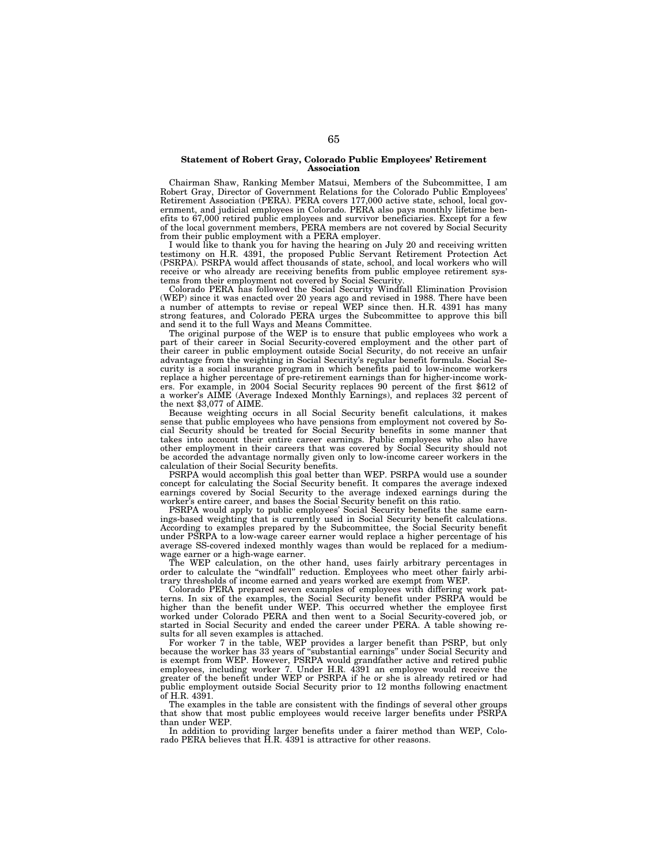## **Statement of Robert Gray, Colorado Public Employees' Retirement Association**

Chairman Shaw, Ranking Member Matsui, Members of the Subcommittee, I am Robert Gray, Director of Government Relations for the Colorado Public Employees' Retirement Association (PERA). PERA covers 177,000 active state, school, local government, and judicial employees in Colorado. PERA also pays monthly lifetime benefits to 67,000 retired public employees and survivor beneficiaries. Except for a few of the local government members, PERA members are not covered by Social Security from their public employment with a PERA employer.

I would like to thank you for having the hearing on July 20 and receiving written testimony on H.R. 4391, the proposed Public Servant Retirement Protection Act (PSRPA). PSRPA would affect thousands of state, school, and local workers who will receive or who already are receiving benefits from public employee retirement systems from their employment not covered by Social Security.

Colorado PERA has followed the Social Security Windfall Elimination Provision (WEP) since it was enacted over 20 years ago and revised in 1988. There have been a number of attempts to revise or repeal WEP since then. H.R. 4391 has many strong features, and Colorado PERA urges the Subcommittee to approve this bill and send it to the full Ways and Means Committee.

The original purpose of the WEP is to ensure that public employees who work a part of their career in Social Security-covered employment and the other part of their career in public employment outside Social Security, do not receive an unfair advantage from the weighting in Social Security's regular benefit formula. Social Security is a social insurance program in which benefits paid to low-income workers replace a higher percentage of pre-retirement earnings than for higher-income workers. For example, in 2004 Social Security replaces 90 percent of the first \$612 of a worker's AIME (Average Indexed Monthly Earnings), and replaces 32 percent of the next \$3,077 of AIME.

Because weighting occurs in all Social Security benefit calculations, it makes sense that public employees who have pensions from employment not covered by Social Security should be treated for Social Security benefits in some manner that takes into account their entire career earnings. Public employees who also have other employment in their careers that was covered by Social Security should not be accorded the advantage normally given only to low-income career workers in the calculation of their Social Security benefits.

PSRPA would accomplish this goal better than WEP. PSRPA would use a sounder concept for calculating the Social Security benefit. It compares the average indexed earnings covered by Social Security to the average indexed earnings during the worker's entire career, and bases the Social Security benefit on this ratio.

PSRPA would apply to public employees' Social Security benefits the same earnings-based weighting that is currently used in Social Security benefit calculations. According to examples prepared by the Subcommittee, the Social Security benefit under PSRPA to a low-wage career earner would replace a higher percentage of his average SS-covered indexed monthly wages than would be replaced for a mediumwage earner or a high-wage earner.

The WEP calculation, on the other hand, uses fairly arbitrary percentages in order to calculate the ''windfall'' reduction. Employees who meet other fairly arbitrary thresholds of income earned and years worked are exempt from WEP.

Colorado PERA prepared seven examples of employees with differing work patterns. In six of the examples, the Social Security benefit under PSRPA would be higher than the benefit under WEP. This occurred whether the employee first worked under Colorado PERA and then went to a Social Security-covered job, or started in Social Security and ended the career under PERA. A table showing results for all seven examples is attached.

For worker 7 in the table, WEP provides a larger benefit than PSRP, but only because the worker has 33 years of ''substantial earnings'' under Social Security and is exempt from WEP. However, PSRPA would grandfather active and retired public employees, including worker 7. Under H.R. 4391 an employee would receive the greater of the benefit under WEP or PSRPA if he or she is already retired or had public employment outside Social Security prior to 12 months following enactment of H.R. 4391.

The examples in the table are consistent with the findings of several other groups that show that most public employees would receive larger benefits under PSRPA than under WEP.

In addition to providing larger benefits under a fairer method than WEP, Colorado PERA believes that H.R. 4391 is attractive for other reasons.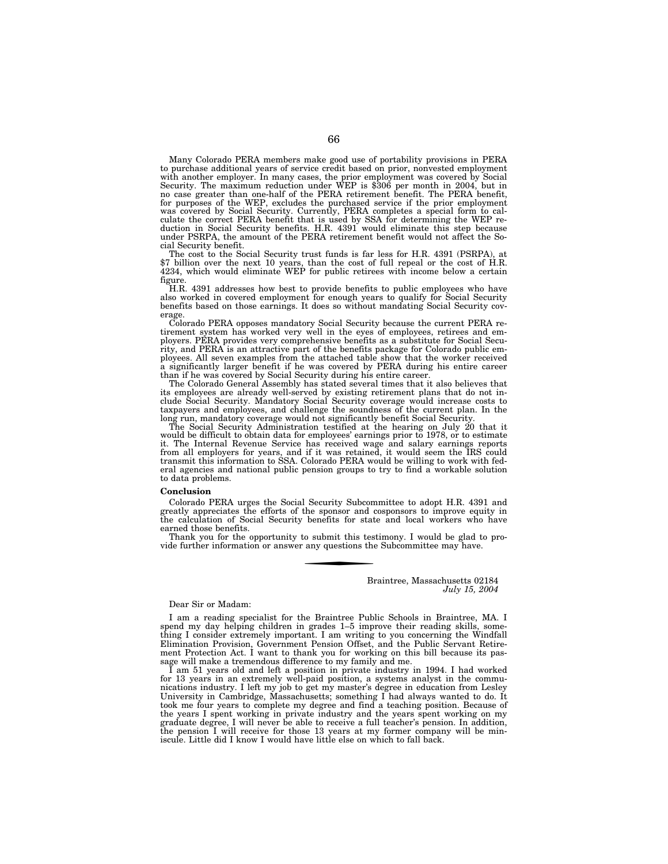Many Colorado PERA members make good use of portability provisions in PERA to purchase additional years of service credit based on prior, nonvested employment with another employer. In many cases, the prior employment was covered by Social<br>Security. The maximum reduction under WEP is \$306 per month in 2004, but in<br>no case greater than one-half of the PERA retirement benefit. The for purposes of the WEP, excludes the purchased service if the prior employment was covered by Social Security. Currently, PERA completes a special form to calculate the correct PERA benefit that is used by SSA for determi duction in Social Security benefits. H.R. 4391 would eliminate this step because under PSRPA, the amount of the PERA retirement benefit would not affect the Social Security benefit.

The cost to the Social Security trust funds is far less for H.R. 4391 (PSRPA), at \$7 billion over the next 10 years, than the cost of full repeal or the cost of H.R. 4234, which would eliminate WEP for public retirees with figure.

H.R. 4391 addresses how best to provide benefits to public employees who have also worked in covered employment for enough years to qualify for Social Security benefits based on those earnings. It does so without mandating Social Security coverage.

Colorado PERA opposes mandatory Social Security because the current PERA re-tirement system has worked very well in the eyes of employees, retirees and employers. PERA provides very comprehensive benefits as a substitute for Social Secu-rity, and PERA is an attractive part of the benefits package for Colorado public employees. All seven examples from the attached table show that the worker received a significantly larger benefit if he was covered by PERA during his entire career

than if he was covered by Social Security during his entire career.<br>The Colorado General Assembly has stated several times that it also believes that<br>its employees are already well-served by existing retirement plans that long run, mandatory coverage would not significantly benefit Social Security.

The Social Security Administration testified at the hearing on July 20 that it would be difficult to obtain data for employees' earnings prior to 1978, or to estimate it. The Internal Revenue Service has received wage and salary earnings reports<br>from all employers for years, and if it was retained, it would seem the IRS could<br>transmit this information to SSA. Colorado PERA would be will eral agencies and national public pension groups to try to find a workable solution to data problems.

#### **Conclusion**

Colorado PERA urges the Social Security Subcommittee to adopt H.R. 4391 and greatly appreciates the efforts of the sponsor and cosponsors to improve equity in the calculation of Social Security benefits for state and local workers who have earned those benefits.

Thank you for the opportunity to submit this testimony. I would be glad to provide further information or answer any questions the Subcommittee may have.

> Braintree, Massachusetts 02184 *July 15, 2004*

# Dear Sir or Madam:

I am a reading specialist for the Braintree Public Schools in Braintree, MA. I spend my day helping children in grades 1–5 improve their reading skills, something I consider extremely important. I am writing to you concerning the Windfall Elimination Provision, Government Pension Offset, and the Public Servant Retirement Protection Act. I want to thank you for working on this bill because its passage will make a tremendous difference to my family and me.

I am 51 years old and left a position in private industry in 1994. I had worked for 13 years in an extremely well-paid position, a systems analyst in the communications industry. I left my job to get my master's degree in education from Lesley University in Cambridge, Massachusetts; something I had always wanted to do. It took me four years to complete my degree and find a teaching position. Because of the years I spent working in private industry and the years spent working on my graduate degree, I will never be able to receive a full teacher's pension. In addition, the pension I will receive for those 13 years at my former company will be miniscule. Little did I know I would have little else on which to fall back.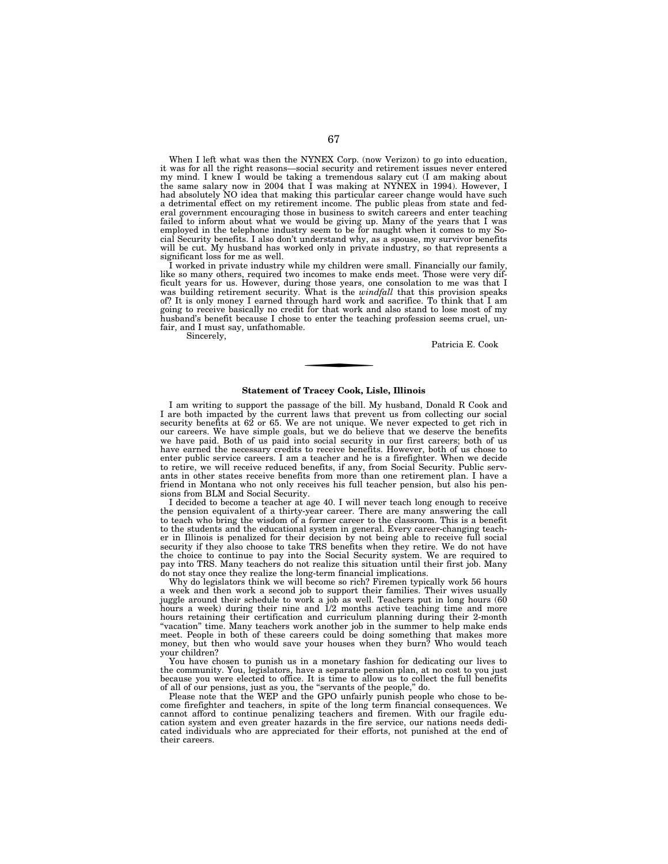When I left what was then the NYNEX Corp. (now Verizon) to go into education, it was for all the right reasons—social security and retirement issues never entered my mind. I knew I would be taking a tremendous salary cut (I am making about the same salary now in 2004 that I was making at NYNEX in 1994). However, I had absolutely NO idea that making this particular career change would have such a detrimental effect on my retirement income. The public pleas from state and federal government encouraging those in business to switch careers and enter teaching failed to inform about what we would be giving up. Many of the years that I was employed in the telephone industry seem to be for naught when it comes to my Social Security benefits. I also don't understand why, as a spouse, my survivor benefits will be cut. My husband has worked only in private industry, so that represents a significant loss for me as well.

I worked in private industry while my children were small. Financially our family, like so many others, required two incomes to make ends meet. Those were very difficult years for us. However, during those years, one consolation to me was that I was building retirement security. What is the *windfall* that this provision speaks of? It is only money I earned through hard work and sacrifice. To think that I am going to receive basically no credit for that work and also stand to lose most of my husband's benefit because I chose to enter the teaching profession seems cruel, unfair, and I must say, unfathomable.

Sincerely,

Patricia E. Cook

#### **Statement of Tracey Cook, Lisle, Illinois**

I am writing to support the passage of the bill. My husband, Donald R Cook and I are both impacted by the current laws that prevent us from collecting our social security benefits at  $62$  or  $65$ . We are not unique. We never expected to get rich in our careers. We have simple goals, but we do believe that we deserve the benefits we have paid. Both of us paid into social security in our first careers; both of us have earned the necessary credits to receive benefits. However, both of us chose to enter public service careers. I am a teacher and he is a firefighter. When we decide to retire, we will receive reduced benefits, if any, from Social Security. Public servants in other states receive benefits from more than one retirement plan. I have a friend in Montana who not only receives his full teacher pension, but also his pensions from BLM and Social Security.

I decided to become a teacher at age 40. I will never teach long enough to receive the pension equivalent of a thirty-year career. There are many answering the call to teach who bring the wisdom of a former career to the classroom. This is a benefit to the students and the educational system in general. Every career-changing teacher in Illinois is penalized for their decision by not being able to receive full social security if they also choose to take TRS benefits when they retire. We do not have the choice to continue to pay into the Social Security system. We are required to pay into TRS. Many teachers do not realize this situation until their first job. Many do not stay once they realize the long-term financial implications.

Why do legislators think we will become so rich? Firemen typically work 56 hours a week and then work a second job to support their families. Their wives usually juggle around their schedule to work a job as well. Teachers put in long hours (60 hours a week) during their nine and 1/2 months active teaching time and more hours retaining their certification and curriculum planning during their 2-month ''vacation'' time. Many teachers work another job in the summer to help make ends meet. People in both of these careers could be doing something that makes more money, but then who would save your houses when they burn? Who would teach your children?

You have chosen to punish us in a monetary fashion for dedicating our lives to the community. You, legislators, have a separate pension plan, at no cost to you just because you were elected to office. It is time to allow us to collect the full benefits of all of our pensions, just as you, the ''servants of the people,'' do.

Please note that the WEP and the GPO unfairly punish people who chose to become firefighter and teachers, in spite of the long term financial consequences. We cannot afford to continue penalizing teachers and firemen. With our fragile education system and even greater hazards in the fire service, our nations needs dedicated individuals who are appreciated for their efforts, not punished at the end of their careers.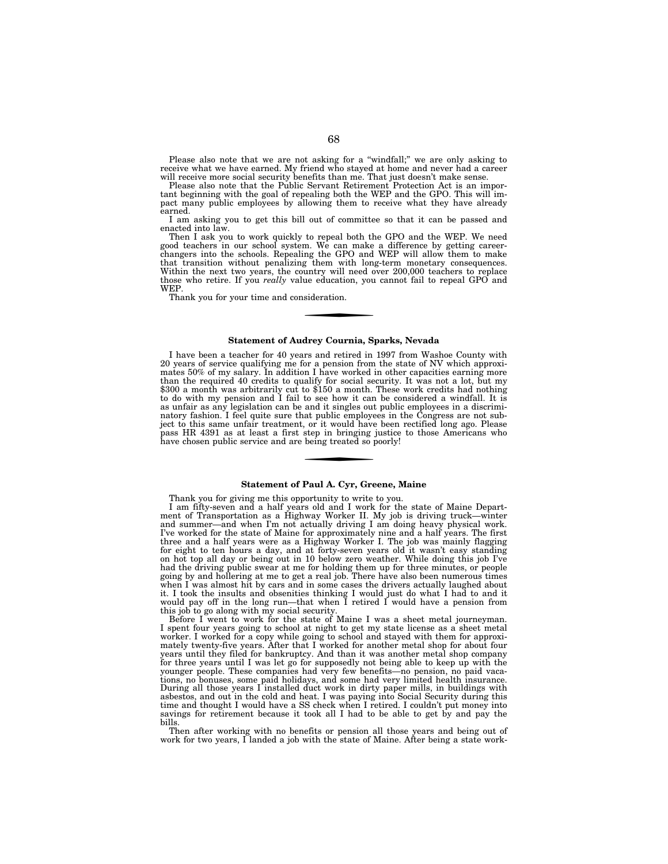Please also note that we are not asking for a "windfall;" we are only asking to receive what we have earned. My friend who stayed at home and never had a career will receive more social security benefits than me. That just doesn't make sense.

Please also note that the Public Servant Retirement Protection Act is an important beginning with the goal of repealing both the WEP and the GPO. This will impact many public employees by allowing them to receive what they have already earned.

I am asking you to get this bill out of committee so that it can be passed and enacted into law.

Then I ask you to work quickly to repeal both the GPO and the WEP. We need<br>good teachers in our school system. We can make a difference by getting career-<br>changers into the schools. Repealing the GPO and WEP will allow the Within the next two years, the country will need over 200,000 teachers to replace those who retire. If you *really* value education, you cannot fail to repeal GPO and WEP.

Thank you for your time and consideration.

# **Statement of Audrey Cournia, Sparks, Nevada**

I have been a teacher for 40 years and retired in 1997 from Washoe County with 20 years of service qualifying me for a pension from the state of NV which approximates 50% of my salary. In addition I have worked in other capacities earning more than the required 40 credits to qualify for social security. It was not a lot, but my<br>\$300 a month was arbitrarily cut to \$150 a month. These work credits had nothing<br>to do with my pension and I fail to see how it can be c as unfair as any legislation can be and it singles out public employees in a discriminatory fashion. I feel quite sure that public employees in the Congress are not sub-ject to this same unfair treatment, or it would have been rectified long ago. Please pass HR 4391 as at least a first step in bringing justice to those Americans who have chosen public service and are being treated so poorly!

# **Statement of Paul A. Cyr, Greene, Maine**

Thank you for giving me this opportunity to write to you. I am fifty-seven and a half years old and I work for the state of Maine Depart-ment of Transportation as a Highway Worker II. My job is driving truck—winter and summer—and when I'm not actually driving I am doing heavy physical work. I've worked for the state of Maine for approximately nine and a half years. The first three and a half years were as a Highway Worker I. The job was mainly flagging for eight to ten hours a day, and at forty-seven years old it wasn't easy standing on hot top all day or being out in 10 below zero weather. While doing this job I've had the driving public swear at me for holding them up for three minutes, or people going by and hollering at me to get a real job. There have also been numerous times when I was almost hit by cars and in some cases the drivers actually laughed about it. I took the insults and obsenities thinking I would just do what I had to and it would pay off in the long run—that when I retired I would have a pension from

this job to go along with my social security. Before I went to work for the state of Maine I was a sheet metal journeyman. I spent four years going to school at night to get my state license as a sheet metal worker. I worked for a copy while going to school and stayed with them for approxi-mately twenty-five years. After that I worked for another metal shop for about four years until they filed for bankruptcy. And than it was another metal shop company for three years until I was let go for supposedly not being able to keep up with the younger people. These companies had very few benefits—no pension, no paid vacations, no bonuses, some paid holidays, and some had very limited health insurance. During all those years I installed duct work in dirty paper mills, in buildings with asbestos, and out in the cold and heat. I was paying into Social Security during this time and thought I would have a SS check when I retired. I couldn't put money into savings for retirement because it took all I had to be able to get by and pay the bills.

Then after working with no benefits or pension all those years and being out of work for two years, I landed a job with the state of Maine. After being a state work-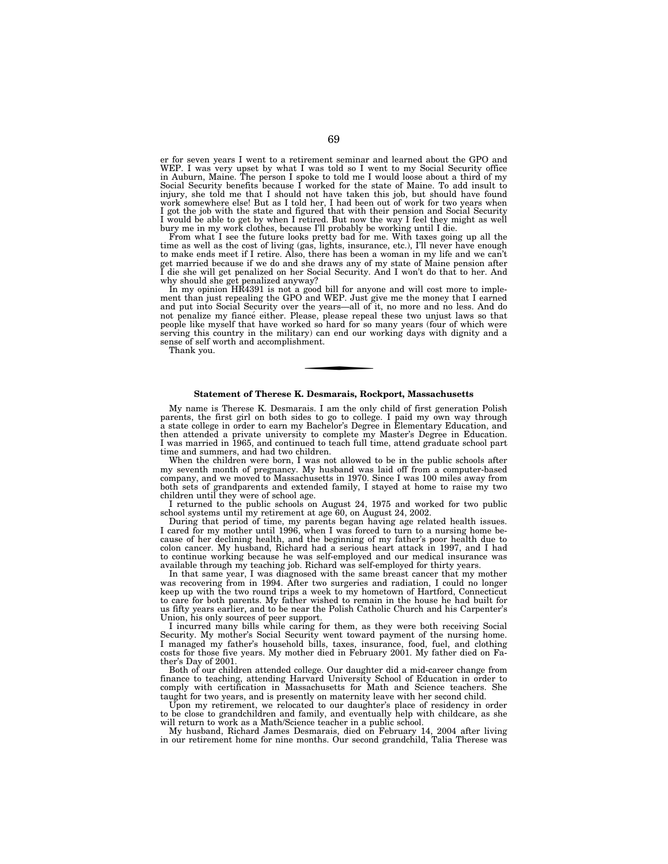er for seven years I went to a retirement seminar and learned about the GPO and WEP. I was very upset by what I was told so I went to my Social Security office in Auburn, Maine. The person I spoke to told me I would loose about a third of my Social Security benefits because I worked for the state of Maine. To add insult to injury, she told me that I should not have taken this job, but should have found work somewhere else! But as I told her, I had been out of work for two years when I got the job with the state and figured that with their pension and Social Security I would be able to get by when I retired. But now the way I feel they might as well bury me in my work clothes, because I'll probably be working until I die.<br>From what I see the future looks pretty bad for me. With taxes g

time as well as the cost of living (gas, lights, insurance, etc.), I'll never have enough to make ends meet if I retire. Also, there has been a woman in my life and we can't get married because if we do and she draws any of my state of Maine pension after I die she will get penalized on her Social Security. And I won't do that to her. And why should she get penalized anyway?

In my opinion HR4391 is not a good bill for anyone and will cost more to implement than just repealing the GPO and WEP. Just give me the money that I earned and put into Social Security over the years—all of it, no more and no less. And do not penalize my fiance either. Please, please repeal these two unjust laws so that people like myself that have worked so hard for so many years (four of which were serving this country in the military) can end our working days with dignity and a sense of self worth and accomplishment.

Thank you.

## **Statement of Therese K. Desmarais, Rockport, Massachusetts**

My name is Therese K. Desmarais. I am the only child of first generation Polish parents, the first girl on both sides to go to college. I paid my own way through a state college in order to earn my Bachelor's Degree in Elementary Education, and then attended a private university to complete my Master's Degree in Education. I was married in 1965, and continued to teach full time, attend graduate school part time and summers, and had two children.

When the children were born, I was not allowed to be in the public schools after my seventh month of pregnancy. My husband was laid off from a computer-based company, and we moved to Massachusetts in 1970. Since I was 100 miles away from both sets of grandparents and extended family, I stayed at home to raise my two children until they were of school age.

I returned to the public schools on August 24, 1975 and worked for two public school systems until my retirement at age 60, on August 24, 2002.

During that period of time, my parents began having age related health issues. I cared for my mother until 1996, when I was forced to turn to a nursing home because of her declining health, and the beginning of my father's poor health due to colon cancer. My husband, Richard had a serious heart attack in 1997, and I had to continue working because he was self-employed and our medical insurance was available through my teaching job. Richard was self-employed for thirty years.

In that same year, I was diagnosed with the same breast cancer that my mother was recovering from in 1994. After two surgeries and radiation, I could no longer keep up with the two round trips a week to my hometown of Hartford, Connecticut to care for both parents. My father wished to remain in the house he had built for us fifty years earlier, and to be near the Polish Catholic Church and his Carpenter's Union, his only sources of peer support.

I incurred many bills while caring for them, as they were both receiving Social Security. My mother's Social Security went toward payment of the nursing home. I managed my father's household bills, taxes, insurance, food, fuel, and clothing costs for those five years. My mother died in February 2001. My father died on Father's Day of 2001.

Both of our children attended college. Our daughter did a mid-career change from finance to teaching, attending Harvard University School of Education in order to comply with certification in Massachusetts for Math and Science teachers. She taught for two years, and is presently on maternity leave with her second child.

Upon my retirement, we relocated to our daughter's place of residency in order to be close to grandchildren and family, and eventually help with childcare, as she will return to work as a Math/Science teacher in a public school.

My husband, Richard James Desmarais, died on February 14, 2004 after living in our retirement home for nine months. Our second grandchild, Talia Therese was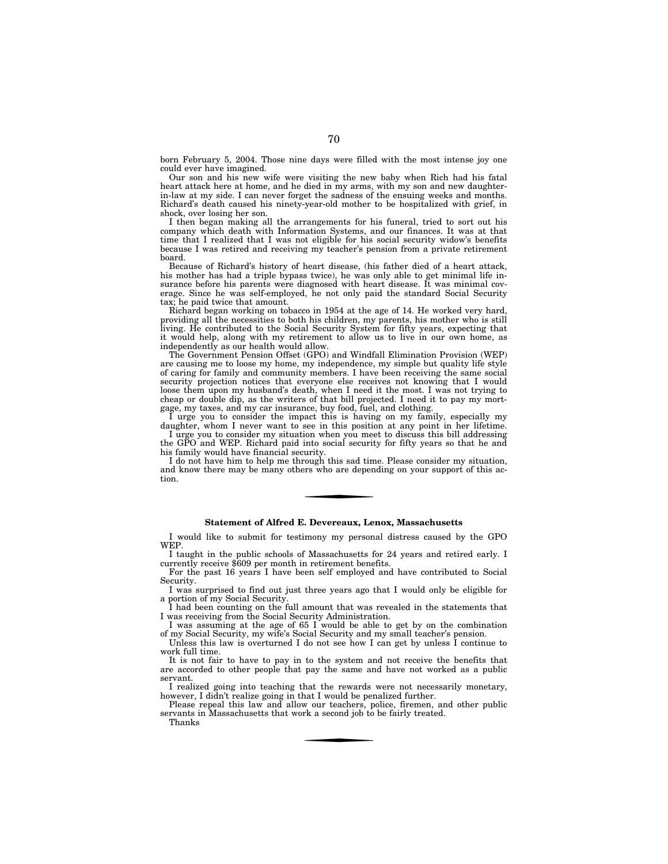born February 5, 2004. Those nine days were filled with the most intense joy one could ever have imagined.

Our son and his new wife were visiting the new baby when Rich had his fatal heart attack here at home, and he died in my arms, with my son and new daughterin-law at my side. I can never forget the sadness of the ensuing weeks and months. Richard's death caused his ninety-year-old mother to be hospitalized with grief, in shock, over losing her son.

I then began making all the arrangements for his funeral, tried to sort out his company which death with Information Systems, and our finances. It was at that time that I realized that I was not eligible for his social security widow's benefits because I was retired and receiving my teacher's pension from a private retirement board.

Because of Richard's history of heart disease, (his father died of a heart attack, his mother has had a triple bypass twice), he was only able to get minimal life insurance before his parents were diagnosed with heart disease. It was minimal coverage. Since he was self-employed, he not only paid the standard Social Security tax; he paid twice that amount.

Richard began working on tobacco in 1954 at the age of 14. He worked very hard, providing all the necessities to both his children, my parents, his mother who is still living. He contributed to the Social Security System for fifty years, expecting that it would help, along with my retirement to allow us to live in our own home, as independently as our health would allow.

The Government Pension Offset (GPO) and Windfall Elimination Provision (WEP) are causing me to loose my home, my independence, my simple but quality life style of caring for family and community members. I have been receiving the same social security projection notices that everyone else receives not knowing that I would loose them upon my husband's death, when I need it the most. I was not trying to cheap or double dip, as the writers of that bill projected. I need it to pay my mortgage, my taxes, and my car insurance, buy food, fuel, and clothing.

I urge you to consider the impact this is having on my family, especially my daughter, whom I never want to see in this position at any point in her lifetime. I urge you to consider my situation when you meet to discuss this bill addressing the GPO and WEP. Richard paid into social security for fifty years so that he and his family would have financial security.

I do not have him to help me through this sad time. Please consider my situation, and know there may be many others who are depending on your support of this action.

# **Statement of Alfred E. Devereaux, Lenox, Massachusetts**

I would like to submit for testimony my personal distress caused by the GPO WEP.

I taught in the public schools of Massachusetts for 24 years and retired early. I currently receive \$609 per month in retirement benefits.

For the past 16 years I have been self employed and have contributed to Social Security.

I was surprised to find out just three years ago that I would only be eligible for a portion of my Social Security.

I had been counting on the full amount that was revealed in the statements that I was receiving from the Social Security Administration.

I was assuming at the age of 65 I would be able to get by on the combination of my Social Security, my wife's Social Security and my small teacher's pension.

Unless this law is overturned I do not see how I can get by unless I continue to work full time.

It is not fair to have to pay in to the system and not receive the benefits that are accorded to other people that pay the same and have not worked as a public servant.

I realized going into teaching that the rewards were not necessarily monetary, however, I didn't realize going in that I would be penalized further.

Please repeal this law and allow our teachers, police, firemen, and other public servants in Massachusetts that work a second job to be fairly treated. Thanks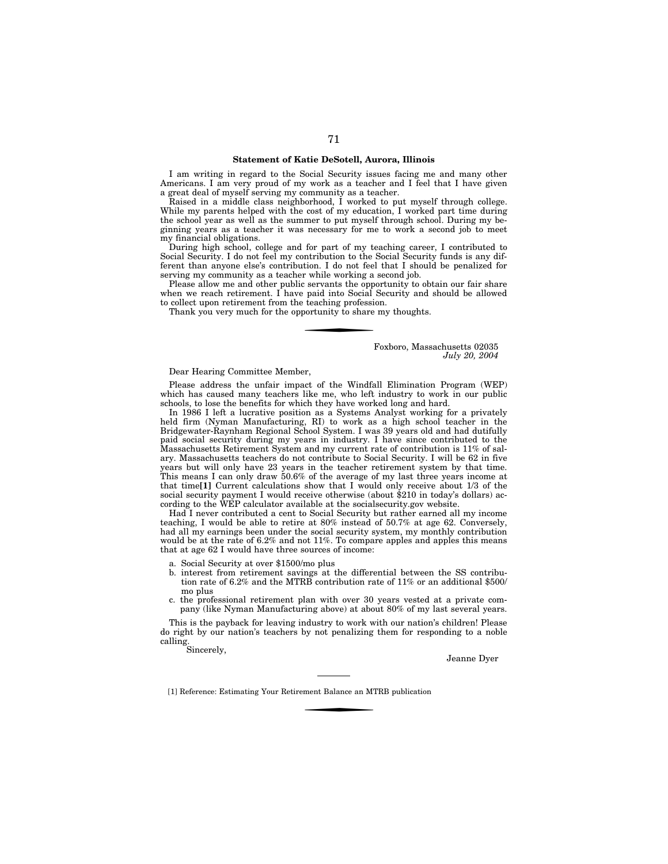# **Statement of Katie DeSotell, Aurora, Illinois**

I am writing in regard to the Social Security issues facing me and many other Americans. I am very proud of my work as a teacher and I feel that I have given a great deal of myself serving my community as a teacher.

Raised in a middle class neighborhood, I worked to put myself through college. While my parents helped with the cost of my education, I worked part time during the school year as well as the summer to put myself through school. During my beginning years as a teacher it was necessary for me to work a second job to meet my financial obligations.

During high school, college and for part of my teaching career, I contributed to Social Security. I do not feel my contribution to the Social Security funds is any different than anyone else's contribution. I do not feel that I should be penalized for serving my community as a teacher while working a second job.

Please allow me and other public servants the opportunity to obtain our fair share when we reach retirement. I have paid into Social Security and should be allowed to collect upon retirement from the teaching profession.

Thank you very much for the opportunity to share my thoughts.

Foxboro, Massachusetts 02035 *July 20, 2004* 

Dear Hearing Committee Member,

Please address the unfair impact of the Windfall Elimination Program (WEP) which has caused many teachers like me, who left industry to work in our public schools, to lose the benefits for which they have worked long and hard.

In 1986 I left a lucrative position as a Systems Analyst working for a privately held firm (Nyman Manufacturing, RI) to work as a high school teacher in the Bridgewater-Raynham Regional School System. I was 39 years old and had dutifully paid social security during my years in industry. I have since contributed to the Massachusetts Retirement System and my current rate of contribution is 11% of salary. Massachusetts teachers do not contribute to Social Security. I will be 62 in five years but will only have 23 years in the teacher retirement system by that time. This means I can only draw 50.6% of the average of my last three years income at that time**[1]** Current calculations show that I would only receive about 1/3 of the social security payment I would receive otherwise (about \$210 in today's dollars) according to the WEP calculator available at the socialsecurity.gov website.

Had I never contributed a cent to Social Security but rather earned all my income teaching, I would be able to retire at 80% instead of 50.7% at age 62. Conversely, had all my earnings been under the social security system, my monthly contribution would be at the rate of 6.2% and not 11%. To compare apples and apples this means that at age 62 I would have three sources of income:

- a. Social Security at over \$1500/mo plus
- b. interest from retirement savings at the differential between the SS contribution rate of 6.2% and the MTRB contribution rate of 11% or an additional \$500/ mo plus
- c. the professional retirement plan with over 30 years vested at a private company (like Nyman Manufacturing above) at about 80% of my last several years.

This is the payback for leaving industry to work with our nation's children! Please do right by our nation's teachers by not penalizing them for responding to a noble calling.

Sincerely,

Jeanne Dyer

[1] Reference: Estimating Your Retirement Balance an MTRB publication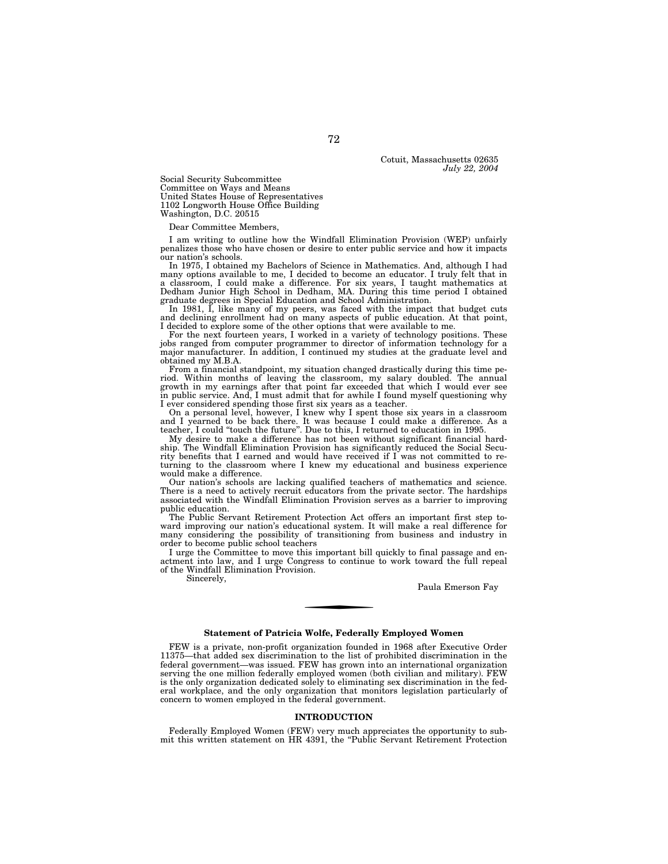Cotuit, Massachusetts 02635 *July 22, 2004* 

Social Security Subcommittee Committee on Ways and Means United States House of Representatives 1102 Longworth House Office Building Washington, D.C. 20515

Dear Committee Members,

I am writing to outline how the Windfall Elimination Provision (WEP) unfairly penalizes those who have chosen or desire to enter public service and how it impacts our nation's schools.

In 1975, I obtained my Bachelors of Science in Mathematics. And, although I had many options available to me, I decided to become an educator. I truly felt that in a classroom, I could make a difference. For six years, I taught mathematics at Dedham Junior High School in Dedham, MA. During this time period I obtained

graduate degrees in Special Education and School Administration. In 1981, I, like many of my peers, was faced with the impact that budget cuts and declining enrollment had on many aspects of public education. At that point, I decided to explore some of the other options that were available to me.

For the next fourteen years, I worked in a variety of technology positions. These jobs ranged from computer programmer to director of information technology for a major manufacturer. In addition, I continued my studies at the graduate level and obtained my M.B.A.

From a financial standpoint, my situation changed drastically during this time period. Within months of leaving the classroom, my salary doubled. The annual growth in my earnings after that point far exceeded that which I I ever considered spending those first six years as a teacher.

On a personal level, however, I knew why I spent those six years in a classroom and I yearned to be back there. It was because I could make a difference. As a teacher, I could ''touch the future''. Due to this, I returned to education in 1995.

My desire to make a difference has not been without significant financial hardship. The Windfall Elimination Provision has significantly reduced the Social Security benefits that I earned and would have received if I was not committed to returning to the classroom where I knew my educational and business experience would make a difference.

Our nation's schools are lacking qualified teachers of mathematics and science. There is a need to actively recruit educators from the private sector. The hardships associated with the Windfall Elimination Provision serves as a barrier to improving public education.

The Public Servant Retirement Protection Act offers an important first step toward improving our nation's educational system. It will make a real difference for many considering the possibility of transitioning from business and industry in order to become public school teachers

I urge the Committee to move this important bill quickly to final passage and enactment into law, and I urge Congress to continue to work toward the full repeal of the Windfall Elimination Provision.

Sincerely,

Paula Emerson Fay

## **Statement of Patricia Wolfe, Federally Employed Women**

FEW is a private, non-profit organization founded in 1968 after Executive Order 11375—that added sex discrimination to the list of prohibited discrimination in the federal government—was issued. FEW has grown into an international organization serving the one million federally employed women (both civilian and military). FEW is the only organization dedicated solely to eliminating sex discrimination in the federal workplace, and the only organization that monitors legislation particularly of concern to women employed in the federal government.

#### **INTRODUCTION**

Federally Employed Women (FEW) very much appreciates the opportunity to submit this written statement on HR 4391, the "Public Servant Retirement Protection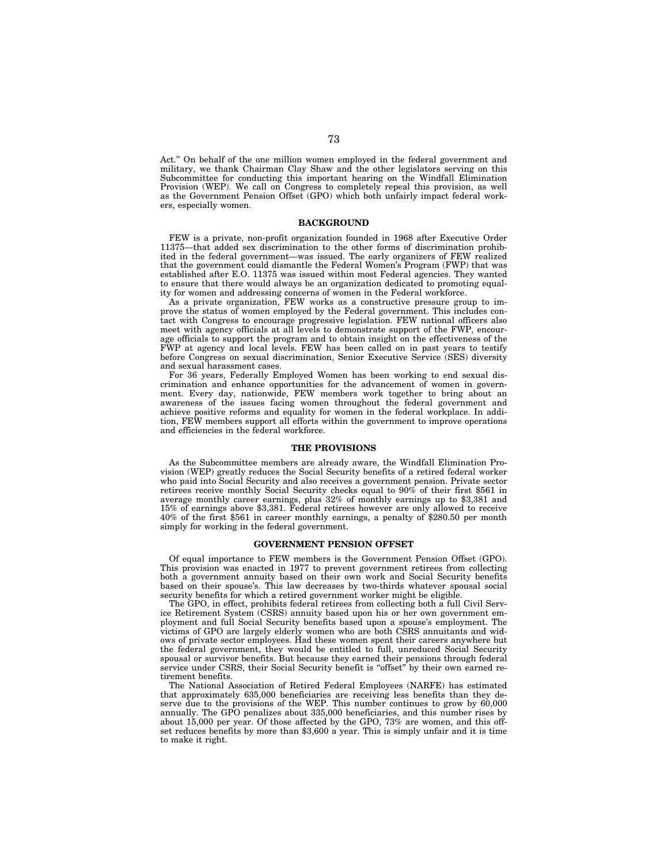Act.'' On behalf of the one million women employed in the federal government and military, we thank Chairman Clay Shaw and the other legislators serving on this Subcommittee for conducting this important hearing on the Windfall Elimination Provision (WEP). We call on Congress to completely repeal this provision, as well as the Government Pension Offset (GPO) which both unfairly impact federal workers, especially women.

## **BACKGROUND**

FEW is a private, non-profit organization founded in 1968 after Executive Order 11375—that added sex discrimination to the other forms of discrimination prohibited in the federal government—was issued. The early organizers of FEW realized that the government could dismantle the Federal Women's Program (FWP) that was established after E.O. 11375 was issued within most Federal agencies. They wanted to ensure that there would always be an organization dedicated to promoting equality for women and addressing concerns of women in the Federal workforce.

As a private organization, FEW works as a constructive pressure group to improve the status of women employed by the Federal government. This includes contact with Congress to encourage progressive legislation. FEW national officers also meet with agency officials at all levels to demonstrate support of the FWP, encourage officials to support the program and to obtain insight on the effectiveness of the FWP at agency and local levels. FEW has been called on in past years to testify before Congress on sexual discrimination, Senior Executive Service (SES) diversity and sexual harassment cases.

For 36 years, Federally Employed Women has been working to end sexual discrimination and enhance opportunities for the advancement of women in government. Every day, nationwide, FEW members work together to bring about an awareness of the issues facing women throughout the federal government and achieve positive reforms and equality for women in the federal workplace. In addition, FEW members support all efforts within the government to improve operations and efficiencies in the federal workforce.

#### **THE PROVISIONS**

As the Subcommittee members are already aware, the Windfall Elimination Provision (WEP) greatly reduces the Social Security benefits of a retired federal worker who paid into Social Security and also receives a government pension. Private sector retirees receive monthly Social Security checks equal to 90% of their first \$561 in average monthly career earnings, plus 32% of monthly earnings up to \$3,381 and 15% of earnings above \$3,381. Federal retirees however are only allowed to receive 40% of the first \$561 in career monthly earnings, a penalty of \$280.50 per month simply for working in the federal government.

## **GOVERNMENT PENSION OFFSET**

Of equal importance to FEW members is the Government Pension Offset (GPO). This provision was enacted in 1977 to prevent government retirees from collecting both a government annuity based on their own work and Social Security benefits based on their spouse's. This law decreases by two-thirds whatever spousal social security benefits for which a retired government worker might be eligible.

The GPO, in effect, prohibits federal retirees from collecting both a full Civil Service Retirement System (CSRS) annuity based upon his or her own government employment and full Social Security benefits based upon a spouse's employment. The victims of GPO are largely elderly women who are both CSRS annuitants and widows of private sector employees. Had these women spent their careers anywhere but the federal government, they would be entitled to full, unreduced Social Security spousal or survivor benefits. But because they earned their pensions through federal service under CSRS, their Social Security benefit is ''offset'' by their own earned retirement benefits.

The National Association of Retired Federal Employees (NARFE) has estimated that approximately 635,000 beneficiaries are receiving less benefits than they deserve due to the provisions of the WEP. This number continues to grow by 60,000 annually. The GPO penalizes about 335,000 beneficiaries, and this number rises by about 15,000 per year. Of those affected by the GPO, 73% are women, and this offset reduces benefits by more than \$3,600 a year. This is simply unfair and it is time to make it right.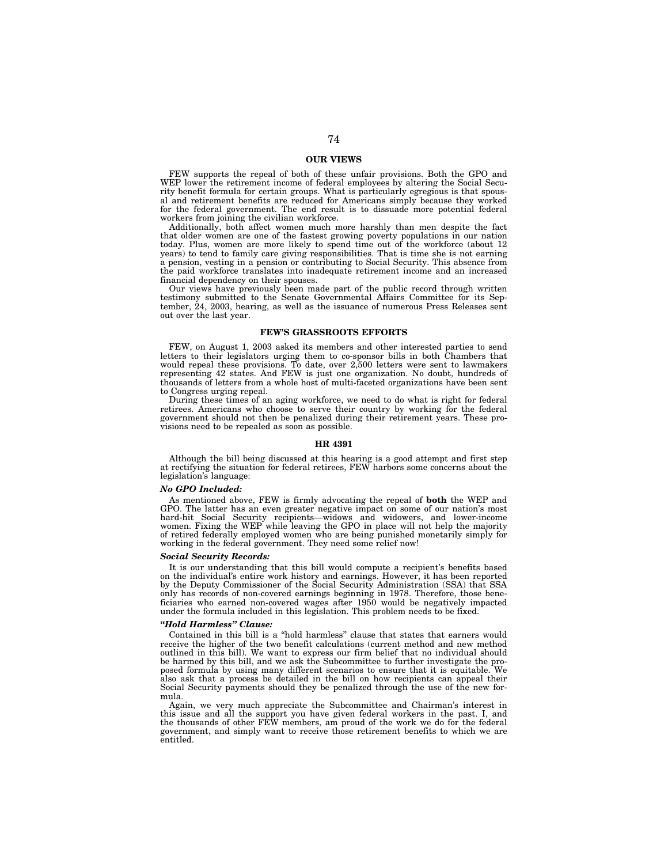# **OUR VIEWS**

FEW supports the repeal of both of these unfair provisions. Both the GPO and WEP lower the retirement income of federal employees by altering the Social Security benefit formula for certain groups. What is particularly egregious is that spousal and retirement benefits are reduced for Americans simply because they worked for the federal government. The end result is to dissuade more potential federal workers from joining the civilian workforce.

Additionally, both affect women much more harshly than men despite the fact that older women are one of the fastest growing poverty populations in our nation today. Plus, women are more likely to spend time out of the workforce (about 12 years) to tend to family care giving responsibilities. That is time she is not earning a pension, vesting in a pension or contributing to Social Security. This absence from the paid workforce translates into inadequate retirement income and an increased financial dependency on their spouses.

Our views have previously been made part of the public record through written testimony submitted to the Senate Governmental Affairs Committee for its September, 24, 2003, hearing, as well as the issuance of numerous Press Releases sent out over the last year.

## **FEW'S GRASSROOTS EFFORTS**

FEW, on August 1, 2003 asked its members and other interested parties to send letters to their legislators urging them to co-sponsor bills in both Chambers that would repeal these provisions. To date, over 2,500 letters were sent to lawmakers representing 42 states. And FEW is just one organization. No doubt, hundreds of thousands of letters from a whole host of multi-faceted organizations have been sent to Congress urging repeal.

During these times of an aging workforce, we need to do what is right for federal retirees. Americans who choose to serve their country by working for the federal government should not then be penalized during their retirement years. These provisions need to be repealed as soon as possible.

## **HR 4391**

Although the bill being discussed at this hearing is a good attempt and first step at rectifying the situation for federal retirees, FEW harbors some concerns about the legislation's language:

#### *No GPO Included:*

As mentioned above, FEW is firmly advocating the repeal of **both** the WEP and GPO. The latter has an even greater negative impact on some of our nation's most hard-hit Social Security recipients—widows and widowers, and lower-income women. Fixing the WEP while leaving the GPO in place will not help the majority of retired federally employed women who are being punished monetarily simply for working in the federal government. They need some relief now!

## *Social Security Records:*

It is our understanding that this bill would compute a recipient's benefits based on the individual's entire work history and earnings. However, it has been reported by the Deputy Commissioner of the Social Security Administration (SSA) that SSA only has records of non-covered earnings beginning in 1978. Therefore, those beneficiaries who earned non-covered wages after 1950 would be negatively impacted under the formula included in this legislation. This problem needs to be fixed.

## *''Hold Harmless'' Clause:*

Contained in this bill is a ''hold harmless'' clause that states that earners would receive the higher of the two benefit calculations (current method and new method outlined in this bill). We want to express our firm belief that no individual should be harmed by this bill, and we ask the Subcommittee to further investigate the proposed formula by using many different scenarios to ensure that it is equitable. We also ask that a process be detailed in the bill on how recipients can appeal their Social Security payments should they be penalized through the use of the new formula.

Again, we very much appreciate the Subcommittee and Chairman's interest in this issue and all the support you have given federal workers in the past. I, and the thousands of other FEW members, am proud of the work we do for the federal government, and simply want to receive those retirement benefits to which we are entitled.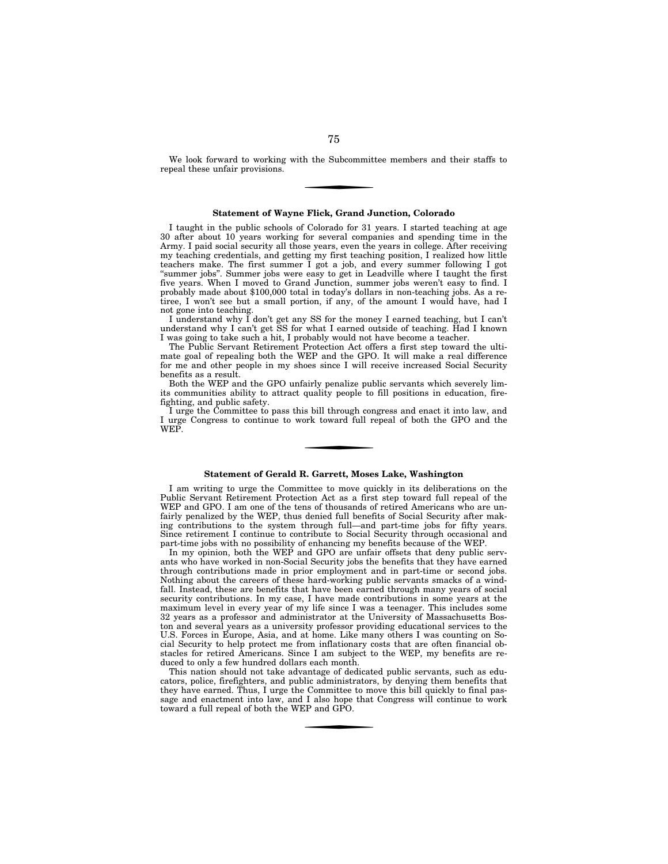We look forward to working with the Subcommittee members and their staffs to repeal these unfair provisions.

## **Statement of Wayne Flick, Grand Junction, Colorado**

I taught in the public schools of Colorado for 31 years. I started teaching at age 30 after about 10 years working for several companies and spending time in the Army. I paid social security all those years, even the years in college. After receiving my teaching credentials, and getting my first teaching position, I realized how little teachers make. The first summer I got a job, and every summer following I got ''summer jobs''. Summer jobs were easy to get in Leadville where I taught the first five years. When I moved to Grand Junction, summer jobs weren't easy to find. I probably made about \$100,000 total in today's dollars in non-teaching jobs. As a retiree, I won't see but a small portion, if any, of the amount I would have, had I not gone into teaching.

I understand why I don't get any SS for the money I earned teaching, but I can't understand why I can't get SS for what I earned outside of teaching. Had I known I was going to take such a hit, I probably would not have become a teacher.

The Public Servant Retirement Protection Act offers a first step toward the ultimate goal of repealing both the WEP and the GPO. It will make a real difference for me and other people in my shoes since I will receive increased Social Security benefits as a result.

Both the WEP and the GPO unfairly penalize public servants which severely limits communities ability to attract quality people to fill positions in education, firefighting, and public safety.

I urge the Committee to pass this bill through congress and enact it into law, and I urge Congress to continue to work toward full repeal of both the GPO and the WEP.

# **Statement of Gerald R. Garrett, Moses Lake, Washington**

I am writing to urge the Committee to move quickly in its deliberations on the Public Servant Retirement Protection Act as a first step toward full repeal of the WEP and GPO. I am one of the tens of thousands of retired Americans who are unfairly penalized by the WEP, thus denied full benefits of Social Security after making contributions to the system through full—and part-time jobs for fifty years. Since retirement I continue to contribute to Social Security through occasional and part-time jobs with no possibility of enhancing my benefits because of the WEP.

In my opinion, both the WEP and GPO are unfair offsets that deny public servants who have worked in non-Social Security jobs the benefits that they have earned through contributions made in prior employment and in part-time or second jobs. Nothing about the careers of these hard-working public servants smacks of a windfall. Instead, these are benefits that have been earned through many years of social security contributions. In my case, I have made contributions in some years at the maximum level in every year of my life since I was a teenager. This includes some 32 years as a professor and administrator at the University of Massachusetts Boston and several years as a university professor providing educational services to the U.S. Forces in Europe, Asia, and at home. Like many others I was counting on Social Security to help protect me from inflationary costs that are often financial obstacles for retired Americans. Since I am subject to the WEP, my benefits are reduced to only a few hundred dollars each month.

This nation should not take advantage of dedicated public servants, such as educators, police, firefighters, and public administrators, by denying them benefits that they have earned. Thus, I urge the Committee to move this bill quickly to final passage and enactment into law, and I also hope that Congress will continue to work toward a full repeal of both the WEP and GPO.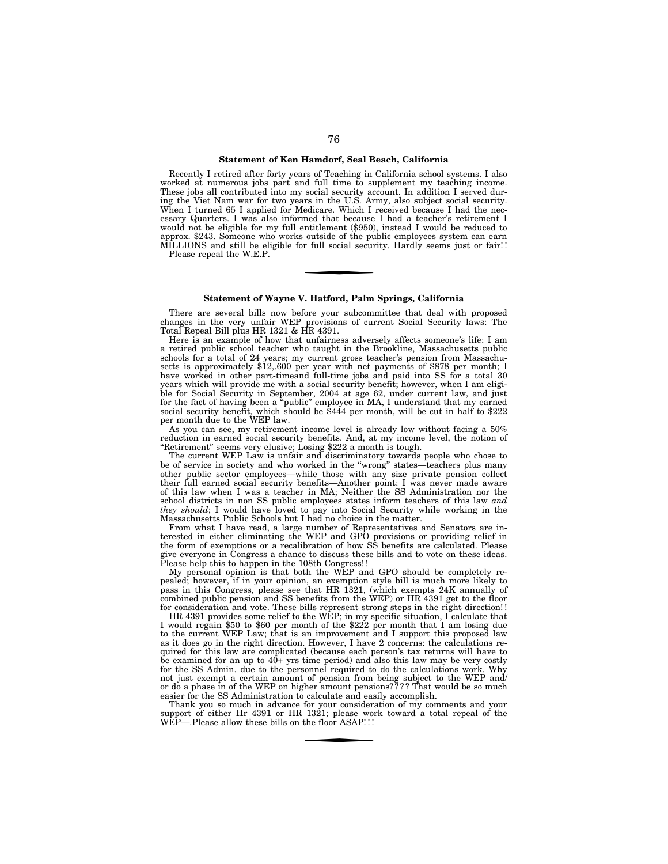# **Statement of Ken Hamdorf, Seal Beach, California**

Recently I retired after forty years of Teaching in California school systems. I also worked at numerous jobs part and full time to supplement my teaching income. These jobs all contributed into my social security account. In addition I served during the Viet Nam war for two years in the U.S. Army, also subject social security. When I turned 65 I applied for Medicare. Which I received because I had the necessary Quarters. I was also informed that because I had a teacher's retirement I would not be eligible for my full entitlement (\$950), instead I would be reduced to approx. \$243. Someone who works outside of the public employees system can earn MILLIONS and still be eligible for full social security. Hardly seems just or fair! ! Please repeal the W.E.P.

## **Statement of Wayne V. Hatford, Palm Springs, California**

There are several bills now before your subcommittee that deal with proposed changes in the very unfair WEP provisions of current Social Security laws: The Total Repeal Bill plus HR 1321 & HR 4391.

Here is an example of how that unfairness adversely affects someone's life: I am a retired public school teacher who taught in the Brookline, Massachusetts public schools for a total of 24 years; my current gross teacher's pension from Massachusetts is approximately \$12,.600 per year with net payments of \$878 per month; I have worked in other part-timeand full-time jobs and paid into SS for a total 30 years which will provide me with a social security benefit; however, when I am eligible for Social Security in September, 2004 at age 62, under current law, and just for the fact of having been a ''public'' employee in MA, I understand that my earned social security benefit, which should be \$444 per month, will be cut in half to \$222 per month due to the WEP law.

As you can see, my retirement income level is already low without facing a 50% reduction in earned social security benefits. And, at my income level, the notion of "Retirement" seems very elusive; Losing \$222 a month is tough.

The current WEP Law is unfair and discriminatory towards people who chose to be of service in society and who worked in the ''wrong'' states—teachers plus many other public sector employees—while those with any size private pension collect their full earned social security benefits—Another point: I was never made aware of this law when I was a teacher in MA; Neither the SS Administration nor the school districts in non SS public employees states inform teachers of this law *and they should*; I would have loved to pay into Social Security while working in the Massachusetts Public Schools but I had no choice in the matter.

From what I have read, a large number of Representatives and Senators are interested in either eliminating the WEP and GPO provisions or providing relief in the form of exemptions or a recalibration of how SS benefits are calculated. Please give everyone in Congress a chance to discuss these bills and to vote on these ideas. Please help this to happen in the 108th Congress! !

My personal opinion is that both the WEP and GPO should be completely repealed; however, if in your opinion, an exemption style bill is much more likely to pass in this Congress, please see that HR 1321, (which exempts 24K annually of combined public pension and SS benefits from the WEP) or HR 4391 get to the floor for consideration and vote. These bills represent strong steps in the right direction! !

HR 4391 provides some relief to the WEP; in my specific situation, I calculate that I would regain \$50 to \$60 per month of the \$222 per month that I am losing due to the current WEP Law; that is an improvement and I support this proposed law as it does go in the right direction. However, I have 2 concerns: the calculations required for this law are complicated (because each person's tax returns will have to be examined for an up to 40+ yrs time period) and also this law may be very costly for the SS Admin. due to the personnel required to do the calculations work. Why not just exempt a certain amount of pension from being subject to the WEP and/ or do a phase in of the WEP on higher amount pensions? ? ? ? That would be so much easier for the SS Administration to calculate and easily accomplish.

Thank you so much in advance for your consideration of my comments and your support of either Hr 4391 or HR 1321; please work toward a total repeal of the WEP—. Please allow these bills on the floor ASAP!!!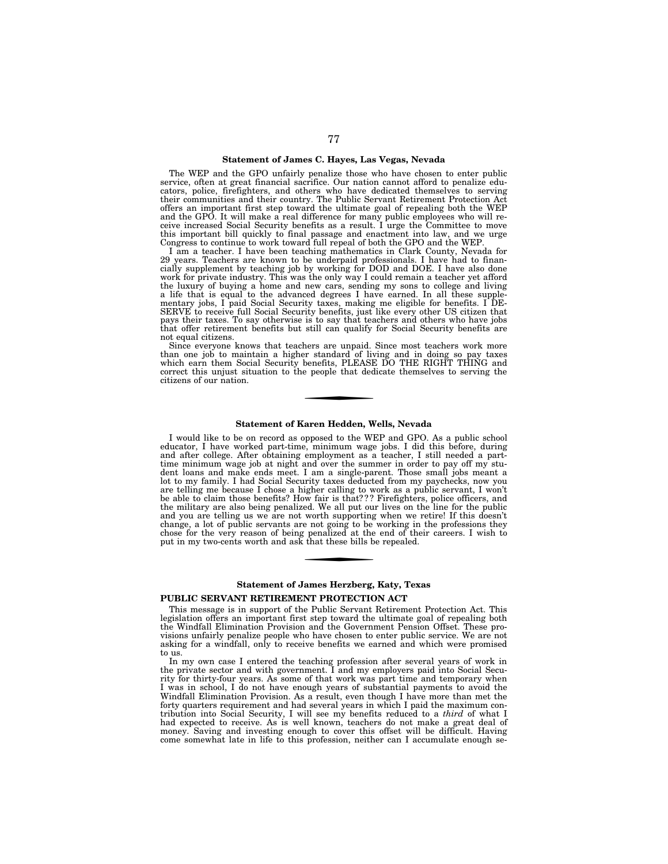# **Statement of James C. Hayes, Las Vegas, Nevada**

The WEP and the GPO unfairly penalize those who have chosen to enter public service, often at great financial sacrifice. Our nation cannot afford to penalize educators, police, firefighters, and others who have dedicated themselves to serving their communities and their country. The Public Servant Retirement Protection Act offers an important first step toward the ultimate goal of repealing both the WEP and the GPO. It will make a real difference for many public employees who will receive increased Social Security benefits as a result. I urge the Committee to move this important bill quickly to final passage and enactment into law, and we urge Congress to continue to work toward full repeal of both the GPO and the WEP.

I am a teacher. I have been teaching mathematics in Clark County, Nevada for 29 years. Teachers are known to be underpaid professionals. I have had to financially supplement by teaching job by working for DOD and DOE. I have also done work for private industry. This was the only way I could remain a teacher yet afford the luxury of buying a home and new cars, sending my sons to college and living a life that is equal to the advanced degrees I have earned. In all these supplementary jobs, I paid Social Security taxes, making me eligible for benefits. I DE-SERVE to receive full Social Security benefits, just like every other US citizen that<br>pays their taxes. To say otherwise is to say that teachers and others who have jobs<br>that offer retirement benefits but still can qualify not equal citizens.

Since everyone knows that teachers are unpaid. Since most teachers work more than one job to maintain a higher standard of living and in doing so pay taxes which earn them Social Security benefits, PLEASE DO THE RIGHT THING and correct this unjust situation to the people that dedicate themselves to serving the citizens of our nation.

# **Statement of Karen Hedden, Wells, Nevada**

I would like to be on record as opposed to the WEP and GPO. As a public school educator, I have worked part-time, minimum wage jobs. I did this before, during and after college. After obtaining employment as a teacher, I still needed a parttime minimum wage job at night and over the summer in order to pay off my student loans and make ends meet. I am a single-parent. Those small jobs meant a lot to my family. I had Social Security taxes deducted from my paychecks, now you are telling me because I chose a higher calling to work as a public servant, I won't<br>be able to claim those benefits? How fair is that??? Firefighters, police officers, and<br>the military are also being penalized. We all put and you are telling us we are not worth supporting when we retire! If this doesn't change, a lot of public servants are not going to be working in the professions they chose for the very reason of being penalized at the en

## **Statement of James Herzberg, Katy, Texas**

## **PUBLIC SERVANT RETIREMENT PROTECTION ACT**

This message is in support of the Public Servant Retirement Protection Act. This legislation offers an important first step toward the ultimate goal of repealing both the Windfall Elimination Provision and the Government Pension Offset. These provisions unfairly penalize people who have chosen to enter public service. We are not asking for a windfall, only to receive benefits we earned and which were promised to us.

In my own case I entered the teaching profession after several years of work in the private sector and with government. I and my employers paid into Social Security for thirty-four years. As some of that work was part time and temporary when I was in school, I do not have enough years of substantial payments to avoid the Windfall Elimination Provision. As a result, even though I have more than met the forty quarters requirement and had several years in which I paid the maximum contribution into Social Security, I will see my benefits reduced to a *third* of what I had expected to receive. As is well known, teachers do not make a great deal of money. Saving and investing enough to cover this offset will be difficult. Having come somewhat late in life to this profession, neither can I accumulate enough se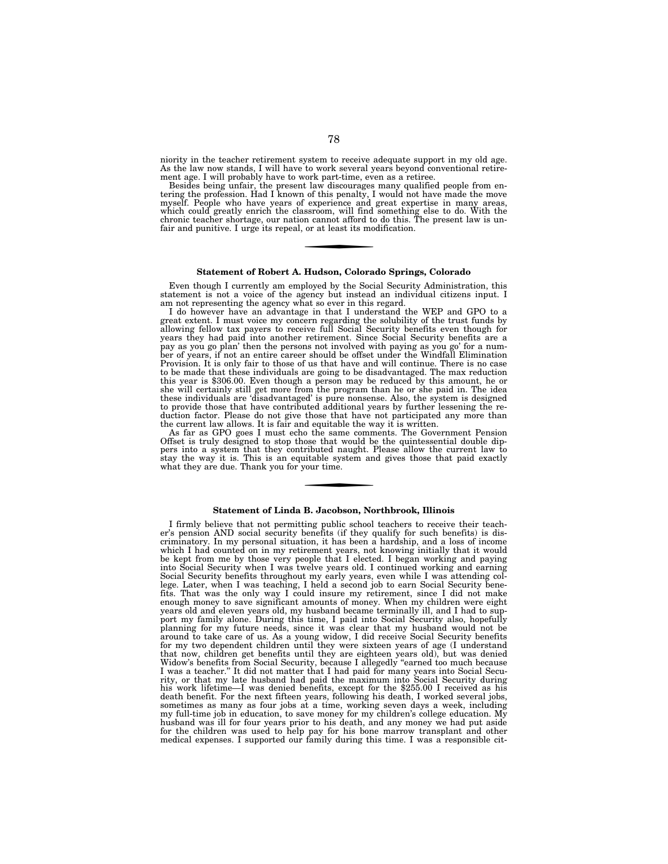niority in the teacher retirement system to receive adequate support in my old age. As the law now stands, I will have to work several years beyond conventional retirement age. I will probably have to work part-time, even as a retiree.

Besides being unfair, the present law discourages many qualified people from en-tering the profession. Had I known of this penalty, I would not have made the move myself. People who have years of experience and great expertise in many areas,<br>which could greatly enrich the classroom, will find something else to do. With the<br>chronic teacher shortage, our nation cannot afford to do thi fair and punitive. I urge its repeal, or at least its modification.

#### **Statement of Robert A. Hudson, Colorado Springs, Colorado**

Even though I currently am employed by the Social Security Administration, this statement is not a voice of the agency but instead an individual citizens input. I am not representing the agency what so ever in this regard.

I do however have an advantage in that I understand the WEP and GPO to a great extent. I must voice my concern regarding the solubility of the trust funds by allowing fellow tax payers to receive full Social Security benefits even though for years they had paid into another retirement. Since Social Security benefits are a pay as you go plan' then the persons not involved with paying as you go' for a num-ber of years, if not an entire career should be offset under the Windfall Elimination Provision. It is only fair to those of us that have and will continue. There is no case to be made that these individuals are going to be disadvantaged. The max reduction<br>this year is \$306.00. Even though a person may be reduced by this amount, he or<br>she will certainly still get more from the program than he to provide those that have contributed additional years by further lessening the reduction factor. Please do not give those that have not participated any more than the current law allows. It is fair and equitable the way it is written.

As far as GPO goes I must echo the same comments. The Government Pension Offset is truly designed to stop those that would be the quintessential double dippers into a system that they contributed naught. Please allow the current law to stay the way it is. This is an equitable system and gives those that paid exactly what they are due. Thank you for your time.

## **Statement of Linda B. Jacobson, Northbrook, Illinois**

I firmly believe that not permitting public school teachers to receive their teach-er's pension AND social security benefits (if they qualify for such benefits) is discriminatory. In my personal situation, it has been a hardship, and a loss of income which I had counted on in my retirement years, not knowing initially that it would be kept from me by those very people that I elected. I began working and paying into Social Security when I was twelve years old. I continued working and earning Social Security benefits throughout my early years, even while I was attending col-lege. Later, when I was teaching, I held a second job to earn Social Security benefits. That was the only way I could insure my retirement, since I did not make enough money to save significant amounts of money. When my children were eight years old and eleven years old, my husband became terminally ill, and I had to support my family alone. During this time, I paid into Social Security also, hopefully planning for my future needs, since it was clear that my husband would not be around to take care of us. As a young widow, I did receive Social Security benefits for my two dependent children until they were sixteen years of age (I understand that now, children get benefits until they are eighteen years old), but was denied Widow's benefits from Social Security, because I allegedly ''earned too much because I was a teacher.'' It did not matter that I had paid for many years into Social Security, or that my late husband had paid the maximum into Social Security during his work lifetime—I was denied benefits, except for the \$255.00 I received as his death benefit. For the next fifteen years, following his death, I worked several jobs, sometimes as many as four jobs at a time, working seven days a week, including my full-time job in education, to save money for my children's college education. My husband was ill for four years prior to his death, and any money we had put aside for the children was used to help pay for his bone marrow transplant and other medical expenses. I supported our family during this time. I was a responsible cit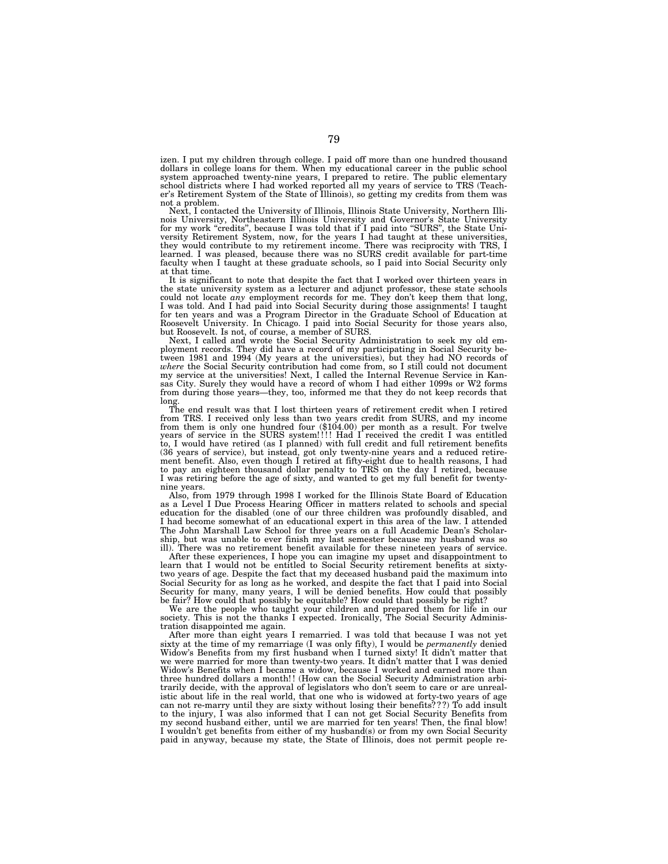izen. I put my children through college. I paid off more than one hundred thousand dollars in college loans for them. When my educational career in the public school system approached twenty-nine years, I prepared to retire. The public elementary school districts where I had worked reported all my years of service to TRS (Teacher's Retirement System of the State of Illinois), so getting my credits from them was not a problem.

Next, I contacted the University of Illinois, Illinois State University, Northern Illinois University, Northeastern Illinois University and Governor's State University<br>for my work "credits", because I was told that if I pa versity Retirement System, now, for the years I had taught at these universities, they would contribute to my retirement income. There was reciprocity with TRS, I learned. I was pleased, because there was no SURS credit available for part-time faculty when I taught at these graduate schools, so I paid into Social Security only at that time.

It is significant to note that despite the fact that I worked over thirteen years in the state university system as a lecturer and adjunct professor, these state schools could not locate *any* employment records for me. They don't keep them that long, I was told. And I had paid into Social Security during those assignments! I taught for ten years and was a Program Director in the Graduate School of Education at Roosevelt University. In Chicago. I paid into Social Security for those years also, but Roosevelt. Is not, of course, a member of SURS.

Next, I called and wrote the Social Security Administration to seek my old em-ployment records. They did have a record of my participating in Social Security between 1981 and 1994 (My years at the universities), but they had NO records of *where* the Social Security contribution had come from, so I still could not document my service at the universities! Next, I called the Internal Revenue Service in Kansas City. Surely they would have a record of whom I had either 1099s or W2 forms from during those years—they, too, informed me that they do not keep records that long.

The end result was that I lost thirteen years of retirement credit when I retired from TRS. I received only less than two years credit from SURS, and my income from them is only one hundred four (\$104.00) per month as a result. For twelve years of service in the SURS system!!!! Had I received the credit I was entitled to, I would have retired (as I planned) with full credit and full retirement benefits (36 years of service), but instead, got only twenty-nine years and a reduced retire-ment benefit. Also, even though I retired at fifty-eight due to health reasons, I had to pay an eighteen thousand dollar penalty to TRS on the day I retired, because I was retiring before the age of sixty, and wanted to get my full benefit for twentynine years.

Also, from 1979 through 1998 I worked for the Illinois State Board of Education as a Level I Due Process Hearing Officer in matters related to schools and special education for the disabled (one of our three children was profoundly disabled, and I had become somewhat of an educational expert in this area of the law. I attended The John Marshall Law School for three years on a full Academic Dean's Scholarship, but was unable to ever finish my last semester because my husband was so ill). There was no retirement benefit available for these nineteen years of service.

After these experiences, I hope you can imagine my upset and disappointment to learn that I would not be entitled to Social Security retirement benefits at sixtytwo years of age. Despite the fact that my deceased husband paid the maximum into Social Security for as long as he worked, and despite the fact that I paid into Social Security for many, many years, I will be denied benefits. How could that possibly be fair? How could that possibly be equitable? How could that possibly be right?

We are the people who taught your children and prepared them for life in our society. This is not the thanks I expected. Ironically, The Social Security Administration disappointed me again.

After more than eight years I remarried. I was told that because I was not yet sixty at the time of my remarriage (I was only fifty), I would be *permanently* denied Widow's Benefits from my first husband when I turned sixty! It didn't matter that we were married for more than twenty-two years. It didn't matter that I was denied Widow's Benefits when I became a widow, because I worked and earned more than three hundred dollars a month! ! (How can the Social Security Administration arbitrarily decide, with the approval of legislators who don't seem to care or are unrealistic about life in the real world, that one who is widowed at forty-two years of age can not re-marry until they are sixty without losing their benefits? ? ?) To add insult to the injury, I was also informed that I can not get Social Security Benefits from my second husband either, until we are married for ten years! Then, the final blow! I wouldn't get benefits from either of my husband(s) or from my own Social Security paid in anyway, because my state, the State of Illinois, does not permit people re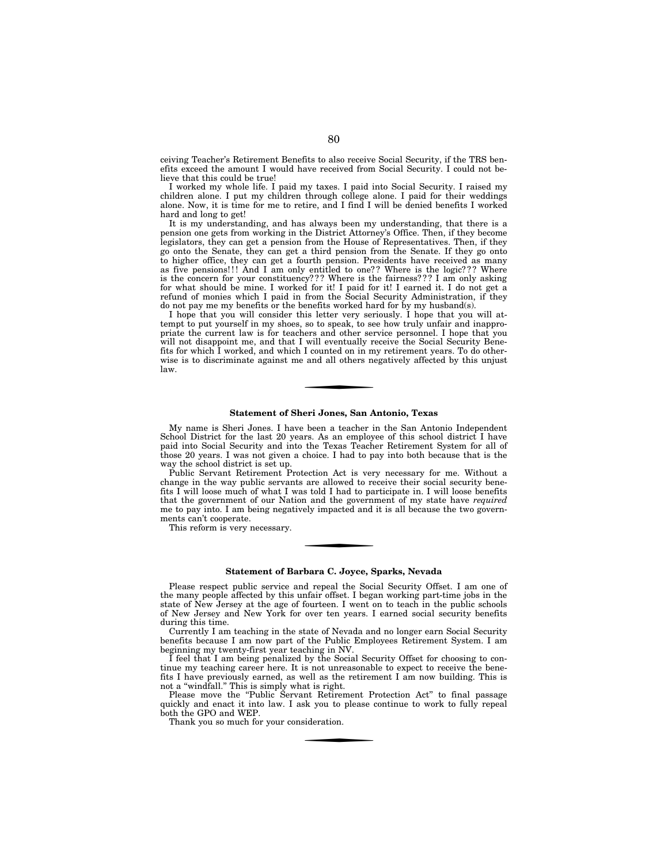ceiving Teacher's Retirement Benefits to also receive Social Security, if the TRS benefits exceed the amount I would have received from Social Security. I could not believe that this could be true!

I worked my whole life. I paid my taxes. I paid into Social Security. I raised my children alone. I put my children through college alone. I paid for their weddings alone. Now, it is time for me to retire, and I find I will be denied benefits I worked hard and long to get!

It is my understanding, and has always been my understanding, that there is a pension one gets from working in the District Attorney's Office. Then, if they become legislators, they can get a pension from the House of Representatives. Then, if they go onto the Senate, they can get a third pension from the Senate. If they go onto to higher office, they can get a fourth pension. Presidents have received as many as five pensions!!! And I am only entitled to one?? Where is the logic??? Where is the concern for your constituency??? Where is the fairness??? I am only asking for what should be mine. I worked for it! I paid for it! I earned it. I do not get a refund of monies which I paid in from the Social Security Administration, if they do not pay me my benefits or the benefits worked hard for by my husband $(s)$ .

I hope that you will consider this letter very seriously. I hope that you will attempt to put yourself in my shoes, so to speak, to see how truly unfair and inappropriate the current law is for teachers and other service personnel. I hope that you will not disappoint me, and that I will eventually receive the Social Security Benefits for which I worked, and which I counted on in my retirement years. To do otherwise is to discriminate against me and all others negatively affected by this unjust law.

## **Statement of Sheri Jones, San Antonio, Texas**

My name is Sheri Jones. I have been a teacher in the San Antonio Independent School District for the last 20 years. As an employee of this school district I have paid into Social Security and into the Texas Teacher Retirement System for all of those 20 years. I was not given a choice. I had to pay into both because that is the way the school district is set up.

Public Servant Retirement Protection Act is very necessary for me. Without a change in the way public servants are allowed to receive their social security benefits I will loose much of what I was told I had to participate in. I will loose benefits that the government of our Nation and the government of my state have *required*  me to pay into. I am being negatively impacted and it is all because the two governments can't cooperate.

This reform is very necessary.

#### **Statement of Barbara C. Joyce, Sparks, Nevada**

Please respect public service and repeal the Social Security Offset. I am one of the many people affected by this unfair offset. I began working part-time jobs in the state of New Jersey at the age of fourteen. I went on to teach in the public schools of New Jersey and New York for over ten years. I earned social security benefits during this time.

Currently I am teaching in the state of Nevada and no longer earn Social Security benefits because I am now part of the Public Employees Retirement System. I am beginning my twenty-first year teaching in NV.

I feel that I am being penalized by the Social Security Offset for choosing to continue my teaching career here. It is not unreasonable to expect to receive the benefits I have previously earned, as well as the retirement I am now building. This is not a ''windfall.'' This is simply what is right.

Please move the "Public Servant Retirement Protection Act" to final passage quickly and enact it into law. I ask you to please continue to work to fully repeal both the GPO and WEP.

Thank you so much for your consideration.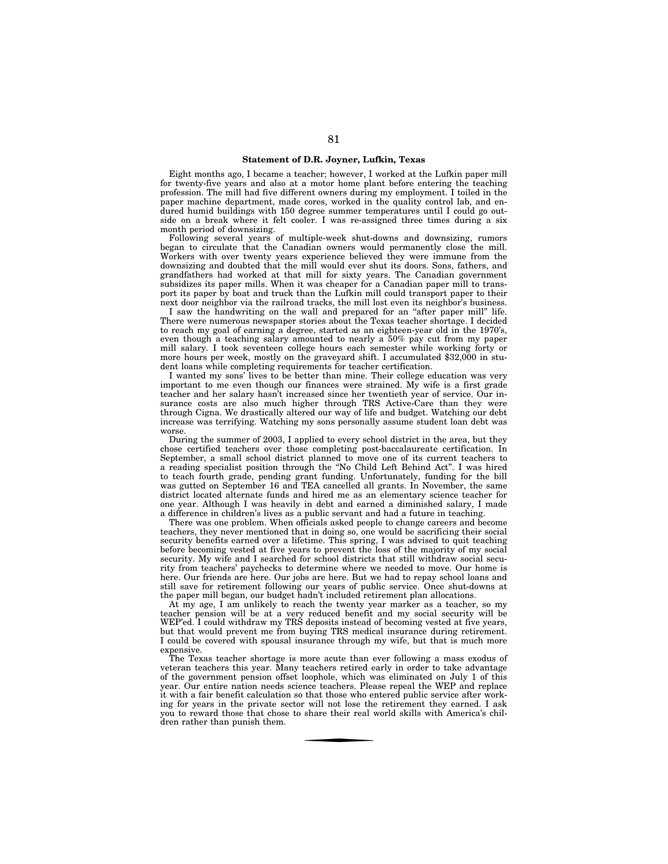# **Statement of D.R. Joyner, Lufkin, Texas**

Eight months ago, I became a teacher; however, I worked at the Lufkin paper mill for twenty-five years and also at a motor home plant before entering the teaching profession. The mill had five different owners during my employment. I toiled in the paper machine department, made cores, worked in the quality control lab, and endured humid buildings with 150 degree summer temperatures until I could go outside on a break where it felt cooler. I was re-assigned three times during a six month period of downsizing.

Following several years of multiple-week shut-downs and downsizing, rumors began to circulate that the Canadian owners would permanently close the mill. Workers with over twenty years experience believed they were immune from the downsizing and doubted that the mill would ever shut its doors. Sons, fathers, and grandfathers had worked at that mill for sixty years. The Canadian government subsidizes its paper mills. When it was cheaper for a Canadian paper mill to transport its paper by boat and truck than the Lufkin mill could transport paper to their next door neighbor via the railroad tracks, the mill lost even its neighbor's business.

I saw the handwriting on the wall and prepared for an "after paper mill" life. There were numerous newspaper stories about the Texas teacher shortage. I decided to reach my goal of earning a degree, started as an eighteen-year old in the 1970's, even though a teaching salary amounted to nearly a 50% pay cut from my paper mill salary. I took seventeen college hours each semester while working forty or more hours per week, mostly on the graveyard shift. I accumulated \$32,000 in student loans while completing requirements for teacher certification.

I wanted my sons' lives to be better than mine. Their college education was very important to me even though our finances were strained. My wife is a first grade teacher and her salary hasn't increased since her twentieth year of service. Our insurance costs are also much higher through TRS Active-Care than they were through Cigna. We drastically altered our way of life and budget. Watching our debt increase was terrifying. Watching my sons personally assume student loan debt was worse.

During the summer of 2003, I applied to every school district in the area, but they chose certified teachers over those completing post-baccalaureate certification. In September, a small school district planned to move one of its current teachers to a reading specialist position through the ''No Child Left Behind Act''. I was hired to teach fourth grade, pending grant funding. Unfortunately, funding for the bill was gutted on September 16 and TEA cancelled all grants. In November, the same district located alternate funds and hired me as an elementary science teacher for one year. Although I was heavily in debt and earned a diminished salary, I made a difference in children's lives as a public servant and had a future in teaching.

There was one problem. When officials asked people to change careers and become teachers, they never mentioned that in doing so, one would be sacrificing their social security benefits earned over a lifetime. This spring, I was advised to quit teaching before becoming vested at five years to prevent the loss of the majority of my social security. My wife and I searched for school districts that still withdraw social security from teachers' paychecks to determine where we needed to move. Our home is here. Our friends are here. Our jobs are here. But we had to repay school loans and still save for retirement following our years of public service. Once shut-downs at the paper mill began, our budget hadn't included retirement plan allocations.

At my age, I am unlikely to reach the twenty year marker as a teacher, so my teacher pension will be at a very reduced benefit and my social security will be WEP'ed. I could withdraw my TRS deposits instead of becoming vested at five years, but that would prevent me from buying TRS medical insurance during retirement. I could be covered with spousal insurance through my wife, but that is much more expensive.

The Texas teacher shortage is more acute than ever following a mass exodus of veteran teachers this year. Many teachers retired early in order to take advantage of the government pension offset loophole, which was eliminated on July 1 of this year. Our entire nation needs science teachers. Please repeal the WEP and replace it with a fair benefit calculation so that those who entered public service after working for years in the private sector will not lose the retirement they earned. I ask you to reward those that chose to share their real world skills with America's children rather than punish them.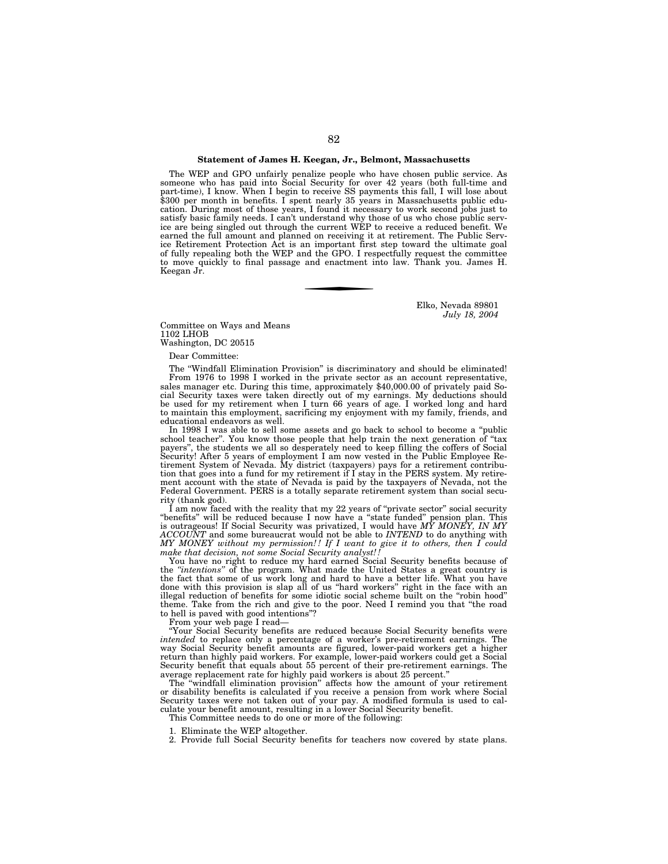# **Statement of James H. Keegan, Jr., Belmont, Massachusetts**

The WEP and GPO unfairly penalize people who have chosen public service. As someone who has paid into Social Security for over 42 years (both full-time and part-time), I know. When I begin to receive SS payments this fall, I will lose about \$300 per month in benefits. I spent nearly 35 years in Massachusetts public education. During most of those years, I found it necessary to work second jobs just to satisfy basic family needs. I can't understand why those of us who chose public service are being singled out through the current WEP to receive a reduced benefit. We earned the full amount and planned on receiving it at retirement. The Public Service Retirement Protection Act is an important first step toward the ultimate goal of fully repealing both the WEP and the GPO. I respectfully request the committee to move quickly to final passage and enactment into law. Thank you. James H. Keegan Jr.

> Elko, Nevada 89801 *July 18, 2004*

Committee on Ways and Means 1102 LHOB

Washington, DC 20515

Dear Committee:

The ''Windfall Elimination Provision'' is discriminatory and should be eliminated! From 1976 to 1998 I worked in the private sector as an account representative, sales manager etc. During this time, approximately \$40,000.00 of privately paid Social Security taxes were taken directly out of my earnings. My deductions should be used for my retirement when I turn 66 years of age. I worked long and hard to maintain this employment, sacrificing my enjoyment with my family, friends, and educational endeavors as well.

In 1998 I was able to sell some assets and go back to school to become a ''public school teacher''. You know those people that help train the next generation of ''tax payers'', the students we all so desperately need to keep filling the coffers of Social Security! After 5 years of employment I am now vested in the Public Employee Retirement System of Nevada. My district (taxpayers) pays for a retirement contribution that goes into a fund for my retirement if I stay in the PERS system. My retirement account with the state of Nevada is paid by the taxpayers of Nevada, not the Federal Government. PERS is a totally separate retirement system than social security (thank god).

I am now faced with the reality that my 22 years of ''private sector'' social security ''benefits'' will be reduced because I now have a ''state funded'' pension plan. This is outrageous! If Social Security was privatized, I would have *MY MONEY, IN MY ACCOUNT* and some bureaucrat would not be able to *INTEND* to do anything with *MY MONEY without my permission! ! If I want to give it to others, then I could make that decision, not some Social Security analyst! !* 

You have no right to reduce my hard earned Social Security benefits because of the *''intentions''* of the program. What made the United States a great country is the fact that some of us work long and hard to have a better life. What you have done with this provision is slap all of us ''hard workers'' right in the face with an illegal reduction of benefits for some idiotic social scheme built on the ''robin hood'' theme. Take from the rich and give to the poor. Need I remind you that ''the road to hell is paved with good intentions''?

From your web page I read-

''Your Social Security benefits are reduced because Social Security benefits were *intended* to replace only a percentage of a worker's pre-retirement earnings. The way Social Security benefit amounts are figured, lower-paid workers get a higher return than highly paid workers. For example, lower-paid workers could get a Social Security benefit that equals about 55 percent of their pre-retirement earnings. The average replacement rate for highly paid workers is about 25 percent.''

The ''windfall elimination provision'' affects how the amount of your retirement or disability benefits is calculated if you receive a pension from work where Social Security taxes were not taken out of your pay. A modified formula is used to calculate your benefit amount, resulting in a lower Social Security benefit.

This Committee needs to do one or more of the following:

1. Eliminate the WEP altogether.

2. Provide full Social Security benefits for teachers now covered by state plans.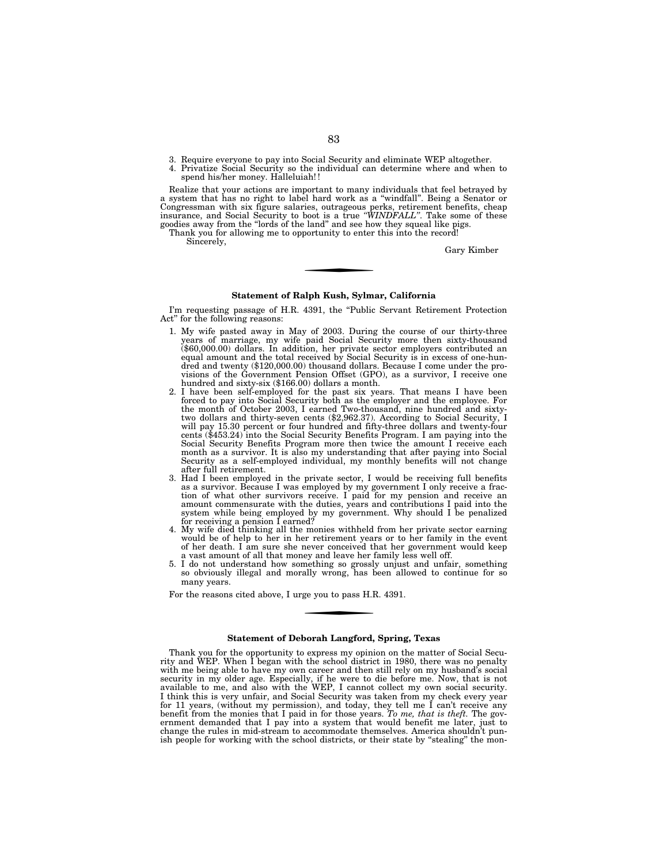- 3. Require everyone to pay into Social Security and eliminate WEP altogether.
- 4. Privatize Social Security so the individual can determine where and when to spend his/her money. Halleluiah! !

Realize that your actions are important to many individuals that feel betrayed by a system that has no right to label hard work as a ''windfall''. Being a Senator or Congressman with six figure salaries, outrageous perks, retirement benefits, cheap insurance, and Social Security to boot is a true *''WINDFALL''*. Take some of these goodies away from the ''lords of the land'' and see how they squeal like pigs.

Thank you for allowing me to opportunity to enter this into the record!

Sincerely,

Gary Kimber

## **Statement of Ralph Kush, Sylmar, California**

I'm requesting passage of H.R. 4391, the "Public Servant Retirement Protection Act'' for the following reasons:

- 1. My wife pasted away in May of 2003. During the course of our thirty-three years of marriage, my wife paid Social Security more then sixty-thousand (\$60,000.00) dollars. In addition, her private sector employers contributed an equal amount and the total received by Social Security is in excess of one-hun-dred and twenty (\$120,000.00) thousand dollars. Because I come under the provisions of the Government Pension Offset (GPO), as a survivor, I receive one hundred and sixty-six (\$166.00) dollars a month.
- 2. I have been self-employed for the past six years. That means I have been forced to pay into Social Security both as the employer and the employee. For the month of October 2003, I earned Two-thousand, nine hundred and sixty-two dollars and thirty-seven cents (\$2,962.37). According to Social Security, I will pay 15.30 percent or four hundred and fifty-three dollars and twenty-four cents (\$453.24) into the Social Security Benefits Program. I am paying into the Social Security Benefits Program more then twice the amount I receive each month as a survivor. It is also my understanding that after paying into Social Security as a self-employed individual, my monthly benefits will not change after full retirement.
- 3. Had I been employed in the private sector, I would be receiving full benefits as a survivor. Because I was employed by my government I only receive a frac-tion of what other survivors receive. I paid for my pension and receive an amount commensurate with the duties, years and contributions I paid into the system while being employed by my government. Why should I be penalized for receiving a pension I earned?
- 4. My wife died thinking all the monies withheld from her private sector earning would be of help to her in her retirement years or to her family in the event of her death. I am sure she never conceived that her government would keep
- a vast amount of all that money and leave her family less well off. 5. I do not understand how something so grossly unjust and unfair, something so obviously illegal and morally wrong, has been allowed to continue for so many years.

For the reasons cited above, I urge you to pass H.R. 4391.

#### **Statement of Deborah Langford, Spring, Texas**

Thank you for the opportunity to express my opinion on the matter of Social Security and WEP. When I began with the school district in 1980, there was no penalty with me being able to have my own career and then still rely on my husband's social security in my older age. Especially, if he were to die before me. Now, that is not available to me, and also with the WEP, I cannot collect my own social security. I think this is very unfair, and Social Security was taken from my check every year for 11 years, (without my permission), and today, they tell me I can't receive any benefit from the monies that I paid in for those years. *To me, that is theft.* The government demanded that I pay into a system that would benefit me later, just to change the rules in mid-stream to accommodate themselves. America shouldn't punish people for working with the school districts, or their state by "stealing" the mon-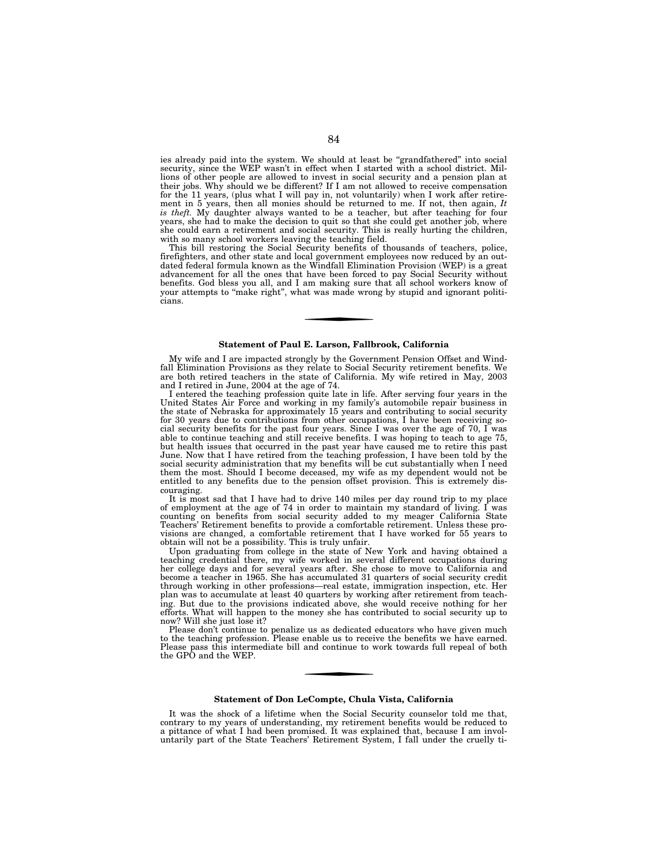ies already paid into the system. We should at least be "grandfathered" into social security, since the WEP wasn't in effect when I started with a school district. Millions of other people are allowed to invest in social security and a pension plan at their jobs. Why should we be different? If I am not allowed to receive compensation for the 11 years, (plus what I will pay in, not voluntarily) when I work after retirement in 5 years, then all monies should be returned to me. If not, then again, *It is theft.* My daughter always wanted to be a teacher, but after teaching for four years, she had to make the decision to quit so that she could get another job, where she could earn a retirement and social security. This is really hurting the children, with so many school workers leaving the teaching field.

This bill restoring the Social Security benefits of thousands of teachers, police, firefighters, and other state and local government employees now reduced by an outdated federal formula known as the Windfall Elimination Provision (WEP) is a great advancement for all the ones that have been forced to pay Social Security without benefits. God bless you all, and I am making sure that all school workers know of your attempts to "make right", what was made wrong by stupid and ignorant politicians.

## **Statement of Paul E. Larson, Fallbrook, California**

My wife and I are impacted strongly by the Government Pension Offset and Windfall Elimination Provisions as they relate to Social Security retirement benefits. We are both retired teachers in the state of California. My wife retired in May, 2003 and I retired in June, 2004 at the age of 74.

I entered the teaching profession quite late in life. After serving four years in the United States Air Force and working in my family's automobile repair business in the state of Nebraska for approximately 15 years and contributing to social security for 30 years due to contributions from other occupations, I have been receiving social security benefits for the past four years. Since I was over the age of 70,  $\Gamma$  was able to continue teaching and still receive benefits. I was hoping to teach to age 75, but health issues that occurred in the past year have caused me to retire this past June. Now that I have retired from the teaching profession, I have been told by the social security administration that my benefits will be cut substantially when I need them the most. Should I become deceased, my wife as my dependent would not be entitled to any benefits due to the pension offset provision. This is extremely discouraging.

It is most sad that I have had to drive 140 miles per day round trip to my place of employment at the age of 74 in order to maintain my standard of living. I was counting on benefits from social security added to my meager California State Teachers' Retirement benefits to provide a comfortable retirement. Unless these provisions are changed, a comfortable retirement that I have worked for 55 years to obtain will not be a possibility. This is truly unfair.

Upon graduating from college in the state of New York and having obtained a teaching credential there, my wife worked in several different occupations during her college days and for several years after. She chose to move to California and become a teacher in 1965. She has accumulated 31 quarters of social security credit through working in other professions—real estate, immigration inspection, etc. Her plan was to accumulate at least 40 quarters by working after retirement from teaching. But due to the provisions indicated above, she would receive nothing for her efforts. What will happen to the money she has contributed to social security up to now? Will she just lose it?

Please don't continue to penalize us as dedicated educators who have given much to the teaching profession. Please enable us to receive the benefits we have earned. Please pass this intermediate bill and continue to work towards full repeal of both the GPO and the WEP.

# **Statement of Don LeCompte, Chula Vista, California**

It was the shock of a lifetime when the Social Security counselor told me that, contrary to my years of understanding, my retirement benefits would be reduced to a pittance of what I had been promised. It was explained that, because I am involuntarily part of the State Teachers' Retirement System, I fall under the cruelly ti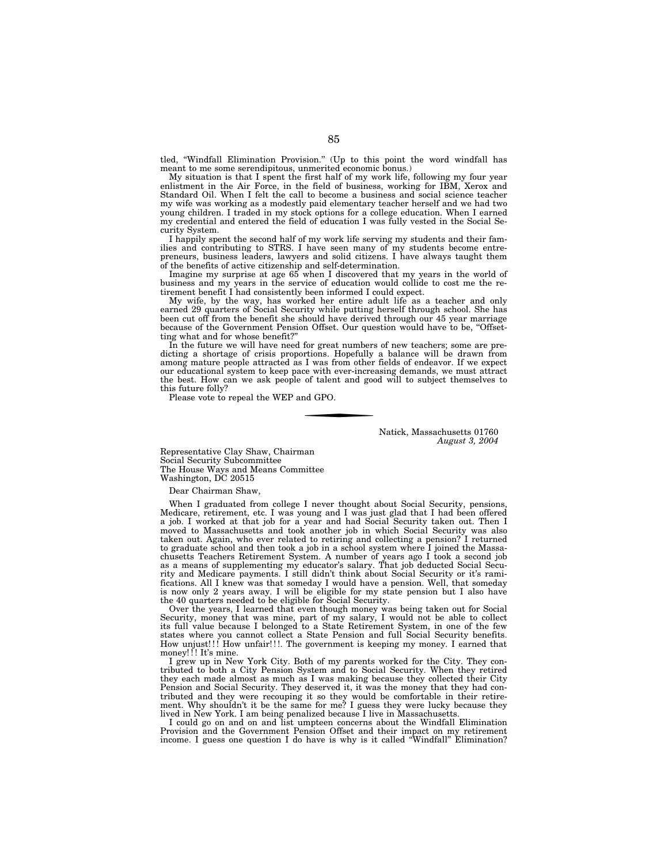tled, ''Windfall Elimination Provision.'' (Up to this point the word windfall has meant to me some serendipitous, unmerited economic bonus.)

My situation is that I spent the first half of my work life, following my four year enlistment in the Air Force, in the field of business, working for IBM, Xerox and Standard Oil. When I felt the call to become a business and social science teacher my wife was working as a modestly paid elementary teacher herself and we had two young children. I traded in my stock options for a college education. When I earned my credential and entered the field of education I was fully vested in the Social Security System.

I happily spent the second half of my work life serving my students and their families and contributing to STRS. I have seen many of my students become entrepreneurs, business leaders, lawyers and solid citizens. I have always taught them of the benefits of active citizenship and self-determination.

Imagine my surprise at age 65 when I discovered that my years in the world of business and my years in the service of education would collide to cost me the retirement benefit I had consistently been informed I could expect.

My wife, by the way, has worked her entire adult life as a teacher and only earned 29 quarters of Social Security while putting herself through school. She has been cut off from the benefit she should have derived through our 45 year marriage because of the Government Pension Offset. Our question would have to be, ''Offsetting what and for whose benefit?''

In the future we will have need for great numbers of new teachers; some are predicting a shortage of crisis proportions. Hopefully a balance will be drawn from among mature people attracted as I was from other fields of endeavor. If we expect our educational system to keep pace with ever-increasing demands, we must attract the best. How can we ask people of talent and good will to subject themselves to this future folly?

Please vote to repeal the WEP and GPO.

Natick, Massachusetts 01760 *August 3, 2004* 

Representative Clay Shaw, Chairman Social Security Subcommittee The House Ways and Means Committee Washington, DC 20515

Dear Chairman Shaw,

When I graduated from college I never thought about Social Security, pensions, Medicare, retirement, etc. I was young and I was just glad that I had been offered a job. I worked at that job for a year and had Social Security taken out. Then I moved to Massachusetts and took another job in which Social Security was also taken out. Again, who ever related to retiring and collecting a pension? I returned to graduate school and then took a job in a school system where I joined the Massachusetts Teachers Retirement System. A number of years ago I took a second job as a means of supplementing my educator's salary. That job deducted Social Security and Medicare payments. I still didn't think about Social Security or it's ramifications. All I knew was that someday I would have a pension. Well, that someday is now only 2 years away. I will be eligible for my state pension but I also have the 40 quarters needed to be eligible for Social Security.

Over the years, I learned that even though money was being taken out for Social Security, money that was mine, part of my salary, I would not be able to collect its full value because I belonged to a State Retirement System, in one of the few states where you cannot collect a State Pension and full Social Security benefits. How unjust!!! How unfair!!!. The government is keeping my money. I earned that money!!! It's mine.

I grew up in New York City. Both of my parents worked for the City. They contributed to both a City Pension System and to Social Security. When they retired they each made almost as much as I was making because they collected their City Pension and Social Security. They deserved it, it was the money that they had contributed and they were recouping it so they would be comfortable in their retirement. Why shouldn't it be the same for me? I guess they were lucky because they lived in New York. I am being penalized because I live in Massachusetts.

I could go on and on and list umpteen concerns about the Windfall Elimination Provision and the Government Pension Offset and their impact on my retirement income. I guess one question I do have is why is it called ''Windfall'' Elimination?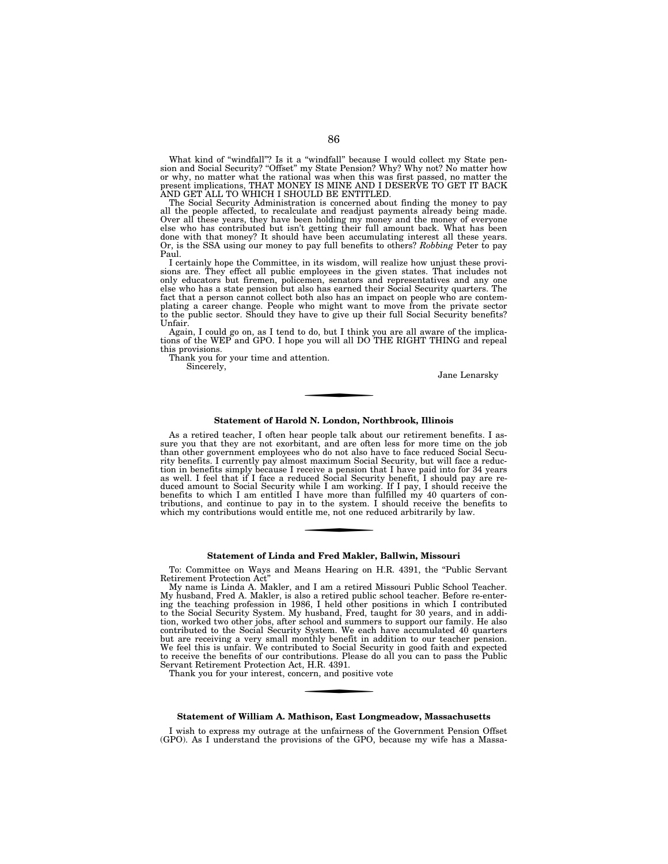What kind of "windfall"? Is it a "windfall" because I would collect my State pension and Social Security? "Offset" my State Pension? Why? Why not? No matter how or why, no matter what the rational was when this was first passed, no matter the present implications, THAT MONEY IS MINE AND I DESERVE TO GET IT BACK AND GET ALL TO WHICH I SHOULD BE ENTITLED.

The Social Security Administration is concerned about finding the money to pay all the people affected, to recalculate and readjust payments already being made. Over all these years, they have been holding my money and the money of everyone else who has contributed but isn't getting their full amount back. What has been done with that money? It should have been accumulating interest all these years. Or, is the SSA using our money to pay full benefits to others? *Robbing* Peter to pay Paul.

I certainly hope the Committee, in its wisdom, will realize how unjust these provisions are. They effect all public employees in the given states. That includes not only educators but firemen, policemen, senators and representatives and any one else who has a state pension but also has earned their Social Security quarters. The fact that a person cannot collect both also has an impact on people who are contemplating a career change. People who might want to move from the private sector to the public sector. Should they have to give up their full Social Security benefits? Unfair.

Again, I could go on, as I tend to do, but I think you are all aware of the implica-tions of the WEP and GPO. I hope you will all DO THE RIGHT THING and repeal this provisions.

Thank you for your time and attention.

Sincerely,

Jane Lenarsky

# **Statement of Harold N. London, Northbrook, Illinois**

As a retired teacher, I often hear people talk about our retirement benefits. I assure you that they are not exorbitant, and are often less for more time on the job than other government employees who do not also have to face reduced Social Security benefits. I currently pay almost maximum Social Security, but will face a reduction in benefits simply because I receive a pension that I have paid into for 34 years as well. I feel that if I face a reduced Social Security benefit, I should pay are re-duced amount to Social Security while I am working. If I pay, I should receive the benefits to which I am entitled I have more than fulfilled my 40 quarters of contributions, and continue to pay in to the system. I should receive the benefits to which my contributions would entitle me, not one reduced arbitrarily by law.

# **Statement of Linda and Fred Makler, Ballwin, Missouri**

To: Committee on Ways and Means Hearing on H.R. 4391, the "Public Servant Retirement Protection Act''

My name is Linda A. Makler, and I am a retired Missouri Public School Teacher. My husband, Fred A. Makler, is also a retired public school teacher. Before re-entering the teaching profession in 1986, I held other positions in which I contributed to the Social Security System. My husband, Fred, taught for 30 years, and in addition, worked two other jobs, after school and summers to support our family. He also contributed to the Social Security System. We each have accumulated 40 quarters but are receiving a very small monthly benefit in addition to our teacher pension. We feel this is unfair. We contributed to Social Security in good faith and expected to receive the benefits of our contributions. Please do all you can to pass the Public Servant Retirement Protection Act, H.R. 4391.

Thank you for your interest, concern, and positive vote

#### **Statement of William A. Mathison, East Longmeadow, Massachusetts**

I wish to express my outrage at the unfairness of the Government Pension Offset (GPO). As I understand the provisions of the GPO, because my wife has a Massa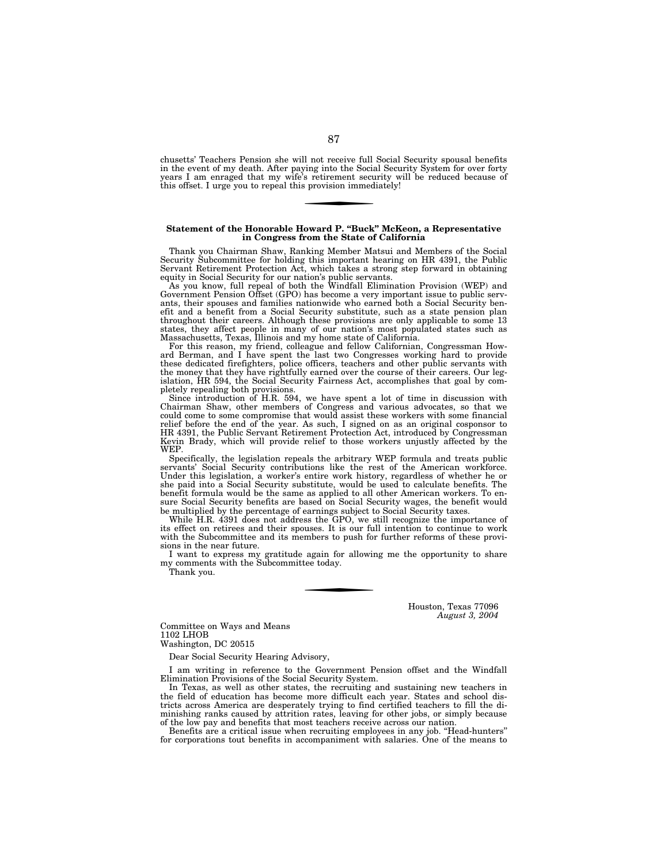chusetts' Teachers Pension she will not receive full Social Security spousal benefits in the event of my death. After paying into the Social Security System for over forty years I am enraged that my wife's retirement security will be reduced because of this offset. I urge you to repeal this provision immediately!

# **Statement of the Honorable Howard P. ''Buck'' McKeon, a Representative in Congress from the State of California**

Thank you Chairman Shaw, Ranking Member Matsui and Members of the Social Security Subcommittee for holding this important hearing on HR 4391, the Public Servant Retirement Protection Act, which takes a strong step forward in obtaining

equity in Social Security for our nation's public servants. As you know, full repeal of both the Windfall Elimination Provision (WEP) and Government Pension Offset (GPO) has become a very important issue to public serv-ants, their spouses and families nationwide who earned both a Social Security benefit and a benefit from a Social Security substitute, such as a state pension plan throughout their careers. Although these provisions are only applicable to some 13 states, they affect people in many of our nation's most populated states such as Massachusetts, Texas, Illinois and my home state of California.

For this reason, my friend, colleague and fellow Californian, Congressman How-ard Berman, and I have spent the last two Congresses working hard to provide these dedicated firefighters, police officers, teachers and other public servants with<br>the money that they have rightfully earned over the course of their careers. Our leg-<br>islation, HR 594, the Social Security Fairness Ac pletely repealing both provisions.

Since introduction of H.R. 594, we have spent a lot of time in discussion with Chairman Shaw, other members of Congress and various advocates, so that we could come to some compromise that would assist these workers with some financial relief before the end of the year. As such, I signed on as an original cosponsor to HR 4391, the Public Servant Retirement Protection Act, introduced by Congressman Kevin Brady, which will provide relief to those workers unjustly affected by the WEP.

Specifically, the legislation repeals the arbitrary WEP formula and treats public servants' Social Security contributions like the rest of the American workforce. Under this legislation, a worker's entire work history, regardless of whether he or she paid into a Social Security substitute, would be used to calculate benefits. The benefit formula would be the same as applied to all other American workers. To ensure Social Security benefits are based on Social Security wages, the benefit would be multiplied by the percentage of earnings subject to Social Security taxes.

While H.R. 4391 does not address the GPO, we still recognize the importance of its effect on retirees and their spouses. It is our full intention to continue to work with the Subcommittee and its members to push for further reforms of these provisions in the near future.

I want to express my gratitude again for allowing me the opportunity to share my comments with the Subcommittee today.

Thank you.

Houston, Texas 77096 *August 3, 2004* 

Committee on Ways and Means 1102 LHOB Washington, DC 20515

Dear Social Security Hearing Advisory,

I am writing in reference to the Government Pension offset and the Windfall Elimination Provisions of the Social Security System.

In Texas, as well as other states, the recruiting and sustaining new teachers in the field of education has become more difficult each year. States and school districts across America are desperately trying to find certified teachers to fill the diminishing ranks caused by attrition rates, leaving for other jobs, or simply because of the low pay and benefits that most teachers receive across our nation.

Benefits are a critical issue when recruiting employees in any job. ''Head-hunters'' for corporations tout benefits in accompaniment with salaries. One of the means to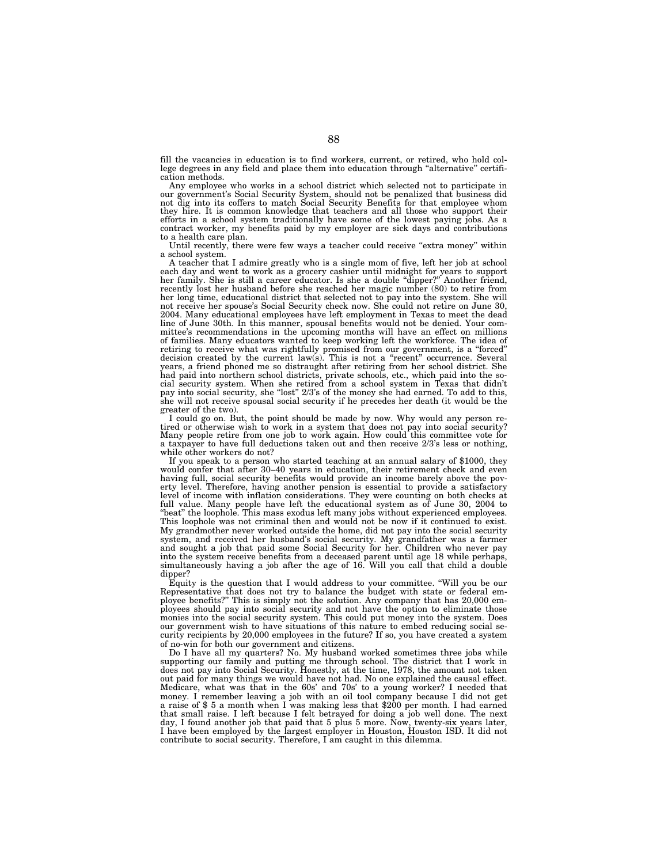fill the vacancies in education is to find workers, current, or retired, who hold college degrees in any field and place them into education through "alternative" certification methods.

Any employee who works in a school district which selected not to participate in our government's Social Security System, should not be penalized that business did not dig into its coffers to match Social Security Benefits for that employee whom they hire. It is common knowledge that teachers and all those who support their efforts in a school system traditionally have some of the lowest paying jobs. As a contract worker, my benefits paid by my employer are sick days and contributions to a health care plan.

Until recently, there were few ways a teacher could receive "extra money" within a school system.

A teacher that I admire greatly who is a single mom of five, left her job at school each day and went to work as a grocery cashier until midnight for years to support her family. She is still a career educator. Is she a double ''dipper?'' Another friend, recently lost her husband before she reached her magic number (80) to retire from her long time, educational district that selected not to pay into the system. She will not receive her spouse's Social Security check now. She could not retire on June 30, 2004. Many educational employees have left employment in Texas to meet the dead line of June 30th. In this manner, spousal benefits would not be denied. Your committee's recommendations in the upcoming months will have an effect on millions of families. Many educators wanted to keep working left the workforce. The idea of retiring to receive what was rightfully promised from our government, is a ''forced'' decision created by the current law(s). This is not a ''recent'' occurrence. Several years, a friend phoned me so distraught after retiring from her school district. She had paid into northern school districts, private schools, etc., which paid into the social security system. When she retired from a school system in Texas that didn't pay into social security, she "lost" 2/3's of the money she had earned. To add to this, she will not receive spousal social security if he precedes her death (it would be the greater of the two).

I could go on. But, the point should be made by now. Why would any person retired or otherwise wish to work in a system that does not pay into social security?<br>Many people retire from one job to work again. How could this a taxpayer to have full deductions taken out and then receive 2/3's less or nothing, while other workers do not?

If you speak to a person who started teaching at an annual salary of \$1000, they would confer that after 30–40 years in education, their retirement check and even having full, social security benefits would provide an income barely above the poverty level. Therefore, having another pension is essential to provide a satisfactory level of income with inflation considerations. They were counting on both checks at full value. Many people have left the educational system as of June 30, 2004 to "beat" the loophole. This mass exodus left many jobs without experienced employees. This loophole was not criminal then and would not be now if it continued to exist. My grandmother never worked outside the home, did not pay into the social security system, and received her husband's social security. My grandfather was a farmer and sought a job that paid some Social Security for her. Children who never pay into the system receive benefits from a deceased parent until age 18 while perhaps, simultaneously having a job after the age of 16. Will you call that child a double dipper?

Equity is the question that I would address to your committee. ''Will you be our Representative that does not try to balance the budget with state or federal employee benefits?'' This is simply not the solution. Any company that has 20,000 employees should pay into social security and not have the option to eliminate those monies into the social security system. This could put money into the system. Does our government wish to have situations of this nature to embed reducing social security recipients by 20,000 employees in the future? If so, you have created a system of no-win for both our government and citizens.

Do I have all my quarters? No. My husband worked sometimes three jobs while supporting our family and putting me through school. The district that I work in does not pay into Social Security. Honestly, at the time, 1978, the amount not taken out paid for many things we would have not had. No one explained the causal effect. Medicare, what was that in the 60s' and 70s' to a young worker? I needed that money. I remember leaving a job with an oil tool company because I did not get a raise of \$ 5 a month when I was making less that \$200 per month. I had earned that small raise. I left because I felt betrayed for doing a job well done. The next day, I found another job that paid that 5 plus 5 more. Now, twenty-six years later, I have been employed by the largest employer in Houston, Houston ISD. It did not contribute to social security. Therefore, I am caught in this dilemma.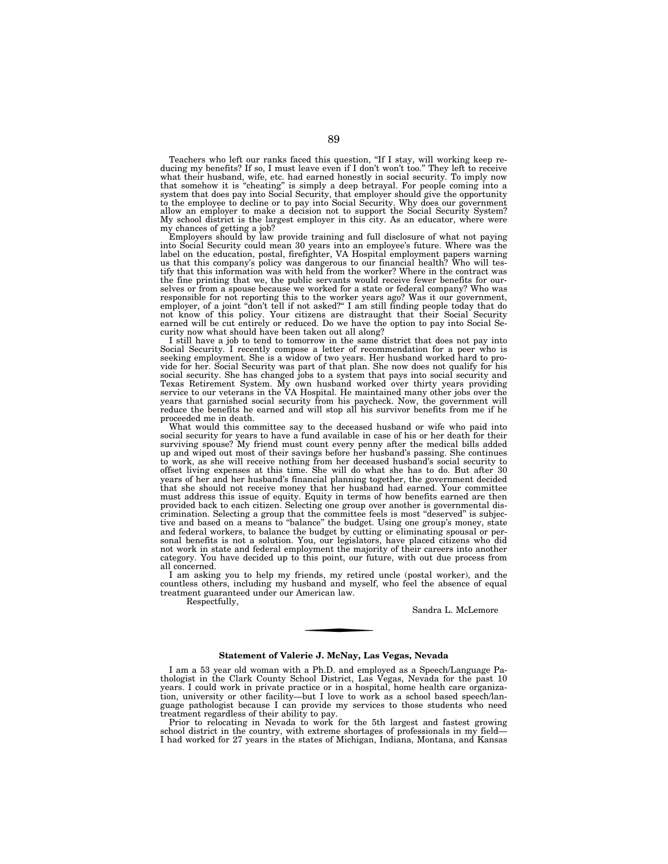Teachers who left our ranks faced this question, ''If I stay, will working keep reducing my benefits? If so, I must leave even if I don't won't too.'' They left to receive what their husband, wife, etc. had earned honestly in social security. To imply now that somehow it is "cheating" is simply a deep betrayal. For people coming into a system that does pay into Social Security, that employer to the employee to decline or to pay into Social Security. Why does our government allow an employer to make a decision not to support the Social Security System? My school district is the largest employer in this city. As an educator, where were

my chances of getting a job? Employers should by law provide training and full disclosure of what not paying into Social Security could mean 30 years into an employee's future. Where was the label on the education, postal, firefighter, VA Hospital employment papers warning us that this company's policy was dangerous to our financial health? Who will testify that this information was with held from the worker? Where in the contract was the fine printing that we, the public servants would receive fewer benefits for ourselves or from a spouse because we worked for a state or federal company? Who was responsible for not reporting this to the worker years ago? Was it our government, employer, of a joint "don't tell if not asked?" I am still finding people today that do<br>not know of this policy. Your citizens are distraught that their Social Security<br>earned will be cut entirely or reduced. Do we have th curity now what should have been taken out all along?

I still have a job to tend to tomorrow in the same district that does not pay into Social Security. I recently compose a letter of recommendation for a peer who is seeking employment. She is a widow of two years. Her husband worked hard to pro-vide for her. Social Security was part of that plan. She now does not qualify for his social security. She has changed jobs to a system that pays into social security and Texas Retirement System. My own husband worked over thirty years providing service to our veterans in the VA Hospital. He maintained many other jobs over the years that garnished social security from his paycheck. Now, the government will reduce the benefits he earned and will stop all his survivor benefits from me if he proceeded me in death.

What would this committee say to the deceased husband or wife who paid into social security for years to have a fund available in case of his or her death for their surviving spouse? My friend must count every penny after the medical bills added up and wiped out most of their savings before her husband's passing. She continues to work, as she will receive nothing from her deceased husband's social security to offset living expenses at this time. She will do what she has to do. But after 30 years of her and her husband's financial planning together, the government decided that she should not receive money that her husband had earned. Your committee must address this issue of equity. Equity in terms of how benefits earned are then provided back to each citizen. Selecting one group over another is governmental discrimination. Selecting a group that the committee feels is most ''deserved'' is subjective and based on a means to ''balance'' the budget. Using one group's money, state and federal workers, to balance the budget by cutting or eliminating spousal or personal benefits is not a solution. You, our legislators, have placed citizens who did not work in state and federal employment the majority of their careers into another category. You have decided up to this point, our future, with out due process from all concerned.

I am asking you to help my friends, my retired uncle (postal worker), and the countless others, including my husband and myself, who feel the absence of equal treatment guaranteed under our American law.

Respectfully,

Sandra L. McLemore

## **Statement of Valerie J. McNay, Las Vegas, Nevada**

I am a 53 year old woman with a Ph.D. and employed as a Speech/Language Pathologist in the Clark County School District, Las Vegas, Nevada for the past 10 years. I could work in private practice or in a hospital, home health care organization, university or other facility—but I love to work as a school based speech/language pathologist because I can provide my services to those students who need treatment regardless of their ability to pay.

Prior to relocating in Nevada to work for the 5th largest and fastest growing school district in the country, with extreme shortages of professionals in my field— I had worked for 27 years in the states of Michigan, Indiana, Montana, and Kansas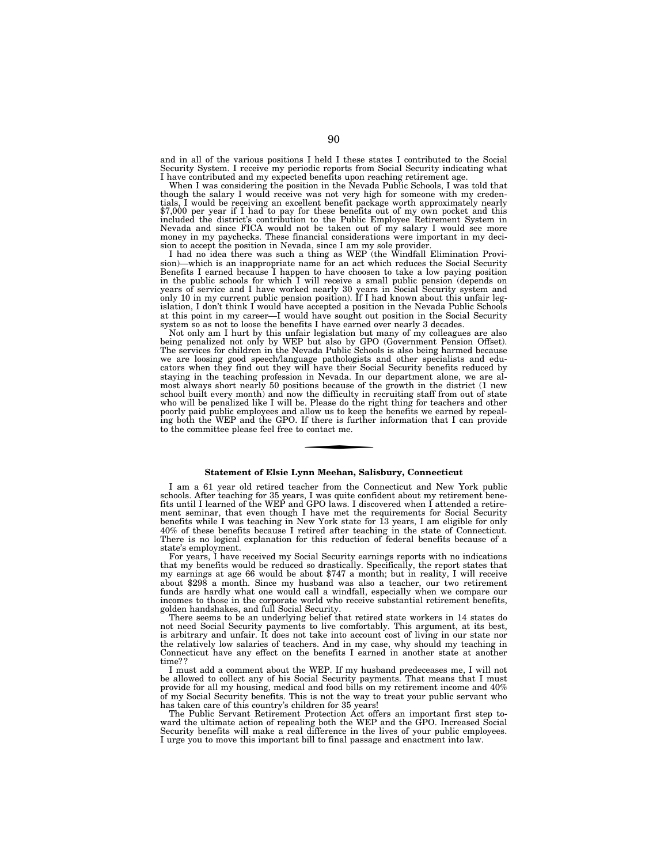and in all of the various positions I held I these states I contributed to the Social Security System. I receive my periodic reports from Social Security indicating what I have contributed and my expected benefits upon reaching retirement age.

When I was considering the position in the Nevada Public Schools, I was told that though the salary I would receive was not very high for someone with my credentials, I would be receiving an excellent benefit package worth approximately nearly \$7,000 per year if I had to pay for these benefits out of my own pocket and this<br>included the district's contribution to the Public Employee Retirement System in<br>Nevada and since FICA would not be taken out of my salary I sion to accept the position in Nevada, since I am my sole provider.

I had no idea there was such a thing as WEP (the Windfall Elimination Provision)—which is an inappropriate name for an act which reduces the Social Security Benefits I earned because I happen to have choosen to take a low paying position in the public schools for which I will receive a small public pension (depends on years of service and I have worked nearly 30 years in Social Security system and only 10 in my current public pension position). If I had known about this unfair legislation, I don't think I would have accepted a position in the Nevada Public Schools at this point in my career—I would have sought out position in the Social Security system so as not to loose the benefits I have earned over nearly 3 decades.

Not only am I hurt by this unfair legislation but many of my colleagues are also being penalized not only by WEP but also by GPO (Government Pension Offset). The services for children in the Nevada Public Schools is also being harmed because we are loosing good speech/language pathologists and other specialists and educators when they find out they will have their Social Security benefits reduced by staying in the teaching profession in Nevada. In our department alone, we are almost always short nearly 50 positions because of the growth in the district (1 new school built every month) and now the difficulty in recruiting staff from out of state who will be penalized like I will be. Please do the right thing for teachers and other poorly paid public employees and allow us to keep the benefits we earned by repealing both the WEP and the GPO. If there is further information that I can provide to the committee please feel free to contact me.

## **Statement of Elsie Lynn Meehan, Salisbury, Connecticut**

I am a 61 year old retired teacher from the Connecticut and New York public schools. After teaching for 35 years, I was quite confident about my retirement benefits until I learned of the WEP and GPO laws. I discovered when I attended a retirement seminar, that even though I have met the requirements for Social Security benefits while I was teaching in New York state for 13 years, I am eligible for only 40% of these benefits because I retired after teaching in the state of Connecticut. There is no logical explanation for this reduction of federal benefits because of a state's employment.

For years, I have received my Social Security earnings reports with no indications that my benefits would be reduced so drastically. Specifically, the report states that my earnings at age 66 would be about \$747 a month; but in reality, I will receive about \$298 a month. Since my husband was also a teacher, our two retirement funds are hardly what one would call a windfall, especially when we compare our incomes to those in the corporate world who receive substantial retirement benefits, golden handshakes, and full Social Security.

There seems to be an underlying belief that retired state workers in 14 states do not need Social Security payments to live comfortably. This argument, at its best, is arbitrary and unfair. It does not take into account cost of living in our state nor the relatively low salaries of teachers. And in my case, why should my teaching in Connecticut have any effect on the benefits I earned in another state at another time? ?

I must add a comment about the WEP. If my husband predeceases me, I will not be allowed to collect any of his Social Security payments. That means that I must provide for all my housing, medical and food bills on my retirement income and 40% of my Social Security benefits. This is not the way to treat your public servant who has taken care of this country's children for 35 years!

The Public Servant Retirement Protection Act offers an important first step toward the ultimate action of repealing both the WEP and the GPO. Increased Social Security benefits will make a real difference in the lives of your public employees. I urge you to move this important bill to final passage and enactment into law.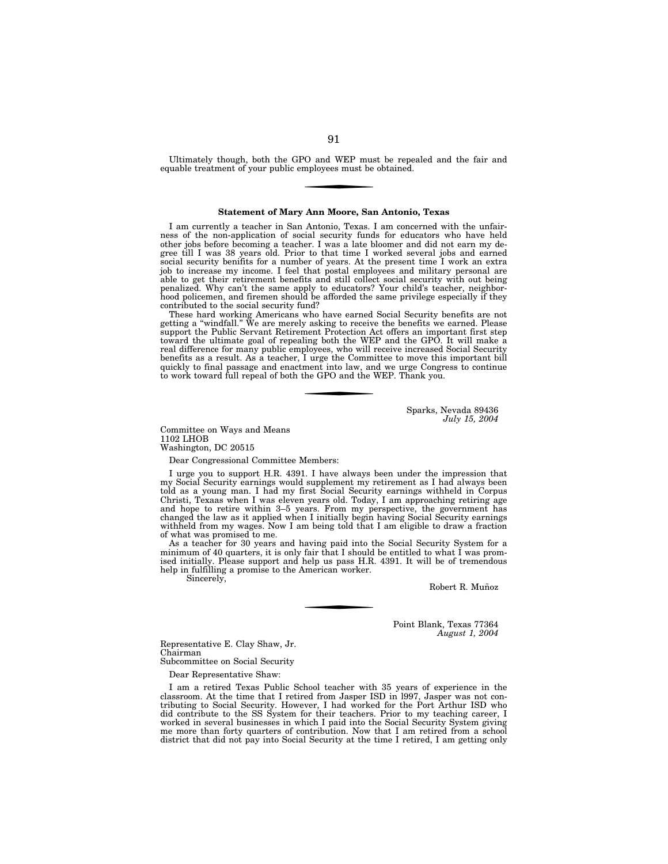Ultimately though, both the GPO and WEP must be repealed and the fair and equable treatment of your public employees must be obtained.

#### **Statement of Mary Ann Moore, San Antonio, Texas**

I am currently a teacher in San Antonio, Texas. I am concerned with the unfairness of the non-application of social security funds for educators who have held other jobs before becoming a teacher. I was a late bloomer and did not earn my degree till I was 38 years old. Prior to that time I worked several jobs and earned social security benifits for a number of years. At the present time I work an extra job to increase my income. I feel that postal employees and military personal are able to get their retirement benefits and still collect social security with out being penalized. Why can't the same apply to educators? Your child's teacher, neighborhood policemen, and firemen should be afforded the same privilege especially if they contributed to the social security fund?

These hard working Americans who have earned Social Security benefits are not getting a ''windfall.'' We are merely asking to receive the benefits we earned. Please support the Public Servant Retirement Protection Act offers an important first step toward the ultimate goal of repealing both the WEP and the GPO. It will make a real difference for many public employees, who will receive increased Social Security benefits as a result. As a teacher, I urge the Committee to move this important bill quickly to final passage and enactment into law, and we urge Congress to continue to work toward full repeal of both the GPO and the WEP. Thank you.

> Sparks, Nevada 89436 *July 15, 2004*

Committee on Ways and Means 1102 LHOB Washington, DC 20515

Dear Congressional Committee Members:

I urge you to support H.R. 4391. I have always been under the impression that my Social Security earnings would supplement my retirement as I had always been told as a young man. I had my first Social Security earnings withheld in Corpus Christi, Texaas when I was eleven years old. Today, I am approaching retiring age and hope to retire within 3–5 years. From my perspective, the government has changed the law as it applied when I initially begin having Social Security earnings withheld from my wages. Now I am being told that I am eligible to draw a fraction of what was promised to me.

As a teacher for 30 years and having paid into the Social Security System for a minimum of 40 quarters, it is only fair that I should be entitled to what  $\dot{I}$  was promised initially. Please support and help us pass H.R. 4391. It will be of tremendous help in fulfilling a promise to the American worker. Sincerely,

Robert R. Muñoz

Point Blank, Texas 77364 *August 1, 2004* 

Representative E. Clay Shaw, Jr. Chairman

Subcommittee on Social Security

Dear Representative Shaw:

I am a retired Texas Public School teacher with 35 years of experience in the classroom. At the time that I retired from Jasper ISD in l997, Jasper was not contributing to Social Security. However, I had worked for the Port Arthur ISD who did contribute to the SS System for their teachers. Prior to my teaching career, I worked in several businesses in which I paid into the Social Security System giving me more than forty quarters of contribution. Now that I am retired from a school district that did not pay into Social Security at the time I retired, I am getting only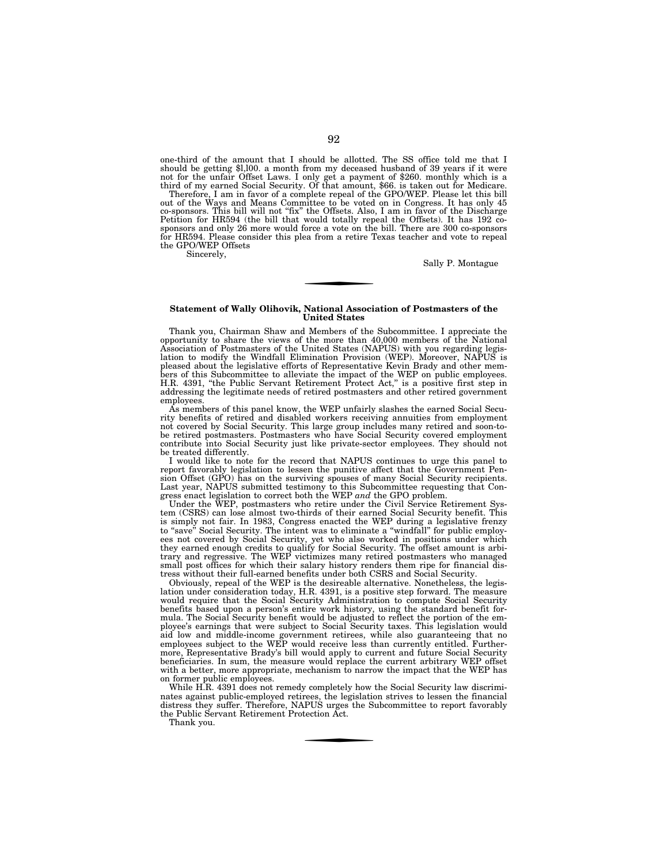one-third of the amount that I should be allotted. The SS office told me that I should be getting \$l,l00. a month from my deceased husband of 39 years if it were not for the unfair Offset Laws. I only get a payment of \$260. monthly which is a third of my earned Social Security. Of that amount, \$66. is taken out for Medicare.

Therefore, I am in favor of a complete repeal of the GPO/WEP. Please let this bill out of the Ways and Means Committee to be voted on in Congress. It has only 45<br>co-sponsors. This bill will not "fix" the Offsets. Also, I am in favor of the Discharge<br>Petition for HR594 (the bill that would totally repeal sponsors and only 26 more would force a vote on the bill. There are 300 co-sponsors for HR594. Please consider this plea from a retire Texas teacher and vote to repeal the GPO/WEP Offsets

Sincerely,

Sally P. Montague

## **Statement of Wally Olihovik, National Association of Postmasters of the United States**

Thank you, Chairman Shaw and Members of the Subcommittee. I appreciate the opportunity to share the views of the more than 40,000 members of the National Association of Postmasters of the United States (NAPUS) with you regarding legislation to modify the Windfall Elimination Provision (WEP). Moreover, NAPUS is pleased about the legislative efforts of Representative Kevin Brady and other members of this Subcommittee to alleviate the impact of the WEP on public employees.<br>H.R. 4391, "the Public Servant Retirement Protect Act," is addressing the legitimate needs of retired postmasters and other retired government employees.

As members of this panel know, the WEP unfairly slashes the earned Social Secu-rity benefits of retired and disabled workers receiving annuities from employment not covered by Social Security. This large group includes many retired and soon-to-be retired postmasters. Postmasters who have Social Security covered employment contribute into Social Security just like private-sector employees. They should not be treated differently.

I would like to note for the record that NAPUS continues to urge this panel to report favorably legislation to lessen the punitive affect that the Government Pension Offset (GPO) has on the surviving spouses of many Social Security recipients. Last year, NAPUS submitted testimony to this Subcommittee requesting that Congress enact legislation to correct both the WEP *and* the GPO problem.

Under the WEP, postmasters who retire under the Civil Service Retirement System (CSRS) can lose almost two-thirds of their earned Social Security benefit. This is simply not fair. In 1983, Congress enacted the WEP during a legislative frenzy to "save" Social Security. The intent was to eliminate a "windfall" for public employees not covered by Social Security, yet who also worked in positions under which they earned enough credits to qualify for Social Security. The offset amount is arbitrary and regressive. The WEP victimizes many retired postmasters who managed small post offices for which their salary history renders them ripe for financial distress without their full-earned benefits under both CSRS and Social Security.

Obviously, repeal of the WEP is the desireable alternative. Nonetheless, the legislation under consideration today, H.R. 4391, is a positive step forward. The measure would require that the Social Security Administration to compute Social Security benefits based upon a person's entire work history, using the standard benefit formula. The Social Security benefit would be adjusted to reflect the portion of the employee's earnings that were subject to Social Security taxes. This legislation would aid low and middle-income government retirees, while also guaranteeing that no employees subject to the WEP would receive less than currently entitled. Furthermore, Representative Brady's bill would apply to current and future Social Security beneficiaries. In sum, the measure would replace the current arbitrary WEP offset with a better, more appropriate, mechanism to narrow the impact that the WEP has on former public employees.

While H.R. 4391 does not remedy completely how the Social Security law discriminates against public-employed retirees, the legislation strives to lessen the financial distress they suffer. Therefore, NAPUS urges the Subcommittee to report favorably the Public Servant Retirement Protection Act.

Thank you.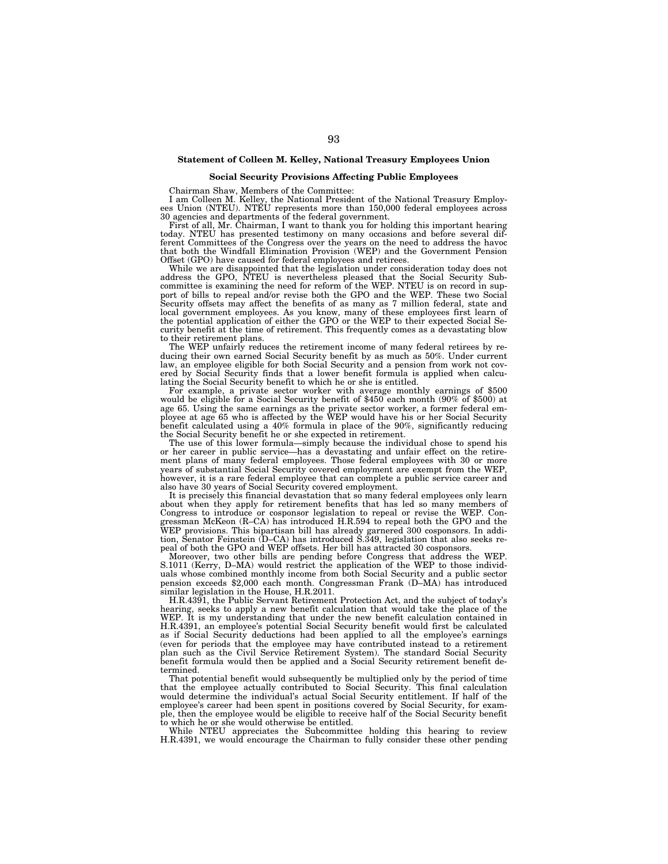# **Statement of Colleen M. Kelley, National Treasury Employees Union**

# **Social Security Provisions Affecting Public Employees**

Chairman Shaw, Members of the Committee: I am Colleen M. Kelley, the National President of the National Treasury Employ-ees Union (NTEU). NTEU represents more than 150,000 federal employees across 30 agencies and departments of the federal government.

First of all, Mr. Chairman, I want to thank you for holding this important hearing today. NTEU has presented testimony on many occasions and before several different Committees of the Congress over the years on the need to that both the Windfall Elimination Provision (WEP) and the Government Pension Offset (GPO) have caused for federal employees and retirees.

While we are disappointed that the legislation under consideration today does not address the GPO, NTEU is nevertheless pleased that the Social Security Subcommittee is examining the need for reform of the WEP. NTEU is on record in support of bills to repeal and/or revise both the GPO and the WEP. These two Social Security offsets may affect the benefits of as many as 7 million federal, state and local government employees. As you know, many of these employees first learn of the potential application of either the GPO or the WEP to their expected Social Security benefit at the time of retirement. This frequently comes as a devastating blow to their retirement plans.

The WEP unfairly reduces the retirement income of many federal retirees by reducing their own earned Social Security benefit by as much as 50%. Under current law, an employee eligible for both Social Security and a pension from work not covered by Social Security finds that a lower benefit formula is applied when calculating the Social Security benefit to which he or she is entitled.

For example, a private sector worker with average monthly earnings of \$500 would be eligible for a Social Security benefit of  $$450$  each month (90% of \$500) at age 65. Using the same earnings as the private sector worker, a former federal employee at age 65 who is affected by the WEP would have his or her Social Security benefit calculated using a 40% formula in place of the 90%, significantly reducing the Social Security benefit he or she expected in retirement.

The use of this lower formula—simply because the individual chose to spend his or her career in public service—has a devastating and unfair effect on the retirement plans of many federal employees. Those federal employees with 30 or more years of substantial Social Security covered employment are exempt from the WEP, however, it is a rare federal employee that can complete a public service career and also have 30 years of Social Security covered employment.

It is precisely this financial devastation that so many federal employees only learn about when they apply for retirement benefits that has led so many members of Congress to introduce or cosponsor legislation to repeal or revise the WEP. Congressman McKeon (R–CA) has introduced H.R.594 to repeal both the GPO and the WEP provisions. This bipartisan bill has already garnered 300 cosponsors. In addition, Senator Feinstein (D–CA) has introduced S.349, legislation that also seeks repeal of both the GPO and WEP offsets. Her bill has attracted 30 cosponsors.

Moreover, two other bills are pending before Congress that address the WEP. S.1011 (Kerry, D–MA) would restrict the application of the WEP to those individuals whose combined monthly income from both Social Security and a public sector pension exceeds \$2,000 each month. Congressman Frank (D–MA) has introduced similar legislation in the House, H.R.2011.

H.R.4391, the Public Servant Retirement Protection Act, and the subject of today's hearing, seeks to apply a new benefit calculation that would take the place of the WEP. It is my understanding that under the new benefit calculation contained in H.R.4391, an employee's potential Social Security benefit would first be calculated as if Social Security deductions had been applied to all the employee's earnings (even for periods that the employee may have contributed instead to a retirement plan such as the Civil Service Retirement System). The standard Social Security benefit formula would then be applied and a Social Security retirement benefit determined.

That potential benefit would subsequently be multiplied only by the period of time that the employee actually contributed to Social Security. This final calculation would determine the individual's actual Social Security entitlement. If half of the employee's career had been spent in positions covered by Social Security, for example, then the employee would be eligible to receive half of the Social Security benefit

to which he or she would otherwise be entitled. While NTEU appreciates the Subcommittee holding this hearing to review H.R.4391, we would encourage the Chairman to fully consider these other pending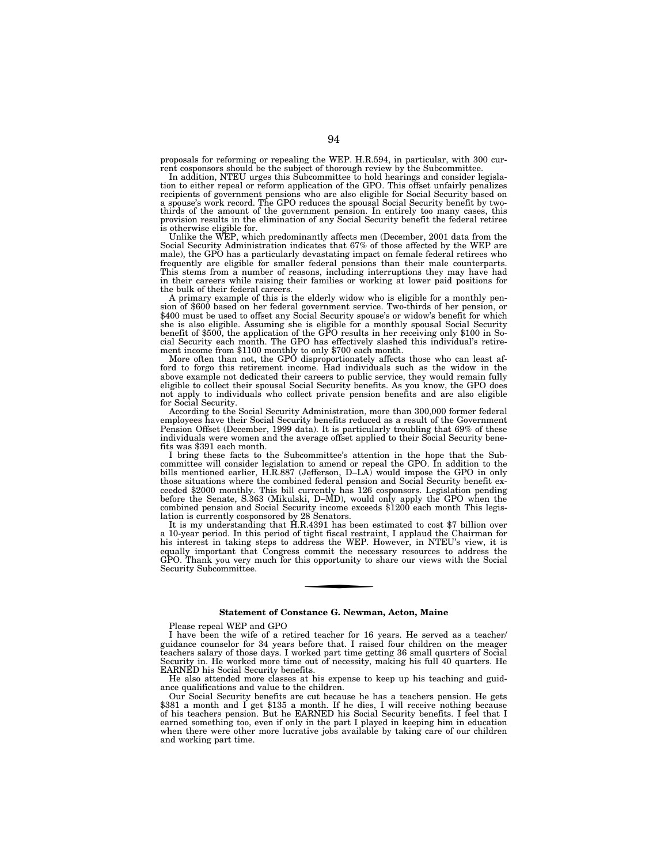proposals for reforming or repealing the WEP. H.R.594, in particular, with 300 current cosponsors should be the subject of thorough review by the Subcommittee.

In addition, NTEU urges this Subcommittee to hold hearings and consider legislation to either repeal or reform application of the GPO. This offset unfairly penalizes recipients of government pensions who are also eligible for Social Security based on a spouse's work record. The GPO reduces the spousal Social Security benefit by twothirds of the amount of the government pension. In entirely too many cases, this provision results in the elimination of any Social Security benefit the federal retiree is otherwise eligible for.

Unlike the WEP, which predominantly affects men (December, 2001 data from the Social Security Administration indicates that 67% of those affected by the WEP are male), the GPO has a particularly devastating impact on female federal retirees who frequently are eligible for smaller federal pensions than their male counterparts. This stems from a number of reasons, including interruptions they may have had in their careers while raising their families or working at lower paid positions for the bulk of their federal careers.

A primary example of this is the elderly widow who is eligible for a monthly pension of \$600 based on her federal government service. Two-thirds of her pension, or \$400 must be used to offset any Social Security spouse's or widow's benefit for which she is also eligible. Assuming she is eligible for a monthly spousal Social Security benefit of \$500, the application of the GPO results in her receiving only \$100 in Social Security each month. The GPO has effectively slashed this individual's retirement income from \$1100 monthly to only \$700 each month.

More often than not, the GPO disproportionately affects those who can least afford to forgo this retirement income. Had individuals such as the widow in the above example not dedicated their careers to public service, they would remain fully eligible to collect their spousal Social Security benefits. As you know, the GPO does not apply to individuals who collect private pension benefits and are also eligible for Social Security.

According to the Social Security Administration, more than 300,000 former federal employees have their Social Security benefits reduced as a result of the Government Pension Offset (December, 1999 data). It is particularly troubling that 69% of these individuals were women and the average offset applied to their Social Security benefits was \$391 each month.

I bring these facts to the Subcommittee's attention in the hope that the Subcommittee will consider legislation to amend or repeal the GPO. In addition to the bills mentioned earlier, H.R.887 (Jefferson, D–LA) would impose the GPO in only those situations where the combined federal pension and Social Security benefit exceeded \$2000 monthly. This bill currently has 126 cosponsors. Legislation pending before the Senate, S.363 (Mikulski, D–MD), would only apply the GPO when the combined pension and Social Security income exceeds \$1200 each month This legislation is currently cosponsored by 28 Senators.

It is my understanding that H.R.4391 has been estimated to cost \$7 billion over a 10-year period. In this period of tight fiscal restraint, I applaud the Chairman for his interest in taking steps to address the WEP. However, in NTEU's view, it is equally important that Congress commit the necessary resources to address the GPO. Thank you very much for this opportunity to share our views with the Social Security Subcommittee.

## **Statement of Constance G. Newman, Acton, Maine**

Please repeal WEP and GPO

I have been the wife of a retired teacher for 16 years. He served as a teacher/ guidance counselor for 34 years before that. I raised four children on the meager teachers salary of those days. I worked part time getting 36 small quarters of Social Security in. He worked more time out of necessity, making his full 40 quarters. He EARNED his Social Security benefits.

He also attended more classes at his expense to keep up his teaching and guidance qualifications and value to the children.

Our Social Security benefits are cut because he has a teachers pension. He gets \$381 a month and I get \$135 a month. If he dies, I will receive nothing because of his teachers pension. But he EARNED his Social Security benefits. I feel that I earned something too, even if only in the part I played in keeping him in education when there were other more lucrative jobs available by taking care of our children and working part time.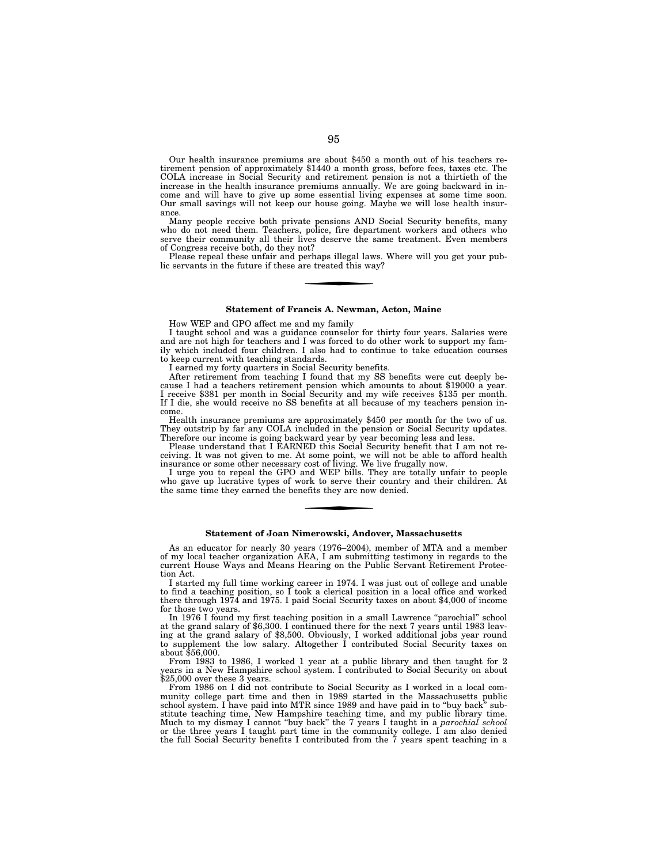Our health insurance premiums are about \$450 a month out of his teachers retirement pension of approximately \$1440 a month gross, before fees, taxes etc. The COLA increase in Social Security and retirement pension is not a thirtieth of the increase in the health insurance premiums annually. We are going backward in income and will have to give up some essential living expenses at some time soon. Our small savings will not keep our house going. Maybe we will lose health insurance

Many people receive both private pensions AND Social Security benefits, many who do not need them. Teachers, police, fire department workers and others who serve their community all their lives deserve the same treatment. Even members of Congress receive both, do they not?

Please repeal these unfair and perhaps illegal laws. Where will you get your public servants in the future if these are treated this way?

## **Statement of Francis A. Newman, Acton, Maine**

How WEP and GPO affect me and my family

I taught school and was a guidance counselor for thirty four years. Salaries were and are not high for teachers and I was forced to do other work to support my family which included four children. I also had to continue to take education courses to keep current with teaching standards.

I earned my forty quarters in Social Security benefits.

After retirement from teaching I found that my SS benefits were cut deeply because I had a teachers retirement pension which amounts to about \$19000 a year. I receive \$381 per month in Social Security and my wife receives \$135 per month. If I die, she would receive no SS benefits at all because of my teachers pension income.

Health insurance premiums are approximately \$450 per month for the two of us. They outstrip by far any COLA included in the pension or Social Security updates. Therefore our income is going backward year by year becoming less and less.

Please understand that I EARNED this Social Security benefit that I am not receiving. It was not given to me. At some point, we will not be able to afford health insurance or some other necessary cost of living. We live frugally now.

I urge you to repeal the GPO and WEP bills. They are totally unfair to people who gave up lucrative types of work to serve their country and their children. At the same time they earned the benefits they are now denied.

## **Statement of Joan Nimerowski, Andover, Massachusetts**

As an educator for nearly 30 years (1976–2004), member of MTA and a member of my local teacher organization AEA, I am submitting testimony in regards to the current House Ways and Means Hearing on the Public Servant Retirement Protection Act.

I started my full time working career in 1974. I was just out of college and unable to find a teaching position, so I took a clerical position in a local office and worked there through 1974 and 1975. I paid Social Security taxes on about \$4,000 of income for those two years.

In 1976 I found my first teaching position in a small Lawrence ''parochial'' school at the grand salary of \$6,300. I continued there for the next 7 years until 1983 leaving at the grand salary of \$8,500. Obviously, I worked additional jobs year round to supplement the low salary. Altogether I contributed Social Security taxes on about \$56,000.

From 1983 to 1986, I worked 1 year at a public library and then taught for 2 years in a New Hampshire school system. I contributed to Social Security on about \$25,000 over these 3 years.

From 1986 on I did not contribute to Social Security as I worked in a local community college part time and then in 1989 started in the Massachusetts public school system. I have paid into MTR since 1989 and have paid in to "buy back" substitute teaching time, New Hampshire teaching time, and my public library time. Much to my dismay I cannot ''buy back'' the 7 years I taught in a *parochial school*  or the three years I taught part time in the community college. I am also denied the full Social Security benefits I contributed from the  $\tilde{7}$  years spent teaching in a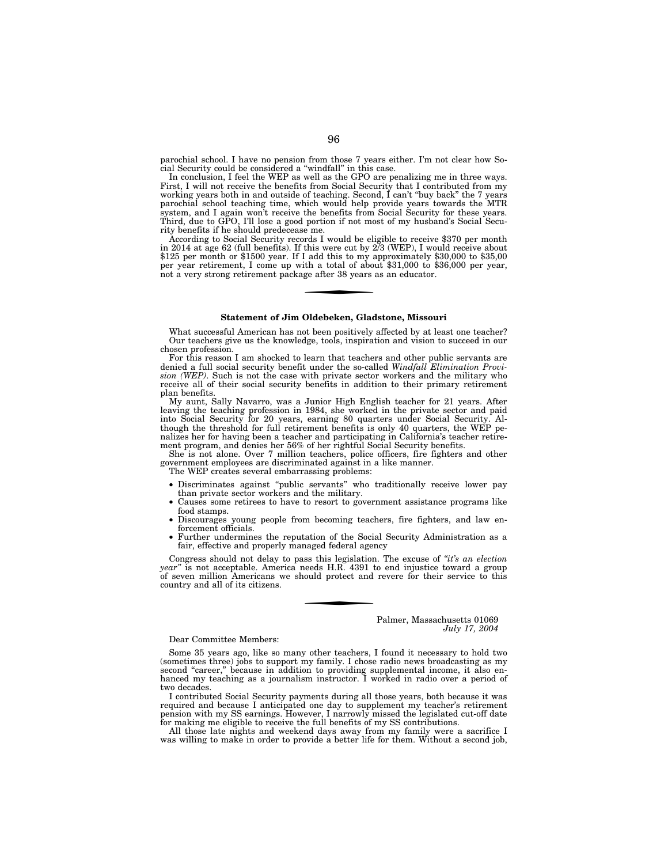parochial school. I have no pension from those 7 years either. I'm not clear how Social Security could be considered a ''windfall'' in this case.

In conclusion, I feel the WEP as well as the GPO are penalizing me in three ways. First, I will not receive the benefits from Social Security that I contributed from my working years both in and outside of teaching. Second, I can't ''buy back'' the 7 years parochial school teaching time, which would help provide years towards the MTR system, and I again won't receive the benefits from Social Security for these years. System, and I again won t receive the benefits from social secu-<br>Third, due to GPO, I'll lose a good portion if not most of my husband's Social Security benefits if he should predecease me.

According to Social Security records I would be eligible to receive \$370 per month in 2014 at age 62 (full benefits). If this were cut by 2/3 (WEP), I would receive about \$125 per month or \$1500 year. If I add this to my approximately \$30,000 to \$35,00 per year retirement, I come up with a total of about \$31,000 to \$36,000 per year, not a very strong retirement package after 38 years as an educator.

# **Statement of Jim Oldebeken, Gladstone, Missouri**

What successful American has not been positively affected by at least one teacher? Our teachers give us the knowledge, tools, inspiration and vision to succeed in our chosen profession.

For this reason I am shocked to learn that teachers and other public servants are denied a full social security benefit under the so-called *Windfall Elimination Provision (WEP)*. Such is not the case with private sector workers and the military who receive all of their social security benefits in addition to their primary retirement plan benefits.

My aunt, Sally Navarro, was a Junior High English teacher for 21 years. After leaving the teaching profession in 1984, she worked in the private sector and paid into Social Security for 20 years, earning 80 quarters under Social Security. Although the threshold for full retirement benefits is only 40 quarters, the WEP penalizes her for having been a teacher and participating in California's teacher retirement program, and denies her 56% of her rightful Social Security benefits.

She is not alone. Over 7 million teachers, police officers, fire fighters and other government employees are discriminated against in a like manner.

- The WEP creates several embarrassing problems:
- Discriminates against ''public servants'' who traditionally receive lower pay than private sector workers and the military.
- Causes some retirees to have to resort to government assistance programs like food stamps.
- Discourages young people from becoming teachers, fire fighters, and law enforcement officials.
- Further undermines the reputation of the Social Security Administration as a fair, effective and properly managed federal agency

Congress should not delay to pass this legislation. The excuse of *''it's an election year''* is not acceptable. America needs H.R. 4391 to end injustice toward a group of seven million Americans we should protect and revere for their service to this country and all of its citizens.

> Palmer, Massachusetts 01069 *July 17, 2004*

Dear Committee Members:

Some 35 years ago, like so many other teachers, I found it necessary to hold two (sometimes three) jobs to support my family. I chose radio news broadcasting as my second "career," because in addition to providing supplemental income, it also enhanced my teaching as a journalism instructor. I worked in radio over a period of two decades.

I contributed Social Security payments during all those years, both because it was required and because I anticipated one day to supplement my teacher's retirement pension with my SS earnings. However, I narrowly missed the legislated cut-off date for making me eligible to receive the full benefits of my SS contributions.

All those late nights and weekend days away from my family were a sacrifice I was willing to make in order to provide a better life for them. Without a second job,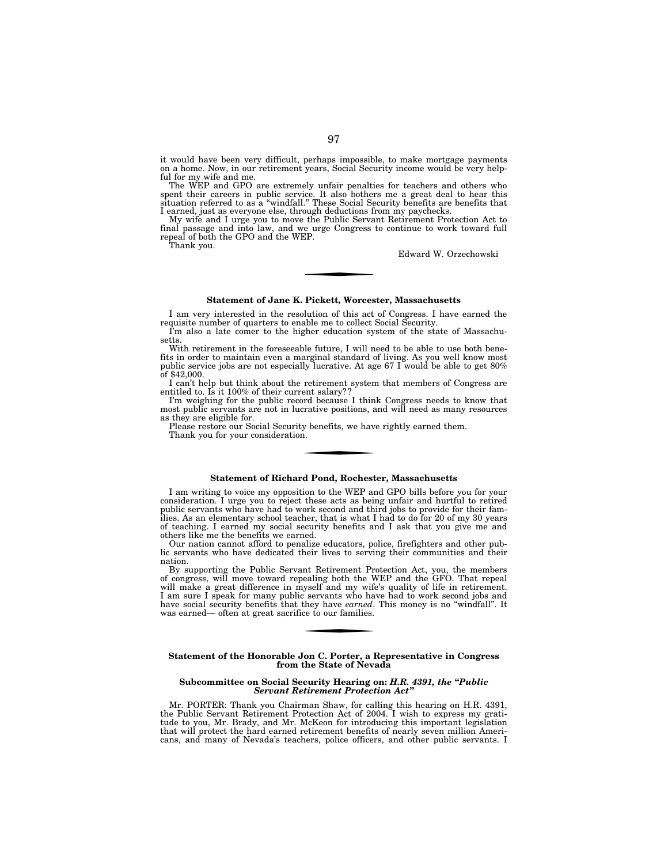it would have been very difficult, perhaps impossible, to make mortgage payments on a home. Now, in our retirement years, Social Security income would be very helpful for my wife and me.

The WEP and GPO are extremely unfair penalties for teachers and others who spent their careers in public service. It also bothers me a great deal to hear this situation referred to as a "windfall." These Social Security be

I earned, just as everyone else, through deductions from my paychecks. My wife and I urge you to move the Public Servant Retirement Protection Act to final passage and into law, and we urge Congress to continue to work toward full repeal of both the GPO and the WEP. Thank you.

Edward W. Orzechowski

## **Statement of Jane K. Pickett, Worcester, Massachusetts**

I am very interested in the resolution of this act of Congress. I have earned the requisite number of quarters to enable me to collect Social Security.

I'm also a late comer to the higher education system of the state of Massachusetts.

With retirement in the foreseeable future, I will need to be able to use both benefits in order to maintain even a marginal standard of living. As you well know most public service jobs are not especially lucrative. At age 67 I would be able to get 80% of \$42,000.

I can't help but think about the retirement system that members of Congress are entitled to. Is it 100% of their current salary??

I'm weighing for the public record because I think Congress needs to know that most public servants are not in lucrative positions, and will need as many resources as they are eligible for.

Please restore our Social Security benefits, we have rightly earned them. Thank you for your consideration.

## **Statement of Richard Pond, Rochester, Massachusetts**

I am writing to voice my opposition to the WEP and GPO bills before you for your consideration. I urge you to reject these acts as being unfair and hurtful to retired public servants who have had to work second and third jobs to provide for their families. As an elementary school teacher, that is what I had to do for 20 of my 30 years of teaching. I earned my social security benefits and I ask that you give me and others like me the benefits we earned.

Our nation cannot afford to penalize educators, police, firefighters and other public servants who have dedicated their lives to serving their communities and their nation.

By supporting the Public Servant Retirement Protection Act, you, the members of congress, will move toward repealing both the WEP and the GFO. That repeal will make a great difference in myself and my wife's quality of life in retirement. I am sure I speak for many public servants who have had to work second jobs and have social security benefits that they have *earned*. This money is no ''windfall''. It was earned— often at great sacrifice to our families.

# **Statement of the Honorable Jon C. Porter, a Representative in Congress from the State of Nevada**

## **Subcommittee on Social Security Hearing on:** *H.R. 4391, the ''Public Servant Retirement Protection Act''*

Mr. PORTER: Thank you Chairman Shaw, for calling this hearing on H.R. 4391, the Public Servant Retirement Protection Act of 2004. I wish to express my gratitude to you, Mr. Brady, and Mr. McKeon for introducing this important legislation that will protect the hard earned retirement benefits of nearly seven million Americans, and many of Nevada's teachers, police officers, and other public servants. I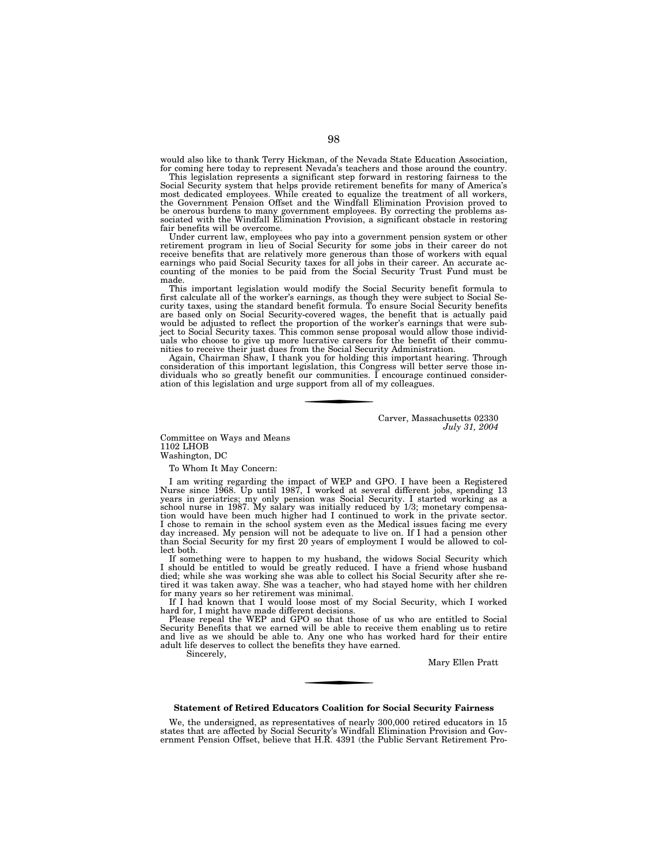would also like to thank Terry Hickman, of the Nevada State Education Association, for coming here today to represent Nevada's teachers and those around the country.

This legislation represents a significant step forward in restoring fairness to the Social Security system that helps provide retirement benefits for many of America's most dedicated employees. While created to equalize the treatment of all workers, the Government Pension Offset and the Windfall Elimination Provision proved to be onerous burdens to many government employees. By correcting the problems as-sociated with the Windfall Elimination Provision, a significant obstacle in restoring fair benefits will be overcome.

Under current law, employees who pay into a government pension system or other retirement program in lieu of Social Security for some jobs in their career do not receive benefits that are relatively more generous than those of workers with equal earnings who paid Social Security taxes for all jobs in their career. An accurate accounting of the monies to be paid from the Social Security Trust Fund must be made.

This important legislation would modify the Social Security benefit formula to first calculate all of the worker's earnings, as though they were subject to Social Security taxes, using the standard benefit formula. To ensure Social Security benefits are based only on Social Security-covered wages, the benefit that is actually paid would be adjusted to reflect the proportion of the worker's earnings that were sub-ject to Social Security taxes. This common sense proposal would allow those individuals who choose to give up more lucrative careers for the benefit of their commu-nities to receive their just dues from the Social Security Administration.

Again, Chairman Shaw, I thank you for holding this important hearing. Through consideration of this important legislation, this Congress will better serve those individuals who so greatly benefit our communities. I encourage continued consideration of this legislation and urge support from all of my colleagues.

> Carver, Massachusetts 02330 *July 31, 2004*

Committee on Ways and Means 1102 LHOB Washington, DC

To Whom It May Concern:

I am writing regarding the impact of WEP and GPO. I have been a Registered Nurse since 1968. Up until 1987, I worked at several different jobs, spending 13 years in geriatrics; my only pension was Social Security. I started working as a school nurse in 1987. My salary was initially reduced by 1/3; monetary compensa-tion would have been much higher had I continued to work in the private sector. I chose to remain in the school system even as the Medical issues facing me every day increased. My pension will not be adequate to live on. If I had a pension other than Social Security for my first 20 years of employment I would be allowed to collect both.

If something were to happen to my husband, the widows Social Security which I should be entitled to would be greatly reduced. I have a friend whose husband died; while she was working she was able to collect his Social Security after she retired it was taken away. She was a teacher, who had stayed home with her children for many years so her retirement was minimal. If I had known that I would loose most of my Social Security, which I worked

hard for, I might have made different decisions.

Please repeal the WEP and GPO so that those of us who are entitled to Social Security Benefits that we earned will be able to receive them enabling us to retire and live as we should be able to. Any one who has worked hard for their entire adult life deserves to collect the benefits they have earned.

Sincerely,

Mary Ellen Pratt

# **Statement of Retired Educators Coalition for Social Security Fairness**

We, the undersigned, as representatives of nearly 300,000 retired educators in 15 states that are affected by Social Security's Windfall Elimination Provision and Government Pension Offset, believe that H.R. 4391 (the Public Servant Retirement Pro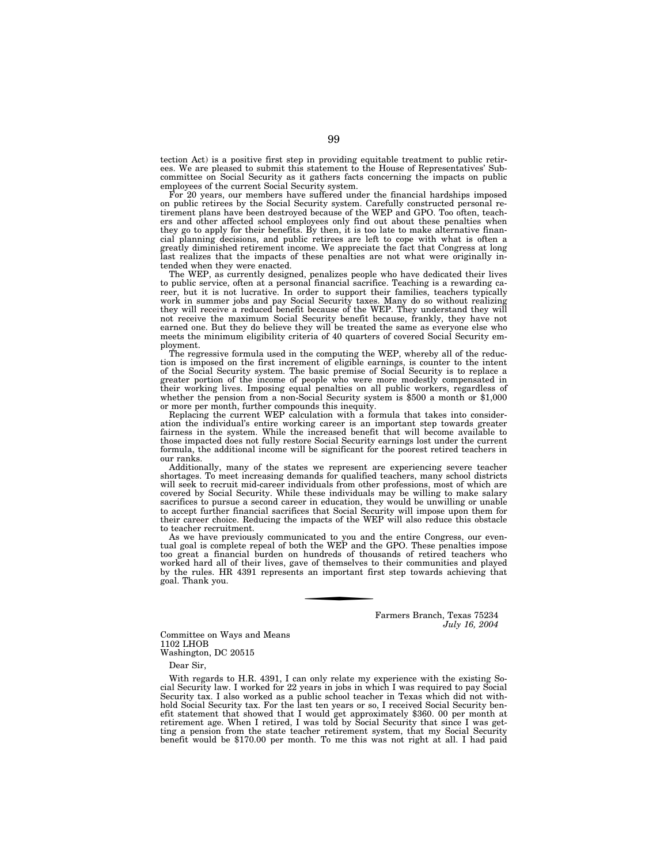tection Act) is a positive first step in providing equitable treatment to public retirees. We are pleased to submit this statement to the House of Representatives' Subcommittee on Social Security as it gathers facts concerning the impacts on public employees of the current Social Security system.

For 20 years, our members have suffered under the financial hardships imposed on public retirees by the Social Security system. Carefully constructed personal retirement plans have been destroyed because of the WEP and GPO. Too often, teachers and other affected school employees only find out about these penalties when they go to apply for their benefits. By then, it is too late to make alternative financial planning decisions, and public retirees are left to cope with what is often a greatly diminished retirement income. We appreciate the fact that Congress at long last realizes that the impacts of these penalties are not what were originally intended when they were enacted.

The WEP, as currently designed, penalizes people who have dedicated their lives to public service, often at a personal financial sacrifice. Teaching is a rewarding career, but it is not lucrative. In order to support their families, teachers typically work in summer jobs and pay Social Security taxes. Many do so without realizing they will receive a reduced benefit because of the WEP. They understand they will not receive the maximum Social Security benefit because, frankly, they have not earned one. But they do believe they will be treated the same as everyone else who meets the minimum eligibility criteria of 40 quarters of covered Social Security employment.

The regressive formula used in the computing the WEP, whereby all of the reduction is imposed on the first increment of eligible earnings, is counter to the intent of the Social Security system. The basic premise of Social Security is to replace a greater portion of the income of people who were more modestly compensated in their working lives. Imposing equal penalties on all public workers, regardless of whether the pension from a non-Social Security system is \$500 a month or \$1,000 or more per month, further compounds this inequity.

Replacing the current WEP calculation with a formula that takes into consideration the individual's entire working career is an important step towards greater fairness in the system. While the increased benefit that will become available to those impacted does not fully restore Social Security earnings lost under the current formula, the additional income will be significant for the poorest retired teachers in our ranks.

Additionally, many of the states we represent are experiencing severe teacher shortages. To meet increasing demands for qualified teachers, many school districts will seek to recruit mid-career individuals from other professions, most of which are covered by Social Security. While these individuals may be willing to make salary sacrifices to pursue a second career in education, they would be unwilling or unable to accept further financial sacrifices that Social Security will impose upon them for their career choice. Reducing the impacts of the WEP will also reduce this obstacle to teacher recruitment.

As we have previously communicated to you and the entire Congress, our eventual goal is complete repeal of both the WEP and the GPO. These penalties impose too great a financial burden on hundreds of thousands of retired teachers who worked hard all of their lives, gave of themselves to their communities and played by the rules. HR 4391 represents an important first step towards achieving that goal. Thank you.

> Farmers Branch, Texas 75234 *July 16, 2004*

Committee on Ways and Means 1102 LHOB Washington, DC 20515

Dear Sir,

With regards to H.R. 4391, I can only relate my experience with the existing Social Security law. I worked for 22 years in jobs in which I was required to pay Social Security tax. I also worked as a public school teacher in Texas which did not withhold Social Security tax. For the last ten years or so, I received Social Security benefit statement that showed that I would get approximately \$360. 00 per month at retirement age. When I retired, I was told by Social Security that since I was getting a pension from the state teacher retirement system, that my Social Security benefit would be \$170.00 per month. To me this was not right at all. I had paid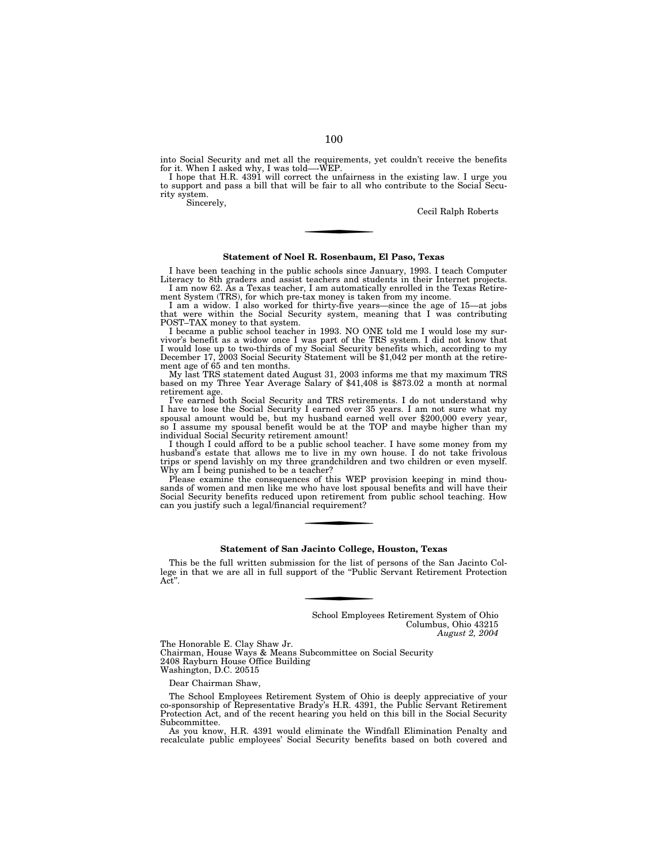into Social Security and met all the requirements, yet couldn't receive the benefits<br>for it. When I asked why, I was told—WEP.<br>I hope that H.R. 4391 will correct the unfairness in the existing law. I urge you<br>to support an rity system.

Sincerely,

Cecil Ralph Roberts

# **Statement of Noel R. Rosenbaum, El Paso, Texas**

I have been teaching in the public schools since January, 1993. I teach Computer Literacy to 8th graders and assist teachers and students in their Internet projects. I am now 62. As a Texas teacher, I am automatically enrolled in the Texas Retire-

ment System (TRS), for which pre-tax money is taken from my income. I am a widow. I also worked for thirty-five years—since the age of 15—at jobs that were within the Social Security system, meaning that I was contributing POST–TAX money to that system.

I became a public school teacher in 1993. NO ONE told me I would lose my survivor's benefit as a widow once I was part of the TRS system. I did not know that I would lose up to two-thirds of my Social Security benefits which, according to my December 17, 2003 Social Security Statement will be \$1,042 per month at the retirement age of 65 and ten months.<br>My last TRS statement dated August 31, 2003 informs me that my maximum TRS

based on my Three Year Average Salary of \$41,408 is \$873.02 a month at normal retirement age.

I've earned both Social Security and TRS retirements. I do not understand why I have to lose the Social Security I earned over 35 years. I am not sure what my spousal amount would be, but my husband earned well over \$200,000 every year, so I assume my spousal benefit would be at the TOP and maybe higher than my individual Social Security retirement amount!

I though I could afford to be a public school teacher. I have some money from my husband's estate that allows me to live in my own house. I do not take frivolous trips or spend lavishly on my three grandchildren and two children or even myself. Why am I being punished to be a teacher?

Please examine the consequences of this WEP provision keeping in mind thousands of women and men like me who have lost spousal benefits and will have their Social Security benefits reduced upon retirement from public school teaching. How can you justify such a legal/financial requirement?

## **Statement of San Jacinto College, Houston, Texas**

This be the full written submission for the list of persons of the San Jacinto College in that we are all in full support of the ''Public Servant Retirement Protection Act"

> School Employees Retirement System of Ohio Columbus, Ohio 43215 *August 2, 2004*

The Honorable E. Clay Shaw Jr. Chairman, House Ways & Means Subcommittee on Social Security 2408 Rayburn House Office Building Washington, D.C. 20515

Dear Chairman Shaw,

The School Employees Retirement System of Ohio is deeply appreciative of your co-sponsorship of Representative Brady's H.R. 4391, the Public Servant Retirement Protection Act, and of the recent hearing you held on this bill in the Social Security Subcommittee.

As you know, H.R. 4391 would eliminate the Windfall Elimination Penalty and recalculate public employees' Social Security benefits based on both covered and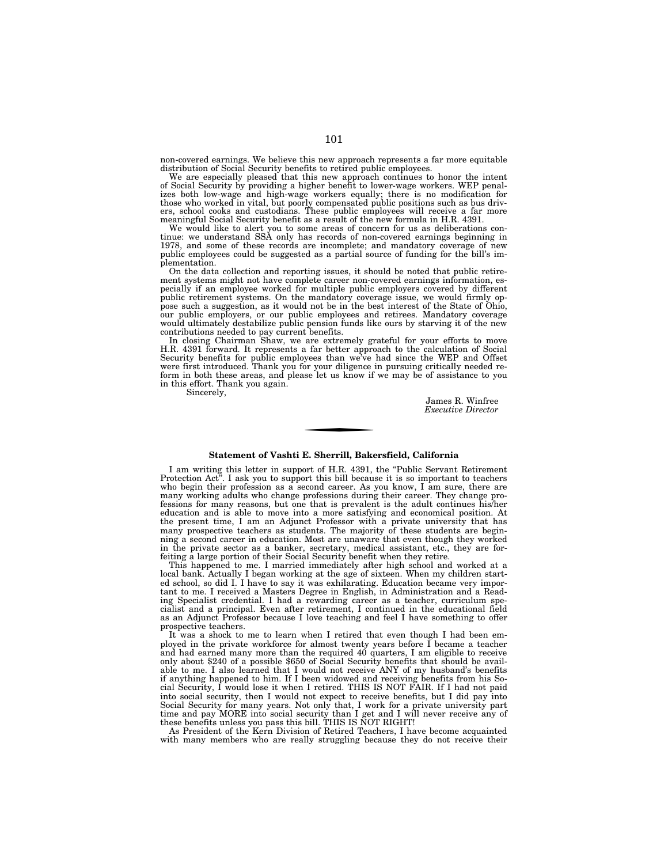non-covered earnings. We believe this new approach represents a far more equitable distribution of Social Security benefits to retired public employees.

We are especially pleased that this new approach continues to honor the intent of Social Security by providing a higher benefit to lower-wage workers. WEP penalizes both low-wage and high-wage workers equally; there is no modification for those who worked in vital, but poorly compensated public positions such as bus driv-ers, school cooks and custodians. These public employees will receive a far more meaningful Social Security benefit as a result of the new formula in H.R. 4391.

We would like to alert you to some areas of concern for us as deliberations con-tinue: we understand SSA only has records of non-covered earnings beginning in 1978, and some of these records are incomplete; and mandatory coverage of new public employees could be suggested as a partial source of funding for the bill's implementation.

On the data collection and reporting issues, it should be noted that public retirement systems might not have complete career non-covered earnings information, especially if an employee worked for multiple public employers covered by different public retirement systems. On the mandatory coverage issue, we would firmly oppose such a suggestion, as it would not be in the best interest of the State of Ohio, our public employers, or our public employees and retirees. Mandatory coverage would ultimately destabilize public pension funds like ours by starving it of the new contributions needed to pay current benefits.

In closing Chairman Shaw, we are extremely grateful for your efforts to move H.R. 4391 forward. It represents a far better approach to the calculation of Social Security benefits for public employees than we've had since the WEP and Offset were first introduced. Thank you for your diligence in pursuing critically needed reform in both these areas, and please let us know if we may be of assistance to you in this effort. Thank you again.

Sincerely,

James R. Winfree *Executive Director* 

# **Statement of Vashti E. Sherrill, Bakersfield, California**

I am writing this letter in support of H.R. 4391, the ''Public Servant Retirement Protection Act''. I ask you to support this bill because it is so important to teachers who begin their profession as a second career. As you know, I am sure, there are many working adults who change professions during their career. They change professions for many reasons, but one that is prevalent is the adult continues his/her education and is able to move into a more satisfying and economical position. At the present time, I am an Adjunct Professor with a private university that has many prospective teachers as students. The majority of these students are beginning a second career in education. Most are unaware that even though they worked in the private sector as a banker, secretary, medical assistant, etc., they are forfeiting a large portion of their Social Security benefit when they retire.

This happened to me. I married immediately after high school and worked at a local bank. Actually I began working at the age of sixteen. When my children started school, so did I. I have to say it was exhilarating. Education became very important to me. I received a Masters Degree in English, in Administration and a Reading Specialist credential. I had a rewarding career as a teacher, curriculum specialist and a principal. Even after retirement, I continued in the educational field as an Adjunct Professor because I love teaching and feel I have something to offer prospective teachers.

It was a shock to me to learn when I retired that even though I had been employed in the private workforce for almost twenty years before I became a teacher and had earned many more than the required 40 quarters, I am eligible to receive only about \$240 of a possible \$650 of Social Security benefits that should be available to me. I also learned that I would not receive ANY of my husband's benefits if anything happened to him. If I been widowed and receiving benefits from his Social Security, I would lose it when I retired. THIS IS NOT FAIR. If I had not paid into social security, then I would not expect to receive benefits, but I did pay into Social Security for many years. Not only that, I work for a private university part time and pay MORE into social security than I get and I will never receive any of these benefits unless you pass this bill. THIS IS NOT RIGHT!

As President of the Kern Division of Retired Teachers, I have become acquainted with many members who are really struggling because they do not receive their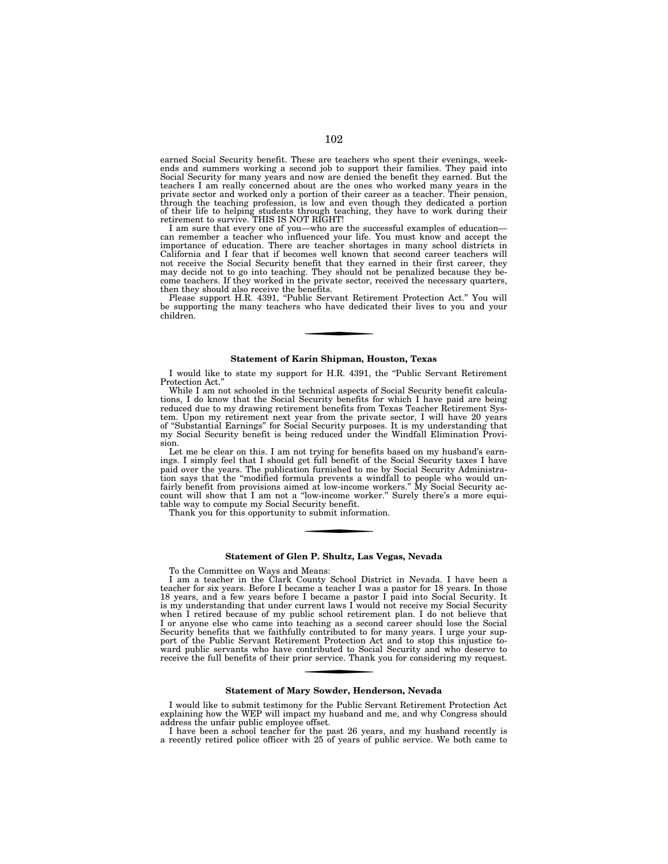earned Social Security benefit. These are teachers who spent their evenings, weekends and summers working a second job to support their families. They paid into Social Security for many years and now are denied the benefit they earned. But the teachers I am really concerned about are the ones who worked many years in the private sector and worked only a portion of their career as a teacher. Their pension, through the teaching profession, is low and even though they dedicated a portion of their life to helping students through teaching, they have to work during their retirement to survive. THIS IS NOT RIGHT!

I am sure that every one of you—who are the successful examples of education can remember a teacher who influenced your life. You must know and accept the importance of education. There are teacher shortages in many school districts in California and I fear that if becomes well known that second career teachers will not receive the Social Security benefit that they earned in their first career, they may decide not to go into teaching. They should not be penalized because they become teachers. If they worked in the private sector, received the necessary quarters, then they should also receive the benefits.

Please support H.R. 4391, ''Public Servant Retirement Protection Act.'' You will be supporting the many teachers who have dedicated their lives to you and your children.

# **Statement of Karin Shipman, Houston, Texas**

I would like to state my support for H.R. 4391, the ''Public Servant Retirement Protection Act.''

While I am not schooled in the technical aspects of Social Security benefit calculations, I do know that the Social Security benefits for which I have paid are being reduced due to my drawing retirement benefits from Texas Teacher Retirement System. Upon my retirement next year from the private sector, I will have 20 years of ''Substantial Earnings'' for Social Security purposes. It is my understanding that my Social Security benefit is being reduced under the Windfall Elimination Provision.

Let me be clear on this. I am not trying for benefits based on my husband's earnings. I simply feel that I should get full benefit of the Social Security taxes I have paid over the years. The publication furnished to me by Social Security Administration says that the ''modified formula prevents a windfall to people who would unfairly benefit from provisions aimed at low-income workers.'' My Social Security account will show that I am not a ''low-income worker.'' Surely there's a more equitable way to compute my Social Security benefit.

Thank you for this opportunity to submit information.

# **Statement of Glen P. Shultz, Las Vegas, Nevada**

To the Committee on Ways and Means:

I am a teacher in the Clark County School District in Nevada. I have been a teacher for six years. Before I became a teacher I was a pastor for 18 years. In those 18 years, and a few years before I became a pastor I paid into Social Security. It is my understanding that under current laws I would not receive my Social Security when I retired because of my public school retirement plan. I do not believe that I or anyone else who came into teaching as a second career should lose the Social Security benefits that we faithfully contributed to for many years. I urge your support of the Public Servant Retirement Protection Act and to stop this injustice toward public servants who have contributed to Social Security and who deserve to receive the full benefits of their prior service. Thank you for considering my request.

# **Statement of Mary Sowder, Henderson, Nevada**

I would like to submit testimony for the Public Servant Retirement Protection Act explaining how the WEP will impact my husband and me, and why Congress should address the unfair public employee offset.

I have been a school teacher for the past 26 years, and my husband recently is a recently retired police officer with 25 of years of public service. We both came to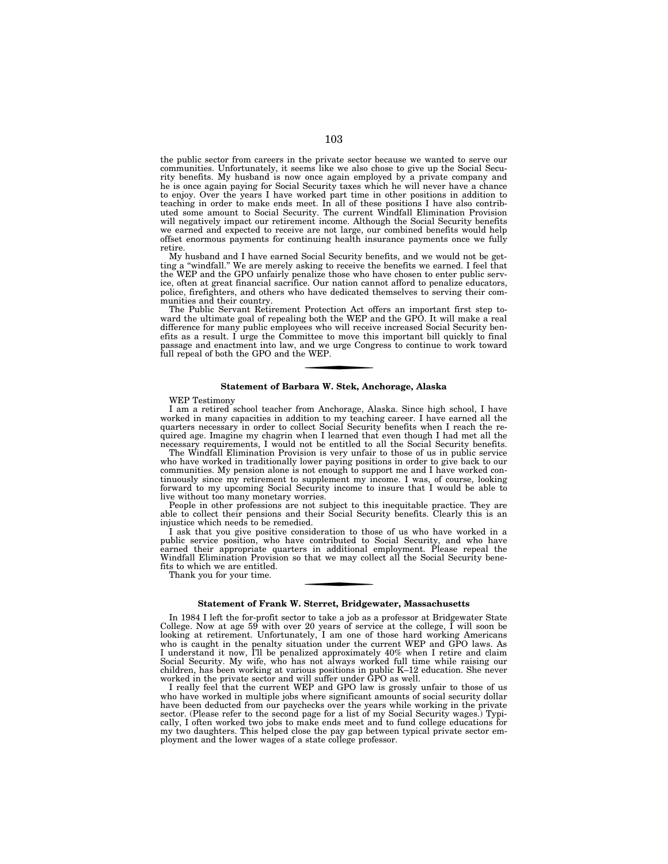the public sector from careers in the private sector because we wanted to serve our communities. Unfortunately, it seems like we also chose to give up the Social Security benefits. My husband is now once again employed by a private company and he is once again paying for Social Security taxes which he will never have a chance to enjoy. Over the years I have worked part time in other positions in addition to teaching in order to make ends meet. In all of these positions I have also contributed some amount to Social Security. The current Windfall Elimination Provision will negatively impact our retirement income. Although the Social Security benefits we earned and expected to receive are not large, our combined benefits would help offset enormous payments for continuing health insurance payments once we fully retire

My husband and I have earned Social Security benefits, and we would not be getting a ''windfall.'' We are merely asking to receive the benefits we earned. I feel that the WEP and the GPO unfairly penalize those who have chosen to enter public service, often at great financial sacrifice. Our nation cannot afford to penalize educators, police, firefighters, and others who have dedicated themselves to serving their communities and their country.

The Public Servant Retirement Protection Act offers an important first step toward the ultimate goal of repealing both the WEP and the GPO. It will make a real difference for many public employees who will receive increased Social Security benefits as a result. I urge the Committee to move this important bill quickly to final passage and enactment into law, and we urge Congress to continue to work toward full repeal of both the GPO and the WEP.

## **Statement of Barbara W. Stek, Anchorage, Alaska**

WEP Testimony

I am a retired school teacher from Anchorage, Alaska. Since high school, I have worked in many capacities in addition to my teaching career. I have earned all the quarters necessary in order to collect Social Security benefits when I reach the required age. Imagine my chagrin when I learned that even though I had met all the necessary requirements, I would not be entitled to all the Social Security benefits.

The Windfall Elimination Provision is very unfair to those of us in public service who have worked in traditionally lower paying positions in order to give back to our communities. My pension alone is not enough to support me and I have worked continuously since my retirement to supplement my income. I was, of course, looking forward to my upcoming Social Security income to insure that I would be able to live without too many monetary worries.

People in other professions are not subject to this inequitable practice. They are able to collect their pensions and their Social Security benefits. Clearly this is an injustice which needs to be remedied.

I ask that you give positive consideration to those of us who have worked in a public service position, who have contributed to Social Security, and who have earned their appropriate quarters in additional employment. Please repeal the Windfall Elimination Provision so that we may collect all the Social Security benefits to which we are entitled.

Thank you for your time.

## **Statement of Frank W. Sterret, Bridgewater, Massachusetts**

In 1984 I left the for-profit sector to take a job as a professor at Bridgewater State College. Now at age 59 with over 20 years of service at the college, I will soon be looking at retirement. Unfortunately, I am one of those hard working Americans who is caught in the penalty situation under the current WEP and GPO laws. As I understand it now, I'll be penalized approximately 40% when I retire and claim Social Security. My wife, who has not always worked full time while raising our children, has been working at various positions in public K–12 education. She never worked in the private sector and will suffer under GPO as well.

I really feel that the current WEP and GPO law is grossly unfair to those of us who have worked in multiple jobs where significant amounts of social security dollar have been deducted from our paychecks over the years while working in the private sector. (Please refer to the second page for a list of my Social Security wages.) Typically, I often worked two jobs to make ends meet and to fund college educations for my two daughters. This helped close the pay gap between typical private sector employment and the lower wages of a state college professor.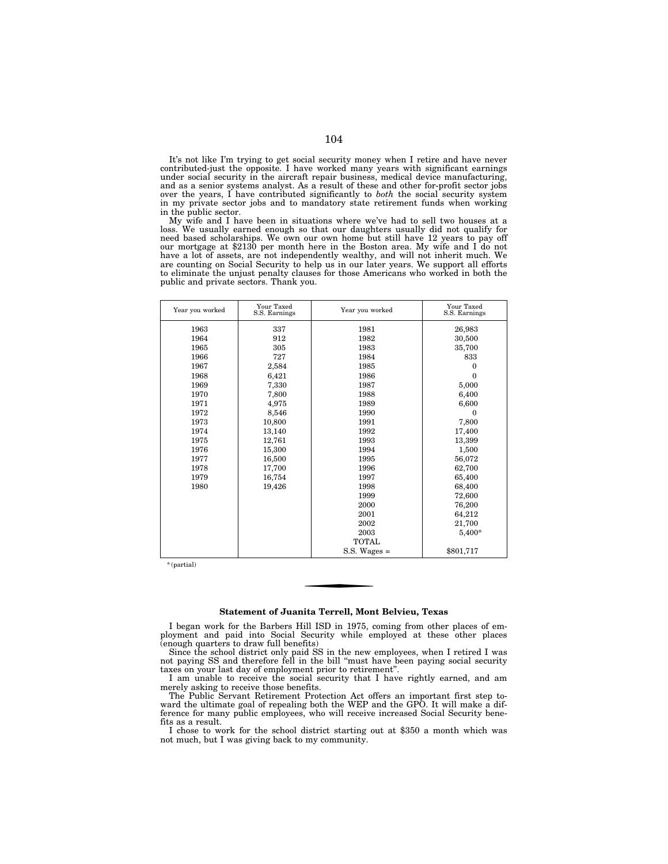It's not like I'm trying to get social security money when I retire and have never contributed-just the opposite. I have worked many years with significant earnings under social security in the aircraft repair business, medical device manufacturing, and as a senior systems analyst. As a result of these and other for-profit sector jobs over the years, I have contributed significantly to *both* the social security system in my private sector jobs and to mandatory state retirement funds when working in the public sector.

My wife and I have been in situations where we've had to sell two houses at a loss. We usually earned enough so that our daughters usually did not qualify for need based scholarships. We own our own home but still have 12 years to pay off our mortgage at \$2130 per month here in the Boston area. My wife and I do not have a lot of assets, are not independently wealthy, and will not inherit much. We are counting on Social Security to help us in our later years. We support all efforts to eliminate the unjust penalty clauses for those Americans who worked in both the public and private sectors. Thank you.

| Year you worked | Your Taxed<br>S.S. Earnings | Year you worked  | Your Taxed<br>S.S. Earnings |
|-----------------|-----------------------------|------------------|-----------------------------|
| 1963            | 337                         | 1981             | 26,983                      |
| 1964            | 912                         | 1982             | 30,500                      |
| 1965            | 305                         | 1983             | 35,700                      |
| 1966            | 727                         | 1984             | 833                         |
| 1967            | 2,584                       | 1985             | $\theta$                    |
| 1968            | 6,421                       | 1986             | $\theta$                    |
| 1969            | 7,330                       | 1987             | 5,000                       |
| 1970            | 7,800                       | 1988             | 6,400                       |
| 1971            | 4,975                       | 1989             | 6,600                       |
| 1972            | 8,546                       | 1990             | $\Omega$                    |
| 1973            | 10,800                      | 1991             | 7,800                       |
| 1974            | 13,140                      | 1992             | 17,400                      |
| 1975            | 12,761                      | 1993             | 13,399                      |
| 1976            | 15,300                      | 1994             | 1,500                       |
| 1977            | 16,500                      | 1995             | 56,072                      |
| 1978            | 17,700                      | 1996             | 62,700                      |
| 1979            | 16,754                      | 1997             | 65,400                      |
| 1980            | 19,426                      | 1998             | 68,400                      |
|                 |                             | 1999             | 72,600                      |
|                 |                             | 2000             | 76,200                      |
|                 |                             | 2001             | 64,212                      |
|                 |                             | 2002             | 21,700                      |
|                 |                             | 2003             | 5,400*                      |
|                 |                             | <b>TOTAL</b>     |                             |
|                 |                             | $S.S.$ Wages $=$ | \$801,717                   |

\* (partial)

## **Statement of Juanita Terrell, Mont Belvieu, Texas**

I began work for the Barbers Hill ISD in 1975, coming from other places of employment and paid into Social Security while employed at these other places (enough quarters to draw full benefits)

Since the school district only paid SS in the new employees, when I retired I was not paying SS and therefore fell in the bill ''must have been paying social security taxes on your last day of employment prior to retirement''.

I am unable to receive the social security that I have rightly earned, and am merely asking to receive those benefits.

The Public Servant Retirement Protection Act offers an important first step toward the ultimate goal of repealing both the WEP and the GPO. It will make a difference for many public employees, who will receive increased Social Security benefits as a result.

I chose to work for the school district starting out at \$350 a month which was not much, but I was giving back to my community.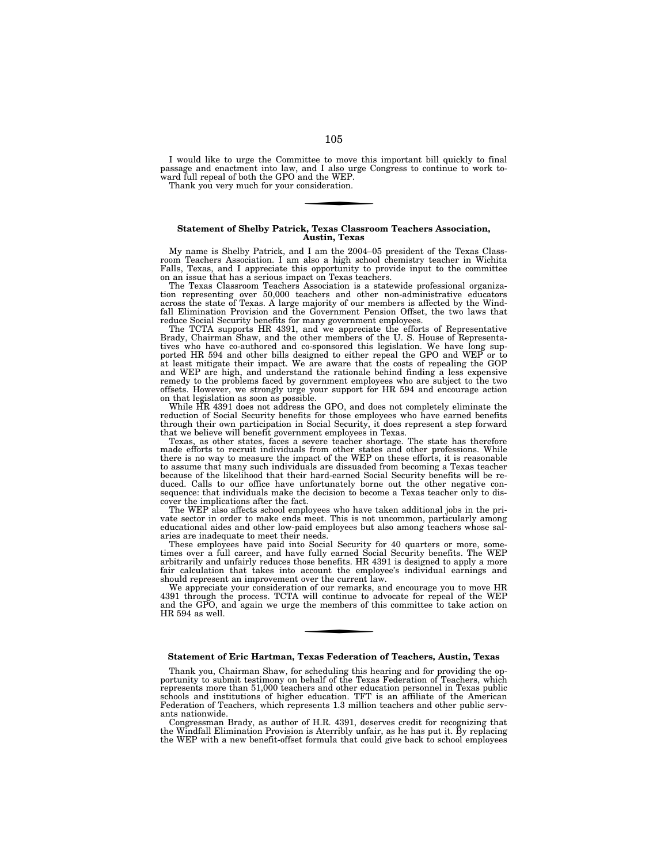I would like to urge the Committee to move this important bill quickly to final passage and enactment into law, and I also urge Congress to continue to work toward full repeal of both the GPO and the WEP.

Thank you very much for your consideration.

## **Statement of Shelby Patrick, Texas Classroom Teachers Association, Austin, Texas**

My name is Shelby Patrick, and I am the 2004–05 president of the Texas Classroom Teachers Association. I am also a high school chemistry teacher in Wichita Falls, Texas, and I appreciate this opportunity to provide input to the committee on an issue that has a serious impact on Texas teachers.

The Texas Classroom Teachers Association is a statewide professional organization representing over 50,000 teachers and other non-administrative educators across the state of Texas. A large majority of our members is affected by the Windfall Elimination Provision and the Government Pension Offset, the two laws that reduce Social Security benefits for many government employees.

The TCTA supports HR 4391, and we appreciate the efforts of Representative Brady, Chairman Shaw, and the other members of the U. S. House of Representatives who have co-authored and co-sponsored this legislation. We have long sup-ported HR 594 and other bills designed to either repeal the GPO and WEP or to at least mitigate their impact. We are aware that the costs of repealing the GOP and WEP are high, and understand the rationale behind finding a less expensive remedy to the problems faced by government employees who are subject to the two offsets. However, we strongly urge your support for HR 594 and encourage action on that legislation as soon as possible. While HR 4391 does not address the GPO, and does not completely eliminate the

reduction of Social Security benefits for those employees who have earned benefits through their own participation in Social Security, it does represent a step forward that we believe will benefit government employees in Texas.

Texas, as other states, faces a severe teacher shortage. The state has therefore made efforts to recruit individuals from other states and other professions. While there is no way to measure the impact of the WEP on these efforts, it is reasonable to assume that many such individuals are dissuaded from becoming a Texas teacher because of the likelihood that their hard-earned Social Security benefits will be reduced. Calls to our office have unfortunately borne out the other negative consequence: that individuals make the decision to become a Texas teacher only to discover the implications after the fact.

The WEP also affects school employees who have taken additional jobs in the private sector in order to make ends meet. This is not uncommon, particularly among educational aides and other low-paid employees but also among teachers whose salaries are inadequate to meet their needs.

These employees have paid into Social Security for 40 quarters or more, sometimes over a full career, and have fully earned Social Security benefits. The WEP arbitrarily and unfairly reduces those benefits. HR 4391 is designed to apply a more fair calculation that takes into account the employee's individual earnings and should represent an improvement over the current law.

We appreciate your consideration of our remarks, and encourage you to move HR 4391 through the process. TCTA will continue to advocate for repeal of the WEP and the GPO, and again we urge the members of this committee to take action on HR 594 as well.

## **Statement of Eric Hartman, Texas Federation of Teachers, Austin, Texas**

Thank you, Chairman Shaw, for scheduling this hearing and for providing the opportunity to submit testimony on behalf of the Texas Federation of Teachers, which represents more than 51,000 teachers and other education personnel in Texas public schools and institutions of higher education. TFT is an affiliate of the American Federation of Teachers, which represents 1.3 million teachers and other public servants nationwide.

Congressman Brady, as author of H.R. 4391, deserves credit for recognizing that the Windfall Elimination Provision is Aterribly unfair, as he has put it. By replacing the WEP with a new benefit-offset formula that could give back to school employees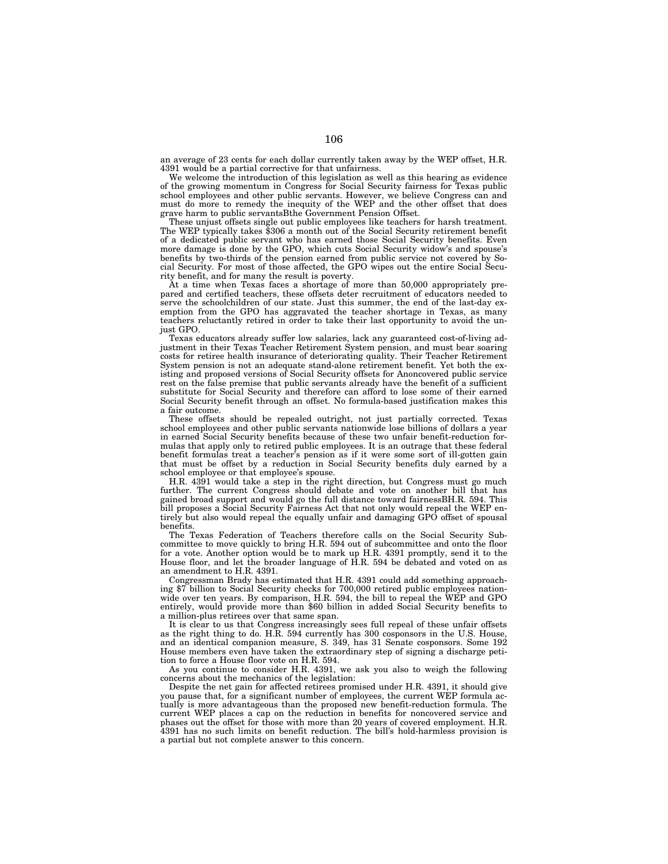an average of 23 cents for each dollar currently taken away by the WEP offset, H.R. 4391 would be a partial corrective for that unfairness.

We welcome the introduction of this legislation as well as this hearing as evidence of the growing momentum in Congress for Social Security fairness for Texas public school employees and other public servants. However, we believe Congress can and must do more to remedy the inequity of the WEP and the other offset that does grave harm to public servantsBthe Government Pension Offset.

These unjust offsets single out public employees like teachers for harsh treatment. The WEP typically takes \$306 a month out of the Social Security retirement benefit of a dedicated public servant who has earned those Social Security benefits. Even more damage is done by the GPO, which cuts Social Security widow's and spouse's benefits by two-thirds of the pension earned from public service not covered by Social Security. For most of those affected, the GPO wipes out the entire Social Security benefit, and for many the result is poverty.

At a time when Texas faces a shortage of more than 50,000 appropriately prepared and certified teachers, these offsets deter recruitment of educators needed to serve the schoolchildren of our state. Just this summer, the end of the last-day exemption from the GPO has aggravated the teacher shortage in Texas, as many teachers reluctantly retired in order to take their last opportunity to avoid the unjust GPO.

Texas educators already suffer low salaries, lack any guaranteed cost-of-living adjustment in their Texas Teacher Retirement System pension, and must bear soaring costs for retiree health insurance of deteriorating quality. Their Teacher Retirement System pension is not an adequate stand-alone retirement benefit. Yet both the existing and proposed versions of Social Security offsets for Anoncovered public service rest on the false premise that public servants already have the benefit of a sufficient substitute for Social Security and therefore can afford to lose some of their earned Social Security benefit through an offset. No formula-based justification makes this a fair outcome.

These offsets should be repealed outright, not just partially corrected. Texas school employees and other public servants nationwide lose billions of dollars a year in earned Social Security benefits because of these two unfair benefit-reduction formulas that apply only to retired public employees. It is an outrage that these federal benefit formulas treat a teacher's pension as if it were some sort of ill-gotten gain that must be offset by a reduction in Social Security benefits duly earned by a school employee or that employee's spouse.

H.R. 4391 would take a step in the right direction, but Congress must go much further. The current Congress should debate and vote on another bill that has gained broad support and would go the full distance toward fairnessBH.R. 594. This bill proposes a Social Security Fairness Act that not only would repeal the WEP entirely but also would repeal the equally unfair and damaging GPO offset of spousal benefits.

The Texas Federation of Teachers therefore calls on the Social Security Subcommittee to move quickly to bring H.R. 594 out of subcommittee and onto the floor for a vote. Another option would be to mark up H.R. 4391 promptly, send it to the House floor, and let the broader language of H.R. 594 be debated and voted on as an amendment to H.R. 4391.

Congressman Brady has estimated that H.R. 4391 could add something approaching \$7 billion to Social Security checks for 700,000 retired public employees nationwide over ten years. By comparison, H.R. 594, the bill to repeal the WEP and GPO entirely, would provide more than \$60 billion in added Social Security benefits to a million-plus retirees over that same span.

It is clear to us that Congress increasingly sees full repeal of these unfair offsets as the right thing to do. H.R. 594 currently has 300 cosponsors in the U.S. House, and an identical companion measure, S. 349, has 31 Senate cosponsors. Some 192 House members even have taken the extraordinary step of signing a discharge petition to force a House floor vote on H.R. 594.

As you continue to consider H.R. 4391, we ask you also to weigh the following concerns about the mechanics of the legislation:

Despite the net gain for affected retirees promised under H.R. 4391, it should give you pause that, for a significant number of employees, the current WEP formula actually is more advantageous than the proposed new benefit-reduction formula. The current WEP places a cap on the reduction in benefits for noncovered service and phases out the offset for those with more than 20 years of covered employment. H.R. 4391 has no such limits on benefit reduction. The bill's hold-harmless provision is a partial but not complete answer to this concern.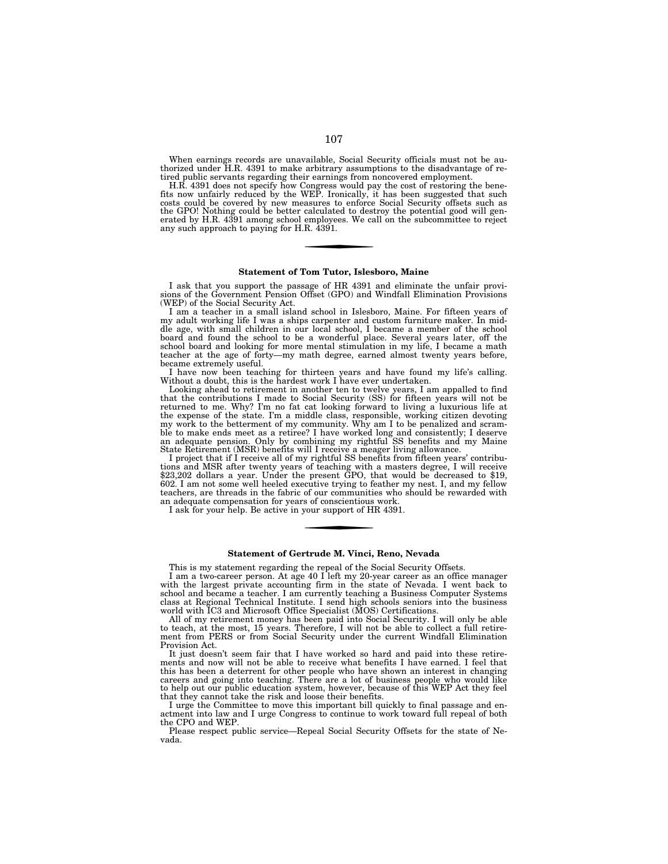When earnings records are unavailable, Social Security officials must not be authorized under H.R. 4391 to make arbitrary assumptions to the disadvantage of retired public servants regarding their earnings from noncovered employment.

H.R. 4391 does not specify how Congress would pay the cost of restoring the bene-fits now unfairly reduced by the WEP. Ironically, it has been suggested that such costs could be covered by new measures to enforce Social Security offsets such as the GPO! Nothing could be better calculated to destroy the potential good will gen-erated by H.R. 4391 among school employees. We call on the subcommittee to reject any such approach to paying for H.R. 4391.

### **Statement of Tom Tutor, Islesboro, Maine**

I ask that you support the passage of HR 4391 and eliminate the unfair provisions of the Government Pension Offset (GPO) and Windfall Elimination Provisions (WEP) of the Social Security Act.

I am a teacher in a small island school in Islesboro, Maine. For fifteen years of my adult working life I was a ships carpenter and custom furniture maker. In middle age, with small children in our local school, I became a member of the school board and found the school to be a wonderful place. Several years later, off the school board and looking for more mental stimulation in my life, I became a math teacher at the age of forty—my math degree, earned almost twenty years before, became extremely useful.

I have now been teaching for thirteen years and have found my life's calling. Without a doubt, this is the hardest work I have ever undertaken.

Looking ahead to retirement in another ten to twelve years, I am appalled to find that the contributions I made to Social Security (SS) for fifteen years will not be returned to me. Why? I'm no fat cat looking forward to living a luxurious life at the expense of the state. I'm a middle class, responsible, working citizen devoting my work to the betterment of my community. Why am I to be penalized and scramble to make ends meet as a retiree? I have worked long and consistently; I deserve an adequate pension. Only by combining my rightful SS benefits and my Maine State Retirement (MSR) benefits will I receive a meager living allowance.

I project that if I receive all of my rightful SS benefits from fifteen years' contributions and MSR after twenty years of teaching with a masters degree, I will receive \$23,202 dollars a year. Under the present GPO, that would be decreased to \$19, 602. I am not some well heeled executive trying to feather my nest. I, and my fellow teachers, are threads in the fabric of our communities who should be rewarded with an adequate compensation for years of conscientious work.

I ask for your help. Be active in your support of HR 4391.

### **Statement of Gertrude M. Vinci, Reno, Nevada**

This is my statement regarding the repeal of the Social Security Offsets.

I am a two-career person. At age 40 I left my 20-year career as an office manager with the largest private accounting firm in the state of Nevada. I went back to school and became a teacher. I am currently teaching a Business Computer Systems class at Regional Technical Institute. I send high schools seniors into the business world with IC3 and Microsoft Office Specialist (MOS) Certifications.

All of my retirement money has been paid into Social Security. I will only be able to teach, at the most, 15 years. Therefore, I will not be able to collect a full retirement from PERS or from Social Security under the current Windfall Elimination Provision Act.

It just doesn't seem fair that I have worked so hard and paid into these retirements and now will not be able to receive what benefits I have earned. I feel that this has been a deterrent for other people who have shown an interest in changing careers and going into teaching. There are a lot of business people who would like to help out our public education system, however, because of this WEP Act they feel that they cannot take the risk and loose their benefits.

I urge the Committee to move this important bill quickly to final passage and enactment into law and I urge Congress to continue to work toward full repeal of both the CPO and WEP.

Please respect public service—Repeal Social Security Offsets for the state of Nevada.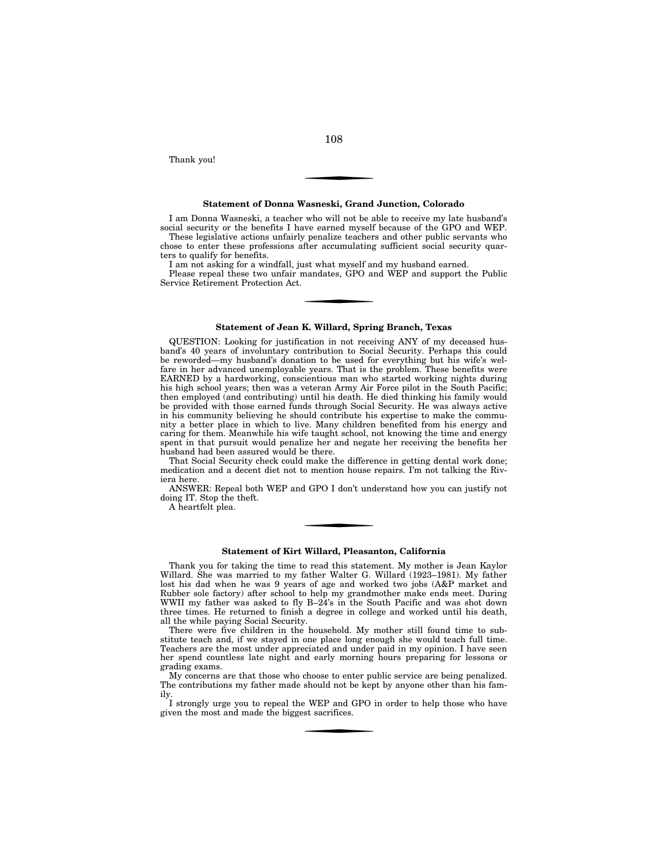Thank you!

### **Statement of Donna Wasneski, Grand Junction, Colorado**

I am Donna Wasneski, a teacher who will not be able to receive my late husband's social security or the benefits I have earned myself because of the GPO and WEP. These legislative actions unfairly penalize teachers and other public servants who

chose to enter these professions after accumulating sufficient social security quarters to qualify for benefits.

I am not asking for a windfall, just what myself and my husband earned.

Please repeal these two unfair mandates, GPO and WEP and support the Public Service Retirement Protection Act.

#### **Statement of Jean K. Willard, Spring Branch, Texas**

QUESTION: Looking for justification in not receiving ANY of my deceased husband's 40 years of involuntary contribution to Social Security. Perhaps this could be reworded—my husband's donation to be used for everything but his wife's welfare in her advanced unemployable years. That is the problem. These benefits were EARNED by a hardworking, conscientious man who started working nights during his high school years; then was a veteran Army Air Force pilot in the South Pacific; then employed (and contributing) until his death. He died thinking his family would be provided with those earned funds through Social Security. He was always active in his community believing he should contribute his expertise to make the community a better place in which to live. Many children benefited from his energy and caring for them. Meanwhile his wife taught school, not knowing the time and energy spent in that pursuit would penalize her and negate her receiving the benefits her husband had been assured would be there.

That Social Security check could make the difference in getting dental work done; medication and a decent diet not to mention house repairs. I'm not talking the Riviera here.

ANSWER: Repeal both WEP and GPO I don't understand how you can justify not doing IT. Stop the theft.

A heartfelt plea.

## **Statement of Kirt Willard, Pleasanton, California**

Thank you for taking the time to read this statement. My mother is Jean Kaylor Willard. She was married to my father Walter G. Willard (1923–1981). My father lost his dad when he was 9 years of age and worked two jobs (A&P market and Rubber sole factory) after school to help my grandmother make ends meet. During WWII my father was asked to fly B–24's in the South Pacific and was shot down three times. He returned to finish a degree in college and worked until his death, all the while paying Social Security.

There were five children in the household. My mother still found time to substitute teach and, if we stayed in one place long enough she would teach full time. Teachers are the most under appreciated and under paid in my opinion. I have seen her spend countless late night and early morning hours preparing for lessons or grading exams.

My concerns are that those who choose to enter public service are being penalized. The contributions my father made should not be kept by anyone other than his family.

I strongly urge you to repeal the WEP and GPO in order to help those who have given the most and made the biggest sacrifices.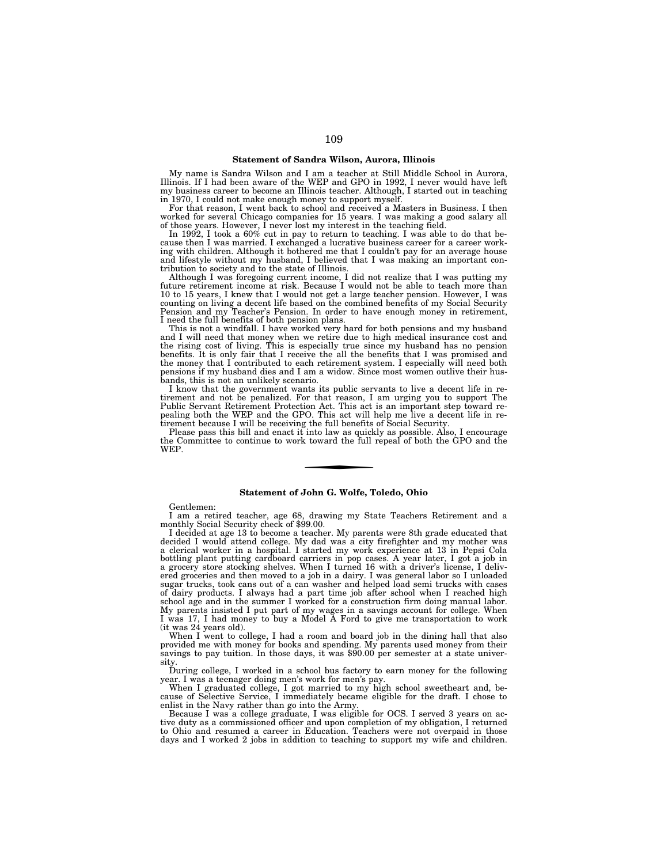# **Statement of Sandra Wilson, Aurora, Illinois**

My name is Sandra Wilson and I am a teacher at Still Middle School in Aurora, Illinois. If I had been aware of the WEP and GPO in 1992, I never would have left my business career to become an Illinois teacher. Although, I started out in teaching in 1970, I could not make enough money to support myself.

For that reason, I went back to school and received a Masters in Business. I then worked for several Chicago companies for 15 years. I was making a good salary all

of those years. However, I never lost my interest in the teaching field. In 1992, I took a 60% cut in pay to return to teaching. I was able to do that because then I was married. I exchanged a lucrative business career for a career working with children. Although it bothered me that I couldn't pay for an average house and lifestyle without my husband, I believed that I was making an important contribution to society and to the state of Illinois.

Although I was foregoing current income, I did not realize that I was putting my future retirement income at risk. Because I would not be able to teach more than 10 to 15 years, I knew that I would not get a large teacher pension. However, I was counting on living a decent life based on the combined benefits of my Social Security Pension and my Teacher's Pension. In order to have enough money in retirement, I need the full benefits of both pension plans.

This is not a windfall. I have worked very hard for both pensions and my husband and I will need that money when we retire due to high medical insurance cost and the rising cost of living. This is especially true since my husband has no pension benefits. It is only fair that I receive the all the benefits that I was promised and the money that I contributed to each retirement system. I especially will need both pensions if my husband dies and I am a widow. Since most women outlive their husbands, this is not an unlikely scenario.

I know that the government wants its public servants to live a decent life in retirement and not be penalized. For that reason, I am urging you to support The<br>Public Servant Retirement Protection Act. This act is an important step toward re-<br>pealing both the WEP and the GPO. This act will help me live

Please pass this bill and enact it into law as quickly as possible. Also, I encourage the Committee to continue to work toward the full repeal of both the GPO and the WEP.

## **Statement of John G. Wolfe, Toledo, Ohio**

Gentlemen:

I am a retired teacher, age 68, drawing my State Teachers Retirement and a monthly Social Security check of \$99.00.

I decided at age 13 to become a teacher. My parents were 8th grade educated that decided I would attend college. My dad was a city firefighter and my mother was a clerical worker in a hospital. I started my work experience at 13 in Pepsi Cola bottling plant putting cardboard carriers in pop cases. A year later, I got a job in a grocery store stocking shelves. When I turned 16 with a driver's license, I delivered groceries and then moved to a job in a dairy. I was general labor so I unloaded sugar trucks, took cans out of a can washer and helped load semi trucks with cases of dairy products. I always had a part time job after school when I reached high school age and in the summer I worked for a construction firm doing manual labor. My parents insisted I put part of my wages in a savings account for college. When I was 17, I had money to buy a Model A Ford to give me transportation to work (it was 24 years old).

When I went to college, I had a room and board job in the dining hall that also provided me with money for books and spending. My parents used money from their savings to pay tuition. In those days, it was \$90.00 per semester at a state university.

During college, I worked in a school bus factory to earn money for the following year. I was a teenager doing men's work for men's pay.

When I graduated college, I got married to my high school sweetheart and, because of Selective Service, I immediately became eligible for the draft. I chose to enlist in the Navy rather than go into the Army.

Because I was a college graduate, I was eligible for OCS. I served 3 years on active duty as a commissioned officer and upon completion of my obligation, I returned to Ohio and resumed a career in Education. Teachers were not overpaid in those days and I worked 2 jobs in addition to teaching to support my wife and children.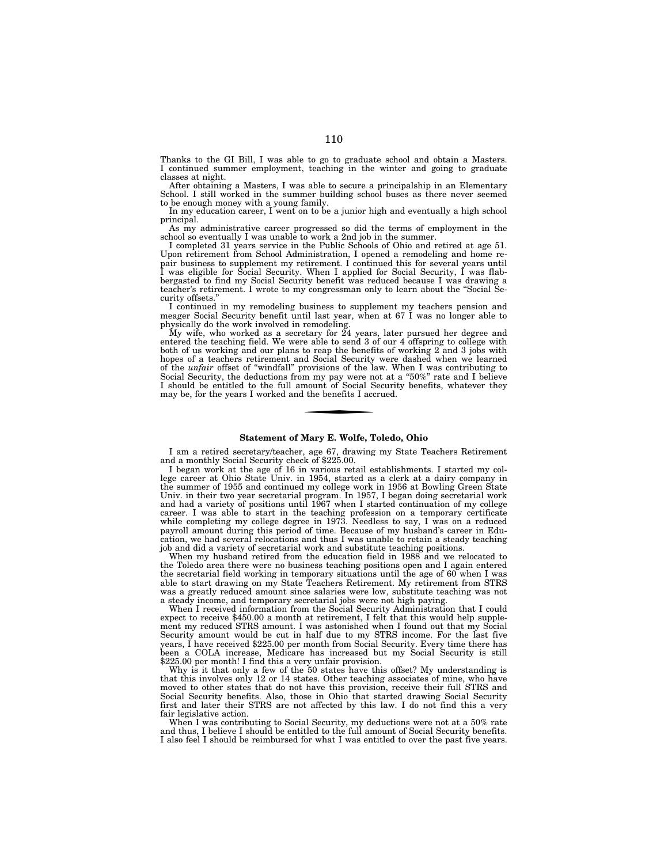Thanks to the GI Bill, I was able to go to graduate school and obtain a Masters. I continued summer employment, teaching in the winter and going to graduate classes at night.

After obtaining a Masters, I was able to secure a principalship in an Elementary School. I still worked in the summer building school buses as there never seemed to be enough money with a young family.

In my education career, I went on to be a junior high and eventually a high school principal.

As my administrative career progressed so did the terms of employment in the school so eventually I was unable to work a 2nd job in the summer.

I completed 31 years service in the Public Schools of Ohio and retired at age 51. Upon retirement from School Administration, I opened a remodeling and home repair business to supplement my retirement. I continued this for several years until I was eligible for Social Security. When I applied for Social Security, I was flabbergasted to find my Social Security benefit was reduced because I was drawing a teacher's retirement. I wrote to my congressman only to learn about the ''Social Security offsets.

I continued in my remodeling business to supplement my teachers pension and meager Social Security benefit until last year, when at 67 I was no longer able to physically do the work involved in remodeling.

My wife, who worked as a secretary for 24 years, later pursued her degree and entered the teaching field. We were able to send 3 of our 4 offspring to college with both of us working and our plans to reap the benefits of working 2 and 3 jobs with hopes of a teachers retirement and Social Security were dashed when we learned of the *unfair* offset of ''windfall'' provisions of the law. When I was contributing to Social Security, the deductions from my pay were not at a "50%" rate and I believe I should be entitled to the full amount of Social Security benefits, whatever they may be, for the years I worked and the benefits I accrued.

# **Statement of Mary E. Wolfe, Toledo, Ohio**

I am a retired secretary/teacher, age 67, drawing my State Teachers Retirement and a monthly Social Security check of \$225.00.

I began work at the age of 16 in various retail establishments. I started my college career at Ohio State Univ. in 1954, started as a clerk at a dairy company in the summer of 1955 and continued my college work in 1956 at Bowling Green State Univ. in their two year secretarial program. In 1957, I began doing secretarial work and had a variety of positions until 1967 when I started continuation of my college career. I was able to start in the teaching profession on a temporary certificate while completing my college degree in 1973. Needless to say, I was on a reduced payroll amount during this period of time. Because of my husband's career in Education, we had several relocations and thus I was unable to retain a steady teaching job and did a variety of secretarial work and substitute teaching positions.

When my husband retired from the education field in 1988 and we relocated to the Toledo area there were no business teaching positions open and I again entered the secretarial field working in temporary situations until the age of 60 when I was able to start drawing on my State Teachers Retirement. My retirement from STRS was a greatly reduced amount since salaries were low, substitute teaching was not a steady income, and temporary secretarial jobs were not high paying.

When I received information from the Social Security Administration that I could expect to receive \$450.00 a month at retirement, I felt that this would help supplement my reduced STRS amount. I was astonished when I found out that my Social Security amount would be cut in half due to my STRS income. For the last five years, I have received \$225.00 per month from Social Security. Every time there has been a COLA increase, Medicare has increased but my Social Security is still \$225.00 per month! I find this a very unfair provision.

Why is it that only a few of the 50 states have this offset? My understanding is that this involves only 12 or 14 states. Other teaching associates of mine, who have moved to other states that do not have this provision, receive their full STRS and Social Security benefits. Also, those in Ohio that started drawing Social Security first and later their STRS are not affected by this law. I do not find this a very fair legislative action.

When I was contributing to Social Security, my deductions were not at a 50% rate and thus, I believe I should be entitled to the full amount of Social Security benefits. I also feel I should be reimbursed for what I was entitled to over the past five years.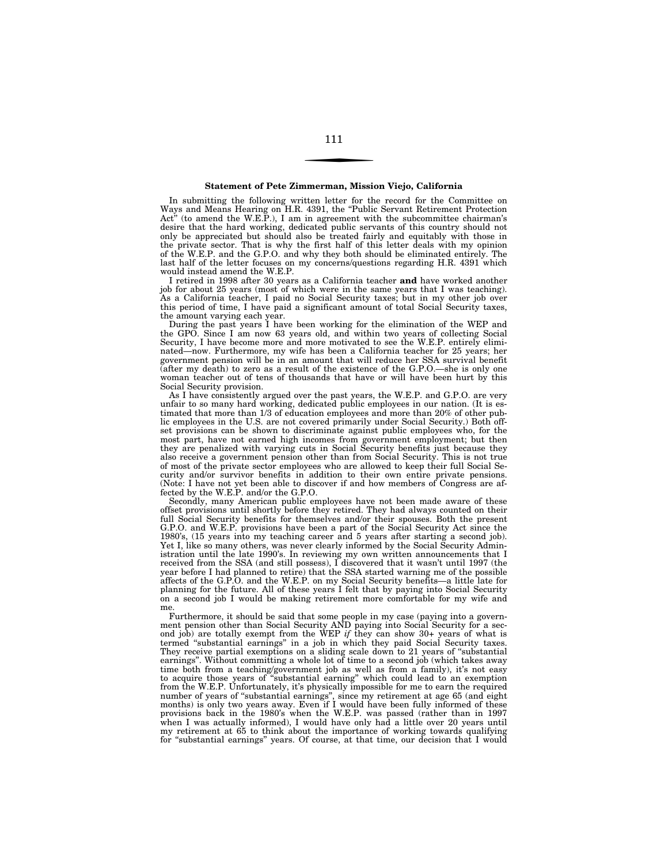#### **Statement of Pete Zimmerman, Mission Viejo, California**

In submitting the following written letter for the record for the Committee on Ways and Means Hearing on H.R. 4391, the ''Public Servant Retirement Protection Act'' (to amend the W.E.P.), I am in agreement with the subcommittee chairman's desire that the hard working, dedicated public servants of this country should not only be appreciated but should also be treated fairly and equitably with those in the private sector. That is why the first half of this letter deals with my opinion of the W.E.P. and the G.P.O. and why they both should be eliminated entirely. The last half of the letter focuses on my concerns/questions regarding H.R. 4391 which would instead amend the W.E.P.

I retired in 1998 after 30 years as a California teacher **and** have worked another job for about 25 years (most of which were in the same years that I was teaching). As a California teacher, I paid no Social Security taxes; but in my other job over this period of time, I have paid a significant amount of total Social Security taxes, the amount varying each year.

During the past years I have been working for the elimination of the WEP and the GPO. Since I am now 63 years old, and within two years of collecting Social Security, I have become more and more motivated to see the W.E.P. entirely eliminated—now. Furthermore, my wife has been a California teacher for 25 years; her government pension will be in an amount that will reduce her SSA survival benefit (after my death) to zero as a result of the existence of the G.P.O.—she is only one woman teacher out of tens of thousands that have or will have been hurt by this Social Security provision.

As I have consistently argued over the past years, the W.E.P. and G.P.O. are very unfair to so many hard working, dedicated public employees in our nation. (It is estimated that more than 1/3 of education employees and more than 20% of other public employees in the U.S. are not covered primarily under Social Security.) Both offset provisions can be shown to discriminate against public employees who, for the most part, have not earned high incomes from government employment; but then they are penalized with varying cuts in Social Security benefits just because they also receive a government pension other than from Social Security. This is not true of most of the private sector employees who are allowed to keep their full Social Security and/or survivor benefits in addition to their own entire private pensions. (Note: I have not yet been able to discover if and how members of Congress are affected by the W.E.P. and/or the G.P.O.

Secondly, many American public employees have not been made aware of these offset provisions until shortly before they retired. They had always counted on their full Social Security benefits for themselves and/or their spouses. Both the present G.P.O. and W.E.P. provisions have been a part of the Social Security Act since the 1980's, (15 years into my teaching career and 5 years after starting a second job). Yet I, like so many others, was never clearly informed by the Social Security Administration until the late 1990's. In reviewing my own written announcements that I received from the SSA (and still possess), I discovered that it wasn't until 1997 (the year before I had planned to retire) that the SSA started warning me of the possible affects of the G.P.O. and the W.E.P. on my Social Security benefits—a little late for planning for the future. All of these years I felt that by paying into Social Security on a second job I would be making retirement more comfortable for my wife and me.

Furthermore, it should be said that some people in my case (paying into a government pension other than Social Security AND paying into Social Security for a second job) are totally exempt from the WEP *if* they can show 30+ years of what is termed ''substantial earnings'' in a job in which they paid Social Security taxes. They receive partial exemptions on a sliding scale down to 21 years of ''substantial earnings''. Without committing a whole lot of time to a second job (which takes away time both from a teaching/government job as well as from a family), it's not easy to acquire those years of ''substantial earning'' which could lead to an exemption from the W.E.P. Unfortunately, it's physically impossible for me to earn the required number of years of ''substantial earnings'', since my retirement at age 65 (and eight months) is only two years away. Even if I would have been fully informed of these provisions back in the 1980's when the W.E.P. was passed (rather than in 1997 when I was actually informed), I would have only had a little over 20 years until my retirement at 65 to think about the importance of working towards qualifying for "substantial earnings" years. Of course, at that time, our decision that I would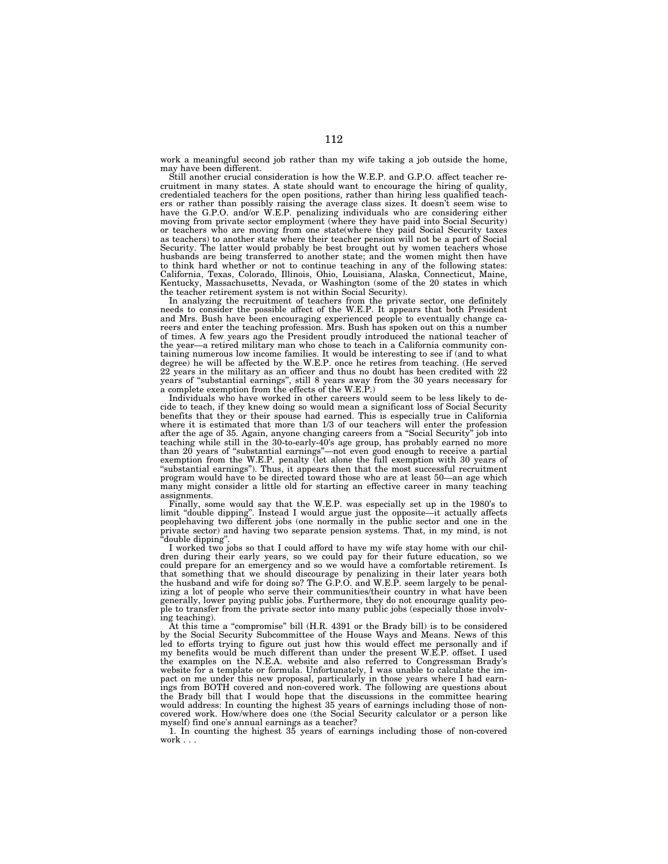work a meaningful second job rather than my wife taking a job outside the home, may have been different.

Still another crucial consideration is how the W.E.P. and G.P.O. affect teacher recruitment in many states. A state should want to encourage the hiring of quality, credentialed teachers for the open positions, rather than hiring less qualified teachers or rather than possibly raising the average class sizes. It doesn't seem wise to have the G.P.O. and/or W.E.P. penalizing individuals who are considering either moving from private sector employment (where they have paid into Social Security) or teachers who are moving from one state(where they paid Social Security taxes as teachers) to another state where their teacher pension will not be a part of Social Security. The latter would probably be best brought out by women teachers whose husbands are being transferred to another state; and the women might then have to think hard whether or not to continue teaching in any of the following states: California, Texas, Colorado, Illinois, Ohio, Louisiana, Alaska, Connecticut, Maine, Kentucky, Massachusetts, Nevada, or Washington (some of the 20 states in which the teacher retirement system is not within Social Security).

In analyzing the recruitment of teachers from the private sector, one definitely needs to consider the possible affect of the W.E.P. It appears that both President and Mrs. Bush have been encouraging experienced people to eventually change careers and enter the teaching profession. Mrs. Bush has spoken out on this a number of times. A few years ago the President proudly introduced the national teacher of the year—a retired military man who chose to teach in a California community containing numerous low income families. It would be interesting to see if (and to what degree) he will be affected by the W.E.P. once he retires from teaching. (He served 22 years in the military as an officer and thus no doubt has been credited with 22 years of ''substantial earnings'', still 8 years away from the 30 years necessary for a complete exemption from the effects of the W.E.P.)

Individuals who have worked in other careers would seem to be less likely to decide to teach, if they knew doing so would mean a significant loss of Social Security benefits that they or their spouse had earned. This is especially true in California where it is estimated that more than 1/3 of our teachers will enter the profession after the age of 35. Again, anyone changing careers from a ''Social Security'' job into teaching while still in the 30-to-early-40's age group, has probably earned no more than 20 years of ''substantial earnings''—not even good enough to receive a partial exemption from the W.E.P. penalty (let alone the full exemption with 30 years of ''substantial earnings''). Thus, it appears then that the most successful recruitment program would have to be directed toward those who are at least 50—an age which many might consider a little old for starting an effective career in many teaching assignments.

Finally, some would say that the W.E.P. was especially set up in the 1980's to limit "double dipping". Instead I would argue just the opposite—it actually affects peoplehaving two different jobs (one normally in the public sector and one in the private sector) and having two separate pension systems. That, in my mind, is not ''double dipping''.

I worked two jobs so that I could afford to have my wife stay home with our children during their early years, so we could pay for their future education, so we could prepare for an emergency and so we would have a comfortable retirement. Is that something that we should discourage by penalizing in their later years both the husband and wife for doing so? The G.P.O. and W.E.P. seem largely to be penalizing a lot of people who serve their communities/their country in what have been generally, lower paying public jobs. Furthermore, they do not encourage quality people to transfer from the private sector into many public jobs (especially those involving teaching).

At this time a ''compromise'' bill (H.R. 4391 or the Brady bill) is to be considered by the Social Security Subcommittee of the House Ways and Means. News of this led to efforts trying to figure out just how this would effect me personally and if my benefits would be much different than under the present W.E.P. offset. I used the examples on the N.E.A. website and also referred to Congressman Brady's website for a template or formula. Unfortunately, I was unable to calculate the impact on me under this new proposal, particularly in those years where I had earnings from BOTH covered and non-covered work. The following are questions about the Brady bill that I would hope that the discussions in the committee hearing would address: In counting the highest 35 years of earnings including those of noncovered work. How/where does one (the Social Security calculator or a person like

myself) find one's annual earnings as a teacher? 1. In counting the highest 35 years of earnings including those of non-covered work . . .